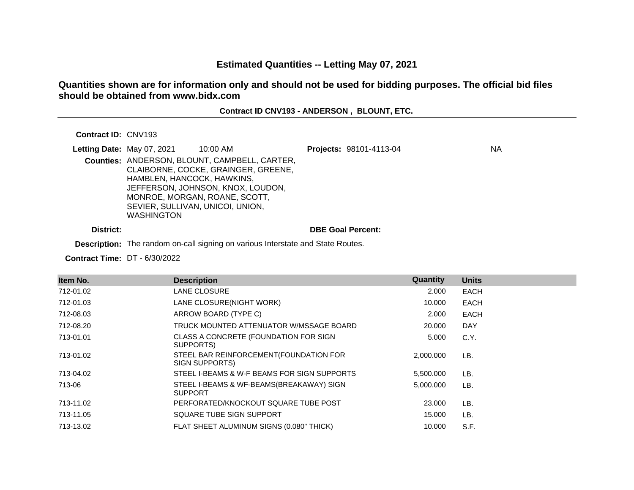# **Estimated Quantities -- Letting May 07, 2021**

# **Quantities shown are for information only and should not be used for bidding purposes. The official bid files should be obtained from www.bidx.com**

### **Contract ID CNV193 - ANDERSON , BLOUNT, ETC.**

#### **Contract ID:** CNV193

| Letting Date: May 07, 2021 | 10:00 AM                                                                                         | Projects: 98101-4113-04  | <b>NA</b> |
|----------------------------|--------------------------------------------------------------------------------------------------|--------------------------|-----------|
|                            | Counties: ANDERSON, BLOUNT, CAMPBELL, CARTER,<br>CLAIBORNE, COCKE, GRAINGER, GREENE,             |                          |           |
|                            | HAMBLEN, HANCOCK, HAWKINS,<br>JEFFERSON, JOHNSON, KNOX, LOUDON,<br>MONROE, MORGAN, ROANE, SCOTT, |                          |           |
|                            | SEVIER, SULLIVAN, UNICOI, UNION,<br><b>WASHINGTON</b>                                            |                          |           |
| District:                  |                                                                                                  | <b>DBE Goal Percent:</b> |           |

**Description:** The random on-call signing on various Interstate and State Routes.

**Contract Time:** DT - 6/30/2022

| Item No.  | <b>Description</b>                                         | <b>Quantity</b> | <b>Units</b> |
|-----------|------------------------------------------------------------|-----------------|--------------|
| 712-01.02 | LANE CLOSURE                                               | 2.000           | EACH         |
| 712-01.03 | LANE CLOSURE(NIGHT WORK)                                   | 10.000          | EACH         |
| 712-08.03 | ARROW BOARD (TYPE C)                                       | 2.000           | <b>EACH</b>  |
| 712-08.20 | TRUCK MOUNTED ATTENUATOR W/MSSAGE BOARD.                   | 20,000          | DAY          |
| 713-01.01 | CLASS A CONCRETE (FOUNDATION FOR SIGN<br>SUPPORTS)         | 5.000           | C.Y.         |
| 713-01.02 | STEEL BAR REINFORCEMENT (FOUNDATION FOR<br>SIGN SUPPORTS)  | 2.000.000       | LB.          |
| 713-04.02 | STEEL I-BEAMS & W-F BEAMS FOR SIGN SUPPORTS                | 5,500.000       | LB.          |
| 713-06    | STEEL I-BEAMS & WF-BEAMS(BREAKAWAY) SIGN<br><b>SUPPORT</b> | 5.000.000       | LB.          |
| 713-11.02 | PERFORATED/KNOCKOUT SQUARE TUBE POST                       | 23,000          | LB.          |
| 713-11.05 | SQUARE TUBE SIGN SUPPORT                                   | 15.000          | LB.          |
| 713-13.02 | FLAT SHEET ALUMINUM SIGNS (0.080" THICK)                   | 10.000          | S.F.         |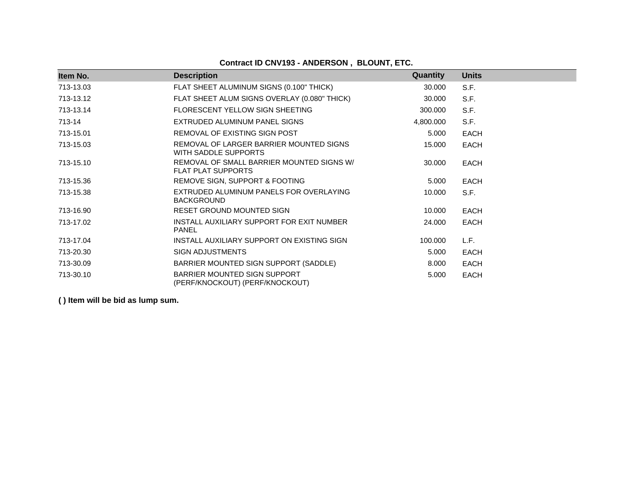# **Contract ID CNV193 - ANDERSON , BLOUNT, ETC.**

| Item No.  | <b>Description</b>                                                     | Quantity  | <b>Units</b> |
|-----------|------------------------------------------------------------------------|-----------|--------------|
| 713-13.03 | FLAT SHEET ALUMINUM SIGNS (0.100" THICK)                               | 30.000    | S.F.         |
| 713-13.12 | FLAT SHEET ALUM SIGNS OVERLAY (0.080" THICK)                           | 30.000    | S.F.         |
| 713-13.14 | FLORESCENT YELLOW SIGN SHEETING                                        | 300.000   | S.F.         |
| 713-14    | EXTRUDED ALUMINUM PANEL SIGNS                                          | 4,800.000 | S.F.         |
| 713-15.01 | REMOVAL OF EXISTING SIGN POST                                          | 5.000     | <b>EACH</b>  |
| 713-15.03 | REMOVAL OF LARGER BARRIER MOUNTED SIGNS<br>WITH SADDLE SUPPORTS        | 15.000    | <b>EACH</b>  |
| 713-15.10 | REMOVAL OF SMALL BARRIER MOUNTED SIGNS W/<br><b>FLAT PLAT SUPPORTS</b> | 30.000    | <b>EACH</b>  |
| 713-15.36 | REMOVE SIGN, SUPPORT & FOOTING                                         | 5.000     | <b>EACH</b>  |
| 713-15.38 | EXTRUDED ALUMINUM PANELS FOR OVERLAYING<br><b>BACKGROUND</b>           | 10.000    | S.F.         |
| 713-16.90 | RESET GROUND MOUNTED SIGN                                              | 10.000    | <b>EACH</b>  |
| 713-17.02 | INSTALL AUXILIARY SUPPORT FOR EXIT NUMBER<br><b>PANEL</b>              | 24.000    | <b>EACH</b>  |
| 713-17.04 | INSTALL AUXILIARY SUPPORT ON EXISTING SIGN                             | 100.000   | L.F.         |
| 713-20.30 | <b>SIGN ADJUSTMENTS</b>                                                | 5.000     | <b>EACH</b>  |
| 713-30.09 | BARRIER MOUNTED SIGN SUPPORT (SADDLE)                                  | 8.000     | <b>EACH</b>  |
| 713-30.10 | BARRIER MOUNTED SIGN SUPPORT<br>(PERF/KNOCKOUT) (PERF/KNOCKOUT)        | 5.000     | <b>EACH</b>  |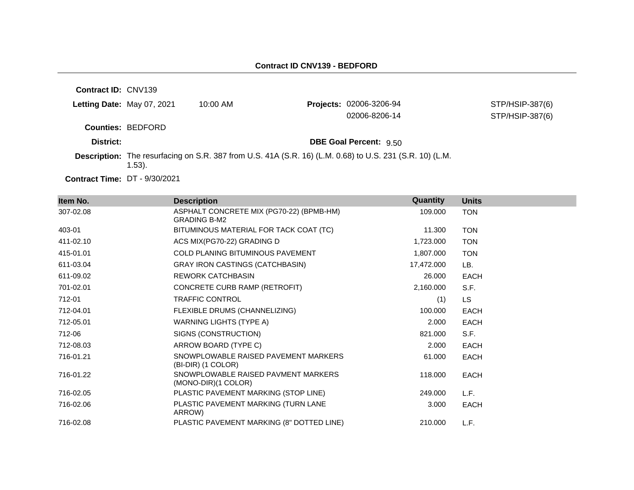**Contract ID:** CNV139 **Letting Date:** May 07, 2021 10:00 AM **Projects:** 02006-3206-94 **Counties:** BEDFORD **District: District: DBE Goal Percent:** 9.50 **Contract Time:** DT - 9/30/2021 **Description:** The resurfacing on S.R. 387 from U.S. 41A (S.R. 16) (L.M. 0.68) to U.S. 231 (S.R. 10) (L.M. 1.53). STP/HSIP-387(6) 02006-8206-14 STP/HSIP-387(6)

| Item No.  | <b>Description</b>                                              | Quantity   | <b>Units</b> |
|-----------|-----------------------------------------------------------------|------------|--------------|
| 307-02.08 | ASPHALT CONCRETE MIX (PG70-22) (BPMB-HM)<br><b>GRADING B-M2</b> | 109.000    | <b>TON</b>   |
| 403-01    | BITUMINOUS MATERIAL FOR TACK COAT (TC)                          | 11.300     | <b>TON</b>   |
| 411-02.10 | ACS MIX(PG70-22) GRADING D                                      | 1,723.000  | <b>TON</b>   |
| 415-01.01 | COLD PLANING BITUMINOUS PAVEMENT                                | 1,807.000  | <b>TON</b>   |
| 611-03.04 | <b>GRAY IRON CASTINGS (CATCHBASIN)</b>                          | 17,472.000 | LB.          |
| 611-09.02 | <b>REWORK CATCHBASIN</b>                                        | 26.000     | <b>EACH</b>  |
| 701-02.01 | CONCRETE CURB RAMP (RETROFIT)                                   | 2,160.000  | S.F.         |
| 712-01    | <b>TRAFFIC CONTROL</b>                                          | (1)        | <b>LS</b>    |
| 712-04.01 | FLEXIBLE DRUMS (CHANNELIZING)                                   | 100.000    | <b>EACH</b>  |
| 712-05.01 | WARNING LIGHTS (TYPE A)                                         | 2.000      | <b>EACH</b>  |
| 712-06    | SIGNS (CONSTRUCTION)                                            | 821.000    | S.F.         |
| 712-08.03 | ARROW BOARD (TYPE C)                                            | 2.000      | <b>EACH</b>  |
| 716-01.21 | SNOWPLOWABLE RAISED PAVEMENT MARKERS<br>(BI-DIR) (1 COLOR)      | 61.000     | <b>EACH</b>  |
| 716-01.22 | SNOWPLOWABLE RAISED PAVMENT MARKERS<br>(MONO-DIR)(1 COLOR)      | 118.000    | <b>EACH</b>  |
| 716-02.05 | PLASTIC PAVEMENT MARKING (STOP LINE)                            | 249.000    | L.F.         |
| 716-02.06 | PLASTIC PAVEMENT MARKING (TURN LANE<br>ARROW)                   | 3.000      | <b>EACH</b>  |
| 716-02.08 | PLASTIC PAVEMENT MARKING (8" DOTTED LINE)                       | 210.000    | L.F.         |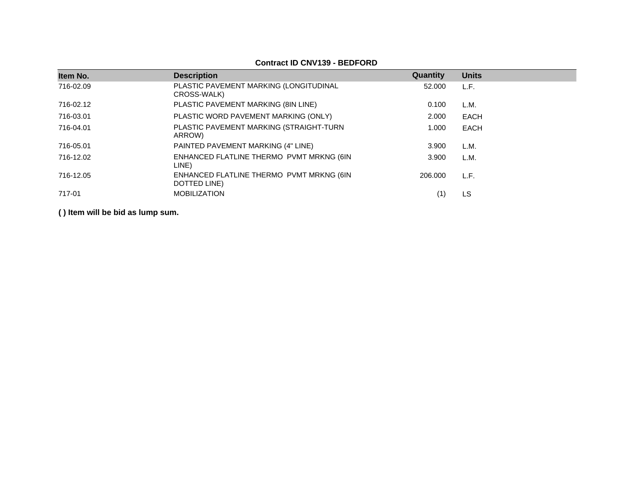| Item No.  | <b>Description</b>                                       | Quantity | <b>Units</b> |
|-----------|----------------------------------------------------------|----------|--------------|
| 716-02.09 | PLASTIC PAVEMENT MARKING (LONGITUDINAL<br>CROSS-WALK)    | 52,000   | L.F.         |
| 716-02.12 | PLASTIC PAVEMENT MARKING (8IN LINE)                      | 0.100    | L.M.         |
| 716-03.01 | PLASTIC WORD PAVEMENT MARKING (ONLY)                     | 2.000    | <b>EACH</b>  |
| 716-04.01 | PLASTIC PAVEMENT MARKING (STRAIGHT-TURN<br>ARROW)        | 1.000    | <b>EACH</b>  |
| 716-05.01 | PAINTED PAVEMENT MARKING (4" LINE)                       | 3.900    | L.M.         |
| 716-12.02 | ENHANCED FLATLINE THERMO PVMT MRKNG (6IN<br>LINE)        | 3.900    | L.M.         |
| 716-12.05 | ENHANCED FLATLINE THERMO PVMT MRKNG (6IN<br>DOTTED LINE) | 206.000  | L.F.         |
| 717-01    | <b>MOBILIZATION</b>                                      |          | LS           |

**Contract ID CNV139 - BEDFORD**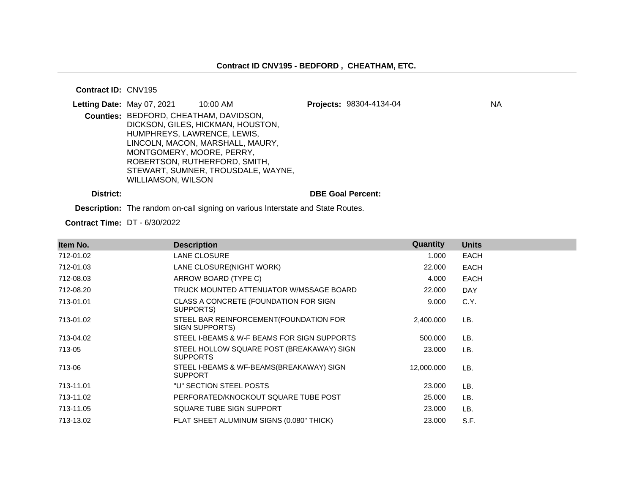#### **Contract ID:** CNV195

| Letting Date: May 07, 2021 |                                                                                                    | 10:00 AM                                                              | Projects: 98304-4134-04  | ΝA |
|----------------------------|----------------------------------------------------------------------------------------------------|-----------------------------------------------------------------------|--------------------------|----|
|                            | Counties: BEDFORD, CHEATHAM, DAVIDSON,<br>HUMPHREYS, LAWRENCE, LEWIS,<br>MONTGOMERY, MOORE, PERRY, | DICKSON, GILES, HICKMAN, HOUSTON,<br>LINCOLN, MACON, MARSHALL, MAURY, |                          |    |
|                            | WILLIAMSON, WILSON                                                                                 | ROBERTSON, RUTHERFORD, SMITH,<br>STEWART, SUMNER, TROUSDALE, WAYNE,   |                          |    |
| District:                  |                                                                                                    |                                                                       | <b>DBE Goal Percent:</b> |    |

**Description:** The random on-call signing on various Interstate and State Routes.

**Contract Time:** DT - 6/30/2022

| Item No.  | <b>Description</b>                                           | Quantity   | <b>Units</b> |
|-----------|--------------------------------------------------------------|------------|--------------|
| 712-01.02 | LANE CLOSURE                                                 | 1.000      | <b>EACH</b>  |
| 712-01.03 | LANE CLOSURE(NIGHT WORK)                                     | 22.000     | <b>EACH</b>  |
| 712-08.03 | ARROW BOARD (TYPE C)                                         | 4.000      | <b>EACH</b>  |
| 712-08.20 | TRUCK MOUNTED ATTENUATOR W/MSSAGE BOARD                      | 22.000     | <b>DAY</b>   |
| 713-01.01 | CLASS A CONCRETE (FOUNDATION FOR SIGN<br>SUPPORTS)           | 9.000      | C.Y.         |
| 713-01.02 | STEEL BAR REINFORCEMENT (FOUNDATION FOR<br>SIGN SUPPORTS)    | 2,400.000  | LB.          |
| 713-04.02 | STEEL I-BEAMS & W-F BEAMS FOR SIGN SUPPORTS                  | 500.000    | LB.          |
| 713-05    | STEEL HOLLOW SQUARE POST (BREAKAWAY) SIGN<br><b>SUPPORTS</b> | 23.000     | LB.          |
| 713-06    | STEEL I-BEAMS & WF-BEAMS(BREAKAWAY) SIGN<br><b>SUPPORT</b>   | 12,000.000 | LB.          |
| 713-11.01 | "U" SECTION STEEL POSTS                                      | 23.000     | LB.          |
| 713-11.02 | PERFORATED/KNOCKOUT SQUARE TUBE POST                         | 25,000     | LB.          |
| 713-11.05 | SQUARE TUBE SIGN SUPPORT                                     | 23,000     | LB.          |
| 713-13.02 | FLAT SHEET ALUMINUM SIGNS (0.080" THICK)                     | 23,000     | S.F.         |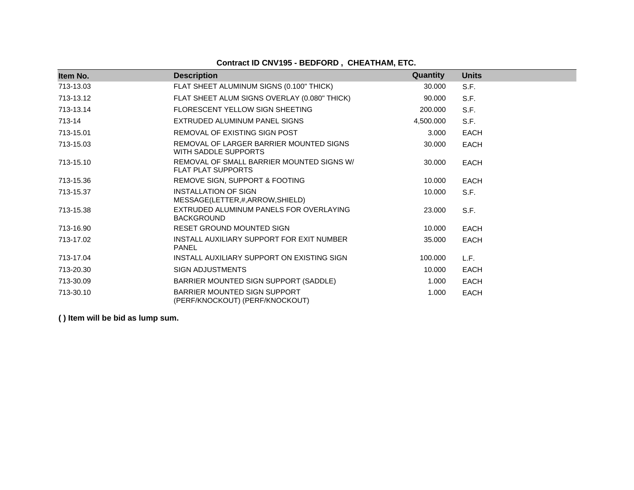# **Contract ID CNV195 - BEDFORD , CHEATHAM, ETC.**

| Item No.  | <b>Description</b>                                                     | Quantity  | <b>Units</b> |
|-----------|------------------------------------------------------------------------|-----------|--------------|
| 713-13.03 | FLAT SHEET ALUMINUM SIGNS (0.100" THICK)                               | 30,000    | S.F.         |
| 713-13.12 | FLAT SHEET ALUM SIGNS OVERLAY (0.080" THICK)                           | 90.000    | S.F.         |
| 713-13.14 | FLORESCENT YELLOW SIGN SHEETING                                        | 200.000   | S.F.         |
| 713-14    | EXTRUDED ALUMINUM PANEL SIGNS                                          | 4,500.000 | S.F.         |
| 713-15.01 | REMOVAL OF EXISTING SIGN POST                                          | 3.000     | <b>EACH</b>  |
| 713-15.03 | REMOVAL OF LARGER BARRIER MOUNTED SIGNS<br>WITH SADDLE SUPPORTS        | 30,000    | <b>EACH</b>  |
| 713-15.10 | REMOVAL OF SMALL BARRIER MOUNTED SIGNS W/<br><b>FLAT PLAT SUPPORTS</b> | 30,000    | <b>EACH</b>  |
| 713-15.36 | REMOVE SIGN, SUPPORT & FOOTING                                         | 10.000    | <b>EACH</b>  |
| 713-15.37 | <b>INSTALLATION OF SIGN</b><br>MESSAGE(LETTER,#,ARROW,SHIELD)          | 10.000    | S.F.         |
| 713-15.38 | EXTRUDED ALUMINUM PANELS FOR OVERLAYING<br><b>BACKGROUND</b>           | 23.000    | S.F.         |
| 713-16.90 | <b>RESET GROUND MOUNTED SIGN</b>                                       | 10.000    | <b>EACH</b>  |
| 713-17.02 | INSTALL AUXILIARY SUPPORT FOR EXIT NUMBER<br><b>PANEL</b>              | 35,000    | <b>EACH</b>  |
| 713-17.04 | INSTALL AUXILIARY SUPPORT ON EXISTING SIGN                             | 100.000   | L.F.         |
| 713-20.30 | <b>SIGN ADJUSTMENTS</b>                                                | 10.000    | <b>EACH</b>  |
| 713-30.09 | BARRIER MOUNTED SIGN SUPPORT (SADDLE)                                  | 1.000     | <b>EACH</b>  |
| 713-30.10 | BARRIER MOUNTED SIGN SUPPORT<br>(PERF/KNOCKOUT) (PERF/KNOCKOUT)        | 1.000     | <b>EACH</b>  |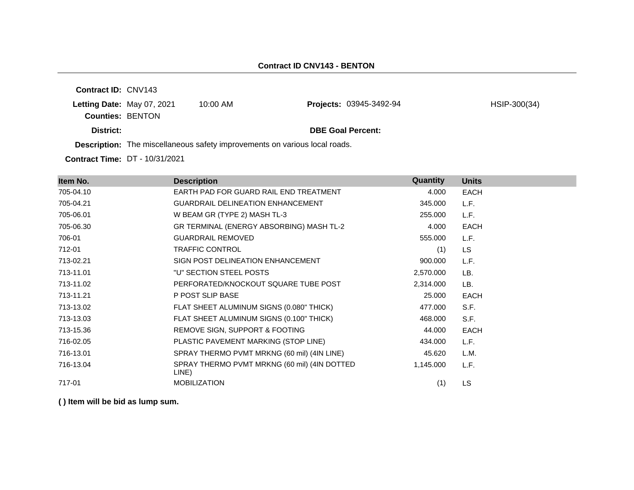**Contract ID:** CNV143 **Letting Date:** May 07, 2021 10:00 AM **Counties:** BENTON **District: District: DBE Goal Percent: Description:** The miscellaneous safety improvements on various local roads. **Projects:** 03945-3492-94 HSIP-300(34)

**Contract Time:** DT - 10/31/2021

| Item No.  | <b>Description</b>                                    | Quantity  | <b>Units</b> |
|-----------|-------------------------------------------------------|-----------|--------------|
| 705-04.10 | EARTH PAD FOR GUARD RAIL END TREATMENT                | 4.000     | <b>EACH</b>  |
| 705-04.21 | <b>GUARDRAIL DELINEATION ENHANCEMENT</b>              | 345.000   | L.F.         |
| 705-06.01 | W BEAM GR (TYPE 2) MASH TL-3                          | 255,000   | L.F.         |
| 705-06.30 | GR TERMINAL (ENERGY ABSORBING) MASH TL-2              | 4.000     | <b>EACH</b>  |
| 706-01    | <b>GUARDRAIL REMOVED</b>                              | 555.000   | L.F.         |
| 712-01    | <b>TRAFFIC CONTROL</b>                                | (1)       | LS.          |
| 713-02.21 | SIGN POST DELINEATION ENHANCEMENT                     | 900.000   | L.F.         |
| 713-11.01 | "U" SECTION STEEL POSTS                               | 2,570.000 | LB.          |
| 713-11.02 | PERFORATED/KNOCKOUT SQUARE TUBE POST                  | 2,314.000 | LB.          |
| 713-11.21 | P POST SLIP BASE                                      | 25.000    | <b>EACH</b>  |
| 713-13.02 | FLAT SHEET ALUMINUM SIGNS (0.080" THICK)              | 477.000   | S.F.         |
| 713-13.03 | FLAT SHEET ALUMINUM SIGNS (0.100" THICK)              | 468.000   | S.F.         |
| 713-15.36 | REMOVE SIGN, SUPPORT & FOOTING                        | 44.000    | <b>EACH</b>  |
| 716-02.05 | PLASTIC PAVEMENT MARKING (STOP LINE)                  | 434.000   | L.F.         |
| 716-13.01 | SPRAY THERMO PVMT MRKNG (60 mil) (4IN LINE)           | 45.620    | L.M.         |
| 716-13.04 | SPRAY THERMO PVMT MRKNG (60 mil) (4IN DOTTED<br>LINE) | 1,145.000 | L.F.         |
| 717-01    | <b>MOBILIZATION</b>                                   | (1)       | <b>LS</b>    |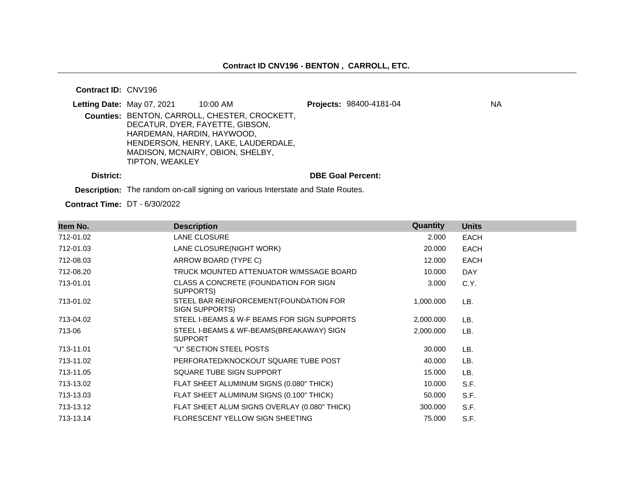#### **Contract ID:** CNV196

|           | Letting Date: May 07, 2021                    | 10:00 AM                                                                                                                                                    | Projects: 98400-4181-04  | ΝA |
|-----------|-----------------------------------------------|-------------------------------------------------------------------------------------------------------------------------------------------------------------|--------------------------|----|
|           | HARDEMAN, HARDIN, HAYWOOD,<br>TIPTON, WEAKLEY | Counties: BENTON, CARROLL, CHESTER, CROCKETT,<br>DECATUR, DYER, FAYETTE, GIBSON,<br>HENDERSON, HENRY, LAKE, LAUDERDALE,<br>MADISON, MCNAIRY, OBION, SHELBY, |                          |    |
| District: |                                               |                                                                                                                                                             | <b>DBE Goal Percent:</b> |    |

**Description:** The random on-call signing on various Interstate and State Routes.

**Contract Time:** DT - 6/30/2022

| Item No.  | <b>Description</b>                                         | Quantity  | <b>Units</b> |
|-----------|------------------------------------------------------------|-----------|--------------|
| 712-01.02 | LANE CLOSURE                                               | 2.000     | <b>EACH</b>  |
| 712-01.03 | LANE CLOSURE(NIGHT WORK)                                   | 20.000    | <b>EACH</b>  |
| 712-08.03 | ARROW BOARD (TYPE C)                                       | 12.000    | <b>EACH</b>  |
| 712-08.20 | TRUCK MOUNTED ATTENUATOR W/MSSAGE BOARD                    | 10.000    | <b>DAY</b>   |
| 713-01.01 | CLASS A CONCRETE (FOUNDATION FOR SIGN<br>SUPPORTS)         | 3.000     | C.Y.         |
| 713-01.02 | STEEL BAR REINFORCEMENT (FOUNDATION FOR<br>SIGN SUPPORTS)  | 1,000.000 | LB.          |
| 713-04.02 | STEEL I-BEAMS & W-F BEAMS FOR SIGN SUPPORTS                | 2,000.000 | LB.          |
| 713-06    | STEEL I-BEAMS & WF-BEAMS(BREAKAWAY) SIGN<br><b>SUPPORT</b> | 2,000.000 | LB.          |
| 713-11.01 | "U" SECTION STEEL POSTS                                    | 30.000    | LB.          |
| 713-11.02 | PERFORATED/KNOCKOUT SQUARE TUBE POST                       | 40.000    | LB.          |
| 713-11.05 | SQUARE TUBE SIGN SUPPORT                                   | 15.000    | LB.          |
| 713-13.02 | FLAT SHEET ALUMINUM SIGNS (0.080" THICK)                   | 10.000    | S.F.         |
| 713-13.03 | FLAT SHEET ALUMINUM SIGNS (0.100" THICK)                   | 50.000    | S.F.         |
| 713-13.12 | FLAT SHEET ALUM SIGNS OVERLAY (0.080" THICK)               | 300.000   | S.F.         |
| 713-13.14 | FLORESCENT YELLOW SIGN SHEETING                            | 75.000    | S.F.         |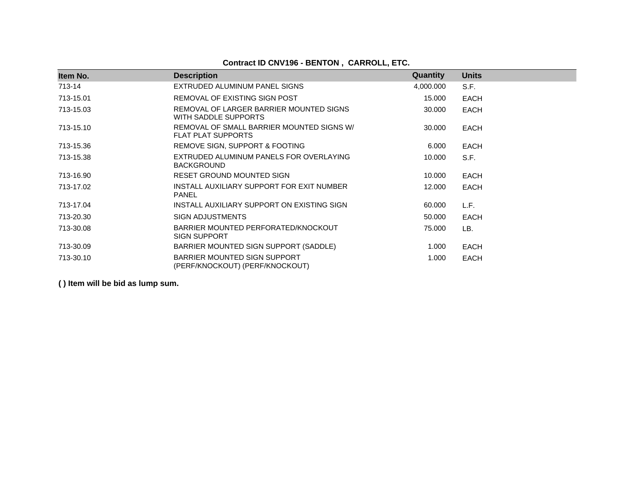# **Contract ID CNV196 - BENTON , CARROLL, ETC.**

| Item No.  | <b>Description</b>                                                     | Quantity  | <b>Units</b> |
|-----------|------------------------------------------------------------------------|-----------|--------------|
| 713-14    | EXTRUDED ALUMINUM PANEL SIGNS                                          | 4,000.000 | S.F.         |
| 713-15.01 | REMOVAL OF EXISTING SIGN POST                                          | 15.000    | <b>EACH</b>  |
| 713-15.03 | REMOVAL OF LARGER BARRIER MOUNTED SIGNS<br>WITH SADDLE SUPPORTS        | 30,000    | <b>EACH</b>  |
| 713-15.10 | REMOVAL OF SMALL BARRIER MOUNTED SIGNS W/<br><b>FLAT PLAT SUPPORTS</b> | 30.000    | <b>EACH</b>  |
| 713-15.36 | REMOVE SIGN, SUPPORT & FOOTING                                         | 6.000     | EACH         |
| 713-15.38 | EXTRUDED ALUMINUM PANELS FOR OVERLAYING<br><b>BACKGROUND</b>           | 10.000    | S.F.         |
| 713-16.90 | RESET GROUND MOUNTED SIGN                                              | 10.000    | EACH         |
| 713-17.02 | INSTALL AUXILIARY SUPPORT FOR EXIT NUMBER<br><b>PANEL</b>              | 12.000    | EACH         |
| 713-17.04 | INSTALL AUXILIARY SUPPORT ON EXISTING SIGN                             | 60.000    | L.F.         |
| 713-20.30 | <b>SIGN ADJUSTMENTS</b>                                                | 50.000    | <b>EACH</b>  |
| 713-30.08 | BARRIER MOUNTED PERFORATED/KNOCKOUT<br><b>SIGN SUPPORT</b>             | 75.000    | LB.          |
| 713-30.09 | BARRIER MOUNTED SIGN SUPPORT (SADDLE)                                  | 1.000     | EACH         |
| 713-30.10 | BARRIER MOUNTED SIGN SUPPORT<br>(PERF/KNOCKOUT) (PERF/KNOCKOUT)        | 1.000     | EACH         |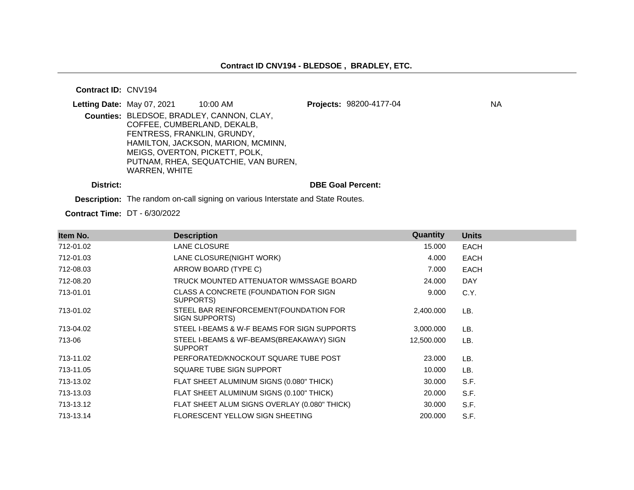#### **Contract ID:** CNV194

| Letting Date: May 07, 2021     | 10:00 AM                                  | Projects: 98200-4177-04 | ΝA |
|--------------------------------|-------------------------------------------|-------------------------|----|
|                                | Counties: BLEDSOE, BRADLEY, CANNON, CLAY, |                         |    |
| COFFEE, CUMBERLAND, DEKALB,    |                                           |                         |    |
| FENTRESS, FRANKLIN, GRUNDY,    |                                           |                         |    |
|                                | HAMILTON, JACKSON, MARION, MCMINN,        |                         |    |
| MEIGS, OVERTON, PICKETT, POLK, |                                           |                         |    |
|                                | PUTNAM, RHEA, SEQUATCHIE, VAN BUREN,      |                         |    |
| WARREN, WHITE                  |                                           |                         |    |
|                                |                                           |                         |    |

**District: DBE Goal Percent:**

**Description:** The random on-call signing on various Interstate and State Routes.

**Contract Time:** DT - 6/30/2022

| Item No.  | <b>Description</b>                                         | Quantity   | <b>Units</b> |
|-----------|------------------------------------------------------------|------------|--------------|
| 712-01.02 | LANE CLOSURE                                               | 15.000     | <b>EACH</b>  |
| 712-01.03 | LANE CLOSURE(NIGHT WORK)                                   | 4.000      | EACH         |
| 712-08.03 | ARROW BOARD (TYPE C)                                       | 7.000      | <b>EACH</b>  |
| 712-08.20 | TRUCK MOUNTED ATTENUATOR W/MSSAGE BOARD                    | 24.000     | <b>DAY</b>   |
| 713-01.01 | CLASS A CONCRETE (FOUNDATION FOR SIGN<br>SUPPORTS)         | 9.000      | C.Y.         |
| 713-01.02 | STEEL BAR REINFORCEMENT (FOUNDATION FOR<br>SIGN SUPPORTS)  | 2,400.000  | LB.          |
| 713-04.02 | STEEL I-BEAMS & W-F BEAMS FOR SIGN SUPPORTS                | 3,000.000  | LB.          |
| 713-06    | STEEL I-BEAMS & WF-BEAMS(BREAKAWAY) SIGN<br><b>SUPPORT</b> | 12,500.000 | LB.          |
| 713-11.02 | PERFORATED/KNOCKOUT SQUARE TUBE POST                       | 23.000     | LB.          |
| 713-11.05 | SQUARE TUBE SIGN SUPPORT                                   | 10.000     | LB.          |
| 713-13.02 | FLAT SHEET ALUMINUM SIGNS (0.080" THICK)                   | 30.000     | S.F.         |
| 713-13.03 | FLAT SHEET ALUMINUM SIGNS (0.100" THICK)                   | 20.000     | S.F.         |
| 713-13.12 | FLAT SHEET ALUM SIGNS OVERLAY (0.080" THICK)               | 30.000     | S.F.         |
| 713-13.14 | <b>FLORESCENT YELLOW SIGN SHEETING</b>                     | 200,000    | S.F.         |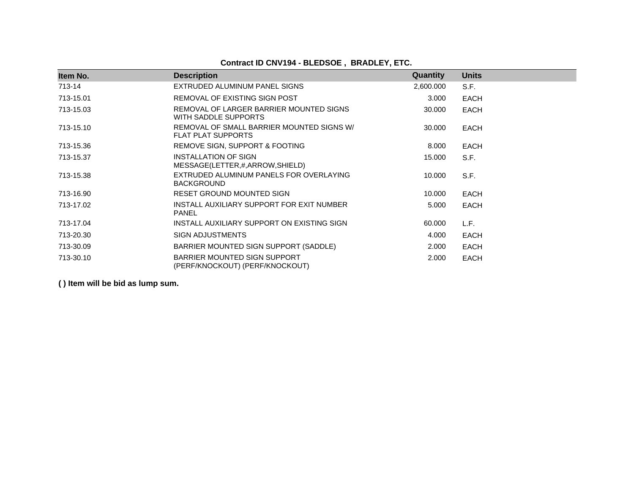# **Contract ID CNV194 - BLEDSOE , BRADLEY, ETC.**

| Item No.  | <b>Description</b>                                                     | Quantity  | <b>Units</b> |
|-----------|------------------------------------------------------------------------|-----------|--------------|
| 713-14    | EXTRUDED ALUMINUM PANEL SIGNS                                          | 2,600.000 | S.F.         |
| 713-15.01 | REMOVAL OF EXISTING SIGN POST                                          | 3.000     | <b>EACH</b>  |
| 713-15.03 | REMOVAL OF LARGER BARRIER MOUNTED SIGNS<br>WITH SADDLE SUPPORTS        | 30.000    | <b>EACH</b>  |
| 713-15.10 | REMOVAL OF SMALL BARRIER MOUNTED SIGNS W/<br><b>FLAT PLAT SUPPORTS</b> | 30.000    | <b>EACH</b>  |
| 713-15.36 | REMOVE SIGN, SUPPORT & FOOTING                                         | 8.000     | <b>EACH</b>  |
| 713-15.37 | INSTALLATION OF SIGN<br>MESSAGE(LETTER,#,ARROW,SHIELD)                 | 15.000    | S.F.         |
| 713-15.38 | EXTRUDED ALUMINUM PANELS FOR OVERLAYING<br><b>BACKGROUND</b>           | 10.000    | S.F.         |
| 713-16.90 | RESET GROUND MOUNTED SIGN                                              | 10.000    | <b>EACH</b>  |
| 713-17.02 | INSTALL AUXILIARY SUPPORT FOR EXIT NUMBER<br><b>PANEL</b>              | 5.000     | <b>EACH</b>  |
| 713-17.04 | INSTALL AUXILIARY SUPPORT ON EXISTING SIGN                             | 60,000    | L.F.         |
| 713-20.30 | <b>SIGN ADJUSTMENTS</b>                                                | 4.000     | <b>EACH</b>  |
| 713-30.09 | BARRIER MOUNTED SIGN SUPPORT (SADDLE)                                  | 2.000     | <b>EACH</b>  |
| 713-30.10 | BARRIER MOUNTED SIGN SUPPORT<br>(PERF/KNOCKOUT) (PERF/KNOCKOUT)        | 2.000     | <b>EACH</b>  |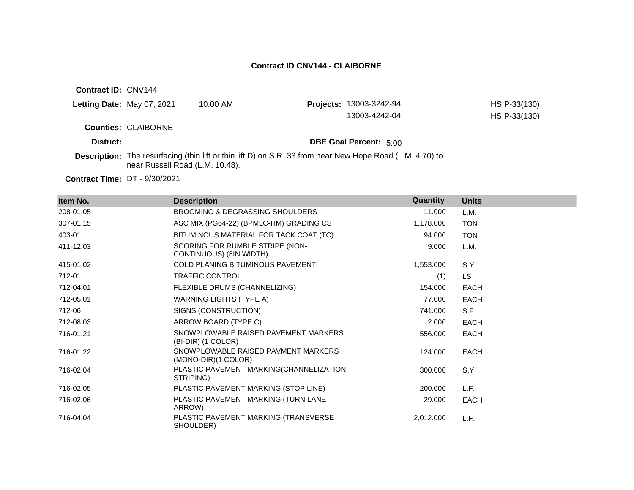**Contract ID:** CNV144 **Letting Date:** May 07, 2021 10:00 AM **Counties:** CLAIBORNE **District: District: DBE Goal Percent:** 5.00 **Contract Time:** DT - 9/30/2021 **Description:** The resurfacing (thin lift or thin lift D) on S.R. 33 from near New Hope Road (L.M. 4.70) to near Russell Road (L.M. 10.48). **Projects:** 13003-3242-94 HSIP-33(130) 13003-4242-04 HSIP-33(130)

| Item No.  | <b>Description</b>                                         | Quantity  | <b>Units</b> |
|-----------|------------------------------------------------------------|-----------|--------------|
| 208-01.05 | <b>BROOMING &amp; DEGRASSING SHOULDERS</b>                 | 11.000    | L.M.         |
| 307-01.15 | ASC MIX (PG64-22) (BPMLC-HM) GRADING CS                    | 1,178.000 | <b>TON</b>   |
| 403-01    | BITUMINOUS MATERIAL FOR TACK COAT (TC)                     | 94.000    | <b>TON</b>   |
| 411-12.03 | SCORING FOR RUMBLE STRIPE (NON-<br>CONTINUOUS) (8IN WIDTH) | 9.000     | L.M.         |
| 415-01.02 | COLD PLANING BITUMINOUS PAVEMENT                           | 1,553.000 | S.Y.         |
| 712-01    | <b>TRAFFIC CONTROL</b>                                     | (1)       | LS.          |
| 712-04.01 | FLEXIBLE DRUMS (CHANNELIZING)                              | 154.000   | <b>EACH</b>  |
| 712-05.01 | WARNING LIGHTS (TYPE A)                                    | 77.000    | <b>EACH</b>  |
| 712-06    | SIGNS (CONSTRUCTION)                                       | 741.000   | S.F.         |
| 712-08.03 | ARROW BOARD (TYPE C)                                       | 2.000     | <b>EACH</b>  |
| 716-01.21 | SNOWPLOWABLE RAISED PAVEMENT MARKERS<br>(BI-DIR) (1 COLOR) | 556,000   | <b>EACH</b>  |
| 716-01.22 | SNOWPLOWABLE RAISED PAVMENT MARKERS<br>(MONO-DIR)(1 COLOR) | 124.000   | <b>EACH</b>  |
| 716-02.04 | PLASTIC PAVEMENT MARKING(CHANNELIZATION<br>STRIPING)       | 300.000   | S.Y.         |
| 716-02.05 | PLASTIC PAVEMENT MARKING (STOP LINE)                       | 200,000   | L.F.         |
| 716-02.06 | PLASTIC PAVEMENT MARKING (TURN LANE<br>ARROW)              | 29.000    | <b>EACH</b>  |
| 716-04.04 | PLASTIC PAVEMENT MARKING (TRANSVERSE<br>SHOULDER)          | 2,012.000 | L.F.         |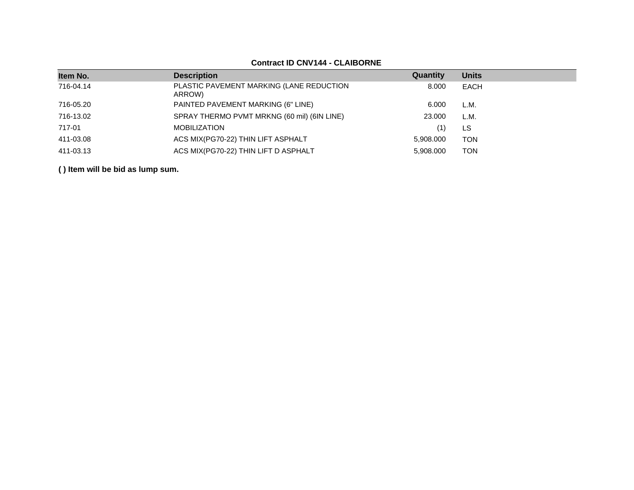# **Contract ID CNV144 - CLAIBORNE**

| Item No.  | <b>Description</b>                                 | Quantity  | <b>Units</b> |
|-----------|----------------------------------------------------|-----------|--------------|
| 716-04.14 | PLASTIC PAVEMENT MARKING (LANE REDUCTION<br>ARROW) | 8.000     | EACH         |
| 716-05.20 | PAINTED PAVEMENT MARKING (6" LINE)                 | 6.000     | L.M.         |
| 716-13.02 | SPRAY THERMO PVMT MRKNG (60 mil) (6IN LINE)        | 23.000    | L.M.         |
| 717-01    | <b>MOBILIZATION</b>                                | (1)       | LS           |
| 411-03.08 | ACS MIX(PG70-22) THIN LIFT ASPHALT                 | 5,908.000 | <b>TON</b>   |
| 411-03.13 | ACS MIX(PG70-22) THIN LIFT D ASPHALT               | 5.908.000 | <b>TON</b>   |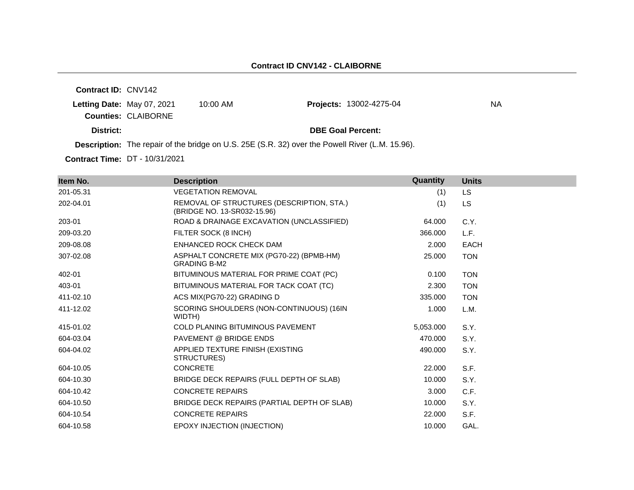**Contract ID:** CNV142 **Letting Date:** May 07, 2021 10:00 AM **Counties:** CLAIBORNE **District: District: DBE Goal Percent: Description:** The repair of the bridge on U.S. 25E (S.R. 32) over the Powell River (L.M. 15.96). **Projects:** 13002-4275-04 NA

**Contract Time:** DT - 10/31/2021

| Item No.  | <b>Description</b>                                                       | Quantity  | <b>Units</b> |
|-----------|--------------------------------------------------------------------------|-----------|--------------|
| 201-05.31 | <b>VEGETATION REMOVAL</b>                                                | (1)       | <b>LS</b>    |
| 202-04.01 | REMOVAL OF STRUCTURES (DESCRIPTION, STA.)<br>(BRIDGE NO. 13-SR032-15.96) | (1)       | <b>LS</b>    |
| 203-01    | ROAD & DRAINAGE EXCAVATION (UNCLASSIFIED)                                | 64.000    | C.Y.         |
| 209-03.20 | FILTER SOCK (8 INCH)                                                     | 366.000   | L.F.         |
| 209-08.08 | ENHANCED ROCK CHECK DAM                                                  | 2.000     | <b>EACH</b>  |
| 307-02.08 | ASPHALT CONCRETE MIX (PG70-22) (BPMB-HM)<br><b>GRADING B-M2</b>          | 25.000    | <b>TON</b>   |
| 402-01    | BITUMINOUS MATERIAL FOR PRIME COAT (PC)                                  | 0.100     | <b>TON</b>   |
| 403-01    | BITUMINOUS MATERIAL FOR TACK COAT (TC)                                   | 2.300     | <b>TON</b>   |
| 411-02.10 | ACS MIX(PG70-22) GRADING D                                               | 335,000   | <b>TON</b>   |
| 411-12.02 | SCORING SHOULDERS (NON-CONTINUOUS) (16IN<br>WIDTH)                       | 1.000     | L.M.         |
| 415-01.02 | <b>COLD PLANING BITUMINOUS PAVEMENT</b>                                  | 5,053.000 | S.Y.         |
| 604-03.04 | PAVEMENT @ BRIDGE ENDS                                                   | 470.000   | S.Y.         |
| 604-04.02 | APPLIED TEXTURE FINISH (EXISTING<br>STRUCTURES)                          | 490.000   | S.Y.         |
| 604-10.05 | <b>CONCRETE</b>                                                          | 22.000    | S.F.         |
| 604-10.30 | BRIDGE DECK REPAIRS (FULL DEPTH OF SLAB)                                 | 10.000    | S.Y.         |
| 604-10.42 | <b>CONCRETE REPAIRS</b>                                                  | 3.000     | C.F.         |
| 604-10.50 | BRIDGE DECK REPAIRS (PARTIAL DEPTH OF SLAB)                              | 10.000    | S.Y.         |
| 604-10.54 | <b>CONCRETE REPAIRS</b>                                                  | 22,000    | S.F.         |
| 604-10.58 | EPOXY INJECTION (INJECTION)                                              | 10.000    | GAL.         |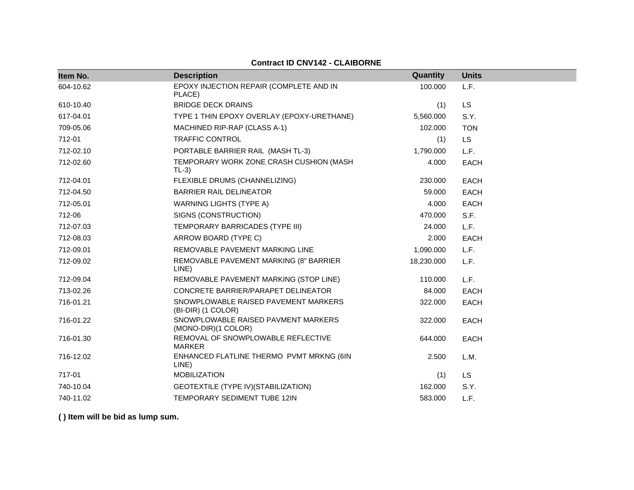# **Contract ID CNV142 - CLAIBORNE**

| Item No.  | <b>Description</b>                                         | Quantity   | <b>Units</b> |
|-----------|------------------------------------------------------------|------------|--------------|
| 604-10.62 | EPOXY INJECTION REPAIR (COMPLETE AND IN<br>PLACE)          | 100.000    | L.F.         |
| 610-10.40 | <b>BRIDGE DECK DRAINS</b>                                  | (1)        | <b>LS</b>    |
| 617-04.01 | TYPE 1 THIN EPOXY OVERLAY (EPOXY-URETHANE)                 | 5,560.000  | S.Y.         |
| 709-05.06 | MACHINED RIP-RAP (CLASS A-1)                               | 102.000    | <b>TON</b>   |
| 712-01    | <b>TRAFFIC CONTROL</b>                                     | (1)        | <b>LS</b>    |
| 712-02.10 | PORTABLE BARRIER RAIL (MASH TL-3)                          | 1,790.000  | L.F.         |
| 712-02.60 | TEMPORARY WORK ZONE CRASH CUSHION (MASH<br>$TL-3)$         | 4.000      | <b>EACH</b>  |
| 712-04.01 | FLEXIBLE DRUMS (CHANNELIZING)                              | 230.000    | <b>EACH</b>  |
| 712-04.50 | <b>BARRIER RAIL DELINEATOR</b>                             | 59.000     | EACH         |
| 712-05.01 | <b>WARNING LIGHTS (TYPE A)</b>                             | 4.000      | <b>EACH</b>  |
| 712-06    | SIGNS (CONSTRUCTION)                                       | 470.000    | S.F.         |
| 712-07.03 | TEMPORARY BARRICADES (TYPE III)                            | 24.000     | L.F.         |
| 712-08.03 | ARROW BOARD (TYPE C)                                       | 2.000      | <b>EACH</b>  |
| 712-09.01 | REMOVABLE PAVEMENT MARKING LINE                            | 1,090.000  | L.F.         |
| 712-09.02 | REMOVABLE PAVEMENT MARKING (8" BARRIER<br>LINE)            | 18,230.000 | L.F.         |
| 712-09.04 | REMOVABLE PAVEMENT MARKING (STOP LINE)                     | 110.000    | L.F.         |
| 713-02.26 | CONCRETE BARRIER/PARAPET DELINEATOR                        | 84.000     | <b>EACH</b>  |
| 716-01.21 | SNOWPLOWABLE RAISED PAVEMENT MARKERS<br>(BI-DIR) (1 COLOR) | 322.000    | <b>EACH</b>  |
| 716-01.22 | SNOWPLOWABLE RAISED PAVMENT MARKERS<br>(MONO-DIR)(1 COLOR) | 322.000    | <b>EACH</b>  |
| 716-01.30 | REMOVAL OF SNOWPLOWABLE REFLECTIVE<br><b>MARKER</b>        | 644.000    | <b>EACH</b>  |
| 716-12.02 | ENHANCED FLATLINE THERMO PVMT MRKNG (6IN<br>LINE)          | 2.500      | L.M.         |
| 717-01    | <b>MOBILIZATION</b>                                        | (1)        | LS           |
| 740-10.04 | GEOTEXTILE (TYPE IV) (STABILIZATION)                       | 162.000    | S.Y.         |
| 740-11.02 | TEMPORARY SEDIMENT TUBE 12IN                               | 583.000    | L.F.         |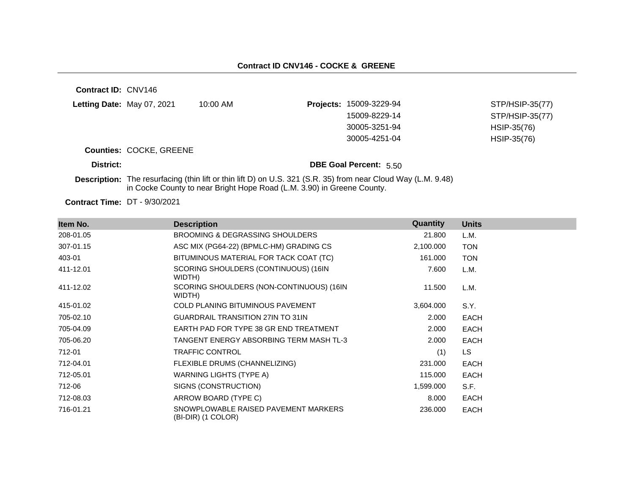| Contract ID: CNV146               |                                                                                                                                                                                         |                    |                  |                               |                 |
|-----------------------------------|-----------------------------------------------------------------------------------------------------------------------------------------------------------------------------------------|--------------------|------------------|-------------------------------|-----------------|
| <b>Letting Date: May 07, 2021</b> |                                                                                                                                                                                         | $10:00 \text{ AM}$ | <b>Projects:</b> | 15009-3229-94                 | STP/HSIP-35(77) |
|                                   |                                                                                                                                                                                         |                    |                  | 15009-8229-14                 | STP/HSIP-35(77) |
|                                   |                                                                                                                                                                                         |                    |                  | 30005-3251-94                 | HSIP-35(76)     |
|                                   |                                                                                                                                                                                         |                    |                  | 30005-4251-04                 | HSIP-35(76)     |
|                                   | <b>Counties: COCKE, GREENE</b>                                                                                                                                                          |                    |                  |                               |                 |
| District:                         |                                                                                                                                                                                         |                    |                  | <b>DBE Goal Percent: 5.50</b> |                 |
|                                   | Description: The resurfacing (thin lift or thin lift D) on U.S. 321 (S.R. 35) from near Cloud Way (L.M. 9.48)<br>in Cocke County to near Bright Hope Road (L.M. 3.90) in Greene County. |                    |                  |                               |                 |

**Contract Time:** DT - 9/30/2021

| Item No.  | <b>Description</b>                                         | Quantity  | <b>Units</b> |
|-----------|------------------------------------------------------------|-----------|--------------|
| 208-01.05 | BROOMING & DEGRASSING SHOULDERS                            | 21.800    | L.M.         |
| 307-01.15 | ASC MIX (PG64-22) (BPMLC-HM) GRADING CS                    | 2,100.000 | <b>TON</b>   |
| 403-01    | BITUMINOUS MATERIAL FOR TACK COAT (TC)                     | 161.000   | <b>TON</b>   |
| 411-12.01 | SCORING SHOULDERS (CONTINUOUS) (16IN<br>WIDTH)             | 7.600     | L.M.         |
| 411-12.02 | SCORING SHOULDERS (NON-CONTINUOUS) (16IN<br>WIDTH)         | 11.500    | L.M.         |
| 415-01.02 | <b>COLD PLANING BITUMINOUS PAVEMENT</b>                    | 3,604.000 | S.Y.         |
| 705-02.10 | <b>GUARDRAIL TRANSITION 27IN TO 31IN</b>                   | 2.000     | <b>EACH</b>  |
| 705-04.09 | EARTH PAD FOR TYPE 38 GR END TREATMENT                     | 2.000     | <b>EACH</b>  |
| 705-06.20 | TANGENT ENERGY ABSORBING TERM MASH TL-3                    | 2.000     | <b>EACH</b>  |
| 712-01    | <b>TRAFFIC CONTROL</b>                                     | (1)       | LS.          |
| 712-04.01 | FLEXIBLE DRUMS (CHANNELIZING)                              | 231.000   | <b>EACH</b>  |
| 712-05.01 | WARNING LIGHTS (TYPE A)                                    | 115.000   | <b>EACH</b>  |
| 712-06    | SIGNS (CONSTRUCTION)                                       | 1,599.000 | S.F.         |
| 712-08.03 | ARROW BOARD (TYPE C)                                       | 8.000     | <b>EACH</b>  |
| 716-01.21 | SNOWPLOWABLE RAISED PAVEMENT MARKERS<br>(BI-DIR) (1 COLOR) | 236.000   | <b>EACH</b>  |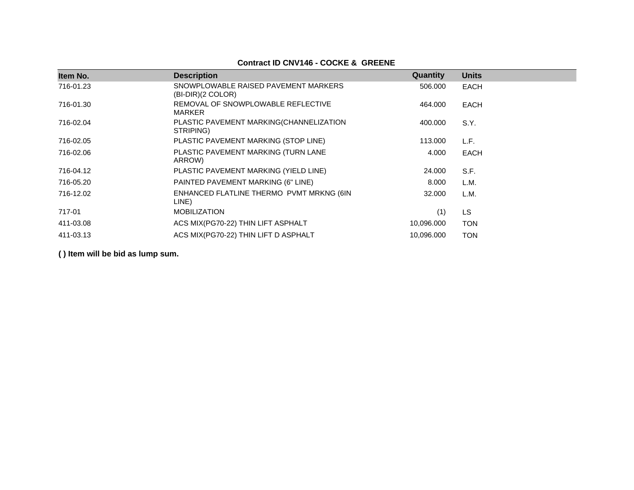# **Contract ID CNV146 - COCKE & GREENE**

| Item No.  | <b>Description</b>                                          | Quantity   | <b>Units</b> |
|-----------|-------------------------------------------------------------|------------|--------------|
|           |                                                             |            |              |
| 716-01.23 | SNOWPLOWABLE RAISED PAVEMENT MARKERS<br>$(BI-DIR)(2 COLOR)$ | 506,000    | EACH         |
| 716-01.30 | REMOVAL OF SNOWPLOWABLE REFLECTIVE<br><b>MARKER</b>         | 464.000    | EACH         |
| 716-02.04 | PLASTIC PAVEMENT MARKING(CHANNELIZATION<br>STRIPING)        | 400.000    | S.Y.         |
| 716-02.05 | PLASTIC PAVEMENT MARKING (STOP LINE)                        | 113,000    | L.F.         |
| 716-02.06 | PLASTIC PAVEMENT MARKING (TURN LANE<br>ARROW)               | 4.000      | EACH         |
| 716-04.12 | PLASTIC PAVEMENT MARKING (YIELD LINE)                       | 24.000     | S.F.         |
| 716-05.20 | PAINTED PAVEMENT MARKING (6" LINE)                          | 8.000      | L.M.         |
| 716-12.02 | ENHANCED FLATLINE THERMO PVMT MRKNG (6IN<br>LINE)           | 32.000     | L.M.         |
| 717-01    | <b>MOBILIZATION</b>                                         | (1)        | LS.          |
| 411-03.08 | ACS MIX(PG70-22) THIN LIFT ASPHALT                          | 10,096.000 | <b>TON</b>   |
| 411-03.13 | ACS MIX(PG70-22) THIN LIFT D ASPHALT                        | 10,096.000 | <b>TON</b>   |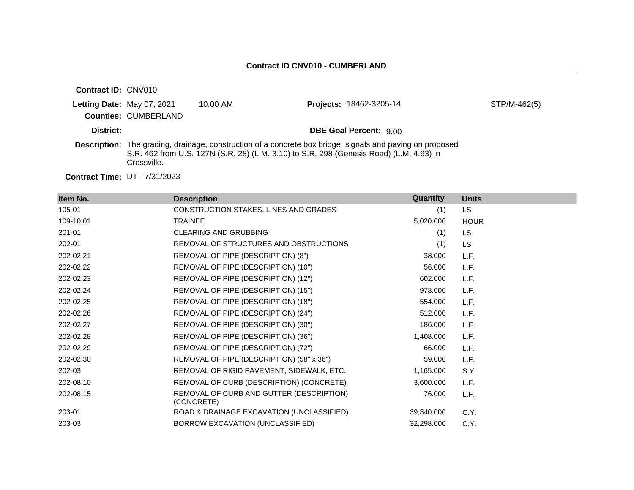| <b>Contract ID: CNV010</b> |                             |                    |                                                                                                                                                                                                             |              |
|----------------------------|-----------------------------|--------------------|-------------------------------------------------------------------------------------------------------------------------------------------------------------------------------------------------------------|--------------|
| Letting Date: May 07, 2021 | <b>Counties: CUMBERLAND</b> | $10:00 \text{ AM}$ | <b>Projects: 18462-3205-14</b>                                                                                                                                                                              | STP/M-462(5) |
| District:                  |                             |                    | <b>DBE Goal Percent: 9.00</b>                                                                                                                                                                               |              |
|                            | Crossville.                 |                    | <b>Description:</b> The grading, drainage, construction of a concrete box bridge, signals and paving on proposed<br>S.R. 462 from U.S. 127N (S.R. 28) (L.M. 3.10) to S.R. 298 (Genesis Road) (L.M. 4.63) in |              |

**Contract Time:** DT - 7/31/2023

| Item No.  | <b>Description</b>                                     | Quantity   | <b>Units</b> |
|-----------|--------------------------------------------------------|------------|--------------|
| 105-01    | CONSTRUCTION STAKES, LINES AND GRADES                  | (1)        | LS.          |
| 109-10.01 | <b>TRAINEE</b>                                         | 5,020.000  | <b>HOUR</b>  |
| 201-01    | <b>CLEARING AND GRUBBING</b>                           | (1)        | LS           |
| 202-01    | REMOVAL OF STRUCTURES AND OBSTRUCTIONS                 | (1)        | <b>LS</b>    |
| 202-02.21 | REMOVAL OF PIPE (DESCRIPTION) (8")                     | 38.000     | L.F.         |
| 202-02.22 | REMOVAL OF PIPE (DESCRIPTION) (10")                    | 56.000     | L.F.         |
| 202-02.23 | REMOVAL OF PIPE (DESCRIPTION) (12")                    | 602.000    | L.F.         |
| 202-02.24 | REMOVAL OF PIPE (DESCRIPTION) (15")                    | 978.000    | L.F.         |
| 202-02.25 | REMOVAL OF PIPE (DESCRIPTION) (18")                    | 554.000    | L.F.         |
| 202-02.26 | REMOVAL OF PIPE (DESCRIPTION) (24")                    | 512.000    | L.F.         |
| 202-02.27 | REMOVAL OF PIPE (DESCRIPTION) (30")                    | 186,000    | L.F.         |
| 202-02.28 | REMOVAL OF PIPE (DESCRIPTION) (36")                    | 1,408.000  | L.F.         |
| 202-02.29 | REMOVAL OF PIPE (DESCRIPTION) (72")                    | 66.000     | L.F.         |
| 202-02.30 | REMOVAL OF PIPE (DESCRIPTION) (58" x 36")              | 59,000     | L.F.         |
| 202-03    | REMOVAL OF RIGID PAVEMENT, SIDEWALK, ETC.              | 1,165.000  | S.Y.         |
| 202-08.10 | REMOVAL OF CURB (DESCRIPTION) (CONCRETE)               | 3,600.000  | L.F.         |
| 202-08.15 | REMOVAL OF CURB AND GUTTER (DESCRIPTION)<br>(CONCRETE) | 76.000     | L.F.         |
| 203-01    | ROAD & DRAINAGE EXCAVATION (UNCLASSIFIED)              | 39,340.000 | C.Y.         |
| 203-03    | BORROW EXCAVATION (UNCLASSIFIED)                       | 32,298.000 | C.Y.         |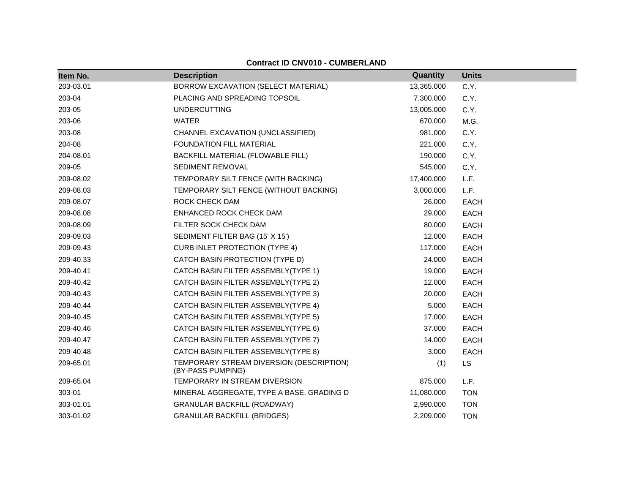| Item No.  | <b>Description</b>                                            | Quantity   | <b>Units</b> |
|-----------|---------------------------------------------------------------|------------|--------------|
| 203-03.01 | BORROW EXCAVATION (SELECT MATERIAL)                           | 13,365.000 | C.Y.         |
| 203-04    | PLACING AND SPREADING TOPSOIL                                 | 7,300.000  | C.Y.         |
| 203-05    | <b>UNDERCUTTING</b>                                           | 13,005.000 | C.Y.         |
| 203-06    | <b>WATER</b>                                                  | 670.000    | M.G.         |
| 203-08    | CHANNEL EXCAVATION (UNCLASSIFIED)                             | 981.000    | C.Y.         |
| 204-08    | <b>FOUNDATION FILL MATERIAL</b>                               | 221.000    | C.Y.         |
| 204-08.01 | BACKFILL MATERIAL (FLOWABLE FILL)                             | 190.000    | C.Y.         |
| 209-05    | <b>SEDIMENT REMOVAL</b>                                       | 545.000    | C.Y.         |
| 209-08.02 | TEMPORARY SILT FENCE (WITH BACKING)                           | 17,400.000 | L.F.         |
| 209-08.03 | TEMPORARY SILT FENCE (WITHOUT BACKING)                        | 3,000.000  | L.F.         |
| 209-08.07 | ROCK CHECK DAM                                                | 26.000     | <b>EACH</b>  |
| 209-08.08 | ENHANCED ROCK CHECK DAM                                       | 29.000     | <b>EACH</b>  |
| 209-08.09 | FILTER SOCK CHECK DAM                                         | 80.000     | <b>EACH</b>  |
| 209-09.03 | SEDIMENT FILTER BAG (15' X 15')                               | 12.000     | <b>EACH</b>  |
| 209-09.43 | <b>CURB INLET PROTECTION (TYPE 4)</b>                         | 117.000    | <b>EACH</b>  |
| 209-40.33 | CATCH BASIN PROTECTION (TYPE D)                               | 24.000     | EACH         |
| 209-40.41 | CATCH BASIN FILTER ASSEMBLY(TYPE 1)                           | 19.000     | <b>EACH</b>  |
| 209-40.42 | CATCH BASIN FILTER ASSEMBLY(TYPE 2)                           | 12.000     | <b>EACH</b>  |
| 209-40.43 | CATCH BASIN FILTER ASSEMBLY(TYPE 3)                           | 20.000     | <b>EACH</b>  |
| 209-40.44 | CATCH BASIN FILTER ASSEMBLY(TYPE 4)                           | 5.000      | <b>EACH</b>  |
| 209-40.45 | CATCH BASIN FILTER ASSEMBLY(TYPE 5)                           | 17.000     | <b>EACH</b>  |
| 209-40.46 | CATCH BASIN FILTER ASSEMBLY(TYPE 6)                           | 37.000     | <b>EACH</b>  |
| 209-40.47 | CATCH BASIN FILTER ASSEMBLY(TYPE 7)                           | 14.000     | EACH         |
| 209-40.48 | CATCH BASIN FILTER ASSEMBLY(TYPE 8)                           | 3.000      | <b>EACH</b>  |
| 209-65.01 | TEMPORARY STREAM DIVERSION (DESCRIPTION)<br>(BY-PASS PUMPING) | (1)        | LS           |
| 209-65.04 | TEMPORARY IN STREAM DIVERSION                                 | 875.000    | L.F.         |
| 303-01    | MINERAL AGGREGATE, TYPE A BASE, GRADING D                     | 11,080.000 | <b>TON</b>   |
| 303-01.01 | <b>GRANULAR BACKFILL (ROADWAY)</b>                            | 2,990.000  | <b>TON</b>   |
| 303-01.02 | <b>GRANULAR BACKFILL (BRIDGES)</b>                            | 2,209.000  | <b>TON</b>   |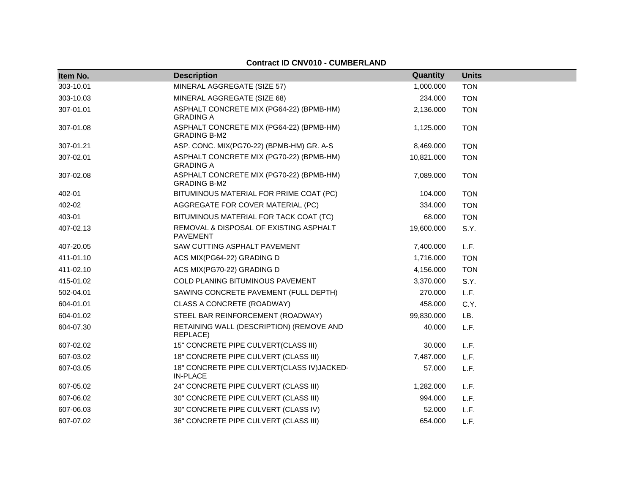| Item No.  | <b>Description</b>                                              | Quantity   | <b>Units</b> |
|-----------|-----------------------------------------------------------------|------------|--------------|
| 303-10.01 | MINERAL AGGREGATE (SIZE 57)                                     | 1,000.000  | <b>TON</b>   |
| 303-10.03 | MINERAL AGGREGATE (SIZE 68)                                     | 234.000    | <b>TON</b>   |
| 307-01.01 | ASPHALT CONCRETE MIX (PG64-22) (BPMB-HM)<br><b>GRADING A</b>    | 2,136.000  | <b>TON</b>   |
| 307-01.08 | ASPHALT CONCRETE MIX (PG64-22) (BPMB-HM)<br><b>GRADING B-M2</b> | 1,125.000  | <b>TON</b>   |
| 307-01.21 | ASP. CONC. MIX(PG70-22) (BPMB-HM) GR. A-S                       | 8,469.000  | <b>TON</b>   |
| 307-02.01 | ASPHALT CONCRETE MIX (PG70-22) (BPMB-HM)<br><b>GRADING A</b>    | 10,821.000 | <b>TON</b>   |
| 307-02.08 | ASPHALT CONCRETE MIX (PG70-22) (BPMB-HM)<br><b>GRADING B-M2</b> | 7,089.000  | <b>TON</b>   |
| 402-01    | BITUMINOUS MATERIAL FOR PRIME COAT (PC)                         | 104.000    | <b>TON</b>   |
| 402-02    | AGGREGATE FOR COVER MATERIAL (PC)                               | 334.000    | <b>TON</b>   |
| 403-01    | BITUMINOUS MATERIAL FOR TACK COAT (TC)                          | 68.000     | <b>TON</b>   |
| 407-02.13 | REMOVAL & DISPOSAL OF EXISTING ASPHALT<br><b>PAVEMENT</b>       | 19,600.000 | S.Y.         |
| 407-20.05 | SAW CUTTING ASPHALT PAVEMENT                                    | 7,400.000  | L.F.         |
| 411-01.10 | ACS MIX(PG64-22) GRADING D                                      | 1,716.000  | <b>TON</b>   |
| 411-02.10 | ACS MIX(PG70-22) GRADING D                                      | 4,156.000  | <b>TON</b>   |
| 415-01.02 | COLD PLANING BITUMINOUS PAVEMENT                                | 3,370.000  | S.Y.         |
| 502-04.01 | SAWING CONCRETE PAVEMENT (FULL DEPTH)                           | 270.000    | L.F.         |
| 604-01.01 | CLASS A CONCRETE (ROADWAY)                                      | 458.000    | C.Y.         |
| 604-01.02 | STEEL BAR REINFORCEMENT (ROADWAY)                               | 99,830.000 | LB.          |
| 604-07.30 | RETAINING WALL (DESCRIPTION) (REMOVE AND<br>REPLACE)            | 40.000     | L.F.         |
| 607-02.02 | 15" CONCRETE PIPE CULVERT(CLASS III)                            | 30.000     | L.F.         |
| 607-03.02 | 18" CONCRETE PIPE CULVERT (CLASS III)                           | 7,487.000  | L.F.         |
| 607-03.05 | 18" CONCRETE PIPE CULVERT(CLASS IV)JACKED-<br><b>IN-PLACE</b>   | 57.000     | L.F.         |
| 607-05.02 | 24" CONCRETE PIPE CULVERT (CLASS III)                           | 1,282.000  | L.F.         |
| 607-06.02 | 30" CONCRETE PIPE CULVERT (CLASS III)                           | 994.000    | L.F.         |
| 607-06.03 | 30" CONCRETE PIPE CULVERT (CLASS IV)                            | 52.000     | L.F.         |
| 607-07.02 | 36" CONCRETE PIPE CULVERT (CLASS III)                           | 654.000    | L.F.         |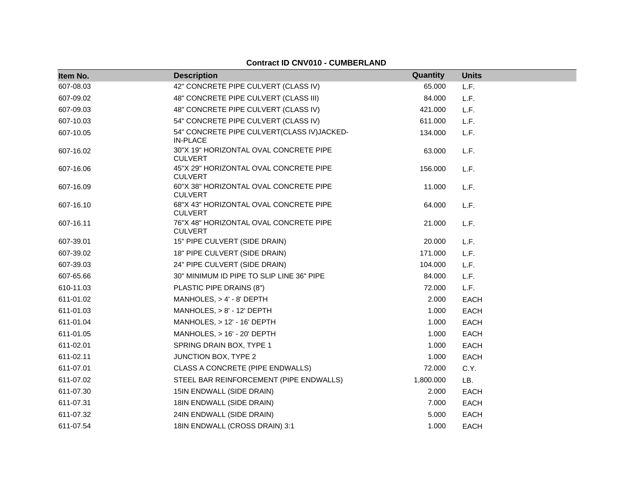| Item No.  | <b>Description</b>                                            | Quantity  | <b>Units</b> |
|-----------|---------------------------------------------------------------|-----------|--------------|
| 607-08.03 | 42" CONCRETE PIPE CULVERT (CLASS IV)                          | 65.000    | L.F.         |
| 607-09.02 | 48" CONCRETE PIPE CULVERT (CLASS III)                         | 84.000    | L.F.         |
| 607-09.03 | 48" CONCRETE PIPE CULVERT (CLASS IV)                          | 421.000   | L.F.         |
| 607-10.03 | 54" CONCRETE PIPE CULVERT (CLASS IV)                          | 611.000   | L.F.         |
| 607-10.05 | 54" CONCRETE PIPE CULVERT(CLASS IV)JACKED-<br><b>IN-PLACE</b> | 134.000   | L.F.         |
| 607-16.02 | 30"X 19" HORIZONTAL OVAL CONCRETE PIPE<br><b>CULVERT</b>      | 63.000    | L.F.         |
| 607-16.06 | 45"X 29" HORIZONTAL OVAL CONCRETE PIPE<br><b>CULVERT</b>      | 156.000   | L.F.         |
| 607-16.09 | 60"X 38" HORIZONTAL OVAL CONCRETE PIPE<br><b>CULVERT</b>      | 11.000    | L.F.         |
| 607-16.10 | 68"X 43" HORIZONTAL OVAL CONCRETE PIPE<br><b>CULVERT</b>      | 64.000    | L.F.         |
| 607-16.11 | 76"X 48" HORIZONTAL OVAL CONCRETE PIPE<br><b>CULVERT</b>      | 21.000    | L.F.         |
| 607-39.01 | 15" PIPE CULVERT (SIDE DRAIN)                                 | 20,000    | L.F.         |
| 607-39.02 | 18" PIPE CULVERT (SIDE DRAIN)                                 | 171.000   | L.F.         |
| 607-39.03 | 24" PIPE CULVERT (SIDE DRAIN)                                 | 104.000   | L.F.         |
| 607-65.66 | 30" MINIMUM ID PIPE TO SLIP LINE 36" PIPE                     | 84.000    | L.F.         |
| 610-11.03 | PLASTIC PIPE DRAINS (8")                                      | 72.000    | L.F.         |
| 611-01.02 | MANHOLES, $> 4' - 8'$ DEPTH                                   | 2.000     | <b>EACH</b>  |
| 611-01.03 | MANHOLES, $> 8'$ - 12' DEPTH                                  | 1.000     | <b>EACH</b>  |
| 611-01.04 | MANHOLES, $> 12' - 16'$ DEPTH                                 | 1.000     | <b>EACH</b>  |
| 611-01.05 | MANHOLES, > 16' - 20' DEPTH                                   | 1.000     | <b>EACH</b>  |
| 611-02.01 | SPRING DRAIN BOX, TYPE 1                                      | 1.000     | <b>EACH</b>  |
| 611-02.11 | <b>JUNCTION BOX, TYPE 2</b>                                   | 1.000     | <b>EACH</b>  |
| 611-07.01 | CLASS A CONCRETE (PIPE ENDWALLS)                              | 72.000    | C.Y.         |
| 611-07.02 | STEEL BAR REINFORCEMENT (PIPE ENDWALLS)                       | 1,800.000 | LB.          |
| 611-07.30 | 15IN ENDWALL (SIDE DRAIN)                                     | 2.000     | <b>EACH</b>  |
| 611-07.31 | 18IN ENDWALL (SIDE DRAIN)                                     | 7.000     | <b>EACH</b>  |
| 611-07.32 | 24IN ENDWALL (SIDE DRAIN)                                     | 5.000     | <b>EACH</b>  |
| 611-07.54 | 18IN ENDWALL (CROSS DRAIN) 3:1                                | 1.000     | <b>EACH</b>  |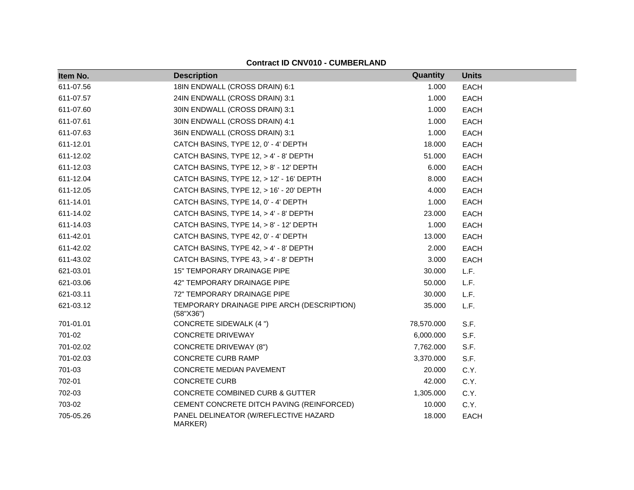| Item No.  | <b>Description</b>                                      | Quantity   | <b>Units</b> |
|-----------|---------------------------------------------------------|------------|--------------|
| 611-07.56 | 18IN ENDWALL (CROSS DRAIN) 6:1                          | 1.000      | <b>EACH</b>  |
| 611-07.57 | 24IN ENDWALL (CROSS DRAIN) 3:1                          | 1.000      | <b>EACH</b>  |
| 611-07.60 | 30IN ENDWALL (CROSS DRAIN) 3:1                          | 1.000      | <b>EACH</b>  |
| 611-07.61 | 30IN ENDWALL (CROSS DRAIN) 4:1                          | 1.000      | <b>EACH</b>  |
| 611-07.63 | 36IN ENDWALL (CROSS DRAIN) 3:1                          | 1.000      | <b>EACH</b>  |
| 611-12.01 | CATCH BASINS, TYPE 12, 0' - 4' DEPTH                    | 18.000     | <b>EACH</b>  |
| 611-12.02 | CATCH BASINS, TYPE 12, > 4' - 8' DEPTH                  | 51.000     | <b>EACH</b>  |
| 611-12.03 | CATCH BASINS, TYPE 12, > 8' - 12' DEPTH                 | 6.000      | <b>EACH</b>  |
| 611-12.04 | CATCH BASINS, TYPE 12, > 12' - 16' DEPTH                | 8.000      | <b>EACH</b>  |
| 611-12.05 | CATCH BASINS, TYPE 12, > 16' - 20' DEPTH                | 4.000      | <b>EACH</b>  |
| 611-14.01 | CATCH BASINS, TYPE 14, 0' - 4' DEPTH                    | 1.000      | <b>EACH</b>  |
| 611-14.02 | CATCH BASINS, TYPE 14, > 4' - 8' DEPTH                  | 23.000     | <b>EACH</b>  |
| 611-14.03 | CATCH BASINS, TYPE 14, > 8' - 12' DEPTH                 | 1.000      | <b>EACH</b>  |
| 611-42.01 | CATCH BASINS, TYPE 42, 0' - 4' DEPTH                    | 13.000     | <b>EACH</b>  |
| 611-42.02 | CATCH BASINS, TYPE 42, > 4' - 8' DEPTH                  | 2.000      | <b>EACH</b>  |
| 611-43.02 | CATCH BASINS, TYPE 43, > 4' - 8' DEPTH                  | 3.000      | <b>EACH</b>  |
| 621-03.01 | <b>15" TEMPORARY DRAINAGE PIPE</b>                      | 30.000     | L.F.         |
| 621-03.06 | 42" TEMPORARY DRAINAGE PIPE                             | 50.000     | L.F.         |
| 621-03.11 | 72" TEMPORARY DRAINAGE PIPE                             | 30.000     | L.F.         |
| 621-03.12 | TEMPORARY DRAINAGE PIPE ARCH (DESCRIPTION)<br>(58"X36") | 35.000     | L.F.         |
| 701-01.01 | <b>CONCRETE SIDEWALK (4 ")</b>                          | 78,570.000 | S.F.         |
| 701-02    | <b>CONCRETE DRIVEWAY</b>                                | 6,000.000  | S.F.         |
| 701-02.02 | <b>CONCRETE DRIVEWAY (8")</b>                           | 7,762.000  | S.F.         |
| 701-02.03 | <b>CONCRETE CURB RAMP</b>                               | 3,370.000  | S.F.         |
| 701-03    | CONCRETE MEDIAN PAVEMENT                                | 20.000     | C.Y.         |
| 702-01    | <b>CONCRETE CURB</b>                                    | 42.000     | C.Y.         |
| 702-03    | CONCRETE COMBINED CURB & GUTTER                         | 1,305.000  | C.Y.         |
| 703-02    | CEMENT CONCRETE DITCH PAVING (REINFORCED)               | 10.000     | C.Y.         |
| 705-05.26 | PANEL DELINEATOR (W/REFLECTIVE HAZARD<br>MARKER)        | 18.000     | <b>EACH</b>  |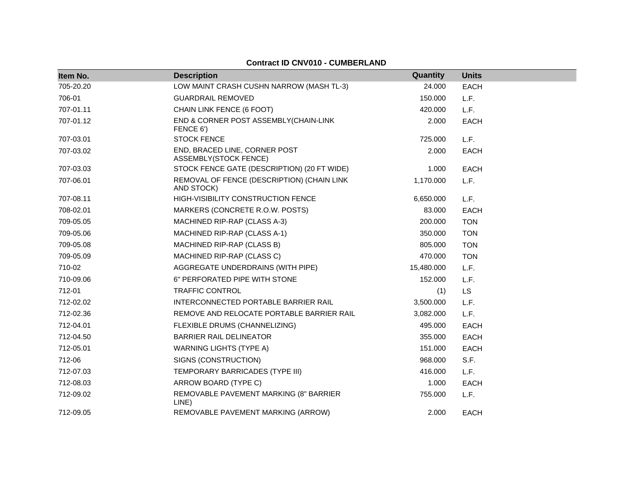| Item No.  | <b>Description</b>                                       | Quantity   | <b>Units</b> |
|-----------|----------------------------------------------------------|------------|--------------|
| 705-20.20 | LOW MAINT CRASH CUSHN NARROW (MASH TL-3)                 | 24.000     | <b>EACH</b>  |
| 706-01    | <b>GUARDRAIL REMOVED</b>                                 | 150.000    | L.F.         |
| 707-01.11 | CHAIN LINK FENCE (6 FOOT)                                | 420.000    | L.F.         |
| 707-01.12 | END & CORNER POST ASSEMBLY(CHAIN-LINK<br>FENCE 6')       | 2.000      | <b>EACH</b>  |
| 707-03.01 | <b>STOCK FENCE</b>                                       | 725.000    | L.F.         |
| 707-03.02 | END, BRACED LINE, CORNER POST<br>ASSEMBLY(STOCK FENCE)   | 2.000      | <b>EACH</b>  |
| 707-03.03 | STOCK FENCE GATE (DESCRIPTION) (20 FT WIDE)              | 1.000      | EACH         |
| 707-06.01 | REMOVAL OF FENCE (DESCRIPTION) (CHAIN LINK<br>AND STOCK) | 1,170.000  | L.F.         |
| 707-08.11 | HIGH-VISIBILITY CONSTRUCTION FENCE                       | 6,650.000  | L.F.         |
| 708-02.01 | MARKERS (CONCRETE R.O.W. POSTS)                          | 83.000     | <b>EACH</b>  |
| 709-05.05 | MACHINED RIP-RAP (CLASS A-3)                             | 200.000    | <b>TON</b>   |
| 709-05.06 | MACHINED RIP-RAP (CLASS A-1)                             | 350.000    | <b>TON</b>   |
| 709-05.08 | MACHINED RIP-RAP (CLASS B)                               | 805.000    | <b>TON</b>   |
| 709-05.09 | MACHINED RIP-RAP (CLASS C)                               | 470.000    | <b>TON</b>   |
| 710-02    | AGGREGATE UNDERDRAINS (WITH PIPE)                        | 15,480.000 | L.F.         |
| 710-09.06 | 6" PERFORATED PIPE WITH STONE                            | 152.000    | L.F.         |
| 712-01    | <b>TRAFFIC CONTROL</b>                                   | (1)        | <b>LS</b>    |
| 712-02.02 | INTERCONNECTED PORTABLE BARRIER RAIL                     | 3,500.000  | L.F.         |
| 712-02.36 | REMOVE AND RELOCATE PORTABLE BARRIER RAIL                | 3,082.000  | L.F.         |
| 712-04.01 | FLEXIBLE DRUMS (CHANNELIZING)                            | 495.000    | EACH         |
| 712-04.50 | BARRIER RAIL DELINEATOR                                  | 355.000    | <b>EACH</b>  |
| 712-05.01 | <b>WARNING LIGHTS (TYPE A)</b>                           | 151.000    | <b>EACH</b>  |
| 712-06    | SIGNS (CONSTRUCTION)                                     | 968.000    | S.F.         |
| 712-07.03 | TEMPORARY BARRICADES (TYPE III)                          | 416.000    | L.F.         |
| 712-08.03 | ARROW BOARD (TYPE C)                                     | 1.000      | <b>EACH</b>  |
| 712-09.02 | REMOVABLE PAVEMENT MARKING (8" BARRIER<br>LINE)          | 755.000    | L.F.         |
| 712-09.05 | REMOVABLE PAVEMENT MARKING (ARROW)                       | 2.000      | <b>EACH</b>  |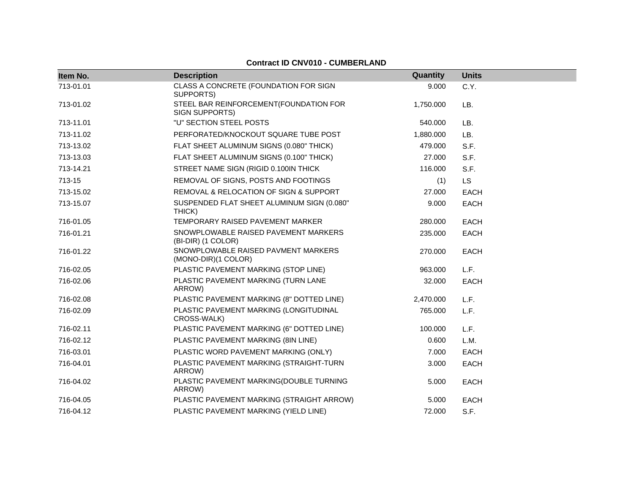| Item No.  | <b>Description</b>                                         | Quantity  | <b>Units</b> |
|-----------|------------------------------------------------------------|-----------|--------------|
| 713-01.01 | CLASS A CONCRETE (FOUNDATION FOR SIGN<br>SUPPORTS)         | 9.000     | C.Y.         |
| 713-01.02 | STEEL BAR REINFORCEMENT(FOUNDATION FOR<br>SIGN SUPPORTS)   | 1,750.000 | LB.          |
| 713-11.01 | "U" SECTION STEEL POSTS                                    | 540.000   | LB.          |
| 713-11.02 | PERFORATED/KNOCKOUT SQUARE TUBE POST                       | 1,880.000 | LB.          |
| 713-13.02 | FLAT SHEET ALUMINUM SIGNS (0.080" THICK)                   | 479.000   | S.F.         |
| 713-13.03 | FLAT SHEET ALUMINUM SIGNS (0.100" THICK)                   | 27.000    | S.F.         |
| 713-14.21 | STREET NAME SIGN (RIGID 0.100IN THICK                      | 116.000   | S.F.         |
| 713-15    | REMOVAL OF SIGNS, POSTS AND FOOTINGS                       | (1)       | <b>LS</b>    |
| 713-15.02 | REMOVAL & RELOCATION OF SIGN & SUPPORT                     | 27.000    | EACH         |
| 713-15.07 | SUSPENDED FLAT SHEET ALUMINUM SIGN (0.080"<br>THICK)       | 9.000     | <b>EACH</b>  |
| 716-01.05 | TEMPORARY RAISED PAVEMENT MARKER                           | 280.000   | <b>EACH</b>  |
| 716-01.21 | SNOWPLOWABLE RAISED PAVEMENT MARKERS<br>(BI-DIR) (1 COLOR) | 235.000   | <b>EACH</b>  |
| 716-01.22 | SNOWPLOWABLE RAISED PAVMENT MARKERS<br>(MONO-DIR)(1 COLOR) | 270.000   | <b>EACH</b>  |
| 716-02.05 | PLASTIC PAVEMENT MARKING (STOP LINE)                       | 963.000   | L.F.         |
| 716-02.06 | PLASTIC PAVEMENT MARKING (TURN LANE<br>ARROW)              | 32.000    | EACH         |
| 716-02.08 | PLASTIC PAVEMENT MARKING (8" DOTTED LINE)                  | 2,470.000 | L.F.         |
| 716-02.09 | PLASTIC PAVEMENT MARKING (LONGITUDINAL<br>CROSS-WALK)      | 765.000   | L.F.         |
| 716-02.11 | PLASTIC PAVEMENT MARKING (6" DOTTED LINE)                  | 100.000   | L.F.         |
| 716-02.12 | PLASTIC PAVEMENT MARKING (8IN LINE)                        | 0.600     | L.M.         |
| 716-03.01 | PLASTIC WORD PAVEMENT MARKING (ONLY)                       | 7.000     | <b>EACH</b>  |
| 716-04.01 | PLASTIC PAVEMENT MARKING (STRAIGHT-TURN<br>ARROW)          | 3.000     | <b>EACH</b>  |
| 716-04.02 | PLASTIC PAVEMENT MARKING(DOUBLE TURNING<br>ARROW)          | 5.000     | <b>EACH</b>  |
| 716-04.05 | PLASTIC PAVEMENT MARKING (STRAIGHT ARROW)                  | 5.000     | <b>EACH</b>  |
| 716-04.12 | PLASTIC PAVEMENT MARKING (YIELD LINE)                      | 72.000    | S.F.         |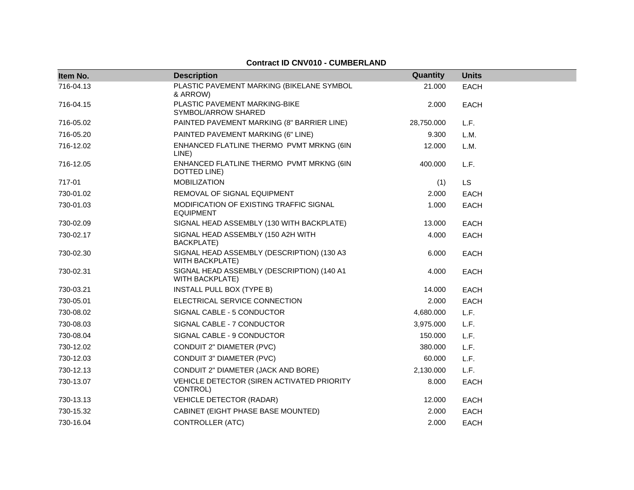| Item No.  | <b>Description</b>                                                   | Quantity   | <b>Units</b> |
|-----------|----------------------------------------------------------------------|------------|--------------|
| 716-04.13 | PLASTIC PAVEMENT MARKING (BIKELANE SYMBOL<br>& ARROW)                | 21.000     | <b>EACH</b>  |
| 716-04.15 | PLASTIC PAVEMENT MARKING-BIKE<br>SYMBOL/ARROW SHARED                 | 2.000      | <b>EACH</b>  |
| 716-05.02 | PAINTED PAVEMENT MARKING (8" BARRIER LINE)                           | 28,750.000 | L.F.         |
| 716-05.20 | PAINTED PAVEMENT MARKING (6" LINE)                                   | 9.300      | L.M.         |
| 716-12.02 | ENHANCED FLATLINE THERMO PVMT MRKNG (6IN<br>LINE)                    | 12.000     | L.M.         |
| 716-12.05 | ENHANCED FLATLINE THERMO PVMT MRKNG (6IN<br>DOTTED LINE)             | 400.000    | L.F.         |
| 717-01    | <b>MOBILIZATION</b>                                                  | (1)        | <b>LS</b>    |
| 730-01.02 | REMOVAL OF SIGNAL EQUIPMENT                                          | 2.000      | <b>EACH</b>  |
| 730-01.03 | MODIFICATION OF EXISTING TRAFFIC SIGNAL<br><b>EQUIPMENT</b>          | 1.000      | <b>EACH</b>  |
| 730-02.09 | SIGNAL HEAD ASSEMBLY (130 WITH BACKPLATE)                            | 13.000     | <b>EACH</b>  |
| 730-02.17 | SIGNAL HEAD ASSEMBLY (150 A2H WITH<br><b>BACKPLATE)</b>              | 4.000      | <b>EACH</b>  |
| 730-02.30 | SIGNAL HEAD ASSEMBLY (DESCRIPTION) (130 A3<br><b>WITH BACKPLATE)</b> | 6.000      | <b>EACH</b>  |
| 730-02.31 | SIGNAL HEAD ASSEMBLY (DESCRIPTION) (140 A1<br><b>WITH BACKPLATE)</b> | 4.000      | <b>EACH</b>  |
| 730-03.21 | <b>INSTALL PULL BOX (TYPE B)</b>                                     | 14.000     | <b>EACH</b>  |
| 730-05.01 | ELECTRICAL SERVICE CONNECTION                                        | 2.000      | EACH         |
| 730-08.02 | SIGNAL CABLE - 5 CONDUCTOR                                           | 4,680.000  | L.F.         |
| 730-08.03 | SIGNAL CABLE - 7 CONDUCTOR                                           | 3,975.000  | L.F.         |
| 730-08.04 | SIGNAL CABLE - 9 CONDUCTOR                                           | 150.000    | L.F.         |
| 730-12.02 | CONDUIT 2" DIAMETER (PVC)                                            | 380,000    | L.F.         |
| 730-12.03 | CONDUIT 3" DIAMETER (PVC)                                            | 60.000     | L.F.         |
| 730-12.13 | CONDUIT 2" DIAMETER (JACK AND BORE)                                  | 2,130.000  | L.F.         |
| 730-13.07 | VEHICLE DETECTOR (SIREN ACTIVATED PRIORITY<br>CONTROL)               | 8.000      | <b>EACH</b>  |
| 730-13.13 | <b>VEHICLE DETECTOR (RADAR)</b>                                      | 12.000     | <b>EACH</b>  |
| 730-15.32 | CABINET (EIGHT PHASE BASE MOUNTED)                                   | 2.000      | <b>EACH</b>  |
| 730-16.04 | <b>CONTROLLER (ATC)</b>                                              | 2.000      | <b>EACH</b>  |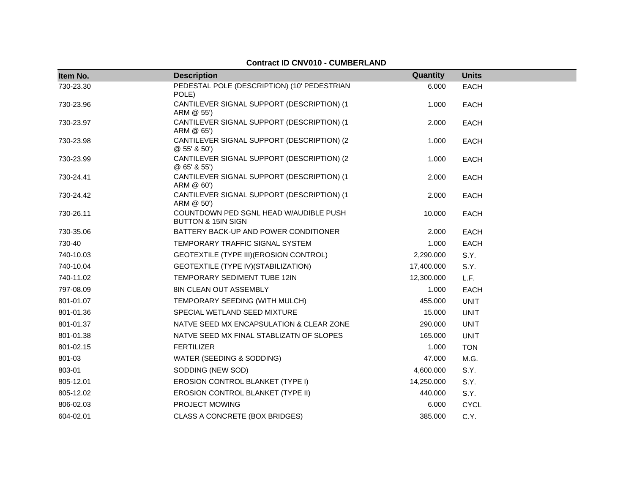#### **Item No. Description Quantity Units** 730-23.30 PEDESTAL POLE (DESCRIPTION) (10' PEDESTRIAN POLE) 6.000 EACH 730-23.96 CANTILEVER SIGNAL SUPPORT (DESCRIPTION) (1 ARM @ 55') 1.000 EACH 730-23.97 CANTILEVER SIGNAL SUPPORT (DESCRIPTION) (1 ARM @ 65') 2.000 EACH 730-23.98 CANTILEVER SIGNAL SUPPORT (DESCRIPTION) (2 @ 55' & 50') 1.000 EACH 730-23.99 CANTILEVER SIGNAL SUPPORT (DESCRIPTION) (2 @ 65' & 55') 1.000 EACH 730-24.41 CANTILEVER SIGNAL SUPPORT (DESCRIPTION) (1 ARM @ 60') 2.000 EACH 730-24.42 CANTILEVER SIGNAL SUPPORT (DESCRIPTION) (1 ARM @ 50') 2.000 EACH 730-26.11 COUNTDOWN PED SGNL HEAD W/AUDIBLE PUSH BUTTON & 15IN SIGN 10.000 EACH 730-35.06 BATTERY BACK-UP AND POWER CONDITIONER 2.000 EACH 730-40 TEMPORARY TRAFFIC SIGNAL SYSTEM 1.000 EACH 740-10.03 GEOTEXTILE (TYPE III)(EROSION CONTROL) 2,290.000 S.Y. 740-10.04 GEOTEXTILE (TYPE IV)(STABILIZATION) 17,400.000 S.Y. 740-11.02 TEMPORARY SEDIMENT TUBE 12IN 12,300.000 L.F. 797-08.09 8IN CLEAN OUT ASSEMBLY 1.000 EACH 801-01.07 TEMPORARY SEEDING (WITH MULCH) 455.000 UNIT 801-01.36 SPECIAL WETLAND SEED MIXTURE 15.000 UNIT 801-01.37 NATVE SEED MX ENCAPSULATION & CLEAR ZONE 290.000 UNIT 801-01.38 NATVE SEED MX FINAL STABLIZATN OF SLOPES 165.000 UNIT 801-02.15 FERTILIZER 1.000 TON 801-03 WATER (SEEDING & SODDING) 47.000 M.G. 803-01 SODDING (NEW SOD) 4,600.000 S.Y. 805-12.01 **EROSION CONTROL BLANKET (TYPE I)** 14,250.000 S.Y. 805-12.02 EROSION CONTROL BLANKET (TYPE II) 440.000 S.Y. 806-02.03 PROJECT MOWING 6.000 CYCL 604-02.01 CLASS A CONCRETE (BOX BRIDGES) 385.000 C.Y.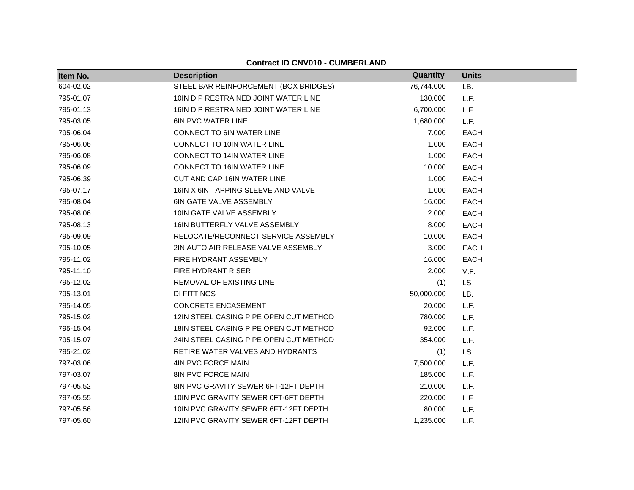| Item No.  | <b>Description</b>                     | Quantity   | <b>Units</b> |
|-----------|----------------------------------------|------------|--------------|
| 604-02.02 | STEEL BAR REINFORCEMENT (BOX BRIDGES)  | 76,744.000 | LB.          |
| 795-01.07 | 10IN DIP RESTRAINED JOINT WATER LINE   | 130.000    | L.F.         |
| 795-01.13 | 16IN DIP RESTRAINED JOINT WATER LINE   | 6,700.000  | L.F.         |
| 795-03.05 | <b>6IN PVC WATER LINE</b>              | 1,680.000  | L.F.         |
| 795-06.04 | <b>CONNECT TO 6IN WATER LINE</b>       | 7.000      | <b>EACH</b>  |
| 795-06.06 | CONNECT TO 10IN WATER LINE             | 1.000      | <b>EACH</b>  |
| 795-06.08 | <b>CONNECT TO 14IN WATER LINE</b>      | 1.000      | <b>EACH</b>  |
| 795-06.09 | <b>CONNECT TO 16IN WATER LINE</b>      | 10.000     | EACH         |
| 795-06.39 | CUT AND CAP 16IN WATER LINE            | 1.000      | <b>EACH</b>  |
| 795-07.17 | 16IN X 6IN TAPPING SLEEVE AND VALVE    | 1.000      | EACH         |
| 795-08.04 | <b>6IN GATE VALVE ASSEMBLY</b>         | 16.000     | EACH         |
| 795-08.06 | 10IN GATE VALVE ASSEMBLY               | 2.000      | EACH         |
| 795-08.13 | 16IN BUTTERFLY VALVE ASSEMBLY          | 8.000      | <b>EACH</b>  |
| 795-09.09 | RELOCATE/RECONNECT SERVICE ASSEMBLY    | 10.000     | <b>EACH</b>  |
| 795-10.05 | 2IN AUTO AIR RELEASE VALVE ASSEMBLY    | 3.000      | <b>EACH</b>  |
| 795-11.02 | FIRE HYDRANT ASSEMBLY                  | 16.000     | EACH         |
| 795-11.10 | <b>FIRE HYDRANT RISER</b>              | 2.000      | V.F.         |
| 795-12.02 | REMOVAL OF EXISTING LINE               | (1)        | <b>LS</b>    |
| 795-13.01 | DI FITTINGS                            | 50,000.000 | LB.          |
| 795-14.05 | CONCRETE ENCASEMENT                    | 20.000     | L.F.         |
| 795-15.02 | 12IN STEEL CASING PIPE OPEN CUT METHOD | 780.000    | L.F.         |
| 795-15.04 | 18IN STEEL CASING PIPE OPEN CUT METHOD | 92.000     | L.F.         |
| 795-15.07 | 24IN STEEL CASING PIPE OPEN CUT METHOD | 354.000    | L.F.         |
| 795-21.02 | RETIRE WATER VALVES AND HYDRANTS       | (1)        | LS           |
| 797-03.06 | 4IN PVC FORCE MAIN                     | 7,500.000  | L.F.         |
| 797-03.07 | <b>8IN PVC FORCE MAIN</b>              | 185.000    | L.F.         |
| 797-05.52 | 8IN PVC GRAVITY SEWER 6FT-12FT DEPTH   | 210.000    | L.F.         |
| 797-05.55 | 10IN PVC GRAVITY SEWER 0FT-6FT DEPTH   | 220.000    | L.F.         |
| 797-05.56 | 10IN PVC GRAVITY SEWER 6FT-12FT DEPTH  | 80.000     | L.F.         |
| 797-05.60 | 12IN PVC GRAVITY SEWER 6FT-12FT DEPTH  | 1,235.000  | L.F.         |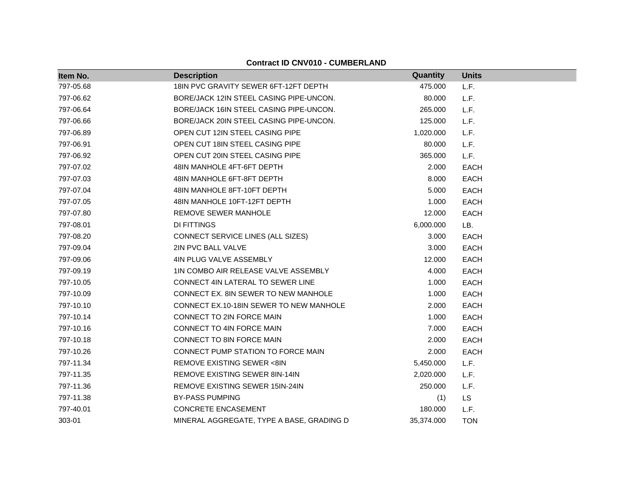| Item No.  | <b>Description</b>                        | Quantity   | <b>Units</b> |
|-----------|-------------------------------------------|------------|--------------|
| 797-05.68 | 18IN PVC GRAVITY SEWER 6FT-12FT DEPTH     | 475.000    | L.F.         |
| 797-06.62 | BORE/JACK 12IN STEEL CASING PIPE-UNCON.   | 80.000     | L.F.         |
| 797-06.64 | BORE/JACK 16IN STEEL CASING PIPE-UNCON.   | 265.000    | L.F.         |
| 797-06.66 | BORE/JACK 20IN STEEL CASING PIPE-UNCON.   | 125.000    | L.F.         |
| 797-06.89 | OPEN CUT 12IN STEEL CASING PIPE           | 1,020.000  | L.F.         |
| 797-06.91 | OPEN CUT 18IN STEEL CASING PIPE           | 80.000     | L.F.         |
| 797-06.92 | OPEN CUT 20IN STEEL CASING PIPE           | 365.000    | L.F.         |
| 797-07.02 | 48IN MANHOLE 4FT-6FT DEPTH                | 2.000      | <b>EACH</b>  |
| 797-07.03 | 48IN MANHOLE 6FT-8FT DEPTH                | 8.000      | <b>EACH</b>  |
| 797-07.04 | 48IN MANHOLE 8FT-10FT DEPTH               | 5.000      | <b>EACH</b>  |
| 797-07.05 | 48IN MANHOLE 10FT-12FT DEPTH              | 1.000      | <b>EACH</b>  |
| 797-07.80 | REMOVE SEWER MANHOLE                      | 12.000     | <b>EACH</b>  |
| 797-08.01 | DI FITTINGS                               | 6,000.000  | LB.          |
| 797-08.20 | CONNECT SERVICE LINES (ALL SIZES)         | 3.000      | <b>EACH</b>  |
| 797-09.04 | 2IN PVC BALL VALVE                        | 3.000      | <b>EACH</b>  |
| 797-09.06 | 4IN PLUG VALVE ASSEMBLY                   | 12.000     | <b>EACH</b>  |
| 797-09.19 | 1IN COMBO AIR RELEASE VALVE ASSEMBLY      | 4.000      | <b>EACH</b>  |
| 797-10.05 | CONNECT 4IN LATERAL TO SEWER LINE         | 1.000      | <b>EACH</b>  |
| 797-10.09 | CONNECT EX. 8IN SEWER TO NEW MANHOLE      | 1.000      | <b>EACH</b>  |
| 797-10.10 | CONNECT EX.10-18IN SEWER TO NEW MANHOLE   | 2.000      | <b>EACH</b>  |
| 797-10.14 | CONNECT TO 2IN FORCE MAIN                 | 1.000      | <b>EACH</b>  |
| 797-10.16 | CONNECT TO 4IN FORCE MAIN                 | 7.000      | <b>EACH</b>  |
| 797-10.18 | CONNECT TO 8IN FORCE MAIN                 | 2.000      | <b>EACH</b>  |
| 797-10.26 | CONNECT PUMP STATION TO FORCE MAIN        | 2.000      | <b>EACH</b>  |
| 797-11.34 | <b>REMOVE EXISTING SEWER &lt;8IN</b>      | 5,450.000  | L.F.         |
| 797-11.35 | REMOVE EXISTING SEWER 8IN-14IN            | 2,020.000  | L.F.         |
| 797-11.36 | REMOVE EXISTING SEWER 15IN-24IN           | 250.000    | L.F.         |
| 797-11.38 | <b>BY-PASS PUMPING</b>                    | (1)        | LS           |
| 797-40.01 | <b>CONCRETE ENCASEMENT</b>                | 180.000    | L.F.         |
| 303-01    | MINERAL AGGREGATE, TYPE A BASE, GRADING D | 35,374.000 | <b>TON</b>   |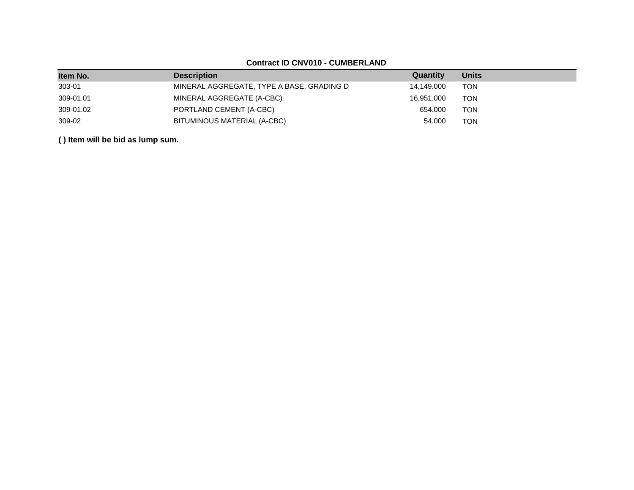| Item No.  | <b>Description</b>                        | Quantity   | <b>Units</b> |
|-----------|-------------------------------------------|------------|--------------|
| 303-01    | MINERAL AGGREGATE, TYPE A BASE, GRADING D | 14.149.000 | TON          |
| 309-01.01 | MINERAL AGGREGATE (A-CBC)                 | 16.951.000 | TON          |
| 309-01.02 | PORTLAND CEMENT (A-CBC)                   | 654.000    | <b>TON</b>   |
| 309-02    | BITUMINOUS MATERIAL (A-CBC)               | 54.000     | <b>TON</b>   |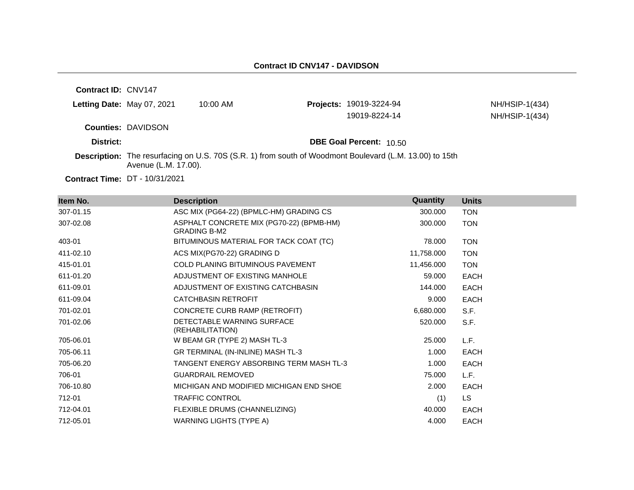| Contract ID: CNV147        |                           |            |                                                                                                                |                                  |
|----------------------------|---------------------------|------------|----------------------------------------------------------------------------------------------------------------|----------------------------------|
| Letting Date: May 07, 2021 |                           | $10:00$ AM | <b>Projects: 19019-3224-94</b><br>19019-8224-14                                                                | NH/HSIP-1(434)<br>NH/HSIP-1(434) |
|                            | <b>Counties: DAVIDSON</b> |            |                                                                                                                |                                  |
| District:                  |                           |            | <b>DBE Goal Percent: 10.50</b>                                                                                 |                                  |
|                            | Avenue (L.M. 17.00).      |            | <b>Description:</b> The resurfacing on U.S. 70S (S.R. 1) from south of Woodmont Boulevard (L.M. 13.00) to 15th |                                  |
|                            | <b>BT</b> 1010110001      |            |                                                                                                                |                                  |

**Contract Time:** DT - 10/31/2021

| Item No.  | <b>Description</b>                                              | Quantity   | <b>Units</b> |
|-----------|-----------------------------------------------------------------|------------|--------------|
| 307-01.15 | ASC MIX (PG64-22) (BPMLC-HM) GRADING CS                         | 300.000    | <b>TON</b>   |
| 307-02.08 | ASPHALT CONCRETE MIX (PG70-22) (BPMB-HM)<br><b>GRADING B-M2</b> | 300.000    | <b>TON</b>   |
| 403-01    | BITUMINOUS MATERIAL FOR TACK COAT (TC)                          | 78.000     | <b>TON</b>   |
| 411-02.10 | ACS MIX(PG70-22) GRADING D                                      | 11,758.000 | <b>TON</b>   |
| 415-01.01 | COLD PLANING BITUMINOUS PAVEMENT                                | 11,456.000 | <b>TON</b>   |
| 611-01.20 | ADJUSTMENT OF EXISTING MANHOLE                                  | 59.000     | <b>EACH</b>  |
| 611-09.01 | ADJUSTMENT OF EXISTING CATCHBASIN                               | 144.000    | EACH         |
| 611-09.04 | <b>CATCHBASIN RETROFIT</b>                                      | 9.000      | <b>EACH</b>  |
| 701-02.01 | CONCRETE CURB RAMP (RETROFIT)                                   | 6,680.000  | S.F.         |
| 701-02.06 | DETECTABLE WARNING SURFACE<br>(REHABILITATION)                  | 520.000    | S.F.         |
| 705-06.01 | W BEAM GR (TYPE 2) MASH TL-3                                    | 25.000     | L.F.         |
| 705-06.11 | GR TERMINAL (IN-INLINE) MASH TL-3                               | 1.000      | EACH         |
| 705-06.20 | TANGENT ENERGY ABSORBING TERM MASH TL-3                         | 1.000      | EACH         |
| 706-01    | <b>GUARDRAIL REMOVED</b>                                        | 75.000     | L.F.         |
| 706-10.80 | MICHIGAN AND MODIFIED MICHIGAN END SHOE                         | 2.000      | EACH         |
| 712-01    | <b>TRAFFIC CONTROL</b>                                          | (1)        | LS.          |
| 712-04.01 | FLEXIBLE DRUMS (CHANNELIZING)                                   | 40.000     | EACH         |
| 712-05.01 | <b>WARNING LIGHTS (TYPE A)</b>                                  | 4.000      | EACH         |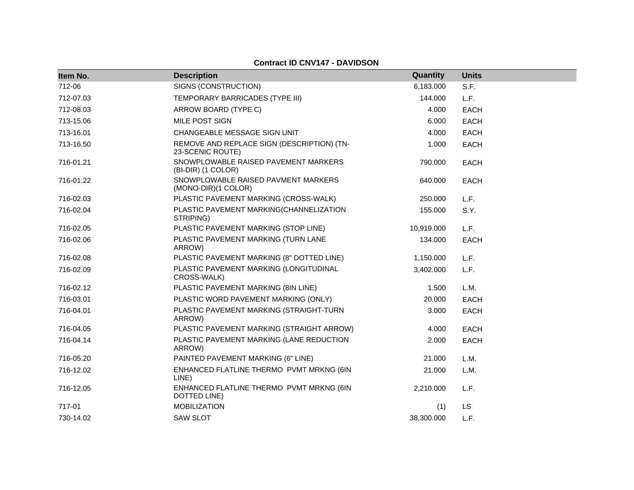## **Contract ID CNV147 - DAVIDSON**

| Item No.  | <b>Description</b>                                             | Quantity   | <b>Units</b> |
|-----------|----------------------------------------------------------------|------------|--------------|
| 712-06    | SIGNS (CONSTRUCTION)<br>6,183.000                              |            | S.F.         |
| 712-07.03 | TEMPORARY BARRICADES (TYPE III)                                | 144.000    | L.F.         |
| 712-08.03 | ARROW BOARD (TYPE C)                                           | 4.000      | EACH         |
| 713-15.06 | MILE POST SIGN                                                 | 6.000      | <b>EACH</b>  |
| 713-16.01 | CHANGEABLE MESSAGE SIGN UNIT                                   | 4.000      | <b>EACH</b>  |
| 713-16.50 | REMOVE AND REPLACE SIGN (DESCRIPTION) (TN-<br>23-SCENIC ROUTE) | 1.000      | EACH         |
| 716-01.21 | SNOWPLOWABLE RAISED PAVEMENT MARKERS<br>(BI-DIR) (1 COLOR)     | 790.000    | EACH         |
| 716-01.22 | SNOWPLOWABLE RAISED PAVMENT MARKERS<br>(MONO-DIR)(1 COLOR)     | 640.000    | <b>EACH</b>  |
| 716-02.03 | PLASTIC PAVEMENT MARKING (CROSS-WALK)                          | 250.000    | L.F.         |
| 716-02.04 | PLASTIC PAVEMENT MARKING(CHANNELIZATION<br>STRIPING)           | 155.000    | S.Y.         |
| 716-02.05 | PLASTIC PAVEMENT MARKING (STOP LINE)                           | 10,919.000 | L.F.         |
| 716-02.06 | PLASTIC PAVEMENT MARKING (TURN LANE<br>ARROW)                  | 134.000    | EACH         |
| 716-02.08 | PLASTIC PAVEMENT MARKING (8" DOTTED LINE)                      | 1,150.000  | L.F.         |
| 716-02.09 | PLASTIC PAVEMENT MARKING (LONGITUDINAL<br>CROSS-WALK)          | 3,402.000  | L.F.         |
| 716-02.12 | PLASTIC PAVEMENT MARKING (8IN LINE)                            | 1.500      | L.M.         |
| 716-03.01 | PLASTIC WORD PAVEMENT MARKING (ONLY)                           | 20.000     | EACH         |
| 716-04.01 | PLASTIC PAVEMENT MARKING (STRAIGHT-TURN<br>ARROW)              | 3.000      | <b>EACH</b>  |
| 716-04.05 | PLASTIC PAVEMENT MARKING (STRAIGHT ARROW)                      | 4.000      | <b>EACH</b>  |
| 716-04.14 | PLASTIC PAVEMENT MARKING (LANE REDUCTION<br>ARROW)             | 2.000      | <b>EACH</b>  |
| 716-05.20 | PAINTED PAVEMENT MARKING (6" LINE)                             | 21.000     | L.M.         |
| 716-12.02 | ENHANCED FLATLINE THERMO PVMT MRKNG (6IN<br>LINE)              | 21.000     | L.M.         |
| 716-12.05 | ENHANCED FLATLINE THERMO PVMT MRKNG (6IN<br>DOTTED LINE)       | 2,210.000  | L.F.         |
| 717-01    | <b>MOBILIZATION</b>                                            | (1)        | LS           |
| 730-14.02 | <b>SAW SLOT</b>                                                | 38,300.000 | L.F.         |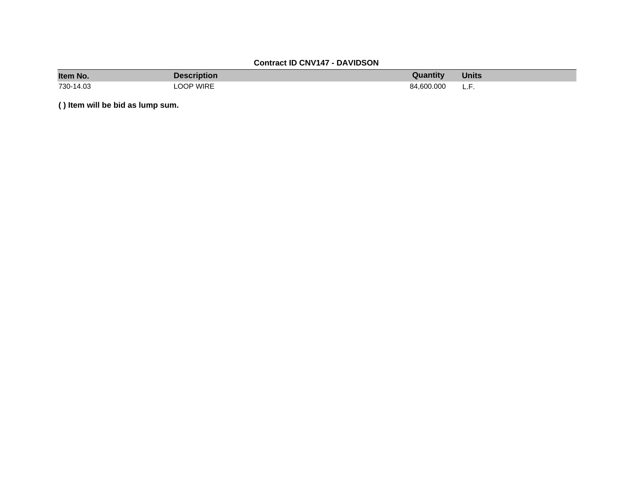# **Contract ID CNV147 - DAVIDSON**

| Item No.  | Description | Quantity   | <b>Units</b> |
|-----------|-------------|------------|--------------|
| 730-14.03 | OOP WIRE    | 84.600.000 | -<br>.       |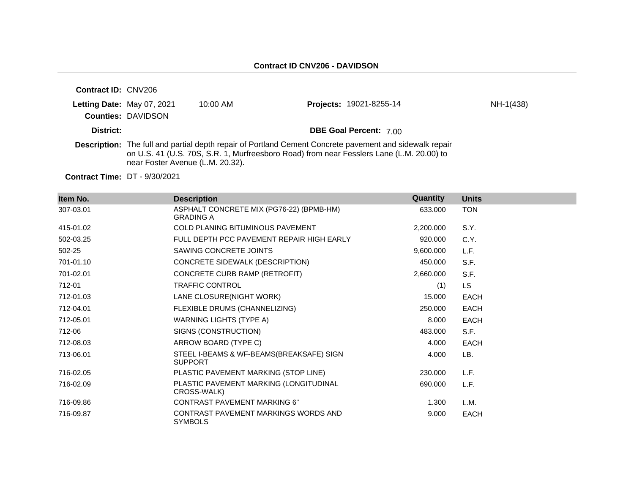| <b>Contract ID: CNV206</b> |                                  |            |                                                                                                                                                                                                     |           |
|----------------------------|----------------------------------|------------|-----------------------------------------------------------------------------------------------------------------------------------------------------------------------------------------------------|-----------|
| Letting Date: May 07, 2021 | <b>Counties: DAVIDSON</b>        | $10:00$ AM | Projects: 19021-8255-14                                                                                                                                                                             | NH-1(438) |
| District:                  |                                  |            | <b>DBE Goal Percent: 7.00</b>                                                                                                                                                                       |           |
|                            | near Foster Avenue (L.M. 20.32). |            | Description: The full and partial depth repair of Portland Cement Concrete pavement and sidewalk repair<br>on U.S. 41 (U.S. 70S, S.R. 1, Murfreesboro Road) from near Fesslers Lane (L.M. 20.00) to |           |

**Contract Time:** DT - 9/30/2021

| Item No.  | <b>Description</b>                                           | Quantity  | <b>Units</b> |
|-----------|--------------------------------------------------------------|-----------|--------------|
| 307-03.01 | ASPHALT CONCRETE MIX (PG76-22) (BPMB-HM)<br><b>GRADING A</b> | 633.000   | <b>TON</b>   |
| 415-01.02 | COLD PLANING BITUMINOUS PAVEMENT                             | 2,200.000 | S.Y.         |
| 502-03.25 | FULL DEPTH PCC PAVEMENT REPAIR HIGH EARLY                    | 920.000   | C.Y.         |
| 502-25    | SAWING CONCRETE JOINTS                                       | 9,600.000 | L.F.         |
| 701-01.10 | CONCRETE SIDEWALK (DESCRIPTION)                              | 450.000   | S.F.         |
| 701-02.01 | CONCRETE CURB RAMP (RETROFIT)                                | 2,660.000 | S.F.         |
| 712-01    | <b>TRAFFIC CONTROL</b>                                       | (1)       | LS.          |
| 712-01.03 | LANE CLOSURE(NIGHT WORK)                                     | 15.000    | <b>EACH</b>  |
| 712-04.01 | FLEXIBLE DRUMS (CHANNELIZING)                                | 250,000   | <b>EACH</b>  |
| 712-05.01 | WARNING LIGHTS (TYPE A)                                      | 8.000     | <b>EACH</b>  |
| 712-06    | SIGNS (CONSTRUCTION)                                         | 483.000   | S.F.         |
| 712-08.03 | ARROW BOARD (TYPE C)                                         | 4.000     | <b>EACH</b>  |
| 713-06.01 | STEEL I-BEAMS & WF-BEAMS(BREAKSAFE) SIGN<br><b>SUPPORT</b>   | 4.000     | LB.          |
| 716-02.05 | PLASTIC PAVEMENT MARKING (STOP LINE)                         | 230,000   | L.F.         |
| 716-02.09 | PLASTIC PAVEMENT MARKING (LONGITUDINAL<br>CROSS-WALK)        | 690,000   | L.F.         |
| 716-09.86 | <b>CONTRAST PAVEMENT MARKING 6"</b>                          | 1.300     | L.M.         |
| 716-09.87 | CONTRAST PAVEMENT MARKINGS WORDS AND<br><b>SYMBOLS</b>       | 9.000     | <b>EACH</b>  |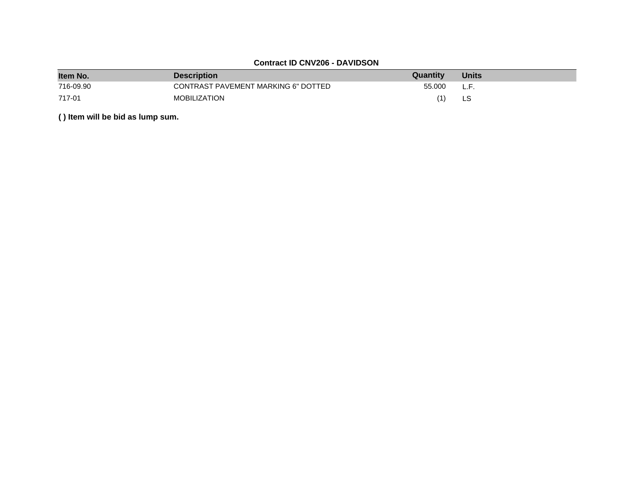# **Contract ID CNV206 - DAVIDSON**

| Item No.  | <b>Description</b>                  | Quantity | <b>Units</b> |
|-----------|-------------------------------------|----------|--------------|
| 716-09.90 | CONTRAST PAVEMENT MARKING 6" DOTTED | 55.000   | L.F.         |
| 717-01    | <b>MOBILIZATION</b>                 |          |              |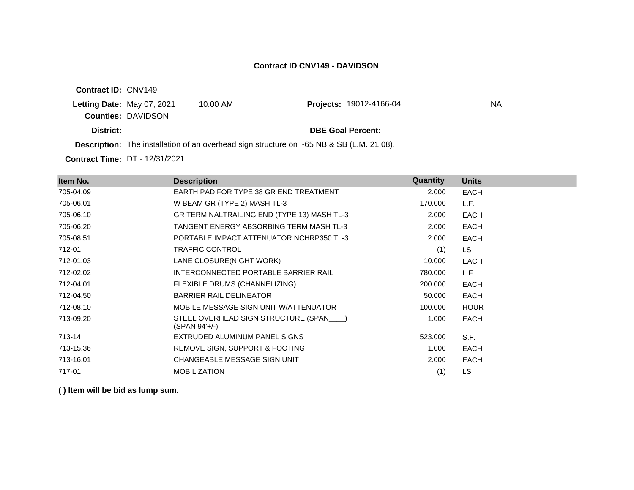**Contract ID:** CNV149 **Letting Date:** May 07, 2021 10:00 AM **Counties:** DAVIDSON **District: District: DBE Goal Percent: Description:** The installation of an overhead sign structure on I-65 NB & SB (L.M. 21.08). **Projects:** 19012-4166-04 NA

**Contract Time:** DT - 12/31/2021

| Item No.  | <b>Description</b>                                         | Quantity | <b>Units</b> |
|-----------|------------------------------------------------------------|----------|--------------|
| 705-04.09 | EARTH PAD FOR TYPE 38 GR END TREATMENT                     | 2.000    | <b>EACH</b>  |
| 705-06.01 | W BEAM GR (TYPE 2) MASH TL-3                               | 170.000  | L.F.         |
| 705-06.10 | GR TERMINALTRAILING END (TYPE 13) MASH TL-3                | 2.000    | <b>EACH</b>  |
| 705-06.20 | TANGENT ENERGY ABSORBING TERM MASH TL-3                    | 2.000    | <b>EACH</b>  |
| 705-08.51 | PORTABLE IMPACT ATTENUATOR NCHRP350 TL-3                   | 2.000    | <b>EACH</b>  |
| 712-01    | <b>TRAFFIC CONTROL</b>                                     | (1)      | LS.          |
| 712-01.03 | LANE CLOSURE(NIGHT WORK)                                   | 10.000   | <b>EACH</b>  |
| 712-02.02 | INTERCONNECTED PORTABLE BARRIER RAIL                       | 780.000  | L.F.         |
| 712-04.01 | FLEXIBLE DRUMS (CHANNELIZING)                              | 200.000  | <b>EACH</b>  |
| 712-04.50 | <b>BARRIER RAIL DELINEATOR</b>                             | 50.000   | <b>EACH</b>  |
| 712-08.10 | MOBILE MESSAGE SIGN UNIT W/ATTENUATOR                      | 100.000  | <b>HOUR</b>  |
| 713-09.20 | STEEL OVERHEAD SIGN STRUCTURE (SPAN___)<br>$(SPAN 94'+/-)$ | 1.000    | <b>EACH</b>  |
| 713-14    | EXTRUDED ALUMINUM PANEL SIGNS                              | 523,000  | S.F.         |
| 713-15.36 | REMOVE SIGN, SUPPORT & FOOTING                             | 1.000    | <b>EACH</b>  |
| 713-16.01 | CHANGEABLE MESSAGE SIGN UNIT                               | 2.000    | <b>EACH</b>  |
| 717-01    | <b>MOBILIZATION</b>                                        | (1)      | LS.          |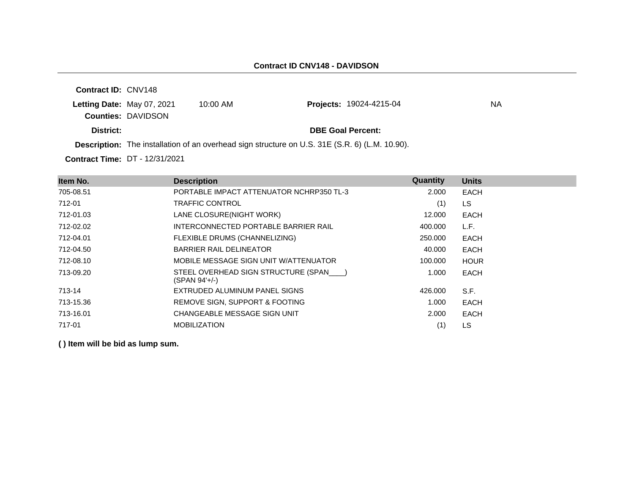**Contract ID:** CNV148 **Letting Date:** May 07, 2021 10:00 AM **Counties:** DAVIDSON **District: District: DBE Goal Percent: Contract Time:** DT - 12/31/2021 **Description:** The installation of an overhead sign structure on U.S. 31E (S.R. 6) (L.M. 10.90). **Projects:** 19024-4215-04 NA

| Item No.  | <b>Description</b>                                     | Quantity | <b>Units</b> |
|-----------|--------------------------------------------------------|----------|--------------|
| 705-08.51 | PORTABLE IMPACT ATTENUATOR NCHRP350 TL-3               | 2.000    | <b>EACH</b>  |
| 712-01    | <b>TRAFFIC CONTROL</b>                                 | (1)      | LS.          |
| 712-01.03 | LANE CLOSURE(NIGHT WORK)                               | 12.000   | EACH         |
| 712-02.02 | INTERCONNECTED PORTABLE BARRIER RAIL                   | 400.000  | L.F.         |
| 712-04.01 | FLEXIBLE DRUMS (CHANNELIZING)                          | 250,000  | EACH         |
| 712-04.50 | <b>BARRIER RAIL DELINEATOR</b>                         | 40.000   | EACH         |
| 712-08.10 | MOBILE MESSAGE SIGN UNIT W/ATTENUATOR                  | 100.000  | <b>HOUR</b>  |
| 713-09.20 | STEEL OVERHEAD SIGN STRUCTURE (SPAN )<br>(SPAN 94'+/-) | 1.000    | EACH         |
| 713-14    | EXTRUDED ALUMINUM PANEL SIGNS                          | 426,000  | S.F.         |
| 713-15.36 | REMOVE SIGN, SUPPORT & FOOTING                         | 1.000    | EACH         |
| 713-16.01 | CHANGEABLE MESSAGE SIGN UNIT                           | 2.000    | <b>EACH</b>  |
| 717-01    | <b>MOBILIZATION</b>                                    | (1)      | LS           |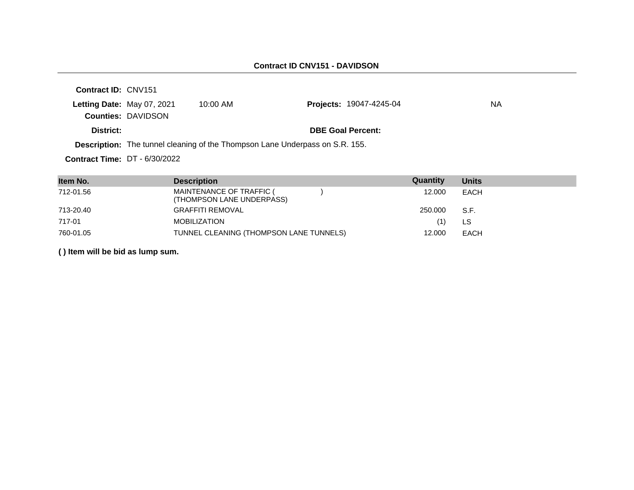| <b>Contract ID: CNV151</b>      |                            |                                                                                     |                                |    |
|---------------------------------|----------------------------|-------------------------------------------------------------------------------------|--------------------------------|----|
|                                 | Letting Date: May 07, 2021 | $10:00$ AM                                                                          | <b>Projects: 19047-4245-04</b> | NА |
|                                 | <b>Counties: DAVIDSON</b>  |                                                                                     |                                |    |
| District:                       |                            |                                                                                     | <b>DBE Goal Percent:</b>       |    |
|                                 |                            | <b>Description:</b> The tunnel cleaning of the Thompson Lane Underpass on S.R. 155. |                                |    |
| Contract Time: $DT - 6/30/2022$ |                            |                                                                                     |                                |    |

| Item No.  | <b>Description</b>                                    | Quantity | <b>Units</b> |
|-----------|-------------------------------------------------------|----------|--------------|
| 712-01.56 | MAINTENANCE OF TRAFFIC (<br>(THOMPSON LANE UNDERPASS) | 12,000   | <b>EACH</b>  |
| 713-20.40 | <b>GRAFFITI REMOVAL</b>                               | 250.000  | S.F.         |
| 717-01    | <b>MOBILIZATION</b>                                   |          | LS           |
| 760-01.05 | TUNNEL CLEANING (THOMPSON LANE TUNNELS)               | 12,000   | <b>EACH</b>  |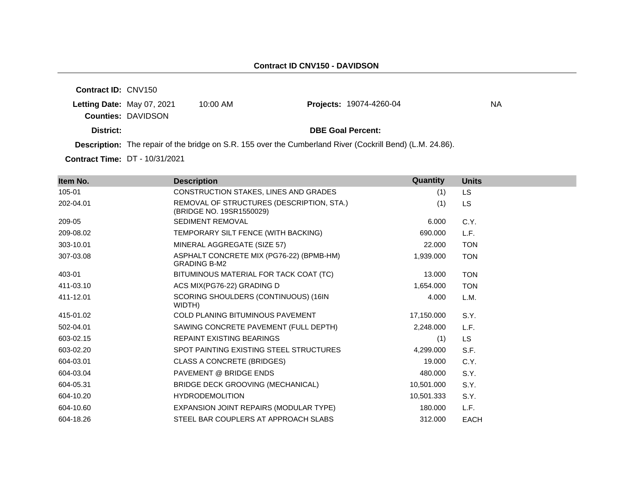**Contract ID:** CNV150 **Letting Date:** May 07, 2021 10:00 AM **Counties:** DAVIDSON **District: District: DBE Goal Percent: Description:** The repair of the bridge on S.R. 155 over the Cumberland River (Cockrill Bend) (L.M. 24.86). Projects: 19074-4260-04 NA

| Item No.  | <b>Description</b>                                                    | <b>Quantity</b> | <b>Units</b> |
|-----------|-----------------------------------------------------------------------|-----------------|--------------|
| 105-01    | CONSTRUCTION STAKES, LINES AND GRADES                                 | (1)             | <b>LS</b>    |
| 202-04.01 | REMOVAL OF STRUCTURES (DESCRIPTION, STA.)<br>(BRIDGE NO. 19SR1550029) | (1)             | LS           |
| 209-05    | <b>SEDIMENT REMOVAL</b>                                               | 6.000           | C.Y.         |
| 209-08.02 | TEMPORARY SILT FENCE (WITH BACKING)                                   | 690.000         | L.F.         |
| 303-10.01 | MINERAL AGGREGATE (SIZE 57)                                           | 22.000          | <b>TON</b>   |
| 307-03.08 | ASPHALT CONCRETE MIX (PG76-22) (BPMB-HM)<br><b>GRADING B-M2</b>       | 1,939.000       | <b>TON</b>   |
| 403-01    | BITUMINOUS MATERIAL FOR TACK COAT (TC)                                | 13.000          | <b>TON</b>   |
| 411-03.10 | ACS MIX(PG76-22) GRADING D                                            | 1,654.000       | <b>TON</b>   |
| 411-12.01 | SCORING SHOULDERS (CONTINUOUS) (16IN<br>WIDTH)                        | 4.000           | L.M.         |
| 415-01.02 | <b>COLD PLANING BITUMINOUS PAVEMENT</b>                               | 17,150.000      | S.Y.         |
| 502-04.01 | SAWING CONCRETE PAVEMENT (FULL DEPTH)                                 | 2,248.000       | L.F.         |
| 603-02.15 | <b>REPAINT EXISTING BEARINGS</b>                                      | (1)             | <b>LS</b>    |
| 603-02.20 | SPOT PAINTING EXISTING STEEL STRUCTURES                               | 4,299.000       | S.F.         |
| 604-03.01 | <b>CLASS A CONCRETE (BRIDGES)</b>                                     | 19.000          | C.Y.         |
| 604-03.04 | PAVEMENT @ BRIDGE ENDS                                                | 480.000         | S.Y.         |
| 604-05.31 | BRIDGE DECK GROOVING (MECHANICAL)                                     | 10,501.000      | S.Y.         |
| 604-10.20 | <b>HYDRODEMOLITION</b>                                                | 10,501.333      | S.Y.         |
| 604-10.60 | EXPANSION JOINT REPAIRS (MODULAR TYPE)                                | 180.000         | L.F.         |
| 604-18.26 | STEEL BAR COUPLERS AT APPROACH SLABS                                  | 312,000         | <b>EACH</b>  |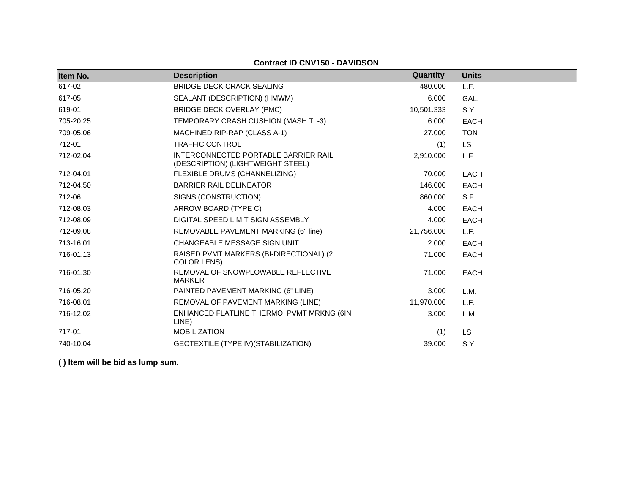#### **Contract ID CNV150 - DAVIDSON**

| Item No.  | <b>Description</b>                                                        | Quantity   | <b>Units</b> |
|-----------|---------------------------------------------------------------------------|------------|--------------|
| 617-02    | <b>BRIDGE DECK CRACK SEALING</b>                                          | 480.000    | L.F.         |
| 617-05    | SEALANT (DESCRIPTION) (HMWM)                                              | 6.000      | GAL.         |
| 619-01    | <b>BRIDGE DECK OVERLAY (PMC)</b>                                          | 10,501.333 | S.Y.         |
| 705-20.25 | TEMPORARY CRASH CUSHION (MASH TL-3)                                       | 6.000      | <b>EACH</b>  |
| 709-05.06 | MACHINED RIP-RAP (CLASS A-1)                                              | 27,000     | <b>TON</b>   |
| 712-01    | <b>TRAFFIC CONTROL</b>                                                    | (1)        | <b>LS</b>    |
| 712-02.04 | INTERCONNECTED PORTABLE BARRIER RAIL<br>(DESCRIPTION) (LIGHTWEIGHT STEEL) | 2,910.000  | L.F.         |
| 712-04.01 | FLEXIBLE DRUMS (CHANNELIZING)                                             | 70.000     | <b>EACH</b>  |
| 712-04.50 | <b>BARRIER RAIL DELINEATOR</b>                                            | 146.000    | <b>EACH</b>  |
| 712-06    | SIGNS (CONSTRUCTION)                                                      | 860.000    | S.F.         |
| 712-08.03 | ARROW BOARD (TYPE C)                                                      | 4.000      | <b>EACH</b>  |
| 712-08.09 | DIGITAL SPEED LIMIT SIGN ASSEMBLY                                         | 4.000      | <b>EACH</b>  |
| 712-09.08 | REMOVABLE PAVEMENT MARKING (6" line)                                      | 21,756.000 | L.F.         |
| 713-16.01 | CHANGEABLE MESSAGE SIGN UNIT                                              | 2.000      | <b>EACH</b>  |
| 716-01.13 | RAISED PVMT MARKERS (BI-DIRECTIONAL) (2<br><b>COLOR LENS)</b>             | 71.000     | <b>EACH</b>  |
| 716-01.30 | REMOVAL OF SNOWPLOWABLE REFLECTIVE<br><b>MARKER</b>                       | 71.000     | <b>EACH</b>  |
| 716-05.20 | PAINTED PAVEMENT MARKING (6" LINE)                                        | 3.000      | L.M.         |
| 716-08.01 | REMOVAL OF PAVEMENT MARKING (LINE)                                        | 11,970.000 | L.F.         |
| 716-12.02 | ENHANCED FLATLINE THERMO PVMT MRKNG (6IN<br>LINE)                         | 3.000      | L.M.         |
| 717-01    | <b>MOBILIZATION</b>                                                       | (1)        | <b>LS</b>    |
| 740-10.04 | GEOTEXTILE (TYPE IV) (STABILIZATION)                                      | 39,000     | S.Y.         |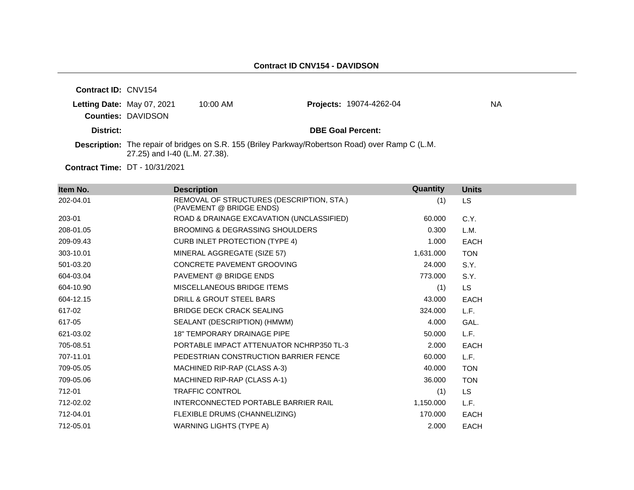| <b>Contract ID: CNV154</b>            |                               |            |                                                                                                         |     |
|---------------------------------------|-------------------------------|------------|---------------------------------------------------------------------------------------------------------|-----|
| Letting Date: May 07, 2021            |                               | $10:00$ AM | <b>Projects: 19074-4262-04</b>                                                                          | NA. |
|                                       | <b>Counties: DAVIDSON</b>     |            |                                                                                                         |     |
| District:                             |                               |            | <b>DBE Goal Percent:</b>                                                                                |     |
|                                       | 27.25) and I-40 (L.M. 27.38). |            | <b>Description:</b> The repair of bridges on S.R. 155 (Briley Parkway/Robertson Road) over Ramp C (L.M. |     |
| <b>Contract Time: DT - 10/31/2021</b> |                               |            |                                                                                                         |     |

**Item No. Description Quantity Units** 202-04.01 REMOVAL OF STRUCTURES (DESCRIPTION, STA.) (PAVEMENT @ BRIDGE ENDS) (1) LS 203-01 ROAD & DRAINAGE EXCAVATION (UNCLASSIFIED) 60.000 C.Y. 208-01.05 BROOMING & DEGRASSING SHOULDERS 0.300 L.M. 209-09.43 CURB INLET PROTECTION (TYPE 4) 1.000 EACH 303-10.01 MINERAL AGGREGATE (SIZE 57) 1,631.000 TON 501-03.20 CONCRETE PAVEMENT GROOVING 24.000 S.Y. 604-03.04 PAVEMENT @ BRIDGE ENDS 773.000 S.Y. 604-10.90 MISCELLANEOUS BRIDGE ITEMS (1) LS 604-12.15 DRILL & GROUT STEEL BARS 43.000 EACH 617-02 BRIDGE DECK CRACK SEALING 324.000 L.F. 617-05 SEALANT (DESCRIPTION) (HMWM) 4.000 GAL. 621-03.02 18" TEMPORARY DRAINAGE PIPE 50.000 L.F. 705-08.51 PORTABLE IMPACT ATTENUATOR NCHRP350 TL-3 2.000 EACH 707-11.01 PEDESTRIAN CONSTRUCTION BARRIER FENCE 60.000 L.F. 709-05.05 MACHINED RIP-RAP (CLASS A-3) 40.000 TON 709-05.06 MACHINED RIP-RAP (CLASS A-1) 36.000 TON 712-01 TRAFFIC CONTROL (1) LS 712-02.02 INTERCONNECTED PORTABLE BARRIER RAIL 1,150.000 L.F. 712-04.01 FLEXIBLE DRUMS (CHANNELIZING) 170.000 EACH 712-05.01 WARNING LIGHTS (TYPE A) 2.000 EACH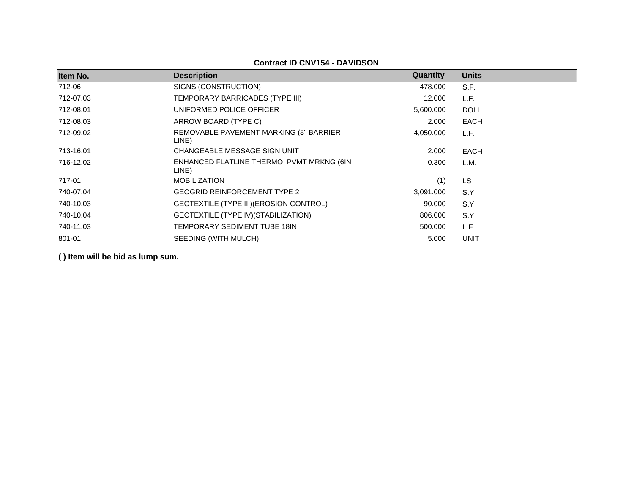### **Contract ID CNV154 - DAVIDSON**

| Item No.  | <b>Description</b>                                | <b>Quantity</b> | <b>Units</b> |
|-----------|---------------------------------------------------|-----------------|--------------|
| 712-06    | SIGNS (CONSTRUCTION)                              | 478.000         | S.F.         |
| 712-07.03 | TEMPORARY BARRICADES (TYPE III)                   | 12.000          | L.F.         |
| 712-08.01 | UNIFORMED POLICE OFFICER                          | 5,600.000       | <b>DOLL</b>  |
| 712-08.03 | ARROW BOARD (TYPE C)                              | 2.000           | <b>EACH</b>  |
| 712-09.02 | REMOVABLE PAVEMENT MARKING (8" BARRIER<br>LINE)   | 4,050.000       | L.F.         |
| 713-16.01 | CHANGEABLE MESSAGE SIGN UNIT                      | 2.000           | <b>EACH</b>  |
| 716-12.02 | ENHANCED FLATLINE THERMO PVMT MRKNG (6IN<br>LINE) | 0.300           | L.M.         |
| 717-01    | <b>MOBILIZATION</b>                               | (1)             | LS.          |
| 740-07.04 | <b>GEOGRID REINFORCEMENT TYPE 2</b>               | 3,091.000       | S.Y.         |
| 740-10.03 | GEOTEXTILE (TYPE III) (EROSION CONTROL)           | 90.000          | S.Y.         |
| 740-10.04 | GEOTEXTILE (TYPE IV) (STABILIZATION)              | 806.000         | S.Y.         |
| 740-11.03 | TEMPORARY SEDIMENT TUBE 18IN                      | 500,000         | L.F.         |
| 801-01    | SEEDING (WITH MULCH)                              | 5.000           | <b>UNIT</b>  |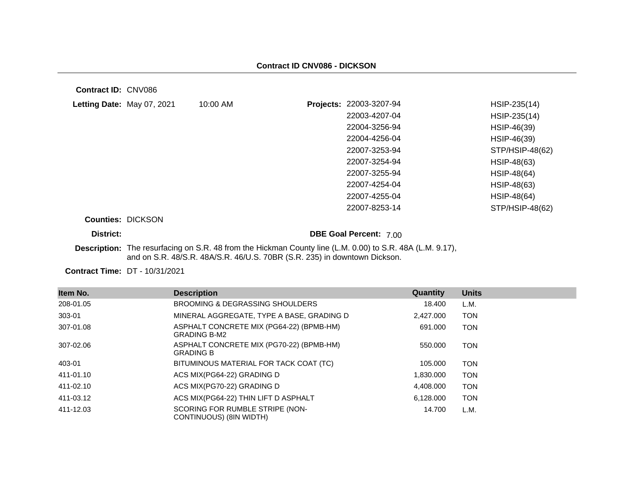**Contract ID:** CNV086

| Letting Date: May 07, 2021 | 10:00 AM | Projects: 22003-3207-94 | HSIP-235(14)       |
|----------------------------|----------|-------------------------|--------------------|
|                            |          | 22003-4207-04           | HSIP-235(14)       |
|                            |          | 22004-3256-94           | HSIP-46(39)        |
|                            |          | 22004-4256-04           | HSIP-46(39)        |
|                            |          | 22007-3253-94           | STP/HSIP-48(62)    |
|                            |          | 22007-3254-94           | HSIP-48(63)        |
|                            |          | 22007-3255-94           | HSIP-48(64)        |
|                            |          | 22007-4254-04           | HSIP-48(63)        |
|                            |          | 22007-4255-04           | <b>HSIP-48(64)</b> |
|                            |          | 22007-8253-14           | STP/HSIP-48(62)    |
| <b>Counties: DICKSON</b>   |          |                         |                    |

**District: District: DBE Goal Percent:** 7.00

**Description:** The resurfacing on S.R. 48 from the Hickman County line (L.M. 0.00) to S.R. 48A (L.M. 9.17), and on S.R. 48/S.R. 48A/S.R. 46/U.S. 70BR (S.R. 235) in downtown Dickson.

| Item No.  | <b>Description</b>                                              | Quantity  | <b>Units</b> |
|-----------|-----------------------------------------------------------------|-----------|--------------|
| 208-01.05 | BROOMING & DEGRASSING SHOULDERS                                 | 18.400    | L.M.         |
| 303-01    | MINERAL AGGREGATE, TYPE A BASE, GRADING D                       | 2,427.000 | TON          |
| 307-01.08 | ASPHALT CONCRETE MIX (PG64-22) (BPMB-HM)<br><b>GRADING B-M2</b> | 691.000   | TON          |
| 307-02.06 | ASPHALT CONCRETE MIX (PG70-22) (BPMB-HM)<br><b>GRADING B</b>    | 550,000   | TON          |
| 403-01    | BITUMINOUS MATERIAL FOR TACK COAT (TC)                          | 105.000   | TON          |
| 411-01.10 | ACS MIX(PG64-22) GRADING D                                      | 1,830.000 | TON          |
| 411-02.10 | ACS MIX(PG70-22) GRADING D                                      | 4,408.000 | TON          |
| 411-03.12 | ACS MIX(PG64-22) THIN LIFT D ASPHALT                            | 6,128,000 | TON          |
| 411-12.03 | SCORING FOR RUMBLE STRIPE (NON-<br>CONTINUOUS) (8IN WIDTH)      | 14.700    | L.M.         |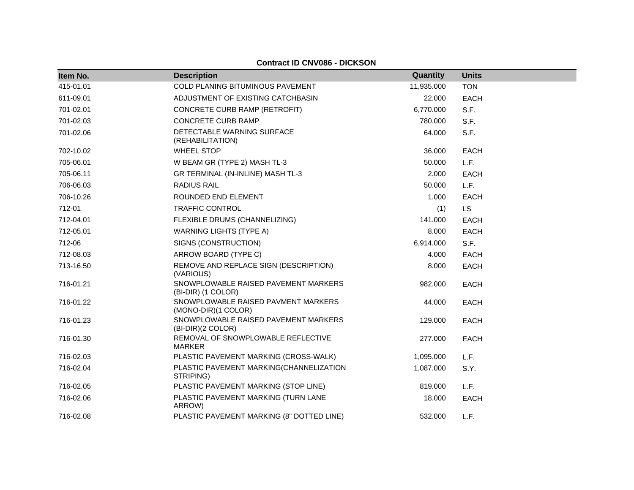### **Contract ID CNV086 - DICKSON**

| Item No.  | <b>Description</b>                                         | Quantity   | <b>Units</b> |
|-----------|------------------------------------------------------------|------------|--------------|
| 415-01.01 | COLD PLANING BITUMINOUS PAVEMENT                           | 11,935.000 | <b>TON</b>   |
| 611-09.01 | ADJUSTMENT OF EXISTING CATCHBASIN                          | 22.000     | <b>EACH</b>  |
| 701-02.01 | CONCRETE CURB RAMP (RETROFIT)                              | 6,770.000  | S.F.         |
| 701-02.03 | <b>CONCRETE CURB RAMP</b>                                  | 780.000    | S.F.         |
| 701-02.06 | DETECTABLE WARNING SURFACE<br>(REHABILITATION)             | 64.000     | S.F.         |
| 702-10.02 | <b>WHEEL STOP</b>                                          | 36.000     | <b>EACH</b>  |
| 705-06.01 | W BEAM GR (TYPE 2) MASH TL-3                               | 50,000     | L.F.         |
| 705-06.11 | GR TERMINAL (IN-INLINE) MASH TL-3                          | 2.000      | <b>EACH</b>  |
| 706-06.03 | <b>RADIUS RAIL</b>                                         | 50.000     | L.F.         |
| 706-10.26 | ROUNDED END ELEMENT                                        | 1.000      | <b>EACH</b>  |
| 712-01    | <b>TRAFFIC CONTROL</b>                                     | (1)        | <b>LS</b>    |
| 712-04.01 | FLEXIBLE DRUMS (CHANNELIZING)                              | 141.000    | <b>EACH</b>  |
| 712-05.01 | <b>WARNING LIGHTS (TYPE A)</b>                             | 8.000      | <b>EACH</b>  |
| 712-06    | SIGNS (CONSTRUCTION)                                       | 6,914.000  | S.F.         |
| 712-08.03 | ARROW BOARD (TYPE C)                                       | 4.000      | EACH         |
| 713-16.50 | REMOVE AND REPLACE SIGN (DESCRIPTION)<br>(VARIOUS)         | 8.000      | <b>EACH</b>  |
| 716-01.21 | SNOWPLOWABLE RAISED PAVEMENT MARKERS<br>(BI-DIR) (1 COLOR) | 982.000    | <b>EACH</b>  |
| 716-01.22 | SNOWPLOWABLE RAISED PAVMENT MARKERS<br>(MONO-DIR)(1 COLOR) | 44.000     | <b>EACH</b>  |
| 716-01.23 | SNOWPLOWABLE RAISED PAVEMENT MARKERS<br>(BI-DIR)(2 COLOR)  | 129.000    | <b>EACH</b>  |
| 716-01.30 | REMOVAL OF SNOWPLOWABLE REFLECTIVE<br><b>MARKER</b>        | 277.000    | <b>EACH</b>  |
| 716-02.03 | PLASTIC PAVEMENT MARKING (CROSS-WALK)                      | 1,095.000  | L.F.         |
| 716-02.04 | PLASTIC PAVEMENT MARKING(CHANNELIZATION<br>STRIPING)       | 1,087.000  | S.Y.         |
| 716-02.05 | PLASTIC PAVEMENT MARKING (STOP LINE)                       | 819.000    | L.F.         |
| 716-02.06 | PLASTIC PAVEMENT MARKING (TURN LANE<br>ARROW)              | 18.000     | <b>EACH</b>  |
| 716-02.08 | PLASTIC PAVEMENT MARKING (8" DOTTED LINE)                  | 532.000    | L.F.         |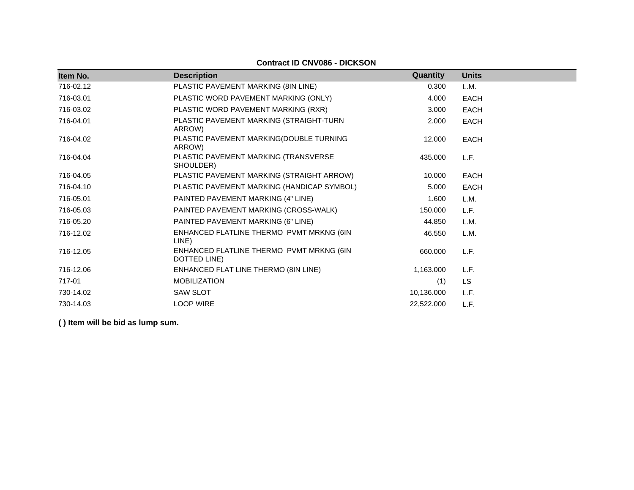| Item No.  | <b>Description</b>                                       | Quantity   | <b>Units</b> |
|-----------|----------------------------------------------------------|------------|--------------|
| 716-02.12 | PLASTIC PAVEMENT MARKING (8IN LINE)                      | 0.300      | L.M.         |
| 716-03.01 | PLASTIC WORD PAVEMENT MARKING (ONLY)                     | 4.000      | <b>EACH</b>  |
| 716-03.02 | PLASTIC WORD PAVEMENT MARKING (RXR)                      | 3.000      | <b>EACH</b>  |
| 716-04.01 | PLASTIC PAVEMENT MARKING (STRAIGHT-TURN<br>ARROW)        | 2.000      | <b>EACH</b>  |
| 716-04.02 | PLASTIC PAVEMENT MARKING(DOUBLE TURNING<br>ARROW)        | 12.000     | <b>EACH</b>  |
| 716-04.04 | PLASTIC PAVEMENT MARKING (TRANSVERSE<br>SHOULDER)        | 435.000    | L.F.         |
| 716-04.05 | PLASTIC PAVEMENT MARKING (STRAIGHT ARROW)                | 10.000     | <b>EACH</b>  |
| 716-04.10 | PLASTIC PAVEMENT MARKING (HANDICAP SYMBOL)               | 5.000      | <b>EACH</b>  |
| 716-05.01 | PAINTED PAVEMENT MARKING (4" LINE)                       | 1.600      | L.M.         |
| 716-05.03 | PAINTED PAVEMENT MARKING (CROSS-WALK)                    | 150.000    | L.F.         |
| 716-05.20 | PAINTED PAVEMENT MARKING (6" LINE)                       | 44.850     | L.M.         |
| 716-12.02 | ENHANCED FLATLINE THERMO PVMT MRKNG (6IN<br>LINE)        | 46.550     | L.M.         |
| 716-12.05 | ENHANCED FLATLINE THERMO PVMT MRKNG (6IN<br>DOTTED LINE) | 660.000    | L.F.         |
| 716-12.06 | ENHANCED FLAT LINE THERMO (8IN LINE)                     | 1,163.000  | L.F.         |
| 717-01    | <b>MOBILIZATION</b>                                      | (1)        | <b>LS</b>    |
| 730-14.02 | <b>SAW SLOT</b>                                          | 10,136.000 | L.F.         |
| 730-14.03 | <b>LOOP WIRE</b>                                         | 22,522.000 | L.F.         |

# **Contract ID CNV086 - DICKSON**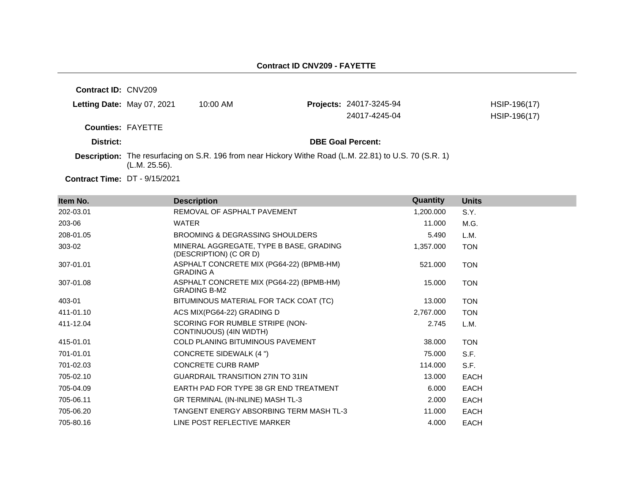#### **Contract ID CNV209 - FAYETTE**

**Contract ID:** CNV209 **Letting Date:** May 07, 2021 10:00 AM **Counties:** FAYETTE **District: District: DBE Goal Percent: Contract Time:** DT - 9/15/2021 **Description:** The resurfacing on S.R. 196 from near Hickory Withe Road (L.M. 22.81) to U.S. 70 (S.R. 1) (L.M. 25.56). **Projects:** 24017-3245-94 HSIP-196(17) 24017-4245-04 HSIP-196(17)

| Item No.  | <b>Description</b>                                                | Quantity  | <b>Units</b> |
|-----------|-------------------------------------------------------------------|-----------|--------------|
| 202-03.01 | REMOVAL OF ASPHALT PAVEMENT                                       | 1,200.000 | S.Y.         |
| 203-06    | WATER                                                             | 11.000    | M.G.         |
| 208-01.05 | BROOMING & DEGRASSING SHOULDERS                                   | 5.490     | L.M.         |
| 303-02    | MINERAL AGGREGATE, TYPE B BASE, GRADING<br>(DESCRIPTION) (C OR D) | 1,357.000 | <b>TON</b>   |
| 307-01.01 | ASPHALT CONCRETE MIX (PG64-22) (BPMB-HM)<br><b>GRADING A</b>      | 521.000   | <b>TON</b>   |
| 307-01.08 | ASPHALT CONCRETE MIX (PG64-22) (BPMB-HM)<br><b>GRADING B-M2</b>   | 15.000    | <b>TON</b>   |
| 403-01    | BITUMINOUS MATERIAL FOR TACK COAT (TC)                            | 13.000    | <b>TON</b>   |
| 411-01.10 | ACS MIX(PG64-22) GRADING D                                        | 2,767.000 | <b>TON</b>   |
| 411-12.04 | SCORING FOR RUMBLE STRIPE (NON-<br>CONTINUOUS) (4IN WIDTH)        | 2.745     | L.M.         |
| 415-01.01 | <b>COLD PLANING BITUMINOUS PAVEMENT</b>                           | 38.000    | <b>TON</b>   |
| 701-01.01 | CONCRETE SIDEWALK (4 ")                                           | 75.000    | S.F.         |
| 701-02.03 | <b>CONCRETE CURB RAMP</b>                                         | 114.000   | S.F.         |
| 705-02.10 | <b>GUARDRAIL TRANSITION 27IN TO 31IN</b>                          | 13.000    | <b>EACH</b>  |
| 705-04.09 | EARTH PAD FOR TYPE 38 GR END TREATMENT                            | 6.000     | <b>EACH</b>  |
| 705-06.11 | GR TERMINAL (IN-INLINE) MASH TL-3                                 | 2.000     | EACH         |
| 705-06.20 | TANGENT ENERGY ABSORBING TERM MASH TL-3                           | 11.000    | <b>EACH</b>  |
| 705-80.16 | LINE POST REFLECTIVE MARKER                                       | 4.000     | <b>EACH</b>  |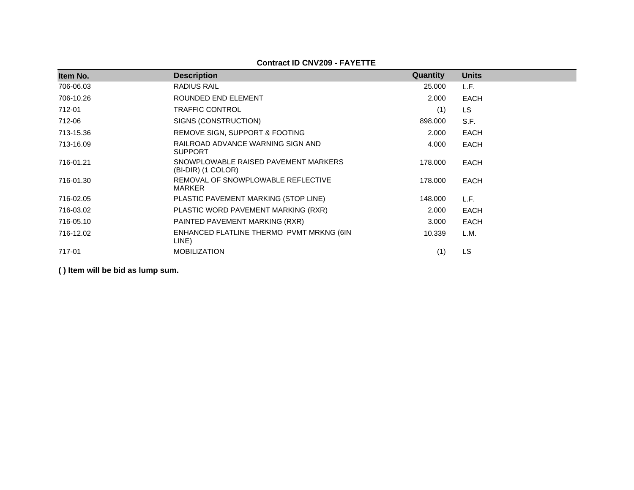**Contract ID CNV209 - FAYETTE**

| Item No.  | <b>Description</b>                                         | Quantity | <b>Units</b> |
|-----------|------------------------------------------------------------|----------|--------------|
| 706-06.03 | RADIUS RAIL                                                | 25,000   | L.F.         |
| 706-10.26 | ROUNDED END ELEMENT                                        | 2.000    |              |
|           |                                                            |          | <b>EACH</b>  |
| 712-01    | <b>TRAFFIC CONTROL</b>                                     | (1)      | LS           |
| 712-06    | SIGNS (CONSTRUCTION)                                       | 898.000  | S.F.         |
| 713-15.36 | REMOVE SIGN, SUPPORT & FOOTING                             | 2.000    | <b>EACH</b>  |
| 713-16.09 | RAILROAD ADVANCE WARNING SIGN AND<br><b>SUPPORT</b>        | 4.000    | <b>EACH</b>  |
| 716-01.21 | SNOWPLOWABLE RAISED PAVEMENT MARKERS<br>(BI-DIR) (1 COLOR) | 178.000  | <b>EACH</b>  |
| 716-01.30 | REMOVAL OF SNOWPLOWABLE REFLECTIVE<br>MARKER               | 178.000  | <b>EACH</b>  |
| 716-02.05 | PLASTIC PAVEMENT MARKING (STOP LINE)                       | 148.000  | L.F.         |
| 716-03.02 | PLASTIC WORD PAVEMENT MARKING (RXR)                        | 2.000    | <b>EACH</b>  |
| 716-05.10 | PAINTED PAVEMENT MARKING (RXR)                             | 3.000    | EACH         |
| 716-12.02 | ENHANCED FLATLINE THERMO PVMT MRKNG (6IN<br>LINE)          | 10.339   | L.M.         |
| 717-01    | <b>MOBILIZATION</b>                                        | (1)      | <b>LS</b>    |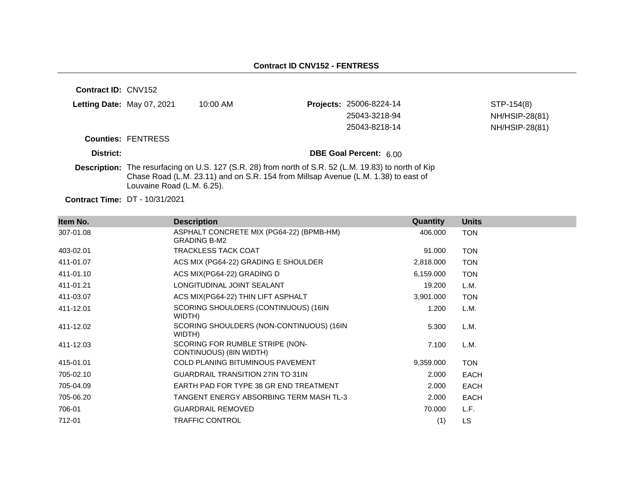| <b>Contract ID: CNV152</b> |                            |                                                                                                                                                                                             |                                |                |
|----------------------------|----------------------------|---------------------------------------------------------------------------------------------------------------------------------------------------------------------------------------------|--------------------------------|----------------|
|                            | Letting Date: May 07, 2021 | $10:00$ AM                                                                                                                                                                                  | <b>Projects: 25006-8224-14</b> | STP-154(8)     |
|                            |                            |                                                                                                                                                                                             | 25043-3218-94                  | NH/HSIP-28(81) |
|                            |                            |                                                                                                                                                                                             | 25043-8218-14                  | NH/HSIP-28(81) |
|                            | <b>Counties: FENTRESS</b>  |                                                                                                                                                                                             |                                |                |
| District:                  |                            |                                                                                                                                                                                             | DBE Goal Percent: 6.00         |                |
|                            | Louvaine Road (L.M. 6.25). | Description: The resurfacing on U.S. 127 (S.R. 28) from north of S.R. 52 (L.M. 19.83) to north of Kip<br>Chase Road (L.M. 23.11) and on S.R. 154 from Millsap Avenue (L.M. 1.38) to east of |                                |                |

| Item No.  | <b>Description</b>                                              | Quantity  | <b>Units</b> |
|-----------|-----------------------------------------------------------------|-----------|--------------|
| 307-01.08 | ASPHALT CONCRETE MIX (PG64-22) (BPMB-HM)<br><b>GRADING B-M2</b> | 406.000   | TON          |
| 403-02.01 | <b>TRACKLESS TACK COAT</b>                                      | 91.000    | <b>TON</b>   |
| 411-01.07 | ACS MIX (PG64-22) GRADING E SHOULDER                            | 2,818.000 | <b>TON</b>   |
| 411-01.10 | ACS MIX(PG64-22) GRADING D                                      | 6,159.000 | <b>TON</b>   |
| 411-01.21 | LONGITUDINAL JOINT SEALANT                                      | 19.200    | L.M.         |
| 411-03.07 | ACS MIX(PG64-22) THIN LIFT ASPHALT                              | 3,901.000 | <b>TON</b>   |
| 411-12.01 | SCORING SHOULDERS (CONTINUOUS) (16IN<br>WIDTH)                  | 1.200     | L.M.         |
| 411-12.02 | SCORING SHOULDERS (NON-CONTINUOUS) (16IN<br>WIDTH)              | 5.300     | L.M.         |
| 411-12.03 | SCORING FOR RUMBLE STRIPE (NON-<br>CONTINUOUS) (8IN WIDTH)      | 7.100     | L.M.         |
| 415-01.01 | COLD PLANING BITUMINOUS PAVEMENT                                | 9,359.000 | <b>TON</b>   |
| 705-02.10 | <b>GUARDRAIL TRANSITION 27IN TO 31IN</b>                        | 2.000     | <b>EACH</b>  |
| 705-04.09 | EARTH PAD FOR TYPE 38 GR END TREATMENT                          | 2.000     | <b>EACH</b>  |
| 705-06.20 | TANGENT ENERGY ABSORBING TERM MASH TL-3                         | 2.000     | <b>EACH</b>  |
| 706-01    | <b>GUARDRAIL REMOVED</b>                                        | 70.000    | L.F.         |
| 712-01    | <b>TRAFFIC CONTROL</b>                                          | (1)       | LS           |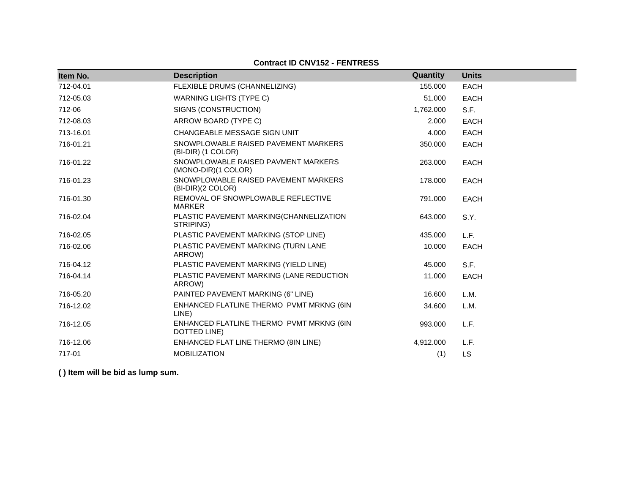## **Contract ID CNV152 - FENTRESS**

| Item No.  | <b>Description</b>                                         | Quantity  | <b>Units</b> |
|-----------|------------------------------------------------------------|-----------|--------------|
|           |                                                            |           |              |
| 712-04.01 | FLEXIBLE DRUMS (CHANNELIZING)                              | 155.000   | <b>EACH</b>  |
| 712-05.03 | <b>WARNING LIGHTS (TYPE C)</b>                             | 51.000    | <b>EACH</b>  |
| 712-06    | SIGNS (CONSTRUCTION)                                       | 1,762.000 | S.F.         |
| 712-08.03 | ARROW BOARD (TYPE C)                                       | 2.000     | <b>EACH</b>  |
| 713-16.01 | CHANGEABLE MESSAGE SIGN UNIT                               | 4.000     | <b>EACH</b>  |
| 716-01.21 | SNOWPLOWABLE RAISED PAVEMENT MARKERS<br>(BI-DIR) (1 COLOR) | 350.000   | <b>EACH</b>  |
| 716-01.22 | SNOWPLOWABLE RAISED PAVMENT MARKERS<br>(MONO-DIR)(1 COLOR) | 263.000   | <b>EACH</b>  |
| 716-01.23 | SNOWPLOWABLE RAISED PAVEMENT MARKERS<br>(BI-DIR)(2 COLOR)  | 178,000   | <b>EACH</b>  |
| 716-01.30 | REMOVAL OF SNOWPLOWABLE REFLECTIVE<br>MARKER               | 791.000   | <b>EACH</b>  |
| 716-02.04 | PLASTIC PAVEMENT MARKING(CHANNELIZATION<br>STRIPING)       | 643.000   | S.Y.         |
| 716-02.05 | PLASTIC PAVEMENT MARKING (STOP LINE)                       | 435.000   | L.F.         |
| 716-02.06 | PLASTIC PAVEMENT MARKING (TURN LANE<br>ARROW)              | 10.000    | <b>EACH</b>  |
| 716-04.12 | PLASTIC PAVEMENT MARKING (YIELD LINE)                      | 45.000    | S.F.         |
| 716-04.14 | PLASTIC PAVEMENT MARKING (LANE REDUCTION<br>ARROW)         | 11.000    | <b>EACH</b>  |
| 716-05.20 | PAINTED PAVEMENT MARKING (6" LINE)                         | 16.600    | L.M.         |
| 716-12.02 | ENHANCED FLATLINE THERMO PVMT MRKNG (6IN<br>LINE)          | 34.600    | L.M.         |
| 716-12.05 | ENHANCED FLATLINE THERMO PVMT MRKNG (6IN<br>DOTTED LINE)   | 993.000   | L.F.         |
| 716-12.06 | ENHANCED FLAT LINE THERMO (8IN LINE)                       | 4,912.000 | L.F.         |
| 717-01    | <b>MOBILIZATION</b>                                        | (1)       | LS           |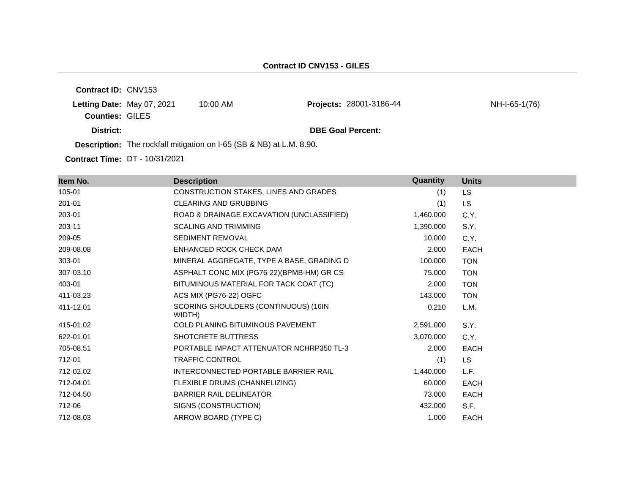**Contract ID:** CNV153 **Letting Date:** May 07, 2021 10:00 AM **Counties:** GILES **District: DBE Goal Percent: Description:** The rockfall mitigation on I-65 (SB & NB) at L.M. 8.90. Projects: 28001-3186-44 NH-I-65-1(76)

| Item No.  | <b>Description</b>                             | Quantity  | <b>Units</b> |
|-----------|------------------------------------------------|-----------|--------------|
| 105-01    | CONSTRUCTION STAKES, LINES AND GRADES          | (1)       | LS.          |
| 201-01    | <b>CLEARING AND GRUBBING</b>                   | (1)       | LS.          |
| 203-01    | ROAD & DRAINAGE EXCAVATION (UNCLASSIFIED)      | 1,460.000 | C.Y.         |
| 203-11    | <b>SCALING AND TRIMMING</b>                    | 1,390.000 | S.Y.         |
| 209-05    | SEDIMENT REMOVAL                               | 10.000    | C.Y.         |
| 209-08.08 | ENHANCED ROCK CHECK DAM                        | 2.000     | EACH         |
| 303-01    | MINERAL AGGREGATE, TYPE A BASE, GRADING D      | 100.000   | <b>TON</b>   |
| 307-03.10 | ASPHALT CONC MIX (PG76-22)(BPMB-HM) GR CS      | 75.000    | <b>TON</b>   |
| 403-01    | BITUMINOUS MATERIAL FOR TACK COAT (TC)         | 2.000     | <b>TON</b>   |
| 411-03.23 | ACS MIX (PG76-22) OGFC                         | 143.000   | <b>TON</b>   |
| 411-12.01 | SCORING SHOULDERS (CONTINUOUS) (16IN<br>WIDTH) | 0.210     | L.M.         |
| 415-01.02 | <b>COLD PLANING BITUMINOUS PAVEMENT</b>        | 2,591.000 | S.Y.         |
| 622-01.01 | <b>SHOTCRETE BUTTRESS</b>                      | 3,070.000 | C.Y.         |
| 705-08.51 | PORTABLE IMPACT ATTENUATOR NCHRP350 TL-3       | 2.000     | <b>EACH</b>  |
| 712-01    | <b>TRAFFIC CONTROL</b>                         | (1)       | LS.          |
| 712-02.02 | INTERCONNECTED PORTABLE BARRIER RAIL           | 1,440.000 | L.F.         |
| 712-04.01 | FLEXIBLE DRUMS (CHANNELIZING)                  | 60.000    | <b>EACH</b>  |
| 712-04.50 | <b>BARRIER RAIL DELINEATOR</b>                 | 73.000    | <b>EACH</b>  |
| 712-06    | SIGNS (CONSTRUCTION)                           | 432.000   | S.F.         |
| 712-08.03 | ARROW BOARD (TYPE C)                           | 1.000     | EACH         |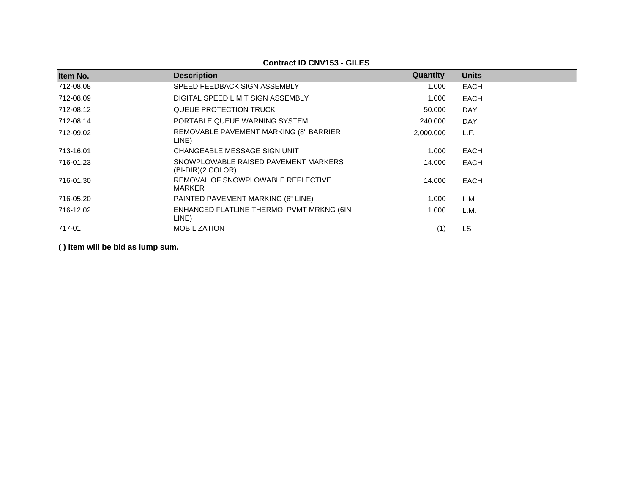**Contract ID CNV153 - GILES**

| Item No.  | <b>Description</b>                                          | Quantity  | <b>Units</b> |
|-----------|-------------------------------------------------------------|-----------|--------------|
| 712-08.08 | SPEED FEEDBACK SIGN ASSEMBLY                                | 1.000     | <b>EACH</b>  |
| 712-08.09 | DIGITAL SPEED LIMIT SIGN ASSEMBLY                           | 1.000     | <b>EACH</b>  |
| 712-08.12 | QUEUE PROTECTION TRUCK                                      | 50,000    | <b>DAY</b>   |
| 712-08.14 | PORTABLE QUEUE WARNING SYSTEM                               | 240,000   | <b>DAY</b>   |
| 712-09.02 | REMOVABLE PAVEMENT MARKING (8" BARRIER<br>LINE)             | 2.000.000 | L.F.         |
| 713-16.01 | CHANGEABLE MESSAGE SIGN UNIT                                | 1.000     | <b>EACH</b>  |
| 716-01.23 | SNOWPLOWABLE RAISED PAVEMENT MARKERS<br>$(BI-DIR)(2 COLOR)$ | 14.000    | <b>EACH</b>  |
| 716-01.30 | REMOVAL OF SNOWPLOWABLE REFLECTIVE<br><b>MARKER</b>         | 14.000    | <b>EACH</b>  |
| 716-05.20 | PAINTED PAVEMENT MARKING (6" LINE)                          | 1.000     | L.M.         |
| 716-12.02 | ENHANCED FLATLINE THERMO PVMT MRKNG (6IN<br>LINE)           | 1.000     | L.M.         |
| 717-01    | <b>MOBILIZATION</b>                                         | (1)       | <b>LS</b>    |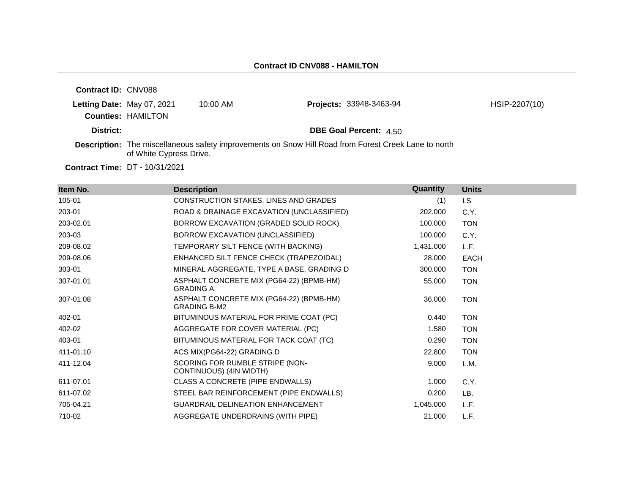| <b>Contract ID: CNV088</b> |                            |            |                                                                                                      |               |
|----------------------------|----------------------------|------------|------------------------------------------------------------------------------------------------------|---------------|
|                            | Letting Date: May 07, 2021 | $10:00$ AM | <b>Projects: 33948-3463-94</b>                                                                       | HSIP-2207(10) |
|                            | <b>Counties: HAMILTON</b>  |            |                                                                                                      |               |
| District:                  |                            |            | <b>DBE Goal Percent: 4.50</b>                                                                        |               |
|                            | of White Cypress Drive.    |            | Description: The miscellaneous safety improvements on Snow Hill Road from Forest Creek Lane to north |               |

| Item No.  | <b>Description</b>                                              | Quantity  | <b>Units</b> |
|-----------|-----------------------------------------------------------------|-----------|--------------|
| 105-01    | CONSTRUCTION STAKES, LINES AND GRADES                           | (1)       | LS.          |
| 203-01    | ROAD & DRAINAGE EXCAVATION (UNCLASSIFIED)                       | 202.000   | C.Y.         |
| 203-02.01 | BORROW EXCAVATION (GRADED SOLID ROCK)                           | 100.000   | <b>TON</b>   |
| 203-03    | BORROW EXCAVATION (UNCLASSIFIED)                                | 100.000   | C.Y.         |
| 209-08.02 | TEMPORARY SILT FENCE (WITH BACKING)                             | 1,431.000 | L.F.         |
| 209-08.06 | ENHANCED SILT FENCE CHECK (TRAPEZOIDAL)                         | 28.000    | EACH         |
| 303-01    | MINERAL AGGREGATE, TYPE A BASE, GRADING D                       | 300.000   | <b>TON</b>   |
| 307-01.01 | ASPHALT CONCRETE MIX (PG64-22) (BPMB-HM)<br><b>GRADING A</b>    | 55.000    | <b>TON</b>   |
| 307-01.08 | ASPHALT CONCRETE MIX (PG64-22) (BPMB-HM)<br><b>GRADING B-M2</b> | 36,000    | <b>TON</b>   |
| 402-01    | BITUMINOUS MATERIAL FOR PRIME COAT (PC)                         | 0.440     | <b>TON</b>   |
| 402-02    | AGGREGATE FOR COVER MATERIAL (PC)                               | 1.580     | <b>TON</b>   |
| 403-01    | BITUMINOUS MATERIAL FOR TACK COAT (TC)                          | 0.290     | <b>TON</b>   |
| 411-01.10 | ACS MIX(PG64-22) GRADING D                                      | 22.800    | <b>TON</b>   |
| 411-12.04 | SCORING FOR RUMBLE STRIPE (NON-<br>CONTINUOUS) (4IN WIDTH)      | 9.000     | L.M.         |
| 611-07.01 | CLASS A CONCRETE (PIPE ENDWALLS)                                | 1.000     | C.Y.         |
| 611-07.02 | STEEL BAR REINFORCEMENT (PIPE ENDWALLS)                         | 0.200     | LB.          |
| 705-04.21 | <b>GUARDRAIL DELINEATION ENHANCEMENT</b>                        | 1,045.000 | L.F.         |
| 710-02    | <b>AGGREGATE UNDERDRAINS (WITH PIPE)</b>                        | 21.000    | L.F.         |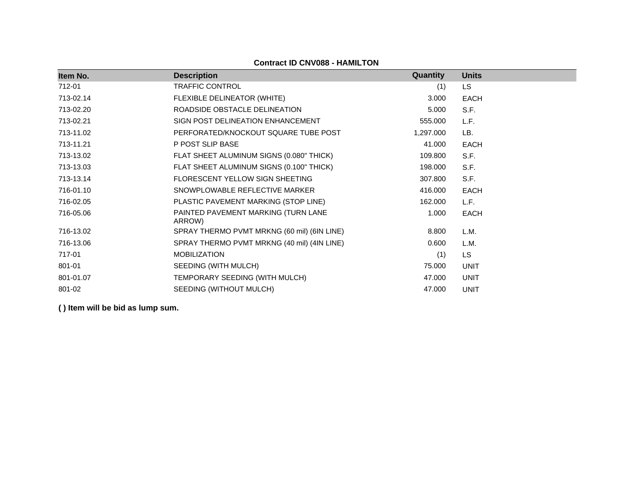| Item No.  | <b>Description</b>                            | Quantity  | <b>Units</b> |
|-----------|-----------------------------------------------|-----------|--------------|
| 712-01    | <b>TRAFFIC CONTROL</b>                        | (1)       | LS           |
| 713-02.14 | FLEXIBLE DELINEATOR (WHITE)                   | 3.000     | EACH         |
| 713-02.20 | ROADSIDE OBSTACLE DELINEATION                 | 5.000     | S.F.         |
| 713-02.21 | SIGN POST DELINEATION ENHANCEMENT             | 555.000   | L.F.         |
| 713-11.02 | PERFORATED/KNOCKOUT SQUARE TUBE POST          | 1,297.000 | LB.          |
| 713-11.21 | P POST SLIP BASE                              | 41.000    | <b>EACH</b>  |
| 713-13.02 | FLAT SHEET ALUMINUM SIGNS (0.080" THICK)      | 109.800   | S.F.         |
| 713-13.03 | FLAT SHEET ALUMINUM SIGNS (0.100" THICK)      | 198.000   | S.F.         |
| 713-13.14 | FLORESCENT YELLOW SIGN SHEETING               | 307.800   | S.F.         |
| 716-01.10 | SNOWPLOWABLE REFLECTIVE MARKER                | 416.000   | <b>EACH</b>  |
| 716-02.05 | PLASTIC PAVEMENT MARKING (STOP LINE)          | 162.000   | L.F.         |
| 716-05.06 | PAINTED PAVEMENT MARKING (TURN LANE<br>ARROW) | 1.000     | <b>EACH</b>  |
| 716-13.02 | SPRAY THERMO PVMT MRKNG (60 mil) (6IN LINE)   | 8.800     | L.M.         |
| 716-13.06 | SPRAY THERMO PVMT MRKNG (40 mil) (4IN LINE)   | 0.600     | L.M.         |
| 717-01    | <b>MOBILIZATION</b>                           | (1)       | <b>LS</b>    |
| 801-01    | SEEDING (WITH MULCH)                          | 75.000    | <b>UNIT</b>  |
| 801-01.07 | TEMPORARY SEEDING (WITH MULCH)                | 47.000    | <b>UNIT</b>  |
| 801-02    | SEEDING (WITHOUT MULCH)                       | 47.000    | <b>UNIT</b>  |

#### **Contract ID CNV088 - HAMILTON**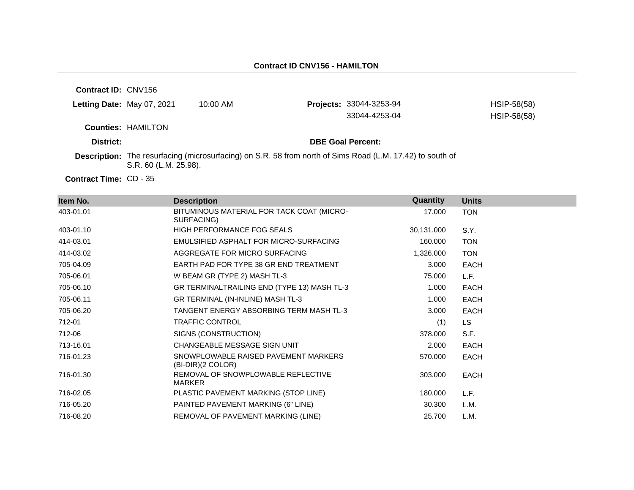**Contract ID:** CNV156 **Letting Date:** May 07, 2021 10:00 AM **Counties:** HAMILTON **District: District: DBE Goal Percent: Description:** The resurfacing (microsurfacing) on S.R. 58 from north of Sims Road (L.M. 17.42) to south of S.R. 60 (L.M. 25.98). **Projects:** 33044-3253-94 HSIP-58(58) 33044-4253-04 HSIP-58(58)

Contract Time: CD - 35

| Item No.  | <b>Description</b>                                        | Quantity   | <b>Units</b> |
|-----------|-----------------------------------------------------------|------------|--------------|
| 403-01.01 | BITUMINOUS MATERIAL FOR TACK COAT (MICRO-<br>SURFACING)   | 17.000     | <b>TON</b>   |
| 403-01.10 | <b>HIGH PERFORMANCE FOG SEALS</b>                         | 30,131.000 | S.Y.         |
| 414-03.01 | EMULSIFIED ASPHALT FOR MICRO-SURFACING                    | 160.000    | <b>TON</b>   |
| 414-03.02 | AGGREGATE FOR MICRO SURFACING                             | 1,326.000  | <b>TON</b>   |
| 705-04.09 | EARTH PAD FOR TYPE 38 GR END TREATMENT                    | 3.000      | EACH         |
| 705-06.01 | W BEAM GR (TYPE 2) MASH TL-3                              | 75.000     | L.F.         |
| 705-06.10 | GR TERMINALTRAILING END (TYPE 13) MASH TL-3               | 1.000      | EACH         |
| 705-06.11 | GR TERMINAL (IN-INLINE) MASH TL-3                         | 1.000      | EACH         |
| 705-06.20 | TANGENT ENERGY ABSORBING TERM MASH TL-3                   | 3.000      | EACH         |
| 712-01    | <b>TRAFFIC CONTROL</b>                                    | (1)        | LS.          |
| 712-06    | SIGNS (CONSTRUCTION)                                      | 378.000    | S.F.         |
| 713-16.01 | CHANGEABLE MESSAGE SIGN UNIT                              | 2.000      | EACH         |
| 716-01.23 | SNOWPLOWABLE RAISED PAVEMENT MARKERS<br>(BI-DIR)(2 COLOR) | 570.000    | EACH         |
| 716-01.30 | REMOVAL OF SNOWPLOWABLE REFLECTIVE<br>MARKER              | 303.000    | EACH         |
| 716-02.05 | PLASTIC PAVEMENT MARKING (STOP LINE)                      | 180.000    | L.F.         |
| 716-05.20 | PAINTED PAVEMENT MARKING (6" LINE)                        | 30.300     | L.M.         |
| 716-08.20 | REMOVAL OF PAVEMENT MARKING (LINE)                        | 25.700     | L.M.         |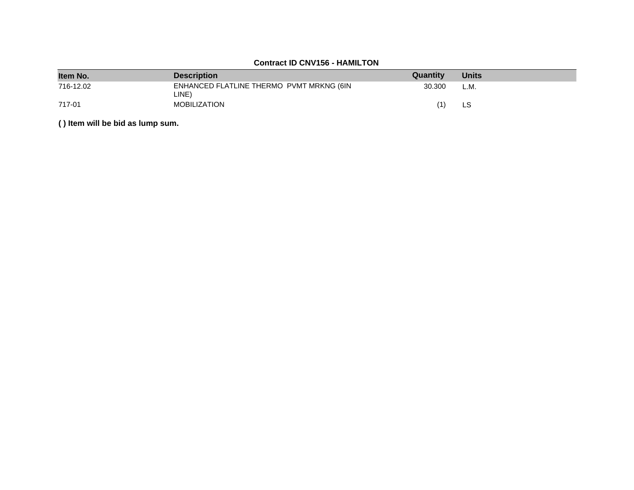## **Contract ID CNV156 - HAMILTON**

| Item No.  | <b>Description</b>                                | Quantity | <b>Units</b> |
|-----------|---------------------------------------------------|----------|--------------|
| 716-12.02 | ENHANCED FLATLINE THERMO PVMT MRKNG (6IN<br>LINE) | 30,300   | L.M.         |
| 717-01    | <b>MOBILIZATION</b>                               | (1)      | LS           |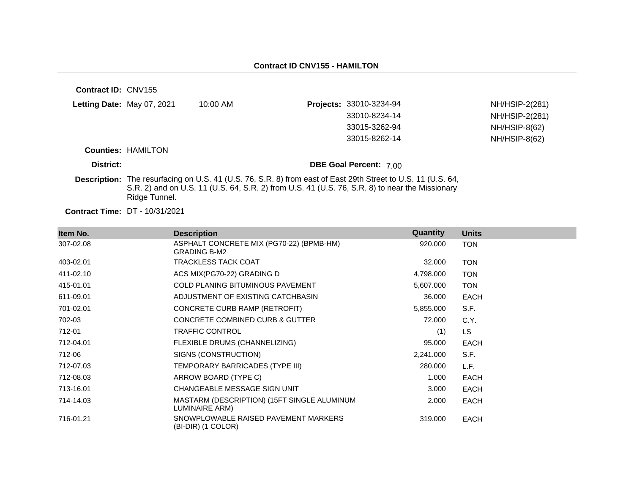| <b>Contract ID: CNV155</b> |                                       |          |                                                                                                                                                                                                                       |                      |
|----------------------------|---------------------------------------|----------|-----------------------------------------------------------------------------------------------------------------------------------------------------------------------------------------------------------------------|----------------------|
| Letting Date: May 07, 2021 |                                       | 10:00 AM | Projects: 33010-3234-94                                                                                                                                                                                               | NH/HSIP-2(281)       |
|                            |                                       |          | 33010-8234-14                                                                                                                                                                                                         | NH/HSIP-2(281)       |
|                            |                                       |          | 33015-3262-94                                                                                                                                                                                                         | <b>NH/HSIP-8(62)</b> |
|                            |                                       |          | 33015-8262-14                                                                                                                                                                                                         | $NH/HSIP-8(62)$      |
|                            | <b>Counties: HAMILTON</b>             |          |                                                                                                                                                                                                                       |                      |
| District:                  |                                       |          | <b>DBE Goal Percent: 700</b>                                                                                                                                                                                          |                      |
|                            | Ridge Tunnel.                         |          | <b>Description:</b> The resurfacing on U.S. 41 (U.S. 76, S.R. 8) from east of East 29th Street to U.S. 11 (U.S. 64,<br>S.R. 2) and on U.S. 11 (U.S. 64, S.R. 2) from U.S. 41 (U.S. 76, S.R. 8) to near the Missionary |                      |
|                            | <b>Contract Time: DT - 10/31/2021</b> |          |                                                                                                                                                                                                                       |                      |

| Item No.  | <b>Description</b>                                              | Quantity  | <b>Units</b> |
|-----------|-----------------------------------------------------------------|-----------|--------------|
| 307-02.08 | ASPHALT CONCRETE MIX (PG70-22) (BPMB-HM)<br><b>GRADING B-M2</b> | 920.000   | <b>TON</b>   |
| 403-02.01 | TRACKLESS TACK COAT                                             | 32.000    | <b>TON</b>   |
| 411-02.10 | ACS MIX(PG70-22) GRADING D                                      | 4,798.000 | <b>TON</b>   |
| 415-01.01 | <b>COLD PLANING BITUMINOUS PAVEMENT</b>                         | 5,607.000 | <b>TON</b>   |
| 611-09.01 | ADJUSTMENT OF EXISTING CATCHBASIN                               | 36.000    | <b>EACH</b>  |
| 701-02.01 | CONCRETE CURB RAMP (RETROFIT)                                   | 5,855.000 | S.F.         |
| 702-03    | CONCRETE COMBINED CURB & GUTTER                                 | 72.000    | C.Y.         |
| 712-01    | <b>TRAFFIC CONTROL</b>                                          | (1)       | LS.          |
| 712-04.01 | FLEXIBLE DRUMS (CHANNELIZING)                                   | 95.000    | <b>EACH</b>  |
| 712-06    | SIGNS (CONSTRUCTION)                                            | 2,241.000 | S.F.         |
| 712-07.03 | TEMPORARY BARRICADES (TYPE III)                                 | 280.000   | L.F.         |
| 712-08.03 | ARROW BOARD (TYPE C)                                            | 1.000     | EACH         |
| 713-16.01 | CHANGEABLE MESSAGE SIGN UNIT                                    | 3.000     | <b>EACH</b>  |
| 714-14.03 | MASTARM (DESCRIPTION) (15FT SINGLE ALUMINUM<br>LUMINAIRE ARM)   | 2.000     | EACH         |
| 716-01.21 | SNOWPLOWABLE RAISED PAVEMENT MARKERS<br>(BI-DIR) (1 COLOR)      | 319,000   | EACH         |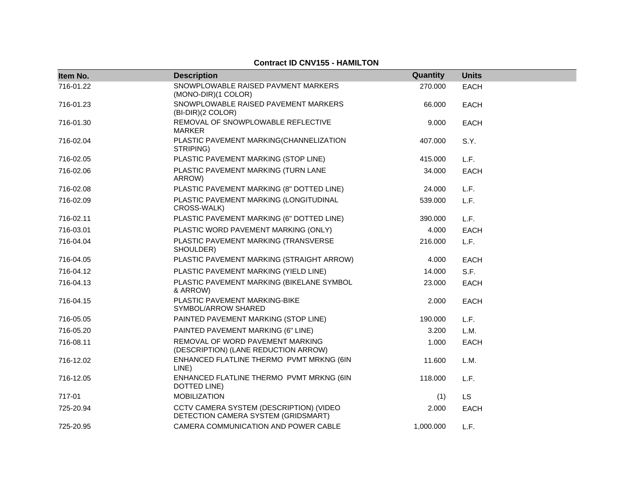### **Contract ID CNV155 - HAMILTON**

| Item No.  | <b>Description</b>                                                             | Quantity  | <b>Units</b> |
|-----------|--------------------------------------------------------------------------------|-----------|--------------|
| 716-01.22 | SNOWPLOWABLE RAISED PAVMENT MARKERS<br>(MONO-DIR)(1 COLOR)                     | 270.000   | <b>EACH</b>  |
| 716-01.23 | SNOWPLOWABLE RAISED PAVEMENT MARKERS<br>(BI-DIR)(2 COLOR)                      | 66.000    | <b>EACH</b>  |
| 716-01.30 | REMOVAL OF SNOWPLOWABLE REFLECTIVE<br><b>MARKER</b>                            | 9.000     | <b>EACH</b>  |
| 716-02.04 | PLASTIC PAVEMENT MARKING(CHANNELIZATION<br>STRIPING)                           | 407.000   | S.Y.         |
| 716-02.05 | PLASTIC PAVEMENT MARKING (STOP LINE)                                           | 415.000   | L.F.         |
| 716-02.06 | PLASTIC PAVEMENT MARKING (TURN LANE<br>ARROW)                                  | 34.000    | <b>EACH</b>  |
| 716-02.08 | PLASTIC PAVEMENT MARKING (8" DOTTED LINE)                                      | 24.000    | L.F.         |
| 716-02.09 | PLASTIC PAVEMENT MARKING (LONGITUDINAL<br>CROSS-WALK)                          | 539.000   | L.F.         |
| 716-02.11 | PLASTIC PAVEMENT MARKING (6" DOTTED LINE)                                      | 390.000   | L.F.         |
| 716-03.01 | PLASTIC WORD PAVEMENT MARKING (ONLY)                                           | 4.000     | <b>EACH</b>  |
| 716-04.04 | PLASTIC PAVEMENT MARKING (TRANSVERSE<br>SHOULDER)                              | 216.000   | L.F.         |
| 716-04.05 | PLASTIC PAVEMENT MARKING (STRAIGHT ARROW)                                      | 4.000     | <b>EACH</b>  |
| 716-04.12 | PLASTIC PAVEMENT MARKING (YIELD LINE)                                          | 14.000    | S.F.         |
| 716-04.13 | PLASTIC PAVEMENT MARKING (BIKELANE SYMBOL<br>& ARROW)                          | 23.000    | <b>EACH</b>  |
| 716-04.15 | PLASTIC PAVEMENT MARKING-BIKE<br>SYMBOL/ARROW SHARED                           | 2.000     | <b>EACH</b>  |
| 716-05.05 | PAINTED PAVEMENT MARKING (STOP LINE)                                           | 190.000   | L.F.         |
| 716-05.20 | PAINTED PAVEMENT MARKING (6" LINE)                                             | 3.200     | L.M.         |
| 716-08.11 | REMOVAL OF WORD PAVEMENT MARKING<br>(DESCRIPTION) (LANE REDUCTION ARROW)       | 1.000     | <b>EACH</b>  |
| 716-12.02 | ENHANCED FLATLINE THERMO PVMT MRKNG (6IN<br>LINE)                              | 11.600    | L.M.         |
| 716-12.05 | ENHANCED FLATLINE THERMO PVMT MRKNG (6IN<br>DOTTED LINE)                       | 118.000   | L.F.         |
| 717-01    | <b>MOBILIZATION</b>                                                            | (1)       | <b>LS</b>    |
| 725-20.94 | CCTV CAMERA SYSTEM (DESCRIPTION) (VIDEO<br>DETECTION CAMERA SYSTEM (GRIDSMART) | 2.000     | <b>EACH</b>  |
| 725-20.95 | CAMERA COMMUNICATION AND POWER CABLE                                           | 1.000.000 | L.F.         |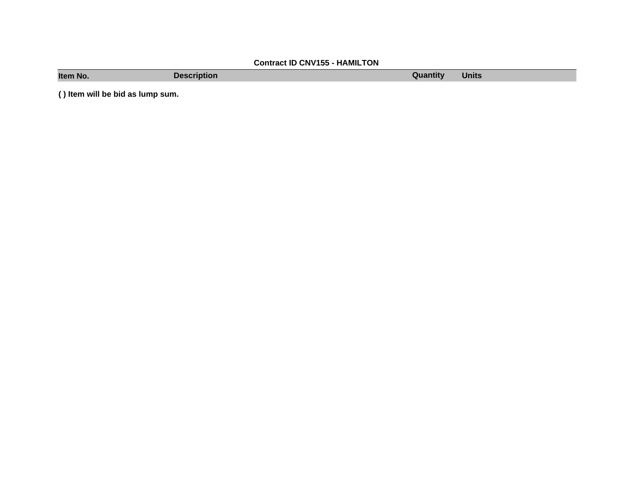# **Contract ID CNV155 - HAMILTON**

**Item No. Description Description Quantity Quantity Units**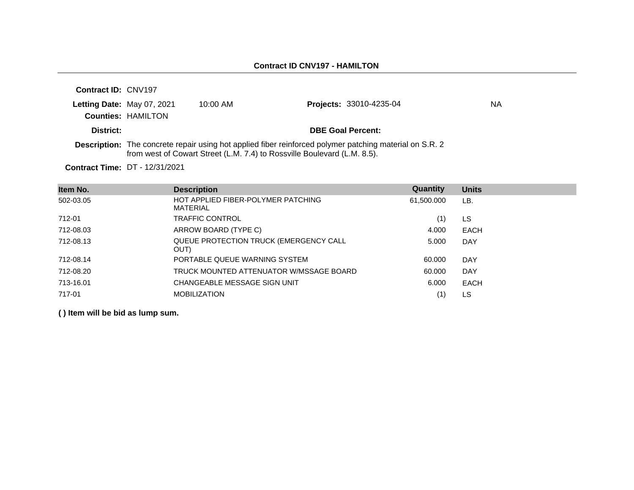| Contract ID: CNV197        |                           |                                                                          |                                                                                                                |    |
|----------------------------|---------------------------|--------------------------------------------------------------------------|----------------------------------------------------------------------------------------------------------------|----|
| Letting Date: May 07, 2021 |                           | $10:00$ AM                                                               | <b>Projects: 33010-4235-04</b>                                                                                 | ΝA |
|                            | <b>Counties: HAMILTON</b> |                                                                          |                                                                                                                |    |
| District:                  |                           |                                                                          | <b>DBE Goal Percent:</b>                                                                                       |    |
|                            |                           | from west of Cowart Street (L.M. 7.4) to Rossville Boulevard (L.M. 8.5). | <b>Description:</b> The concrete repair using hot applied fiber reinforced polymer patching material on S.R. 2 |    |

**Contract Time:** DT - 12/31/2021

| Item No.  | <b>Description</b>                             | Quantity   | <b>Units</b> |
|-----------|------------------------------------------------|------------|--------------|
| 502-03.05 | HOT APPLIED FIBER-POLYMER PATCHING<br>MATERIAL | 61,500.000 | LB.          |
| 712-01    | <b>TRAFFIC CONTROL</b>                         | (1)        | LS.          |
| 712-08.03 | ARROW BOARD (TYPE C)                           | 4.000      | <b>EACH</b>  |
| 712-08.13 | QUEUE PROTECTION TRUCK (EMERGENCY CALL<br>OUT) | 5.000      | <b>DAY</b>   |
| 712-08.14 | PORTABLE QUEUE WARNING SYSTEM                  | 60.000     | <b>DAY</b>   |
| 712-08.20 | TRUCK MOUNTED ATTENUATOR W/MSSAGE BOARD        | 60.000     | <b>DAY</b>   |
| 713-16.01 | CHANGEABLE MESSAGE SIGN UNIT                   | 6.000      | <b>EACH</b>  |
| 717-01    | <b>MOBILIZATION</b>                            | (1)        | LS.          |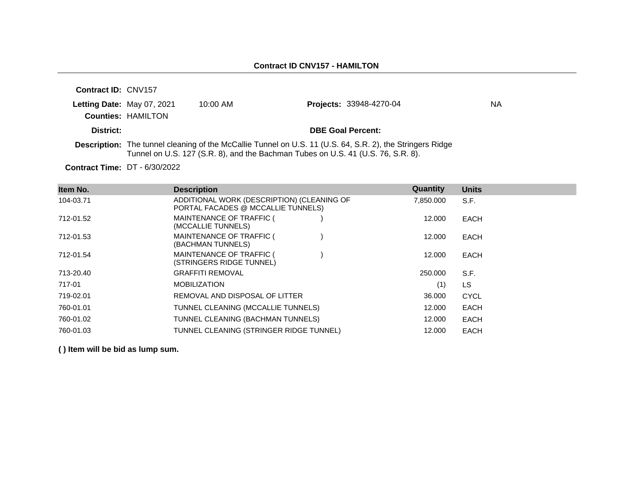| <b>Contract ID: CNV157</b> |                           |            |                                                                                                                                                                                                      |     |
|----------------------------|---------------------------|------------|------------------------------------------------------------------------------------------------------------------------------------------------------------------------------------------------------|-----|
| Letting Date: May 07, 2021 |                           | $10:00$ AM | <b>Projects: 33948-4270-04</b>                                                                                                                                                                       | NA. |
|                            | <b>Counties: HAMILTON</b> |            |                                                                                                                                                                                                      |     |
| District:                  |                           |            | <b>DBE Goal Percent:</b>                                                                                                                                                                             |     |
|                            |                           |            | <b>Description:</b> The tunnel cleaning of the McCallie Tunnel on U.S. 11 (U.S. 64, S.R. 2), the Stringers Ridge<br>Tunnel on U.S. 127 (S.R. 8), and the Bachman Tubes on U.S. 41 (U.S. 76, S.R. 8). |     |

**Contract Time:** DT - 6/30/2022

| Item No.  | <b>Description</b>                                                               | Quantity  | <b>Units</b> |
|-----------|----------------------------------------------------------------------------------|-----------|--------------|
| 104-03.71 | ADDITIONAL WORK (DESCRIPTION) (CLEANING OF<br>PORTAL FACADES @ MCCALLIE TUNNELS) | 7,850.000 | S.F.         |
| 712-01.52 | MAINTENANCE OF TRAFFIC (<br>(MCCALLIE TUNNELS)                                   | 12.000    | <b>EACH</b>  |
| 712-01.53 | MAINTENANCE OF TRAFFIC (<br>(BACHMAN TUNNELS)                                    | 12,000    | EACH         |
| 712-01.54 | MAINTENANCE OF TRAFFIC (<br>(STRINGERS RIDGE TUNNEL)                             | 12,000    | <b>EACH</b>  |
| 713-20.40 | <b>GRAFFITI REMOVAL</b>                                                          | 250,000   | S.F.         |
| 717-01    | <b>MOBILIZATION</b>                                                              | (1)       | LS           |
| 719-02.01 | REMOVAL AND DISPOSAL OF LITTER                                                   | 36.000    | <b>CYCL</b>  |
| 760-01.01 | TUNNEL CLEANING (MCCALLIE TUNNELS)                                               | 12.000    | <b>EACH</b>  |
| 760-01.02 | TUNNEL CLEANING (BACHMAN TUNNELS)                                                | 12.000    | <b>EACH</b>  |
| 760-01.03 | TUNNEL CLEANING (STRINGER RIDGE TUNNEL)                                          | 12,000    | <b>EACH</b>  |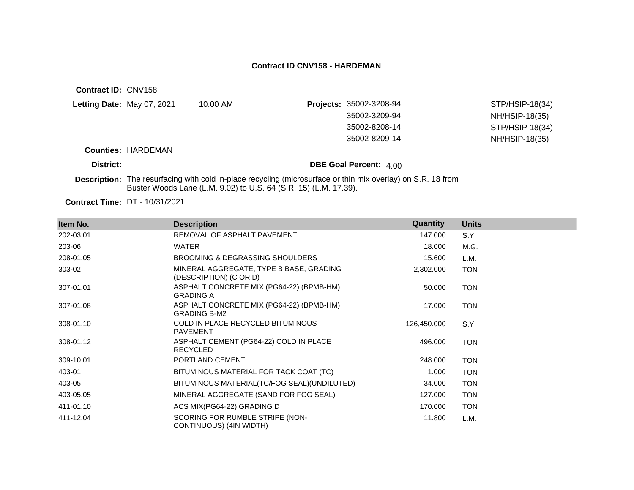| <b>Contract ID: CNV158</b>        |                           |                                                                  |                                                                                                                     |                 |
|-----------------------------------|---------------------------|------------------------------------------------------------------|---------------------------------------------------------------------------------------------------------------------|-----------------|
| <b>Letting Date:</b> May 07, 2021 |                           | $10:00$ AM                                                       | <b>Projects: 35002-3208-94</b>                                                                                      | STP/HSIP-18(34) |
|                                   |                           |                                                                  | 35002-3209-94                                                                                                       | NH/HSIP-18(35)  |
|                                   |                           |                                                                  | 35002-8208-14                                                                                                       | STP/HSIP-18(34) |
|                                   |                           |                                                                  | 35002-8209-14                                                                                                       | NH/HSIP-18(35)  |
|                                   | <b>Counties: HARDEMAN</b> |                                                                  |                                                                                                                     |                 |
| District:                         |                           |                                                                  | <b>DBE Goal Percent: 4.00</b>                                                                                       |                 |
|                                   |                           | Buster Woods Lane (L.M. 9.02) to U.S. 64 (S.R. 15) (L.M. 17.39). | <b>Description:</b> The resurfacing with cold in-place recycling (microsurface or thin mix overlay) on S.R. 18 from |                 |

| Item No.  | <b>Description</b>                                                | Quantity    | <b>Units</b> |
|-----------|-------------------------------------------------------------------|-------------|--------------|
| 202-03.01 | REMOVAL OF ASPHALT PAVEMENT                                       | 147.000     | S.Y.         |
| 203-06    | <b>WATER</b>                                                      | 18.000      | M.G.         |
| 208-01.05 | BROOMING & DEGRASSING SHOULDERS                                   | 15.600      | L.M.         |
| 303-02    | MINERAL AGGREGATE, TYPE B BASE, GRADING<br>(DESCRIPTION) (C OR D) | 2,302.000   | <b>TON</b>   |
| 307-01.01 | ASPHALT CONCRETE MIX (PG64-22) (BPMB-HM)<br><b>GRADING A</b>      | 50.000      | <b>TON</b>   |
| 307-01.08 | ASPHALT CONCRETE MIX (PG64-22) (BPMB-HM)<br><b>GRADING B-M2</b>   | 17.000      | <b>TON</b>   |
| 308-01.10 | COLD IN PLACE RECYCLED BITUMINOUS<br><b>PAVEMENT</b>              | 126,450.000 | S.Y.         |
| 308-01.12 | ASPHALT CEMENT (PG64-22) COLD IN PLACE<br><b>RECYCLED</b>         | 496.000     | <b>TON</b>   |
| 309-10.01 | PORTLAND CEMENT                                                   | 248.000     | <b>TON</b>   |
| 403-01    | BITUMINOUS MATERIAL FOR TACK COAT (TC)                            | 1.000       | <b>TON</b>   |
| 403-05    | BITUMINOUS MATERIAL(TC/FOG SEAL)(UNDILUTED)                       | 34.000      | <b>TON</b>   |
| 403-05.05 | MINERAL AGGREGATE (SAND FOR FOG SEAL)                             | 127.000     | <b>TON</b>   |
| 411-01.10 | ACS MIX(PG64-22) GRADING D                                        | 170.000     | <b>TON</b>   |
| 411-12.04 | SCORING FOR RUMBLE STRIPE (NON-<br>CONTINUOUS) (4IN WIDTH)        | 11.800      | L.M.         |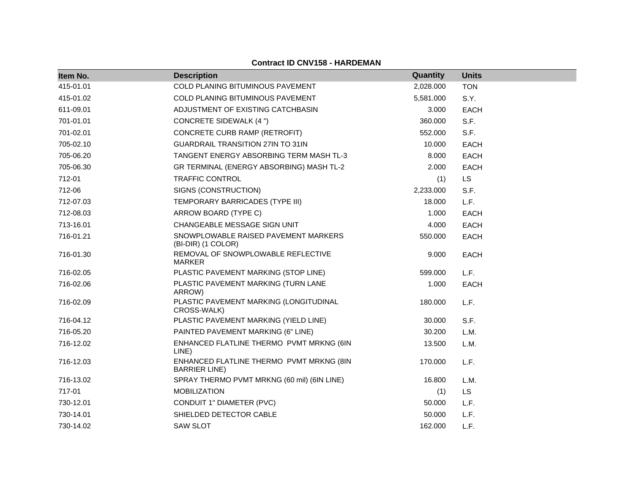### **Contract ID CNV158 - HARDEMAN**

| Item No.  | <b>Description</b>                                               | Quantity  | <b>Units</b> |
|-----------|------------------------------------------------------------------|-----------|--------------|
| 415-01.01 | <b>COLD PLANING BITUMINOUS PAVEMENT</b>                          | 2,028.000 | <b>TON</b>   |
| 415-01.02 | COLD PLANING BITUMINOUS PAVEMENT                                 | 5,581.000 | S.Y.         |
| 611-09.01 | ADJUSTMENT OF EXISTING CATCHBASIN                                | 3.000     | <b>EACH</b>  |
| 701-01.01 | CONCRETE SIDEWALK (4 ")                                          | 360.000   | S.F.         |
| 701-02.01 | CONCRETE CURB RAMP (RETROFIT)                                    | 552.000   | S.F.         |
| 705-02.10 | <b>GUARDRAIL TRANSITION 27IN TO 31IN</b>                         | 10.000    | <b>EACH</b>  |
| 705-06.20 | <b>TANGENT ENERGY ABSORBING TERM MASH TL-3</b>                   | 8.000     | <b>EACH</b>  |
| 705-06.30 | GR TERMINAL (ENERGY ABSORBING) MASH TL-2                         | 2.000     | EACH         |
| 712-01    | <b>TRAFFIC CONTROL</b>                                           | (1)       | <b>LS</b>    |
| 712-06    | SIGNS (CONSTRUCTION)                                             | 2,233.000 | S.F.         |
| 712-07.03 | TEMPORARY BARRICADES (TYPE III)                                  | 18.000    | L.F.         |
| 712-08.03 | ARROW BOARD (TYPE C)                                             | 1.000     | <b>EACH</b>  |
| 713-16.01 | CHANGEABLE MESSAGE SIGN UNIT                                     | 4.000     | <b>EACH</b>  |
| 716-01.21 | SNOWPLOWABLE RAISED PAVEMENT MARKERS<br>(BI-DIR) (1 COLOR)       | 550.000   | <b>EACH</b>  |
| 716-01.30 | REMOVAL OF SNOWPLOWABLE REFLECTIVE<br><b>MARKER</b>              | 9.000     | <b>EACH</b>  |
| 716-02.05 | PLASTIC PAVEMENT MARKING (STOP LINE)                             | 599.000   | L.F.         |
| 716-02.06 | PLASTIC PAVEMENT MARKING (TURN LANE<br>ARROW)                    | 1.000     | <b>EACH</b>  |
| 716-02.09 | PLASTIC PAVEMENT MARKING (LONGITUDINAL<br>CROSS-WALK)            | 180.000   | L.F.         |
| 716-04.12 | PLASTIC PAVEMENT MARKING (YIELD LINE)                            | 30.000    | S.F.         |
| 716-05.20 | PAINTED PAVEMENT MARKING (6" LINE)                               | 30.200    | L.M.         |
| 716-12.02 | ENHANCED FLATLINE THERMO PVMT MRKNG (6IN<br>LINE)                | 13.500    | L.M.         |
| 716-12.03 | ENHANCED FLATLINE THERMO PVMT MRKNG (8IN<br><b>BARRIER LINE)</b> | 170.000   | L.F.         |
| 716-13.02 | SPRAY THERMO PVMT MRKNG (60 mil) (6IN LINE)                      | 16.800    | L.M.         |
| 717-01    | <b>MOBILIZATION</b>                                              | (1)       | <b>LS</b>    |
| 730-12.01 | CONDUIT 1" DIAMETER (PVC)                                        | 50.000    | L.F.         |
| 730-14.01 | SHIELDED DETECTOR CABLE                                          | 50.000    | L.F.         |
| 730-14.02 | <b>SAW SLOT</b>                                                  | 162.000   | L.F.         |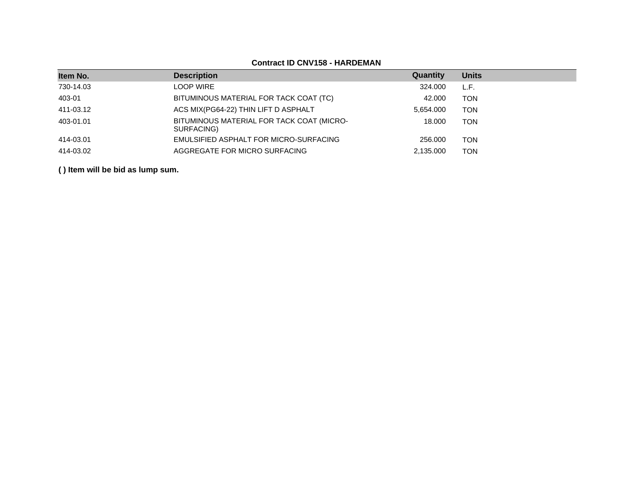# **Contract ID CNV158 - HARDEMAN**

| Item No.  | <b>Description</b>                                      | Quantity  | <b>Units</b> |
|-----------|---------------------------------------------------------|-----------|--------------|
| 730-14.03 | <b>LOOP WIRE</b>                                        | 324,000   | L.F.         |
| 403-01    | BITUMINOUS MATERIAL FOR TACK COAT (TC)                  | 42,000    | <b>TON</b>   |
| 411-03.12 | ACS MIX(PG64-22) THIN LIFT D ASPHALT                    | 5,654.000 | <b>TON</b>   |
| 403-01.01 | BITUMINOUS MATERIAL FOR TACK COAT (MICRO-<br>SURFACING) | 18,000    | TON          |
| 414-03.01 | EMULSIFIED ASPHALT FOR MICRO-SURFACING                  | 256,000   | TON          |
| 414-03.02 | AGGREGATE FOR MICRO SURFACING                           | 2,135.000 | TON          |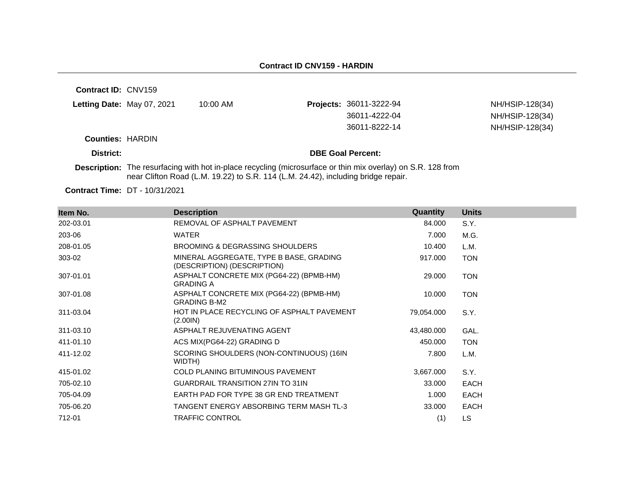**Contract ID:** CNV159

| Letting Date: May 07, 2021 | 10:00 AM | <b>Projects: 36011-3222-94</b> | NH/HSIP-128(34) |
|----------------------------|----------|--------------------------------|-----------------|
|                            |          | 36011-4222-04                  | NH/HSIP-128(34) |
|                            |          | 36011-8222-14                  | NH/HSIP-128(34) |
|                            |          |                                |                 |

**Counties:** HARDIN

#### **District: District: DBE Goal Percent:**

**Description:** The resurfacing with hot in-place recycling (microsurface or thin mix overlay) on S.R. 128 from near Clifton Road (L.M. 19.22) to S.R. 114 (L.M. 24.42), including bridge repair.

| Item No.  | <b>Description</b>                                                     | Quantity   | <b>Units</b> |
|-----------|------------------------------------------------------------------------|------------|--------------|
| 202-03.01 | REMOVAL OF ASPHALT PAVEMENT                                            | 84.000     | S.Y.         |
| 203-06    | <b>WATER</b>                                                           | 7.000      | M.G.         |
| 208-01.05 | BROOMING & DEGRASSING SHOULDERS                                        | 10.400     | L.M.         |
| 303-02    | MINERAL AGGREGATE, TYPE B BASE, GRADING<br>(DESCRIPTION) (DESCRIPTION) | 917.000    | <b>TON</b>   |
| 307-01.01 | ASPHALT CONCRETE MIX (PG64-22) (BPMB-HM)<br><b>GRADING A</b>           | 29.000     | <b>TON</b>   |
| 307-01.08 | ASPHALT CONCRETE MIX (PG64-22) (BPMB-HM)<br><b>GRADING B-M2</b>        | 10.000     | <b>TON</b>   |
| 311-03.04 | HOT IN PLACE RECYCLING OF ASPHALT PAVEMENT<br>(2.001N)                 | 79,054.000 | S.Y.         |
| 311-03.10 | ASPHALT REJUVENATING AGENT                                             | 43,480.000 | GAL.         |
| 411-01.10 | ACS MIX(PG64-22) GRADING D                                             | 450.000    | <b>TON</b>   |
| 411-12.02 | SCORING SHOULDERS (NON-CONTINUOUS) (16IN<br>WIDTH)                     | 7.800      | L.M.         |
| 415-01.02 | COLD PLANING BITUMINOUS PAVEMENT                                       | 3,667.000  | S.Y.         |
| 705-02.10 | <b>GUARDRAIL TRANSITION 27IN TO 31IN</b>                               | 33.000     | <b>EACH</b>  |
| 705-04.09 | EARTH PAD FOR TYPE 38 GR END TREATMENT                                 | 1.000      | <b>EACH</b>  |
| 705-06.20 | TANGENT ENERGY ABSORBING TERM MASH TL-3                                | 33.000     | <b>EACH</b>  |
| 712-01    | <b>TRAFFIC CONTROL</b>                                                 | (1)        | LS           |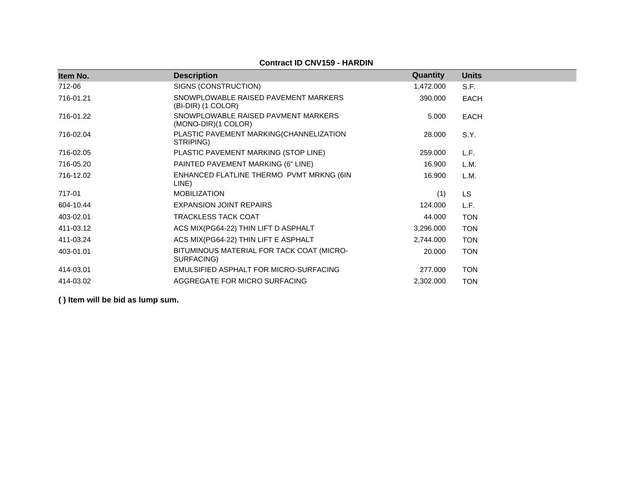### **Contract ID CNV159 - HARDIN**

| Item No.  | <b>Description</b>                                         | Quantity  | <b>Units</b> |
|-----------|------------------------------------------------------------|-----------|--------------|
| 712-06    | SIGNS (CONSTRUCTION)                                       | 1,472.000 | S.F.         |
| 716-01.21 | SNOWPLOWABLE RAISED PAVEMENT MARKERS<br>(BI-DIR) (1 COLOR) | 390.000   | <b>EACH</b>  |
| 716-01.22 | SNOWPLOWABLE RAISED PAVMENT MARKERS<br>(MONO-DIR)(1 COLOR) | 5.000     | <b>EACH</b>  |
| 716-02.04 | PLASTIC PAVEMENT MARKING(CHANNELIZATION<br>STRIPING)       | 28.000    | S.Y.         |
| 716-02.05 | PLASTIC PAVEMENT MARKING (STOP LINE)                       | 259.000   | L.F.         |
| 716-05.20 | PAINTED PAVEMENT MARKING (6" LINE)                         | 16.900    | L.M.         |
| 716-12.02 | ENHANCED FLATLINE THERMO PVMT MRKNG (6IN<br>LINE)          | 16.900    | L.M.         |
| 717-01    | <b>MOBILIZATION</b>                                        | (1)       | LS           |
| 604-10.44 | <b>EXPANSION JOINT REPAIRS</b>                             | 124.000   | L.F.         |
| 403-02.01 | <b>TRACKLESS TACK COAT</b>                                 | 44.000    | <b>TON</b>   |
| 411-03.12 | ACS MIX(PG64-22) THIN LIFT D ASPHALT                       | 3,296.000 | <b>TON</b>   |
| 411-03.24 | ACS MIX(PG64-22) THIN LIFT E ASPHALT                       | 2,744.000 | <b>TON</b>   |
| 403-01.01 | BITUMINOUS MATERIAL FOR TACK COAT (MICRO-<br>SURFACING)    | 20.000    | <b>TON</b>   |
| 414-03.01 | EMULSIFIED ASPHALT FOR MICRO-SURFACING                     | 277.000   | <b>TON</b>   |
| 414-03.02 | AGGREGATE FOR MICRO SURFACING                              | 2,302.000 | <b>TON</b>   |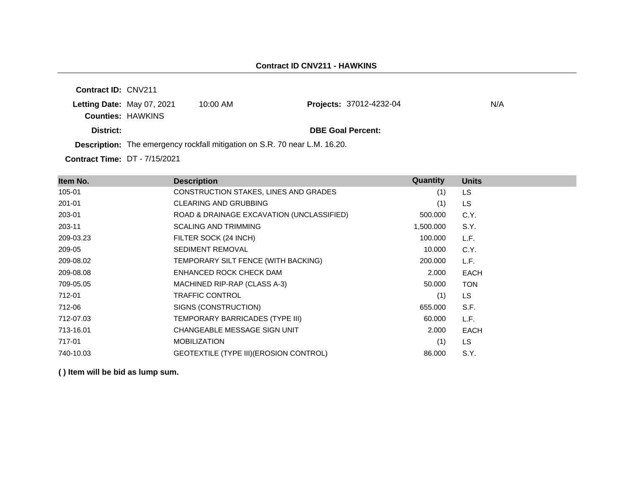**Contract ID:** CNV211 **Letting Date:** May 07, 2021 10:00 AM **Counties:** HAWKINS **District: District: DBE Goal Percent: Projects: 37012-4232-04 N/A** 

**Description:** The emergency rockfall mitigation on S.R. 70 near L.M. 16.20.

**Contract Time:** DT - 7/15/2021

| Item No.  | <b>Description</b>                             | Quantity  | <b>Units</b> |
|-----------|------------------------------------------------|-----------|--------------|
| 105-01    | CONSTRUCTION STAKES, LINES AND GRADES          | (1)       | <b>LS</b>    |
| 201-01    | <b>CLEARING AND GRUBBING</b>                   | (1)       | LS.          |
| 203-01    | ROAD & DRAINAGE EXCAVATION (UNCLASSIFIED)      | 500.000   | C.Y.         |
| 203-11    | <b>SCALING AND TRIMMING</b>                    | 1,500.000 | S.Y.         |
| 209-03.23 | FILTER SOCK (24 INCH)                          | 100.000   | L.F.         |
| 209-05    | <b>SEDIMENT REMOVAL</b>                        | 10.000    | C.Y.         |
| 209-08.02 | TEMPORARY SILT FENCE (WITH BACKING)            | 200.000   | L.F.         |
| 209-08.08 | ENHANCED ROCK CHECK DAM                        | 2.000     | <b>EACH</b>  |
| 709-05.05 | MACHINED RIP-RAP (CLASS A-3)                   | 50.000    | <b>TON</b>   |
| 712-01    | <b>TRAFFIC CONTROL</b>                         | (1)       | LS.          |
| 712-06    | SIGNS (CONSTRUCTION)                           | 655.000   | S.F.         |
| 712-07.03 | TEMPORARY BARRICADES (TYPE III)                | 60.000    | L.F.         |
| 713-16.01 | CHANGEABLE MESSAGE SIGN UNIT                   | 2.000     | <b>EACH</b>  |
| 717-01    | <b>MOBILIZATION</b>                            | (1)       | LS.          |
| 740-10.03 | <b>GEOTEXTILE (TYPE III) (EROSION CONTROL)</b> | 86.000    | S.Y.         |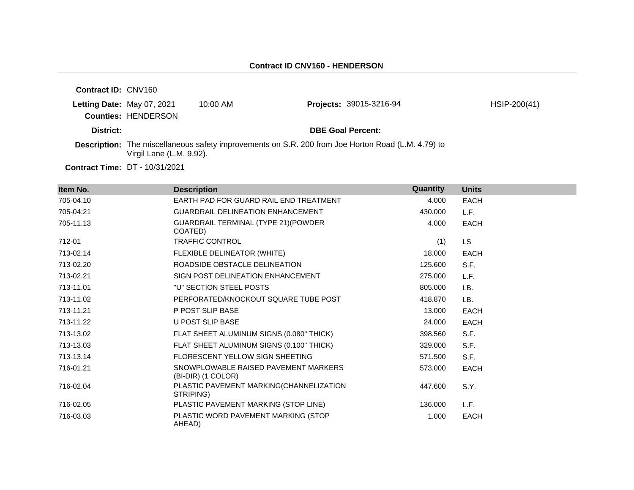| <b>Contract ID: CNV160</b> |                                                          |            |                                                                                                    |              |
|----------------------------|----------------------------------------------------------|------------|----------------------------------------------------------------------------------------------------|--------------|
|                            | Letting Date: May 07, 2021<br><b>Counties: HENDERSON</b> | $10:00$ AM | <b>Projects: 39015-3216-94</b>                                                                     | HSIP-200(41) |
| District:                  |                                                          |            | <b>DBE Goal Percent:</b>                                                                           |              |
|                            | Virgil Lane (L.M. 9.92).                                 |            | Description: The miscellaneous safety improvements on S.R. 200 from Joe Horton Road (L.M. 4.79) to |              |
|                            | <b>Contract Time: DT - 10/31/2021</b>                    |            |                                                                                                    |              |

**Item No. Description Quantity Units** 705-04.10 EARTH PAD FOR GUARD RAIL END TREATMENT 4.000 EACH 705-04.21 GUARDRAIL DELINEATION ENHANCEMENT 430.000 L.F. 705-11.13 GUARDRAIL TERMINAL (TYPE 21)(POWDER COATED) 4.000 EACH 712-01 TRAFFIC CONTROL (1) LS 713-02.14 FLEXIBLE DELINEATOR (WHITE) 18.000 EACH 713-02.20 ROADSIDE OBSTACLE DELINEATION 125.600 S.F. 713-02.21 SIGN POST DELINEATION ENHANCEMENT 275.000 L.F. 713-11.01 "U" SECTION STEEL POSTS 805.000 LB. 713-11.02 PERFORATED/KNOCKOUT SQUARE TUBE POST 418.870 LB. The state of the POST SLIP BASE The STATE STATE STATE STATE STATE STATE STATE STATE STATE STATE STATE STATE STATE STATE STATE STATE STATE STATE STATE STATE STATE STATE STATE STATE STATE STATE STATE STATE STATE STATE STATE 713-11.22 U POST SLIP BASE 24.000 EACH 713-13.02 FLAT SHEET ALUMINUM SIGNS (0.080" THICK) 398.560 S.F. 713-13.03 FLAT SHEET ALUMINUM SIGNS (0.100" THICK) 329.000 S.F. 713-13.14 FLORESCENT YELLOW SIGN SHEETING 571.500 S.F. 716-01.21 SNOWPLOWABLE RAISED PAVEMENT MARKERS (BI-DIR) (1 COLOR) 573.000 EACH 716-02.04 PLASTIC PAVEMENT MARKING(CHANNELIZATION STRIPING) 447.600 S.Y. 716-02.05 PLASTIC PAVEMENT MARKING (STOP LINE) 136.000 L.F. 716-03.03 PLASTIC WORD PAVEMENT MARKING (STOP AHEAD) 1.000 EACH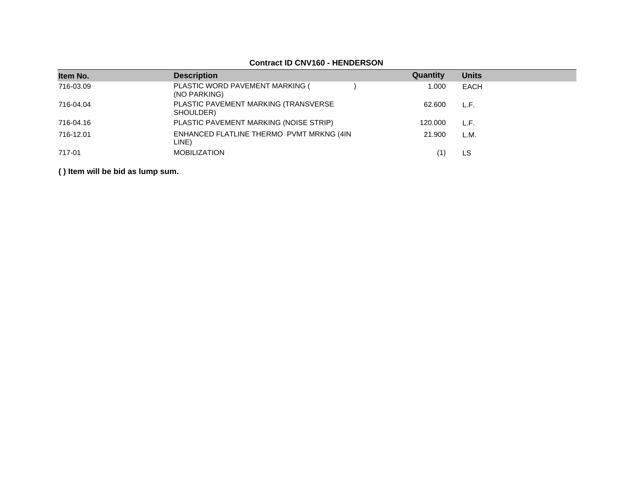| Item No.  | <b>Description</b>                                | Quantity | <b>Units</b> |
|-----------|---------------------------------------------------|----------|--------------|
| 716-03.09 | PLASTIC WORD PAVEMENT MARKING (<br>(NO PARKING)   | 1.000    | EACH         |
| 716-04.04 | PLASTIC PAVEMENT MARKING (TRANSVERSE<br>SHOULDER) | 62.600   | L.F.         |
| 716-04.16 | PLASTIC PAVEMENT MARKING (NOISE STRIP)            | 120.000  | L.F.         |
| 716-12.01 | ENHANCED FLATLINE THERMO PVMT MRKNG (4IN<br>LINE) | 21.900   | L.M.         |
| 717-01    | <b>MOBILIZATION</b>                               |          | LS.          |

### **Contract ID CNV160 - HENDERSON**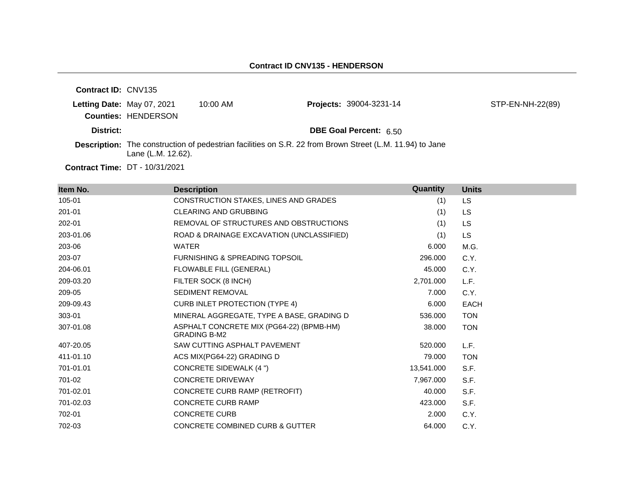| <b>Contract ID: CNV135</b> |                                       |            |                                                                                                                 |                  |
|----------------------------|---------------------------------------|------------|-----------------------------------------------------------------------------------------------------------------|------------------|
| Letting Date: May 07, 2021 |                                       | $10:00$ AM | <b>Projects: 39004-3231-14</b>                                                                                  | STP-EN-NH-22(89) |
|                            | <b>Counties: HENDERSON</b>            |            |                                                                                                                 |                  |
| District:                  |                                       |            | <b>DBE Goal Percent: 6.50</b>                                                                                   |                  |
|                            | Lane (L.M. 12.62).                    |            | <b>Description:</b> The construction of pedestrian facilities on S.R. 22 from Brown Street (L.M. 11.94) to Jane |                  |
|                            | <b>Contract Time: DT - 10/31/2021</b> |            |                                                                                                                 |                  |

**Item No. Description Quantity Units** 105-01 CONSTRUCTION STAKES, LINES AND GRADES (1) LS 201-01 CLEARING AND GRUBBING (1) LS 202-01 REMOVAL OF STRUCTURES AND OBSTRUCTIONS (1) LS 203-01.06 ROAD & DRAINAGE EXCAVATION (UNCLASSIFIED) (1) LS 203-06 WATER 6.000 M.G. 203-07 FURNISHING & SPREADING TOPSOIL 296.000 C.Y. 204-06.01 FLOWABLE FILL (GENERAL) 45.000 C.Y. 209-03.20 FILTER SOCK (8 INCH) 2,701.000 L.F. 209-05 SEDIMENT REMOVAL 209-05 7.000 C.Y. 209-09.43 CURB INLET PROTECTION (TYPE 4) 6.000 EACH 303-01 MINERAL AGGREGATE, TYPE A BASE, GRADING D 536.000 TON 307-01.08 ASPHALT CONCRETE MIX (PG64-22) (BPMB-HM) GRADING B-M2 38.000 TON 407-20.05 SAW CUTTING ASPHALT PAVEMENT 520.000 L.F. 411-01.10 ACS MIX(PG64-22) GRADING D 79.000 TON 701-01.01 CONCRETE SIDEWALK (4 ") 13,541.000 S.F. 701-02 CONCRETE DRIVEWAY 7,967.000 S.F. 701-02.01 CONCRETE CURB RAMP (RETROFIT) 40.000 S.F. 701-02.03 CONCRETE CURB RAMP 423.000 S.F. 702-01 CONCRETE CURB 2.000 C.Y. 702-03 CONCRETE COMBINED CURB & GUTTER 64.000 C.Y.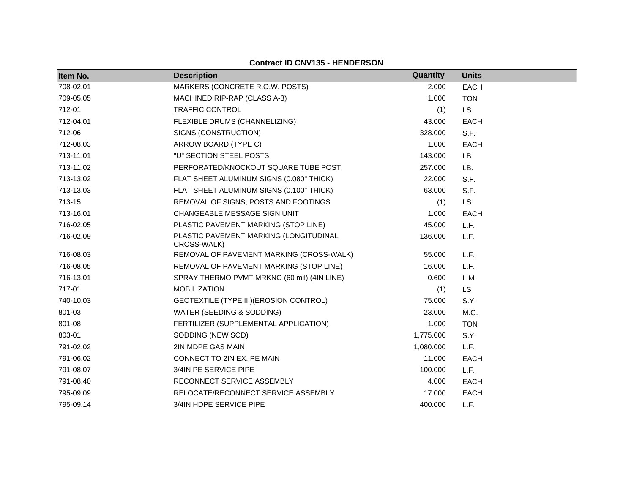| <b>Contract ID CNV135 - HENDERSON</b> |                                                       |           |              |  |
|---------------------------------------|-------------------------------------------------------|-----------|--------------|--|
| Item No.                              | <b>Description</b>                                    | Quantity  | <b>Units</b> |  |
| 708-02.01                             | MARKERS (CONCRETE R.O.W. POSTS)                       | 2.000     | <b>EACH</b>  |  |
| 709-05.05                             | MACHINED RIP-RAP (CLASS A-3)                          | 1.000     | <b>TON</b>   |  |
| 712-01                                | <b>TRAFFIC CONTROL</b>                                | (1)       | <b>LS</b>    |  |
| 712-04.01                             | FLEXIBLE DRUMS (CHANNELIZING)                         | 43.000    | <b>EACH</b>  |  |
| 712-06                                | SIGNS (CONSTRUCTION)                                  | 328.000   | S.F.         |  |
| 712-08.03                             | ARROW BOARD (TYPE C)                                  | 1.000     | <b>EACH</b>  |  |
| 713-11.01                             | "U" SECTION STEEL POSTS                               | 143.000   | LB.          |  |
| 713-11.02                             | PERFORATED/KNOCKOUT SQUARE TUBE POST                  | 257.000   | LB.          |  |
| 713-13.02                             | FLAT SHEET ALUMINUM SIGNS (0.080" THICK)              | 22.000    | S.F.         |  |
| 713-13.03                             | FLAT SHEET ALUMINUM SIGNS (0.100" THICK)              | 63.000    | S.F.         |  |
| 713-15                                | REMOVAL OF SIGNS, POSTS AND FOOTINGS                  | (1)       | <b>LS</b>    |  |
| 713-16.01                             | CHANGEABLE MESSAGE SIGN UNIT                          | 1.000     | <b>EACH</b>  |  |
| 716-02.05                             | PLASTIC PAVEMENT MARKING (STOP LINE)                  | 45.000    | L.F.         |  |
| 716-02.09                             | PLASTIC PAVEMENT MARKING (LONGITUDINAL<br>CROSS-WALK) | 136.000   | L.F.         |  |
| 716-08.03                             | REMOVAL OF PAVEMENT MARKING (CROSS-WALK)              | 55.000    | L.F.         |  |
| 716-08.05                             | REMOVAL OF PAVEMENT MARKING (STOP LINE)               | 16.000    | L.F.         |  |
| 716-13.01                             | SPRAY THERMO PVMT MRKNG (60 mil) (4IN LINE)           | 0.600     | L.M.         |  |
| 717-01                                | <b>MOBILIZATION</b>                                   | (1)       | <b>LS</b>    |  |
| 740-10.03                             | GEOTEXTILE (TYPE III) (EROSION CONTROL)               | 75.000    | S.Y.         |  |
| 801-03                                | WATER (SEEDING & SODDING)                             | 23.000    | M.G.         |  |
| 801-08                                | FERTILIZER (SUPPLEMENTAL APPLICATION)                 | 1.000     | <b>TON</b>   |  |
| 803-01                                | SODDING (NEW SOD)                                     | 1,775.000 | S.Y.         |  |
| 791-02.02                             | 2IN MDPE GAS MAIN                                     | 1,080.000 | L.F.         |  |
| 791-06.02                             | CONNECT TO 2IN EX. PE MAIN                            | 11.000    | <b>EACH</b>  |  |
| 791-08.07                             | 3/4IN PE SERVICE PIPE                                 | 100.000   | L.F.         |  |
| 791-08.40                             | RECONNECT SERVICE ASSEMBLY                            | 4.000     | <b>EACH</b>  |  |
| 795-09.09                             | RELOCATE/RECONNECT SERVICE ASSEMBLY                   | 17.000    | <b>EACH</b>  |  |
| 795-09.14                             | 3/4IN HDPE SERVICE PIPE                               | 400.000   | L.F.         |  |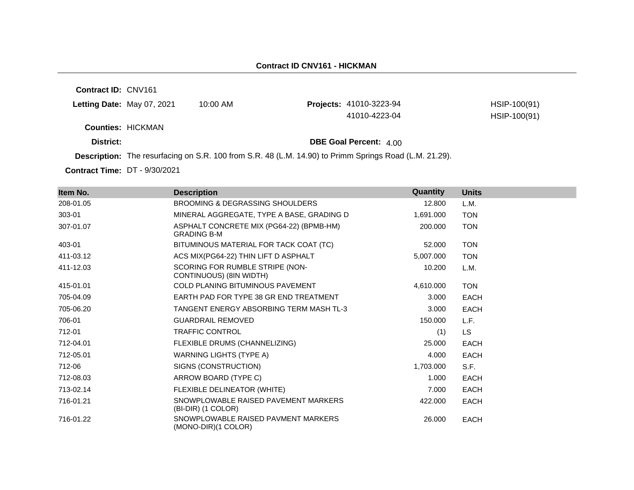#### **Contract ID CNV161 - HICKMAN**

**Contract ID:** CNV161

| Letting Date: May 07, 2021 | 10:00 AM | <b>Projects: 41010-3223-94</b> | HSIP-100(91) |
|----------------------------|----------|--------------------------------|--------------|
|                            |          | 41010-4223-04                  | HSIP-100(91) |
| <b>Counties: HICKMAN</b>   |          |                                |              |
| District:                  |          | <b>DBE Goal Percent:</b> 4.00  |              |

**Description:** The resurfacing on S.R. 100 from S.R. 48 (L.M. 14.90) to Primm Springs Road (L.M. 21.29).

**Contract Time:** DT - 9/30/2021

| Item No.  | <b>Description</b>                                             | Quantity  | <b>Units</b> |
|-----------|----------------------------------------------------------------|-----------|--------------|
| 208-01.05 | <b>BROOMING &amp; DEGRASSING SHOULDERS</b>                     | 12.800    | L.M.         |
| 303-01    | MINERAL AGGREGATE, TYPE A BASE, GRADING D                      | 1,691.000 | <b>TON</b>   |
| 307-01.07 | ASPHALT CONCRETE MIX (PG64-22) (BPMB-HM)<br><b>GRADING B-M</b> | 200.000   | <b>TON</b>   |
| 403-01    | BITUMINOUS MATERIAL FOR TACK COAT (TC)                         | 52.000    | <b>TON</b>   |
| 411-03.12 | ACS MIX(PG64-22) THIN LIFT D ASPHALT                           | 5,007.000 | <b>TON</b>   |
| 411-12.03 | SCORING FOR RUMBLE STRIPE (NON-<br>CONTINUOUS) (8IN WIDTH)     | 10.200    | L.M.         |
| 415-01.01 | <b>COLD PLANING BITUMINOUS PAVEMENT</b>                        | 4,610.000 | <b>TON</b>   |
| 705-04.09 | EARTH PAD FOR TYPE 38 GR END TREATMENT                         | 3.000     | <b>EACH</b>  |
| 705-06.20 | TANGENT ENERGY ABSORBING TERM MASH TL-3                        | 3.000     | <b>EACH</b>  |
| 706-01    | <b>GUARDRAIL REMOVED</b>                                       | 150,000   | L.F.         |
| 712-01    | <b>TRAFFIC CONTROL</b>                                         | (1)       | <b>LS</b>    |
| 712-04.01 | FLEXIBLE DRUMS (CHANNELIZING)                                  | 25,000    | <b>EACH</b>  |
| 712-05.01 | WARNING LIGHTS (TYPE A)                                        | 4.000     | <b>EACH</b>  |
| 712-06    | SIGNS (CONSTRUCTION)                                           | 1,703.000 | S.F.         |
| 712-08.03 | ARROW BOARD (TYPE C)                                           | 1.000     | <b>EACH</b>  |
| 713-02.14 | FLEXIBLE DELINEATOR (WHITE)                                    | 7.000     | <b>EACH</b>  |
| 716-01.21 | SNOWPLOWABLE RAISED PAVEMENT MARKERS<br>(BI-DIR) (1 COLOR)     | 422,000   | <b>EACH</b>  |
| 716-01.22 | SNOWPLOWABLE RAISED PAVMENT MARKERS<br>(MONO-DIR)(1 COLOR)     | 26,000    | <b>EACH</b>  |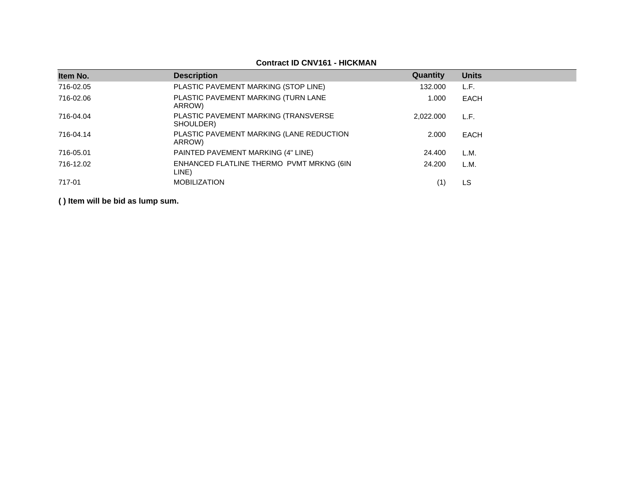| Item No.  | <b>Description</b>                                 | Quantity  | <b>Units</b> |
|-----------|----------------------------------------------------|-----------|--------------|
| 716-02.05 | PLASTIC PAVEMENT MARKING (STOP LINE)               | 132.000   | L.F.         |
| 716-02.06 | PLASTIC PAVEMENT MARKING (TURN LANE<br>ARROW)      | 1.000     | EACH         |
| 716-04.04 | PLASTIC PAVEMENT MARKING (TRANSVERSE<br>SHOULDER)  | 2.022.000 | L.F.         |
| 716-04.14 | PLASTIC PAVEMENT MARKING (LANE REDUCTION<br>ARROW) | 2.000     | EACH         |
| 716-05.01 | PAINTED PAVEMENT MARKING (4" LINE)                 | 24.400    | L.M.         |
| 716-12.02 | ENHANCED FLATLINE THERMO PVMT MRKNG (6IN<br>LINE)  | 24.200    | L.M.         |
| 717-01    | <b>MOBILIZATION</b>                                |           | LS           |

**Contract ID CNV161 - HICKMAN**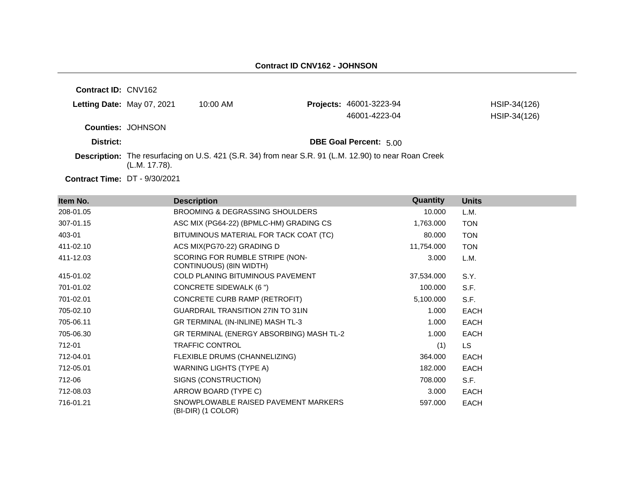**Contract ID:** CNV162 **Letting Date:** May 07, 2021 10:00 AM **Counties:** JOHNSON **District: District: DBE Goal Percent:** 5.00 **Description:** The resurfacing on U.S. 421 (S.R. 34) from near S.R. 91 (L.M. 12.90) to near Roan Creek (L.M. 17.78). **Projects:** 46001-3223-94 HSIP-34(126) 46001-4223-04 HSIP-34(126)

**Contract Time:** DT - 9/30/2021

| Item No.  | <b>Description</b>                                         | Quantity   | <b>Units</b> |
|-----------|------------------------------------------------------------|------------|--------------|
| 208-01.05 | <b>BROOMING &amp; DEGRASSING SHOULDERS</b>                 | 10.000     | L.M.         |
| 307-01.15 | ASC MIX (PG64-22) (BPMLC-HM) GRADING CS                    | 1,763.000  | <b>TON</b>   |
| 403-01    | BITUMINOUS MATERIAL FOR TACK COAT (TC)                     | 80.000     | <b>TON</b>   |
| 411-02.10 | ACS MIX(PG70-22) GRADING D                                 | 11,754.000 | <b>TON</b>   |
| 411-12.03 | SCORING FOR RUMBLE STRIPE (NON-<br>CONTINUOUS) (8IN WIDTH) | 3.000      | L.M.         |
| 415-01.02 | <b>COLD PLANING BITUMINOUS PAVEMENT</b>                    | 37,534.000 | S.Y.         |
| 701-01.02 | CONCRETE SIDEWALK (6")                                     | 100.000    | S.F.         |
| 701-02.01 | CONCRETE CURB RAMP (RETROFIT)                              | 5,100.000  | S.F.         |
| 705-02.10 | <b>GUARDRAIL TRANSITION 27IN TO 31IN</b>                   | 1.000      | <b>EACH</b>  |
| 705-06.11 | GR TERMINAL (IN-INLINE) MASH TL-3                          | 1.000      | <b>EACH</b>  |
| 705-06.30 | GR TERMINAL (ENERGY ABSORBING) MASH TL-2                   | 1.000      | <b>EACH</b>  |
| 712-01    | <b>TRAFFIC CONTROL</b>                                     | (1)        | LS.          |
| 712-04.01 | FLEXIBLE DRUMS (CHANNELIZING)                              | 364.000    | <b>EACH</b>  |
| 712-05.01 | WARNING LIGHTS (TYPE A)                                    | 182.000    | <b>EACH</b>  |
| 712-06    | SIGNS (CONSTRUCTION)                                       | 708.000    | S.F.         |
| 712-08.03 | ARROW BOARD (TYPE C)                                       | 3.000      | <b>EACH</b>  |
| 716-01.21 | SNOWPLOWABLE RAISED PAVEMENT MARKERS<br>(BI-DIR) (1 COLOR) | 597.000    | <b>EACH</b>  |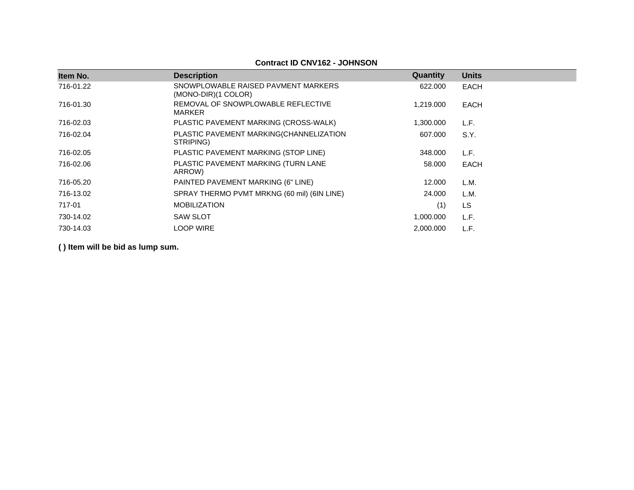## **Contract ID CNV162 - JOHNSON**

| Item No.  | <b>Description</b>                                         | Quantity  | <b>Units</b> |
|-----------|------------------------------------------------------------|-----------|--------------|
| 716-01.22 | SNOWPLOWABLE RAISED PAVMENT MARKERS<br>(MONO-DIR)(1 COLOR) | 622,000   | <b>EACH</b>  |
| 716-01.30 | REMOVAL OF SNOWPLOWABLE REFLECTIVE<br>MARKER               | 1,219.000 | <b>EACH</b>  |
| 716-02.03 | PLASTIC PAVEMENT MARKING (CROSS-WALK)                      | 1,300.000 | L.F.         |
| 716-02.04 | PLASTIC PAVEMENT MARKING(CHANNELIZATION<br>STRIPING)       | 607.000   | S.Y.         |
| 716-02.05 | PLASTIC PAVEMENT MARKING (STOP LINE)                       | 348,000   | L.F.         |
| 716-02.06 | PLASTIC PAVEMENT MARKING (TURN LANE<br>ARROW)              | 58,000    | <b>EACH</b>  |
| 716-05.20 | PAINTED PAVEMENT MARKING (6" LINE)                         | 12.000    | L.M.         |
| 716-13.02 | SPRAY THERMO PVMT MRKNG (60 mil) (6IN LINE)                | 24.000    | L.M.         |
| 717-01    | <b>MOBILIZATION</b>                                        | (1)       | LS.          |
| 730-14.02 | <b>SAW SLOT</b>                                            | 1,000.000 | L.F.         |
| 730-14.03 | <b>LOOP WIRE</b>                                           | 2,000.000 | L.F.         |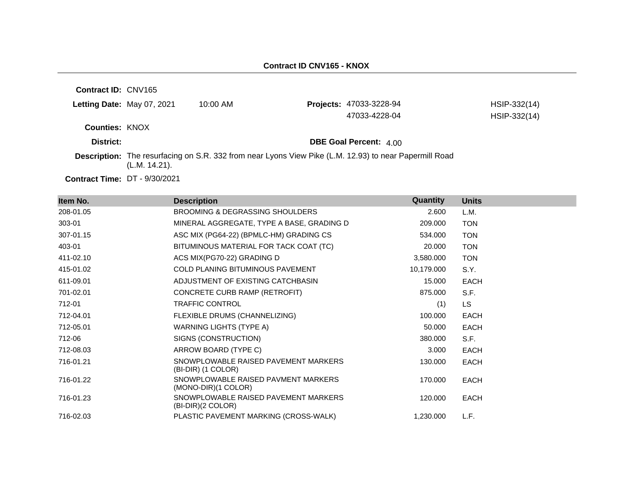| <b>Contract ID: CNV165</b> |               |            |                                                                                                        |              |
|----------------------------|---------------|------------|--------------------------------------------------------------------------------------------------------|--------------|
| Letting Date: May 07, 2021 |               | $10:00$ AM | <b>Projects: 47033-3228-94</b>                                                                         | HSIP-332(14) |
|                            |               |            | 47033-4228-04                                                                                          | HSIP-332(14) |
| <b>Counties: KNOX</b>      |               |            |                                                                                                        |              |
| District:                  |               |            | <b>DBE Goal Percent: 4.00</b>                                                                          |              |
|                            | (L.M. 14.21). |            | Description: The resurfacing on S.R. 332 from near Lyons View Pike (L.M. 12.93) to near Papermill Road |              |

**Contract Time:** DT - 9/30/2021

| Item No.  | <b>Description</b>                                          | Quantity   | <b>Units</b> |
|-----------|-------------------------------------------------------------|------------|--------------|
| 208-01.05 | <b>BROOMING &amp; DEGRASSING SHOULDERS</b>                  | 2.600      | L.M.         |
| 303-01    | MINERAL AGGREGATE, TYPE A BASE, GRADING D                   | 209.000    | <b>TON</b>   |
| 307-01.15 | ASC MIX (PG64-22) (BPMLC-HM) GRADING CS                     | 534.000    | <b>TON</b>   |
| 403-01    | BITUMINOUS MATERIAL FOR TACK COAT (TC)                      | 20.000     | <b>TON</b>   |
| 411-02.10 | ACS MIX(PG70-22) GRADING D                                  | 3,580.000  | <b>TON</b>   |
| 415-01.02 | <b>COLD PLANING BITUMINOUS PAVEMENT</b>                     | 10,179.000 | S.Y.         |
| 611-09.01 | ADJUSTMENT OF EXISTING CATCHBASIN                           | 15.000     | <b>EACH</b>  |
| 701-02.01 | CONCRETE CURB RAMP (RETROFIT)                               | 875.000    | S.F.         |
| 712-01    | <b>TRAFFIC CONTROL</b>                                      | (1)        | <b>LS</b>    |
| 712-04.01 | FLEXIBLE DRUMS (CHANNELIZING)                               | 100.000    | <b>EACH</b>  |
| 712-05.01 | WARNING LIGHTS (TYPE A)                                     | 50.000     | <b>EACH</b>  |
| 712-06    | SIGNS (CONSTRUCTION)                                        | 380.000    | S.F.         |
| 712-08.03 | ARROW BOARD (TYPE C)                                        | 3.000      | <b>EACH</b>  |
| 716-01.21 | SNOWPLOWABLE RAISED PAVEMENT MARKERS<br>(BI-DIR) (1 COLOR)  | 130.000    | <b>EACH</b>  |
| 716-01.22 | SNOWPLOWABLE RAISED PAVMENT MARKERS<br>(MONO-DIR)(1 COLOR)  | 170.000    | <b>EACH</b>  |
| 716-01.23 | SNOWPLOWABLE RAISED PAVEMENT MARKERS<br>$(BI-DIR)(2 COLOR)$ | 120.000    | <b>EACH</b>  |
| 716-02.03 | PLASTIC PAVEMENT MARKING (CROSS-WALK)                       | 1,230.000  | L.F.         |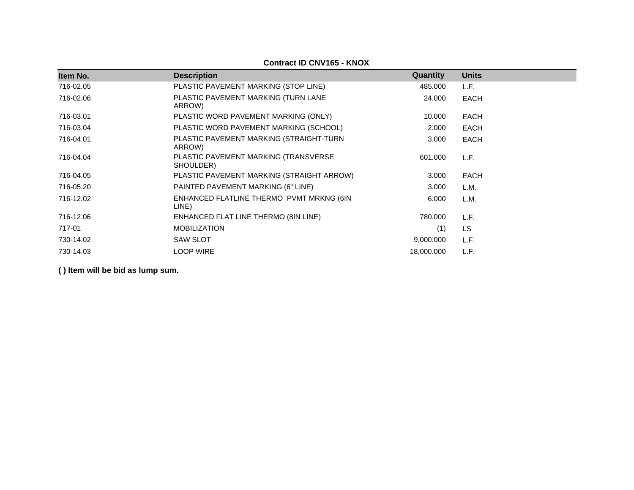| Item No.  | <b>Description</b>                                | Quantity   | <b>Units</b> |  |
|-----------|---------------------------------------------------|------------|--------------|--|
| 716-02.05 | PLASTIC PAVEMENT MARKING (STOP LINE)              | 485.000    | L.F.         |  |
| 716-02.06 | PLASTIC PAVEMENT MARKING (TURN LANE<br>ARROW)     | 24.000     | EACH         |  |
| 716-03.01 | PLASTIC WORD PAVEMENT MARKING (ONLY)              | 10.000     | EACH         |  |
| 716-03.04 | PLASTIC WORD PAVEMENT MARKING (SCHOOL)            | 2.000      | EACH         |  |
| 716-04.01 | PLASTIC PAVEMENT MARKING (STRAIGHT-TURN<br>ARROW) | 3.000      | EACH         |  |
| 716-04.04 | PLASTIC PAVEMENT MARKING (TRANSVERSE<br>SHOULDER) | 601.000    | L.F.         |  |
| 716-04.05 | PLASTIC PAVEMENT MARKING (STRAIGHT ARROW)         | 3.000      | <b>EACH</b>  |  |
| 716-05.20 | PAINTED PAVEMENT MARKING (6" LINE)                | 3.000      | L.M.         |  |
| 716-12.02 | ENHANCED FLATLINE THERMO PVMT MRKNG (6IN<br>LINE) | 6.000      | L.M.         |  |
| 716-12.06 | ENHANCED FLAT LINE THERMO (8IN LINE)              | 780.000    | L.F.         |  |
| 717-01    | <b>MOBILIZATION</b>                               | (1)        | <b>LS</b>    |  |
| 730-14.02 | <b>SAW SLOT</b>                                   | 9,000.000  | L.F.         |  |
| 730-14.03 | LOOP WIRE                                         | 18,000.000 | L.F.         |  |

## **Contract ID CNV165 - KNOX**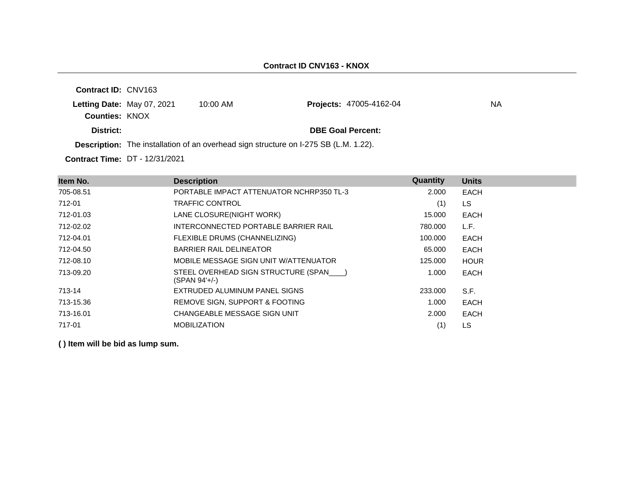|                            | <b>Description:</b> The installation of an overhead sign structure on I-275 SB (L.M. 1.22). |                                |     |
|----------------------------|---------------------------------------------------------------------------------------------|--------------------------------|-----|
| District:                  |                                                                                             | <b>DBE Goal Percent:</b>       |     |
| <b>Counties: KNOX</b>      |                                                                                             |                                |     |
| Letting Date: May 07, 2021 | $10:00$ AM                                                                                  | <b>Projects: 47005-4162-04</b> | NA. |
| <b>Contract ID: CNV163</b> |                                                                                             |                                |     |

**Contract Time:** DT - 12/31/2021

| Item No.  | <b>Description</b>                                     | Quantity | <b>Units</b> |
|-----------|--------------------------------------------------------|----------|--------------|
| 705-08.51 | PORTABLE IMPACT ATTENUATOR NCHRP350 TL-3               | 2.000    | <b>EACH</b>  |
| 712-01    | <b>TRAFFIC CONTROL</b>                                 | (1)      | LS.          |
| 712-01.03 | LANE CLOSURE(NIGHT WORK)                               | 15.000   | EACH         |
| 712-02.02 | INTERCONNECTED PORTABLE BARRIER RAIL                   | 780.000  | L.F.         |
| 712-04.01 | FLEXIBLE DRUMS (CHANNELIZING)                          | 100.000  | EACH         |
| 712-04.50 | <b>BARRIER RAIL DELINEATOR</b>                         | 65.000   | EACH         |
| 712-08.10 | MOBILE MESSAGE SIGN UNIT W/ATTENUATOR                  | 125.000  | <b>HOUR</b>  |
| 713-09.20 | STEEL OVERHEAD SIGN STRUCTURE (SPAN )<br>(SPAN 94'+/-) | 1.000    | EACH         |
| 713-14    | EXTRUDED ALUMINUM PANEL SIGNS                          | 233,000  | S.F.         |
| 713-15.36 | REMOVE SIGN, SUPPORT & FOOTING                         | 1.000    | EACH         |
| 713-16.01 | CHANGEABLE MESSAGE SIGN UNIT                           | 2.000    | <b>EACH</b>  |
| 717-01    | <b>MOBILIZATION</b>                                    | (1)      | LS           |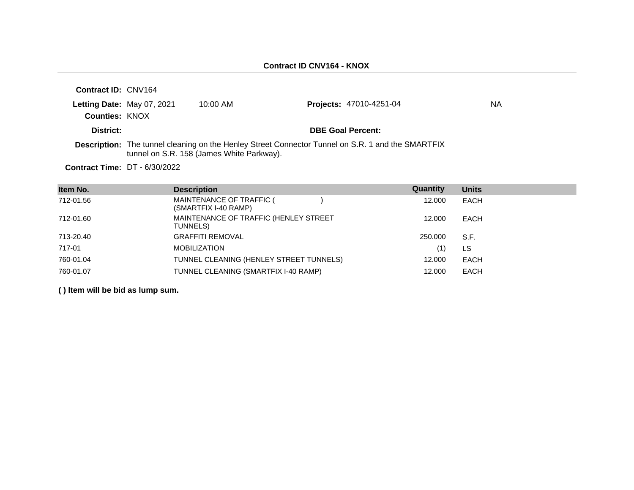| <b>Contract ID: CNV164</b>           |                                           |                                                                                                          |    |
|--------------------------------------|-------------------------------------------|----------------------------------------------------------------------------------------------------------|----|
| Letting Date: May 07, 2021           | $10:00$ AM                                | <b>Projects: 47010-4251-04</b>                                                                           | ΝA |
| <b>Counties: KNOX</b>                |                                           |                                                                                                          |    |
| District:                            |                                           | <b>DBE Goal Percent:</b>                                                                                 |    |
|                                      | tunnel on S.R. 158 (James White Parkway). | <b>Description:</b> The tunnel cleaning on the Henley Street Connector Tunnel on S.R. 1 and the SMARTFIX |    |
| <b>Contract Time: DT - 6/30/2022</b> |                                           |                                                                                                          |    |

| Item No.  | <b>Description</b>                                | Quantity | <b>Units</b> |
|-----------|---------------------------------------------------|----------|--------------|
| 712-01.56 | MAINTENANCE OF TRAFFIC (<br>(SMARTFIX I-40 RAMP)  | 12.000   | EACH         |
| 712-01.60 | MAINTENANCE OF TRAFFIC (HENLEY STREET<br>TUNNELS) | 12.000   | EACH         |
| 713-20.40 | <b>GRAFFITI REMOVAL</b>                           | 250,000  | S.F.         |
| 717-01    | <b>MOBILIZATION</b>                               | (1)      | LS           |
| 760-01.04 | TUNNEL CLEANING (HENLEY STREET TUNNELS)           | 12.000   | EACH         |
| 760-01.07 | TUNNEL CLEANING (SMARTFIX I-40 RAMP)              | 12.000   | EACH         |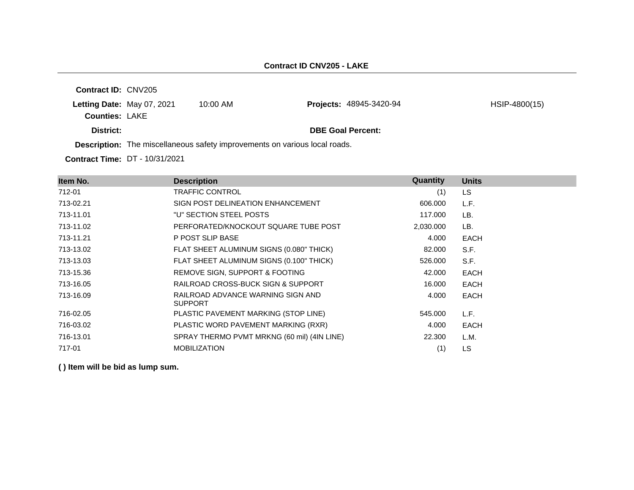**Contract ID:** CNV205 **Letting Date:** May 07, 2021 10:00 AM **Counties:** LAKE **District: District: DBE Goal Percent: Description:** The miscellaneous safety improvements on various local roads. **Projects:** 48945-3420-94 HSIP-4800(15)

**Contract Time:** DT - 10/31/2021

| Item No.  | <b>Description</b>                                  | Quantity  | <b>Units</b> |
|-----------|-----------------------------------------------------|-----------|--------------|
| 712-01    | <b>TRAFFIC CONTROL</b>                              | (1)       | LS.          |
| 713-02.21 | SIGN POST DELINEATION ENHANCEMENT                   | 606,000   | L.F.         |
| 713-11.01 | "U" SECTION STEEL POSTS                             | 117.000   | LB.          |
| 713-11.02 | PERFORATED/KNOCKOUT SQUARE TUBE POST                | 2,030.000 | LB.          |
| 713-11.21 | P POST SLIP BASE                                    | 4.000     | <b>EACH</b>  |
| 713-13.02 | FLAT SHEET ALUMINUM SIGNS (0.080" THICK)            | 82.000    | S.F.         |
| 713-13.03 | FLAT SHEET ALUMINUM SIGNS (0.100" THICK)            | 526.000   | S.F.         |
| 713-15.36 | REMOVE SIGN, SUPPORT & FOOTING                      | 42.000    | <b>EACH</b>  |
| 713-16.05 | RAILROAD CROSS-BUCK SIGN & SUPPORT                  | 16.000    | <b>EACH</b>  |
| 713-16.09 | RAILROAD ADVANCE WARNING SIGN AND<br><b>SUPPORT</b> | 4.000     | <b>EACH</b>  |
| 716-02.05 | PLASTIC PAVEMENT MARKING (STOP LINE)                | 545.000   | L.F.         |
| 716-03.02 | PLASTIC WORD PAVEMENT MARKING (RXR)                 | 4.000     | <b>EACH</b>  |
| 716-13.01 | SPRAY THERMO PVMT MRKNG (60 mil) (4IN LINE)         | 22,300    | L.M.         |
| 717-01    | <b>MOBILIZATION</b>                                 | (1)       | LS           |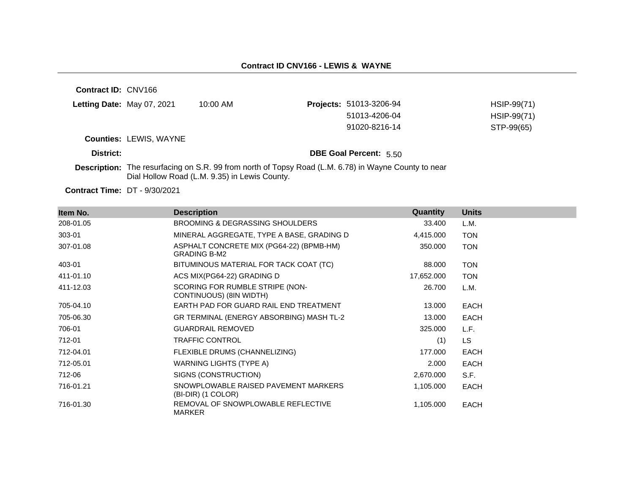**Contract ID:** CNV166 **Letting Date: May 07, 2021 10:00 AM Counties:** LEWIS, WAYNE **District: District: DBE Goal Percent:** 5.50 **Description:** The resurfacing on S.R. 99 from north of Topsy Road (L.M. 6.78) in Wayne County to near Dial Hollow Road (L.M. 9.35) in Lewis County. **Projects:** 51013-3206-94 HSIP-99(71) 51013-4206-04 HSIP-99(71) 91020-8216-14 STP-99(65)

**Contract Time:** DT - 9/30/2021

| Item No.  | <b>Description</b>                                              | Quantity   | <b>Units</b> |
|-----------|-----------------------------------------------------------------|------------|--------------|
| 208-01.05 | <b>BROOMING &amp; DEGRASSING SHOULDERS</b>                      | 33.400     | L.M.         |
| 303-01    | MINERAL AGGREGATE, TYPE A BASE, GRADING D                       | 4,415.000  | <b>TON</b>   |
| 307-01.08 | ASPHALT CONCRETE MIX (PG64-22) (BPMB-HM)<br><b>GRADING B-M2</b> | 350.000    | <b>TON</b>   |
| 403-01    | BITUMINOUS MATERIAL FOR TACK COAT (TC)                          | 88.000     | <b>TON</b>   |
| 411-01.10 | ACS MIX(PG64-22) GRADING D                                      | 17,652.000 | <b>TON</b>   |
| 411-12.03 | SCORING FOR RUMBLE STRIPE (NON-<br>CONTINUOUS) (8IN WIDTH)      | 26.700     | L.M.         |
| 705-04.10 | EARTH PAD FOR GUARD RAIL END TREATMENT                          | 13.000     | EACH         |
| 705-06.30 | GR TERMINAL (ENERGY ABSORBING) MASH TL-2                        | 13.000     | EACH         |
| 706-01    | <b>GUARDRAIL REMOVED</b>                                        | 325,000    | L.F.         |
| 712-01    | <b>TRAFFIC CONTROL</b>                                          | (1)        | LS.          |
| 712-04.01 | FLEXIBLE DRUMS (CHANNELIZING)                                   | 177.000    | EACH         |
| 712-05.01 | WARNING LIGHTS (TYPE A)                                         | 2.000      | EACH         |
| 712-06    | SIGNS (CONSTRUCTION)                                            | 2,670.000  | S.F.         |
| 716-01.21 | SNOWPLOWABLE RAISED PAVEMENT MARKERS<br>(BI-DIR) (1 COLOR)      | 1,105.000  | <b>EACH</b>  |
| 716-01.30 | REMOVAL OF SNOWPLOWABLE REFLECTIVE<br><b>MARKER</b>             | 1,105.000  | EACH         |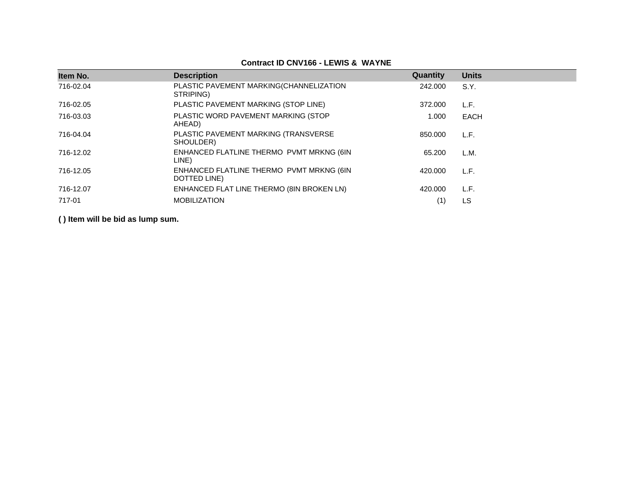| Item No.  | <b>Description</b>                                       | Quantity | <b>Units</b> |
|-----------|----------------------------------------------------------|----------|--------------|
| 716-02.04 | PLASTIC PAVEMENT MARKING(CHANNELIZATION<br>STRIPING)     | 242.000  | S.Y.         |
| 716-02.05 | PLASTIC PAVEMENT MARKING (STOP LINE)                     | 372,000  | L.F.         |
| 716-03.03 | PLASTIC WORD PAVEMENT MARKING (STOP<br>AHEAD)            | 1.000    | EACH         |
| 716-04.04 | PLASTIC PAVEMENT MARKING (TRANSVERSE<br>SHOULDER)        | 850.000  | L.F.         |
| 716-12.02 | ENHANCED FLATLINE THERMO PVMT MRKNG (6IN<br>LINE)        | 65.200   | L.M.         |
| 716-12.05 | ENHANCED FLATLINE THERMO PVMT MRKNG (6IN<br>DOTTED LINE) | 420.000  | L.F.         |
| 716-12.07 | ENHANCED FLAT LINE THERMO (8IN BROKEN LN)                | 420.000  | L.F.         |
| 717-01    | <b>MOBILIZATION</b>                                      |          | LS           |

**Contract ID CNV166 - LEWIS & WAYNE**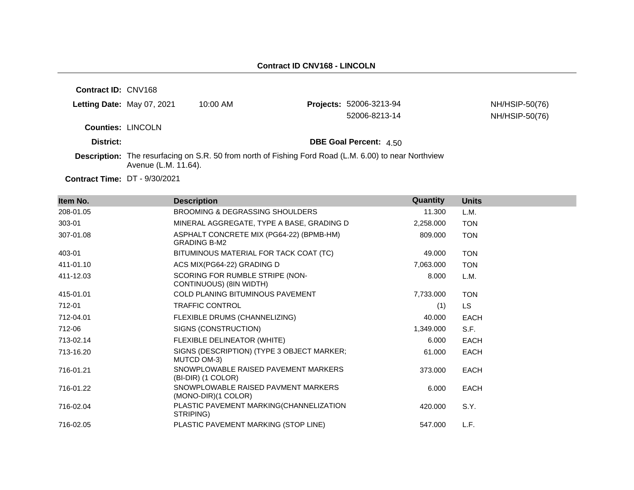| <b>Contract ID: CNV168</b> |                      |                                                                                                              |                                |                |
|----------------------------|----------------------|--------------------------------------------------------------------------------------------------------------|--------------------------------|----------------|
| Letting Date: May 07, 2021 |                      | $10:00$ AM                                                                                                   | <b>Projects: 52006-3213-94</b> | NH/HSIP-50(76) |
|                            |                      |                                                                                                              | 52006-8213-14                  | NH/HSIP-50(76) |
| <b>Counties: LINCOLN</b>   |                      |                                                                                                              |                                |                |
| District:                  |                      |                                                                                                              | <b>DBE Goal Percent: 4.50</b>  |                |
|                            | Avenue (L.M. 11.64). | <b>Description:</b> The resurfacing on S.R. 50 from north of Fishing Ford Road (L.M. 6.00) to near Northview |                                |                |

**Contract Time:** DT - 9/30/2021

| Item No.  | <b>Description</b>                                              | Quantity  | <b>Units</b> |
|-----------|-----------------------------------------------------------------|-----------|--------------|
| 208-01.05 | BROOMING & DEGRASSING SHOULDERS                                 | 11.300    | L.M.         |
| 303-01    | MINERAL AGGREGATE, TYPE A BASE, GRADING D                       | 2,258.000 | <b>TON</b>   |
| 307-01.08 | ASPHALT CONCRETE MIX (PG64-22) (BPMB-HM)<br><b>GRADING B-M2</b> | 809.000   | <b>TON</b>   |
| 403-01    | BITUMINOUS MATERIAL FOR TACK COAT (TC)                          | 49.000    | <b>TON</b>   |
| 411-01.10 | ACS MIX(PG64-22) GRADING D                                      | 7,063.000 | <b>TON</b>   |
| 411-12.03 | SCORING FOR RUMBLE STRIPE (NON-<br>CONTINUOUS) (8IN WIDTH)      | 8.000     | L.M.         |
| 415-01.01 | <b>COLD PLANING BITUMINOUS PAVEMENT</b>                         | 7,733.000 | <b>TON</b>   |
| 712-01    | <b>TRAFFIC CONTROL</b>                                          | (1)       | LS.          |
| 712-04.01 | FLEXIBLE DRUMS (CHANNELIZING)                                   | 40.000    | EACH         |
| 712-06    | SIGNS (CONSTRUCTION)                                            | 1,349.000 | S.F.         |
| 713-02.14 | FLEXIBLE DELINEATOR (WHITE)                                     | 6.000     | EACH         |
| 713-16.20 | SIGNS (DESCRIPTION) (TYPE 3 OBJECT MARKER;<br>MUTCD OM-3)       | 61.000    | <b>EACH</b>  |
| 716-01.21 | SNOWPLOWABLE RAISED PAVEMENT MARKERS<br>(BI-DIR) (1 COLOR)      | 373,000   | EACH         |
| 716-01.22 | SNOWPLOWABLE RAISED PAVMENT MARKERS<br>(MONO-DIR)(1 COLOR)      | 6.000     | EACH         |
| 716-02.04 | PLASTIC PAVEMENT MARKING(CHANNELIZATION<br>STRIPING)            | 420.000   | S.Y.         |
| 716-02.05 | PLASTIC PAVEMENT MARKING (STOP LINE)                            | 547.000   | L.F.         |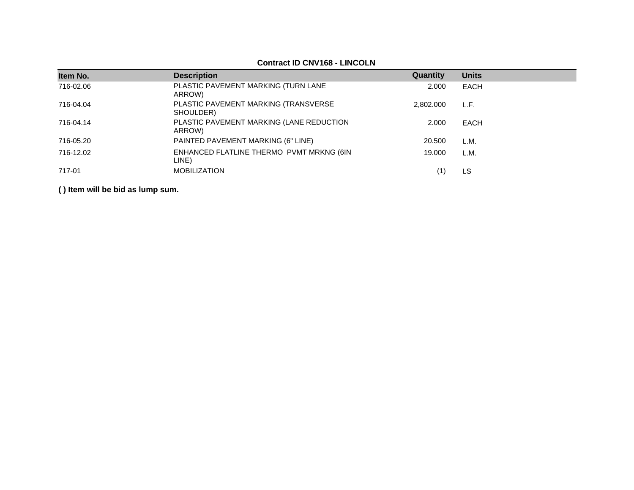## **Contract ID CNV168 - LINCOLN**

| Item No.  | <b>Description</b>                                 | <b>Quantity</b> | <b>Units</b> |
|-----------|----------------------------------------------------|-----------------|--------------|
| 716-02.06 | PLASTIC PAVEMENT MARKING (TURN LANE<br>ARROW)      | 2.000           | <b>EACH</b>  |
| 716-04.04 | PLASTIC PAVEMENT MARKING (TRANSVERSE<br>SHOULDER)  | 2.802.000       | L.F.         |
| 716-04.14 | PLASTIC PAVEMENT MARKING (LANE REDUCTION<br>ARROW) | 2.000           | EACH         |
| 716-05.20 | PAINTED PAVEMENT MARKING (6" LINE)                 | 20.500          | L.M.         |
| 716-12.02 | ENHANCED FLATLINE THERMO PVMT MRKNG (6IN<br>LINE)  | 19.000          | L.M.         |
| 717-01    | <b>MOBILIZATION</b>                                |                 | LS.          |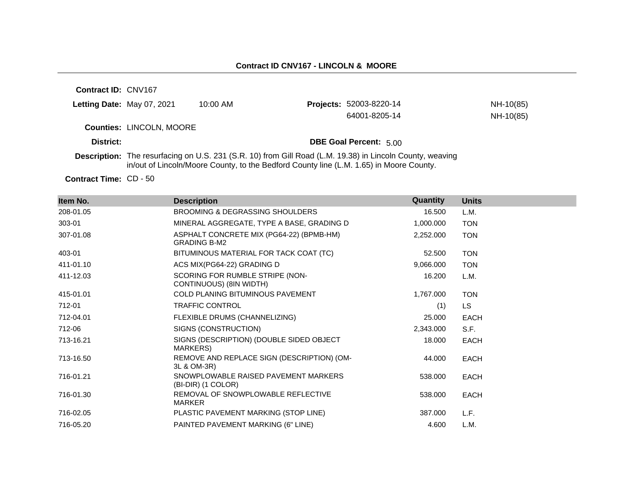## **Contract ID CNV167 - LINCOLN & MOORE**

**Contract ID:** CNV167

| District: | <b>Counties: LINCOLN, MOORE</b> |          | <b>DBE Goal Percent: 5.00</b>  |           |
|-----------|---------------------------------|----------|--------------------------------|-----------|
|           |                                 |          | 64001-8205-14                  | NH-10(85) |
|           | Letting Date: May 07, 2021      | 10:00 AM | <b>Projects: 52003-8220-14</b> | NH-10(85) |

**Description:** The resurfacing on U.S. 231 (S.R. 10) from Gill Road (L.M. 19.38) in Lincoln County, weaving in/out of Lincoln/Moore County, to the Bedford County line (L.M. 1.65) in Moore County.

Contract Time: CD - 50

| Item No.  | <b>Description</b>                                              | Quantity  | <b>Units</b> |
|-----------|-----------------------------------------------------------------|-----------|--------------|
| 208-01.05 | <b>BROOMING &amp; DEGRASSING SHOULDERS</b>                      | 16.500    | L.M.         |
| 303-01    | MINERAL AGGREGATE, TYPE A BASE, GRADING D                       | 1,000.000 | <b>TON</b>   |
| 307-01.08 | ASPHALT CONCRETE MIX (PG64-22) (BPMB-HM)<br><b>GRADING B-M2</b> | 2,252.000 | <b>TON</b>   |
| 403-01    | BITUMINOUS MATERIAL FOR TACK COAT (TC)                          | 52.500    | <b>TON</b>   |
| 411-01.10 | ACS MIX(PG64-22) GRADING D                                      | 9,066.000 | <b>TON</b>   |
| 411-12.03 | SCORING FOR RUMBLE STRIPE (NON-<br>CONTINUOUS) (8IN WIDTH)      | 16.200    | L.M.         |
| 415-01.01 | COLD PLANING BITUMINOUS PAVEMENT                                | 1,767.000 | <b>TON</b>   |
| 712-01    | <b>TRAFFIC CONTROL</b>                                          | (1)       | LS           |
| 712-04.01 | FLEXIBLE DRUMS (CHANNELIZING)                                   | 25.000    | EACH         |
| 712-06    | SIGNS (CONSTRUCTION)                                            | 2,343.000 | S.F.         |
| 713-16.21 | SIGNS (DESCRIPTION) (DOUBLE SIDED OBJECT<br>MARKERS)            | 18.000    | EACH         |
| 713-16.50 | REMOVE AND REPLACE SIGN (DESCRIPTION) (OM-<br>3L & OM-3R)       | 44.000    | <b>EACH</b>  |
| 716-01.21 | SNOWPLOWABLE RAISED PAVEMENT MARKERS<br>(BI-DIR) (1 COLOR)      | 538.000   | EACH         |
| 716-01.30 | REMOVAL OF SNOWPLOWABLE REFLECTIVE<br><b>MARKER</b>             | 538,000   | EACH         |
| 716-02.05 | PLASTIC PAVEMENT MARKING (STOP LINE)                            | 387.000   | L.F.         |
| 716-05.20 | PAINTED PAVEMENT MARKING (6" LINE)                              | 4.600     | L.M.         |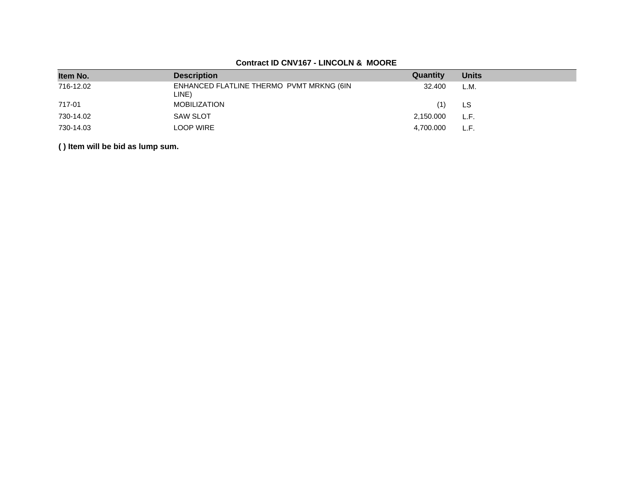# **Contract ID CNV167 - LINCOLN & MOORE**

| Item No.  | <b>Description</b>                                | Quantity  | <b>Units</b> |
|-----------|---------------------------------------------------|-----------|--------------|
| 716-12.02 | ENHANCED FLATLINE THERMO PVMT MRKNG (6IN<br>LINE) | 32.400    | L.M.         |
| 717-01    | <b>MOBILIZATION</b>                               | (1)       | LS           |
| 730-14.02 | <b>SAW SLOT</b>                                   | 2,150.000 | L.F.         |
| 730-14.03 | LOOP WIRE                                         | 4,700.000 | L.F.         |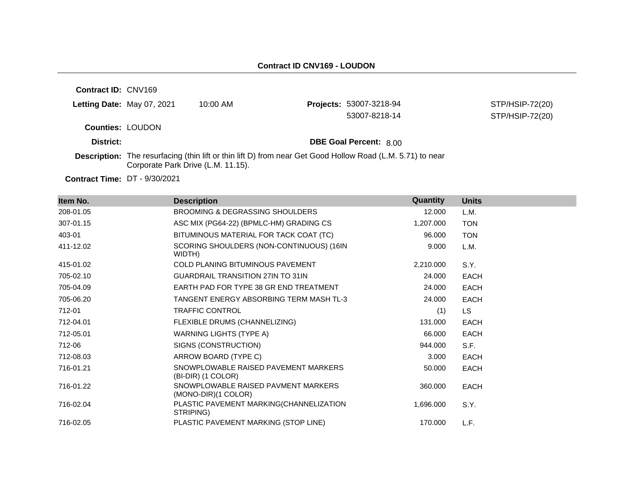| <b>Contract ID: CNV169</b> |                                    |                                                                                                                   |                               |                 |
|----------------------------|------------------------------------|-------------------------------------------------------------------------------------------------------------------|-------------------------------|-----------------|
| Letting Date: May 07, 2021 |                                    | $10:00$ AM                                                                                                        | Projects: 53007-3218-94       | STP/HSIP-72(20) |
|                            |                                    |                                                                                                                   | 53007-8218-14                 | STP/HSIP-72(20) |
| <b>Counties: LOUDON</b>    |                                    |                                                                                                                   |                               |                 |
| District:                  |                                    |                                                                                                                   | <b>DBE Goal Percent: 8.00</b> |                 |
|                            | Corporate Park Drive (L.M. 11.15). | <b>Description:</b> The resurfacing (thin lift or thin lift D) from near Get Good Hollow Road (L.M. 5.71) to near |                               |                 |

**Contract Time:** DT - 9/30/2021

| Item No.  | <b>Description</b>                                         | Quantity  | <b>Units</b> |
|-----------|------------------------------------------------------------|-----------|--------------|
| 208-01.05 | <b>BROOMING &amp; DEGRASSING SHOULDERS</b>                 | 12.000    | L.M.         |
| 307-01.15 | ASC MIX (PG64-22) (BPMLC-HM) GRADING CS                    | 1,207.000 | <b>TON</b>   |
| 403-01    | BITUMINOUS MATERIAL FOR TACK COAT (TC)                     | 96.000    | <b>TON</b>   |
| 411-12.02 | SCORING SHOULDERS (NON-CONTINUOUS) (16IN<br>WIDTH)         | 9.000     | L.M.         |
| 415-01.02 | <b>COLD PLANING BITUMINOUS PAVEMENT</b>                    | 2,210.000 | S.Y.         |
| 705-02.10 | <b>GUARDRAIL TRANSITION 27IN TO 31IN</b>                   | 24.000    | <b>EACH</b>  |
| 705-04.09 | EARTH PAD FOR TYPE 38 GR END TREATMENT                     | 24.000    | <b>EACH</b>  |
| 705-06.20 | TANGENT ENERGY ABSORBING TERM MASH TL-3                    | 24.000    | <b>EACH</b>  |
| 712-01    | <b>TRAFFIC CONTROL</b>                                     | (1)       | LS.          |
| 712-04.01 | FLEXIBLE DRUMS (CHANNELIZING)                              | 131.000   | <b>EACH</b>  |
| 712-05.01 | <b>WARNING LIGHTS (TYPE A)</b>                             | 66.000    | <b>EACH</b>  |
| 712-06    | SIGNS (CONSTRUCTION)                                       | 944.000   | S.F.         |
| 712-08.03 | ARROW BOARD (TYPE C)                                       | 3.000     | <b>EACH</b>  |
| 716-01.21 | SNOWPLOWABLE RAISED PAVEMENT MARKERS<br>(BI-DIR) (1 COLOR) | 50.000    | <b>EACH</b>  |
| 716-01.22 | SNOWPLOWABLE RAISED PAVMENT MARKERS<br>(MONO-DIR)(1 COLOR) | 360,000   | <b>EACH</b>  |
| 716-02.04 | PLASTIC PAVEMENT MARKING(CHANNELIZATION<br>STRIPING)       | 1,696.000 | S.Y.         |
| 716-02.05 | PLASTIC PAVEMENT MARKING (STOP LINE)                       | 170.000   | L.F.         |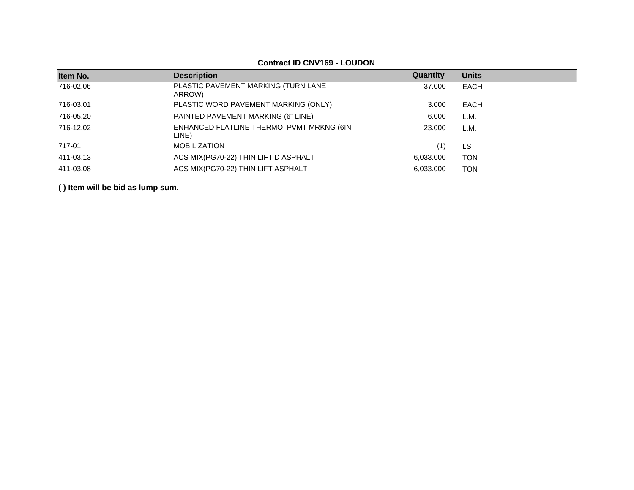| Item No.  | <b>Description</b>                                | Quantity  | <b>Units</b> |
|-----------|---------------------------------------------------|-----------|--------------|
| 716-02.06 | PLASTIC PAVEMENT MARKING (TURN LANE<br>ARROW)     | 37.000    | EACH         |
| 716-03.01 | PLASTIC WORD PAVEMENT MARKING (ONLY)              | 3.000     | EACH         |
| 716-05.20 | PAINTED PAVEMENT MARKING (6" LINE)                | 6.000     | L.M.         |
| 716-12.02 | ENHANCED FLATLINE THERMO PVMT MRKNG (6IN<br>LINE) | 23.000    | L.M.         |
| 717-01    | <b>MOBILIZATION</b>                               | (1)       | LS           |
| 411-03.13 | ACS MIX(PG70-22) THIN LIFT D ASPHALT              | 6,033,000 | <b>TON</b>   |
| 411-03.08 | ACS MIX(PG70-22) THIN LIFT ASPHALT                | 6.033.000 | <b>TON</b>   |

## **Contract ID CNV169 - LOUDON**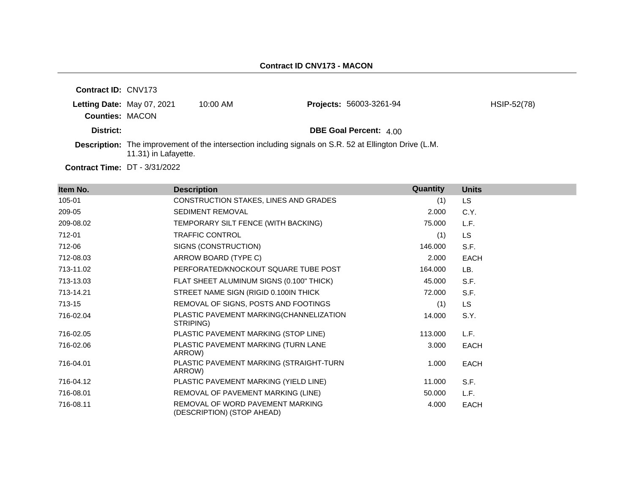| <b>Contract ID: CNV173</b>                           |                      |            |                                                                                                        |             |
|------------------------------------------------------|----------------------|------------|--------------------------------------------------------------------------------------------------------|-------------|
| Letting Date: May 07, 2021<br><b>Counties: MACON</b> |                      | $10:00$ AM | <b>Projects: 56003-3261-94</b>                                                                         | HSIP-52(78) |
| District:                                            |                      |            | <b>DBE Goal Percent: 4.00</b>                                                                          |             |
|                                                      | 11.31) in Lafayette. |            | Description: The improvement of the intersection including signals on S.R. 52 at Ellington Drive (L.M. |             |

**Contract Time:** DT - 3/31/2022

| Item No.  | <b>Description</b>                                             | Quantity | <b>Units</b> |
|-----------|----------------------------------------------------------------|----------|--------------|
| 105-01    | CONSTRUCTION STAKES, LINES AND GRADES                          | (1)      | LS.          |
| 209-05    | <b>SEDIMENT REMOVAL</b>                                        | 2.000    | C.Y.         |
| 209-08.02 | TEMPORARY SILT FENCE (WITH BACKING)                            | 75.000   | L.F.         |
| 712-01    | TRAFFIC CONTROL                                                | (1)      | <b>LS</b>    |
| 712-06    | SIGNS (CONSTRUCTION)                                           | 146.000  | S.F.         |
| 712-08.03 | ARROW BOARD (TYPE C)                                           | 2.000    | <b>EACH</b>  |
| 713-11.02 | PERFORATED/KNOCKOUT SQUARE TUBE POST                           | 164.000  | LB.          |
| 713-13.03 | FLAT SHEET ALUMINUM SIGNS (0.100" THICK)                       | 45.000   | S.F.         |
| 713-14.21 | STREET NAME SIGN (RIGID 0.100IN THICK                          | 72.000   | S.F.         |
| 713-15    | REMOVAL OF SIGNS, POSTS AND FOOTINGS                           | (1)      | LS           |
| 716-02.04 | PLASTIC PAVEMENT MARKING(CHANNELIZATION<br>STRIPING)           | 14.000   | S.Y.         |
| 716-02.05 | PLASTIC PAVEMENT MARKING (STOP LINE)                           | 113.000  | L.F.         |
| 716-02.06 | PLASTIC PAVEMENT MARKING (TURN LANE<br>ARROW)                  | 3.000    | <b>EACH</b>  |
| 716-04.01 | PLASTIC PAVEMENT MARKING (STRAIGHT-TURN<br>ARROW)              | 1.000    | EACH         |
| 716-04.12 | PLASTIC PAVEMENT MARKING (YIELD LINE)                          | 11.000   | S.F.         |
| 716-08.01 | REMOVAL OF PAVEMENT MARKING (LINE)                             | 50.000   | L.F.         |
| 716-08.11 | REMOVAL OF WORD PAVEMENT MARKING<br>(DESCRIPTION) (STOP AHEAD) | 4.000    | EACH         |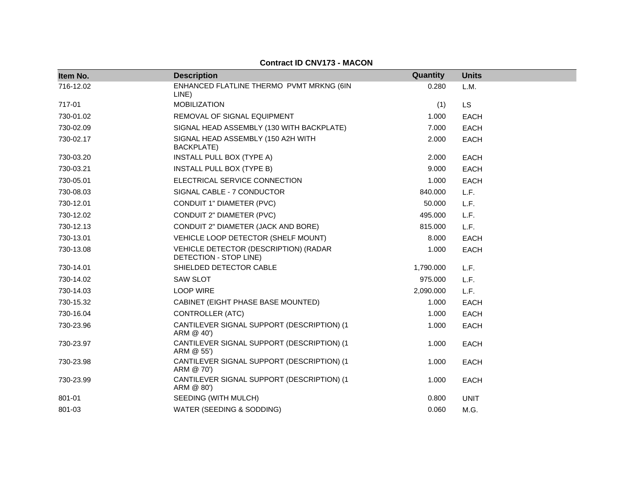| Item No.  | <b>Description</b>                                              | Quantity  | <b>Units</b> |
|-----------|-----------------------------------------------------------------|-----------|--------------|
| 716-12.02 | ENHANCED FLATLINE THERMO PVMT MRKNG (6IN<br>LINE)               | 0.280     | L.M.         |
| 717-01    | <b>MOBILIZATION</b>                                             | (1)       | LS           |
| 730-01.02 | REMOVAL OF SIGNAL EQUIPMENT                                     | 1.000     | <b>EACH</b>  |
| 730-02.09 | SIGNAL HEAD ASSEMBLY (130 WITH BACKPLATE)                       | 7.000     | <b>EACH</b>  |
| 730-02.17 | SIGNAL HEAD ASSEMBLY (150 A2H WITH<br>BACKPLATE)                | 2.000     | <b>EACH</b>  |
| 730-03.20 | INSTALL PULL BOX (TYPE A)                                       | 2.000     | <b>EACH</b>  |
| 730-03.21 | INSTALL PULL BOX (TYPE B)                                       | 9.000     | <b>EACH</b>  |
| 730-05.01 | ELECTRICAL SERVICE CONNECTION                                   | 1.000     | <b>EACH</b>  |
| 730-08.03 | SIGNAL CABLE - 7 CONDUCTOR                                      | 840.000   | L.F.         |
| 730-12.01 | CONDUIT 1" DIAMETER (PVC)                                       | 50.000    | L.F.         |
| 730-12.02 | <b>CONDUIT 2" DIAMETER (PVC)</b>                                | 495.000   | L.F.         |
| 730-12.13 | CONDUIT 2" DIAMETER (JACK AND BORE)                             | 815,000   | L.F.         |
| 730-13.01 | VEHICLE LOOP DETECTOR (SHELF MOUNT)                             | 8.000     | <b>EACH</b>  |
| 730-13.08 | VEHICLE DETECTOR (DESCRIPTION) (RADAR<br>DETECTION - STOP LINE) | 1.000     | <b>EACH</b>  |
| 730-14.01 | SHIELDED DETECTOR CABLE                                         | 1,790.000 | L.F.         |
| 730-14.02 | <b>SAW SLOT</b>                                                 | 975.000   | L.F.         |
| 730-14.03 | <b>LOOP WIRE</b>                                                | 2,090.000 | L.F.         |
| 730-15.32 | CABINET (EIGHT PHASE BASE MOUNTED)                              | 1.000     | <b>EACH</b>  |
| 730-16.04 | CONTROLLER (ATC)                                                | 1.000     | <b>EACH</b>  |
| 730-23.96 | CANTILEVER SIGNAL SUPPORT (DESCRIPTION) (1<br>ARM @ 40')        | 1.000     | <b>EACH</b>  |
| 730-23.97 | CANTILEVER SIGNAL SUPPORT (DESCRIPTION) (1<br>ARM @ 55')        | 1.000     | <b>EACH</b>  |
| 730-23.98 | CANTILEVER SIGNAL SUPPORT (DESCRIPTION) (1<br>ARM @ 70')        | 1.000     | <b>EACH</b>  |
| 730-23.99 | CANTILEVER SIGNAL SUPPORT (DESCRIPTION) (1<br>ARM @ 80')        | 1.000     | <b>EACH</b>  |
| 801-01    | SEEDING (WITH MULCH)                                            | 0.800     | <b>UNIT</b>  |
| 801-03    | WATER (SEEDING & SODDING)                                       | 0.060     | M.G.         |

## **Contract ID CNV173 - MACON**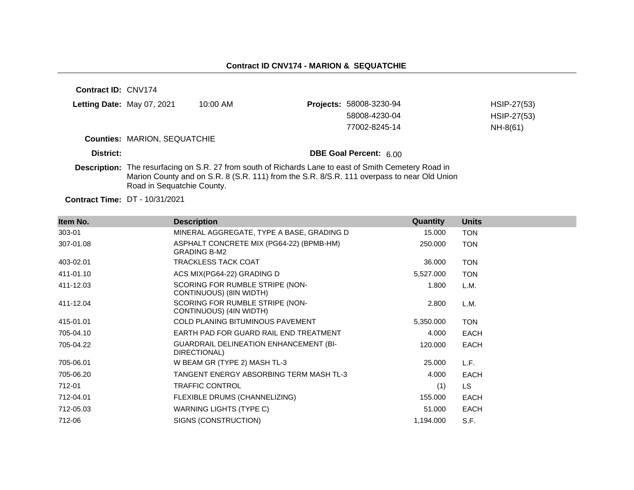**Contract ID:** CNV174 **Letting Date:** May 07, 2021 10:00 AM **Counties:** MARION, SEQUATCHIE **District: District: DBE Goal Percent:** 6.00 **Description:** The resurfacing on S.R. 27 from south of Richards Lane to east of Smith Cemetery Road in Marion County and on S.R. 8 (S.R. 111) from the S.R. 8/S.R. 111 overpass to near Old Union Road in Sequatchie County. **Projects:** 58008-3230-94 HSIP-27(53) 58008-4230-04 HSIP-27(53) 77002-8245-14 NH-8(61)

**Contract Time:** DT - 10/31/2021

| Item No.  | <b>Description</b>                                              | Quantity  | <b>Units</b> |
|-----------|-----------------------------------------------------------------|-----------|--------------|
| 303-01    | MINERAL AGGREGATE, TYPE A BASE, GRADING D                       | 15.000    | <b>TON</b>   |
| 307-01.08 | ASPHALT CONCRETE MIX (PG64-22) (BPMB-HM)<br><b>GRADING B-M2</b> | 250.000   | <b>TON</b>   |
| 403-02.01 | <b>TRACKLESS TACK COAT</b>                                      | 36.000    | <b>TON</b>   |
| 411-01.10 | ACS MIX(PG64-22) GRADING D                                      | 5,527.000 | <b>TON</b>   |
| 411-12.03 | SCORING FOR RUMBLE STRIPE (NON-<br>CONTINUOUS) (8IN WIDTH)      | 1.800     | L.M.         |
| 411-12.04 | SCORING FOR RUMBLE STRIPE (NON-<br>CONTINUOUS) (4IN WIDTH)      | 2.800     | L.M.         |
| 415-01.01 | <b>COLD PLANING BITUMINOUS PAVEMENT</b>                         | 5,350.000 | <b>TON</b>   |
| 705-04.10 | EARTH PAD FOR GUARD RAIL END TREATMENT                          | 4.000     | <b>EACH</b>  |
| 705-04.22 | <b>GUARDRAIL DELINEATION ENHANCEMENT (BI-</b><br>DIRECTIONAL)   | 120.000   | <b>EACH</b>  |
| 705-06.01 | W BEAM GR (TYPE 2) MASH TL-3                                    | 25.000    | L.F.         |
| 705-06.20 | TANGENT ENERGY ABSORBING TERM MASH TL-3                         | 4.000     | <b>EACH</b>  |
| 712-01    | <b>TRAFFIC CONTROL</b>                                          | (1)       | LS.          |
| 712-04.01 | FLEXIBLE DRUMS (CHANNELIZING)                                   | 155.000   | <b>EACH</b>  |
| 712-05.03 | WARNING LIGHTS (TYPE C)                                         | 51.000    | <b>EACH</b>  |
| 712-06    | SIGNS (CONSTRUCTION)                                            | 1,194.000 | S.F.         |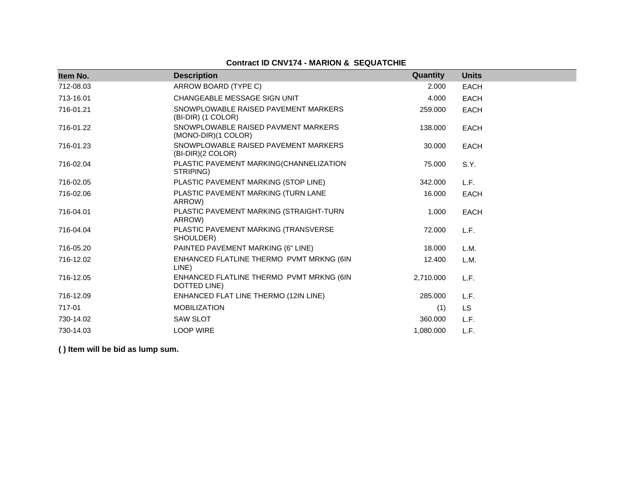## **Contract ID CNV174 - MARION & SEQUATCHIE**

| Item No.  | <b>Description</b>                                         | Quantity  | <b>Units</b> |
|-----------|------------------------------------------------------------|-----------|--------------|
| 712-08.03 | ARROW BOARD (TYPE C)                                       | 2.000     | <b>EACH</b>  |
| 713-16.01 | CHANGEABLE MESSAGE SIGN UNIT                               | 4.000     | <b>EACH</b>  |
| 716-01.21 | SNOWPLOWABLE RAISED PAVEMENT MARKERS<br>(BI-DIR) (1 COLOR) | 259,000   | <b>EACH</b>  |
| 716-01.22 | SNOWPLOWABLE RAISED PAVMENT MARKERS<br>(MONO-DIR)(1 COLOR) | 138.000   | <b>EACH</b>  |
| 716-01.23 | SNOWPLOWABLE RAISED PAVEMENT MARKERS<br>(BI-DIR)(2 COLOR)  | 30.000    | <b>EACH</b>  |
| 716-02.04 | PLASTIC PAVEMENT MARKING(CHANNELIZATION<br>STRIPING)       | 75.000    | S.Y.         |
| 716-02.05 | PLASTIC PAVEMENT MARKING (STOP LINE)                       | 342,000   | L.F.         |
| 716-02.06 | PLASTIC PAVEMENT MARKING (TURN LANE<br>ARROW)              | 16.000    | <b>EACH</b>  |
| 716-04.01 | PLASTIC PAVEMENT MARKING (STRAIGHT-TURN<br>ARROW)          | 1.000     | <b>EACH</b>  |
| 716-04.04 | PLASTIC PAVEMENT MARKING (TRANSVERSE<br>SHOULDER)          | 72.000    | L.F.         |
| 716-05.20 | PAINTED PAVEMENT MARKING (6" LINE)                         | 18.000    | L.M.         |
| 716-12.02 | ENHANCED FLATLINE THERMO PVMT MRKNG (6IN<br>LINE)          | 12.400    | L.M.         |
| 716-12.05 | ENHANCED FLATLINE THERMO PVMT MRKNG (6IN<br>DOTTED LINE)   | 2,710.000 | L.F.         |
| 716-12.09 | ENHANCED FLAT LINE THERMO (12IN LINE)                      | 285.000   | L.F.         |
| 717-01    | <b>MOBILIZATION</b>                                        | (1)       | <b>LS</b>    |
| 730-14.02 | <b>SAW SLOT</b>                                            | 360.000   | L.F.         |
| 730-14.03 | <b>LOOP WIRE</b>                                           | 1,080.000 | L.F.         |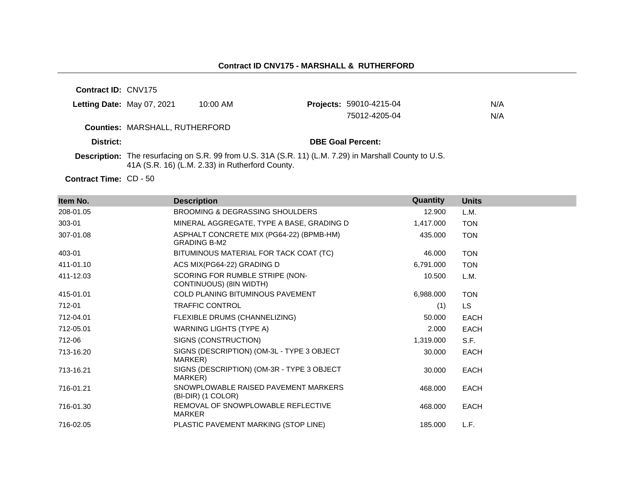#### **Contract ID CNV175 - MARSHALL & RUTHERFORD**

**Contract ID:** CNV175

| <b>Letting Date:</b> May 07, 2021 | 10:00 AM                              | <b>Projects: 59010-4215-04</b> | N/A |
|-----------------------------------|---------------------------------------|--------------------------------|-----|
|                                   |                                       | 75012-4205-04                  | N/A |
|                                   | <b>Counties: MARSHALL, RUTHERFORD</b> |                                |     |
| District:                         |                                       | <b>DBE Goal Percent:</b>       |     |

**Description:** The resurfacing on S.R. 99 from U.S. 31A (S.R. 11) (L.M. 7.29) in Marshall County to U.S. 41A (S.R. 16) (L.M. 2.33) in Rutherford County.

Contract Time: CD - 50

| Item No.  | <b>Description</b>                                              | Quantity  | <b>Units</b> |
|-----------|-----------------------------------------------------------------|-----------|--------------|
| 208-01.05 | <b>BROOMING &amp; DEGRASSING SHOULDERS</b>                      | 12.900    | L.M.         |
| 303-01    | MINERAL AGGREGATE, TYPE A BASE, GRADING D                       | 1,417.000 | <b>TON</b>   |
| 307-01.08 | ASPHALT CONCRETE MIX (PG64-22) (BPMB-HM)<br><b>GRADING B-M2</b> | 435.000   | <b>TON</b>   |
| 403-01    | BITUMINOUS MATERIAL FOR TACK COAT (TC)                          | 46.000    | <b>TON</b>   |
| 411-01.10 | ACS MIX(PG64-22) GRADING D                                      | 6,791.000 | <b>TON</b>   |
| 411-12.03 | SCORING FOR RUMBLE STRIPE (NON-<br>CONTINUOUS) (8IN WIDTH)      | 10.500    | L.M.         |
| 415-01.01 | <b>COLD PLANING BITUMINOUS PAVEMENT</b>                         | 6,988.000 | <b>TON</b>   |
| 712-01    | <b>TRAFFIC CONTROL</b>                                          | (1)       | LS.          |
| 712-04.01 | FLEXIBLE DRUMS (CHANNELIZING)                                   | 50.000    | <b>EACH</b>  |
| 712-05.01 | WARNING LIGHTS (TYPE A)                                         | 2.000     | <b>EACH</b>  |
| 712-06    | SIGNS (CONSTRUCTION)                                            | 1,319.000 | S.F.         |
| 713-16.20 | SIGNS (DESCRIPTION) (OM-3L - TYPE 3 OBJECT<br>MARKER)           | 30.000    | <b>EACH</b>  |
| 713-16.21 | SIGNS (DESCRIPTION) (OM-3R - TYPE 3 OBJECT<br>MARKER)           | 30.000    | <b>EACH</b>  |
| 716-01.21 | SNOWPLOWABLE RAISED PAVEMENT MARKERS<br>(BI-DIR) (1 COLOR)      | 468.000   | <b>EACH</b>  |
| 716-01.30 | REMOVAL OF SNOWPLOWABLE REFLECTIVE<br><b>MARKER</b>             | 468,000   | <b>EACH</b>  |
| 716-02.05 | PLASTIC PAVEMENT MARKING (STOP LINE)                            | 185.000   | L.F.         |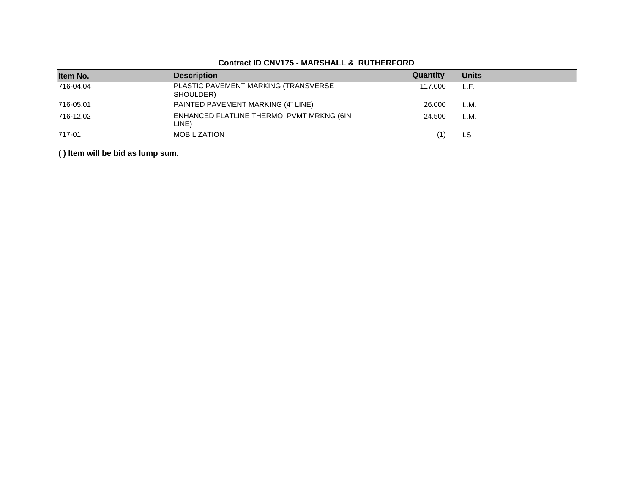| Item No.  | <b>Description</b>                                | Quantity | <b>Units</b> |
|-----------|---------------------------------------------------|----------|--------------|
| 716-04.04 | PLASTIC PAVEMENT MARKING (TRANSVERSE<br>SHOULDER) | 117.000  | L.F.         |
| 716-05.01 | PAINTED PAVEMENT MARKING (4" LINE)                | 26,000   | L.M.         |
| 716-12.02 | ENHANCED FLATLINE THERMO PVMT MRKNG (6IN<br>LINE) | 24.500   | L.M.         |
| 717-01    | MOBILIZATION                                      |          | LS           |

## **Contract ID CNV175 - MARSHALL & RUTHERFORD**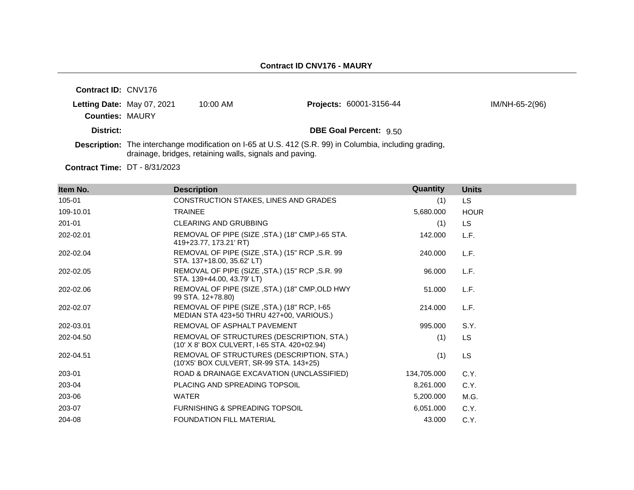| <b>Contract ID: CNV176</b> |                                                         |                                                                                                                |                |
|----------------------------|---------------------------------------------------------|----------------------------------------------------------------------------------------------------------------|----------------|
| Letting Date: May 07, 2021 | $10:00$ AM                                              | <b>Projects: 60001-3156-44</b>                                                                                 | IM/NH-65-2(96) |
| <b>Counties: MAURY</b>     |                                                         |                                                                                                                |                |
| District:                  |                                                         | <b>DBE Goal Percent: 9.50</b>                                                                                  |                |
|                            | drainage, bridges, retaining walls, signals and paving. | <b>Description:</b> The interchange modification on I-65 at U.S. 412 (S.R. 99) in Columbia, including grading, |                |

**Contract Time:** DT - 8/31/2023

| Item No.  | <b>Description</b>                                                                       | <b>Quantity</b> | <b>Units</b> |
|-----------|------------------------------------------------------------------------------------------|-----------------|--------------|
| 105-01    | CONSTRUCTION STAKES, LINES AND GRADES                                                    | (1)             | LS.          |
| 109-10.01 | <b>TRAINEE</b>                                                                           | 5,680.000       | <b>HOUR</b>  |
| 201-01    | <b>CLEARING AND GRUBBING</b>                                                             | (1)             | <b>LS</b>    |
| 202-02.01 | REMOVAL OF PIPE (SIZE, STA.) (18" CMP, I-65 STA.<br>419+23.77, 173.21' RT)               | 142.000         | L.F.         |
| 202-02.04 | REMOVAL OF PIPE (SIZE, STA.) (15" RCP, S.R. 99<br>STA. 137+18.00, 35.62' LT)             | 240.000         | L.F.         |
| 202-02.05 | REMOVAL OF PIPE (SIZE, STA.) (15" RCP, S.R. 99<br>STA. 139+44.00, 43.79' LT)             | 96.000          | L.F.         |
| 202-02.06 | REMOVAL OF PIPE (SIZE, STA.) (18" CMP, OLD HWY<br>99 STA. 12+78.80)                      | 51.000          | L.F.         |
| 202-02.07 | REMOVAL OF PIPE (SIZE, STA.) (18" RCP, I-65<br>MEDIAN STA 423+50 THRU 427+00, VARIOUS.)  | 214.000         | L.F.         |
| 202-03.01 | REMOVAL OF ASPHALT PAVEMENT                                                              | 995.000         | S.Y.         |
| 202-04.50 | REMOVAL OF STRUCTURES (DESCRIPTION, STA.)<br>(10' X 8' BOX CULVERT, I-65 STA. 420+02.94) | (1)             | <b>LS</b>    |
| 202-04.51 | REMOVAL OF STRUCTURES (DESCRIPTION, STA.)<br>(10'X5' BOX CULVERT, SR-99 STA. 143+25)     | (1)             | <b>LS</b>    |
| 203-01    | ROAD & DRAINAGE EXCAVATION (UNCLASSIFIED)                                                | 134,705.000     | C.Y.         |
| 203-04    | PLACING AND SPREADING TOPSOIL                                                            | 8,261.000       | C.Y.         |
| 203-06    | <b>WATER</b>                                                                             | 5,200.000       | M.G.         |
| 203-07    | <b>FURNISHING &amp; SPREADING TOPSOIL</b>                                                | 6,051.000       | C.Y.         |
| 204-08    | <b>FOUNDATION FILL MATERIAL</b>                                                          | 43.000          | C.Y.         |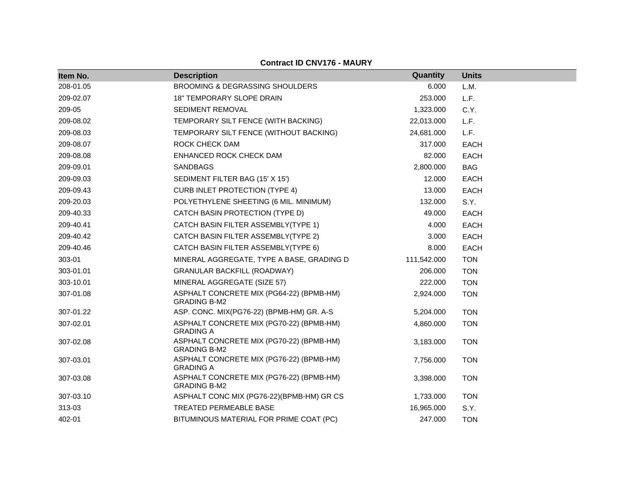| Item No.  | <b>Description</b>                                              | Quantity    | <b>Units</b> |
|-----------|-----------------------------------------------------------------|-------------|--------------|
| 208-01.05 | BROOMING & DEGRASSING SHOULDERS                                 | 6.000       | L.M.         |
| 209-02.07 | <b>18" TEMPORARY SLOPE DRAIN</b>                                | 253.000     | L.F.         |
| 209-05    | <b>SEDIMENT REMOVAL</b>                                         | 1,323.000   | C.Y.         |
| 209-08.02 | TEMPORARY SILT FENCE (WITH BACKING)                             | 22,013.000  | L.F.         |
| 209-08.03 | TEMPORARY SILT FENCE (WITHOUT BACKING)                          | 24,681.000  | L.F.         |
| 209-08.07 | ROCK CHECK DAM                                                  | 317.000     | <b>EACH</b>  |
| 209-08.08 | ENHANCED ROCK CHECK DAM                                         | 82.000      | <b>EACH</b>  |
| 209-09.01 | <b>SANDBAGS</b>                                                 | 2,800.000   | <b>BAG</b>   |
| 209-09.03 | SEDIMENT FILTER BAG (15' X 15')                                 | 12.000      | <b>EACH</b>  |
| 209-09.43 | <b>CURB INLET PROTECTION (TYPE 4)</b>                           | 13.000      | <b>EACH</b>  |
| 209-20.03 | POLYETHYLENE SHEETING (6 MIL. MINIMUM)                          | 132.000     | S.Y.         |
| 209-40.33 | CATCH BASIN PROTECTION (TYPE D)                                 | 49.000      | <b>EACH</b>  |
| 209-40.41 | CATCH BASIN FILTER ASSEMBLY(TYPE 1)                             | 4.000       | <b>EACH</b>  |
| 209-40.42 | CATCH BASIN FILTER ASSEMBLY(TYPE 2)                             | 3.000       | <b>EACH</b>  |
| 209-40.46 | CATCH BASIN FILTER ASSEMBLY(TYPE 6)                             | 8.000       | <b>EACH</b>  |
| 303-01    | MINERAL AGGREGATE, TYPE A BASE, GRADING D                       | 111,542.000 | <b>TON</b>   |
| 303-01.01 | <b>GRANULAR BACKFILL (ROADWAY)</b>                              | 206.000     | <b>TON</b>   |
| 303-10.01 | MINERAL AGGREGATE (SIZE 57)                                     | 222,000     | <b>TON</b>   |
| 307-01.08 | ASPHALT CONCRETE MIX (PG64-22) (BPMB-HM)<br><b>GRADING B-M2</b> | 2,924.000   | <b>TON</b>   |
| 307-01.22 | ASP. CONC. MIX(PG76-22) (BPMB-HM) GR. A-S                       | 5,204.000   | <b>TON</b>   |
| 307-02.01 | ASPHALT CONCRETE MIX (PG70-22) (BPMB-HM)<br><b>GRADING A</b>    | 4,860.000   | <b>TON</b>   |
| 307-02.08 | ASPHALT CONCRETE MIX (PG70-22) (BPMB-HM)<br><b>GRADING B-M2</b> | 3,183.000   | <b>TON</b>   |
| 307-03.01 | ASPHALT CONCRETE MIX (PG76-22) (BPMB-HM)<br><b>GRADING A</b>    | 7,756.000   | <b>TON</b>   |
| 307-03.08 | ASPHALT CONCRETE MIX (PG76-22) (BPMB-HM)<br><b>GRADING B-M2</b> | 3,398.000   | <b>TON</b>   |
| 307-03.10 | ASPHALT CONC MIX (PG76-22)(BPMB-HM) GR CS                       | 1,733.000   | <b>TON</b>   |
| 313-03    | TREATED PERMEABLE BASE                                          | 16,965.000  | S.Y.         |
| 402-01    | BITUMINOUS MATERIAL FOR PRIME COAT (PC)                         | 247.000     | <b>TON</b>   |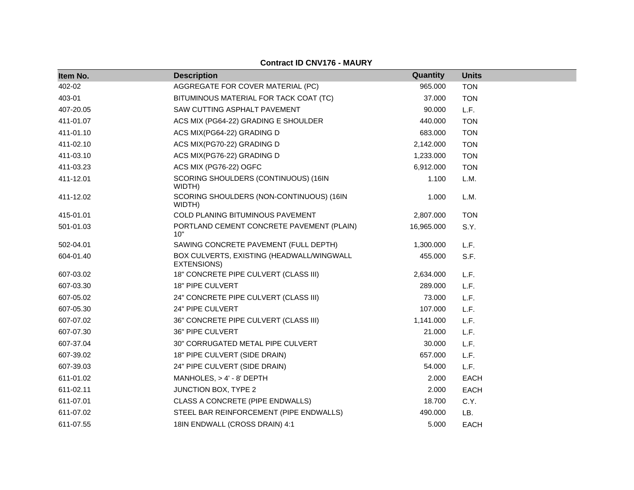| Item No.  | <b>Description</b>                                       | Quantity   | <b>Units</b> |  |
|-----------|----------------------------------------------------------|------------|--------------|--|
| 402-02    | AGGREGATE FOR COVER MATERIAL (PC)                        | 965.000    | <b>TON</b>   |  |
| 403-01    | BITUMINOUS MATERIAL FOR TACK COAT (TC)                   | 37.000     | <b>TON</b>   |  |
| 407-20.05 | SAW CUTTING ASPHALT PAVEMENT                             | 90.000     | L.F.         |  |
| 411-01.07 | ACS MIX (PG64-22) GRADING E SHOULDER                     | 440.000    | <b>TON</b>   |  |
| 411-01.10 | ACS MIX(PG64-22) GRADING D                               | 683.000    | <b>TON</b>   |  |
| 411-02.10 | ACS MIX(PG70-22) GRADING D                               | 2,142.000  | <b>TON</b>   |  |
| 411-03.10 | ACS MIX(PG76-22) GRADING D                               | 1,233.000  | <b>TON</b>   |  |
| 411-03.23 | ACS MIX (PG76-22) OGFC                                   | 6,912.000  | <b>TON</b>   |  |
| 411-12.01 | SCORING SHOULDERS (CONTINUOUS) (16IN<br>WIDTH)           | 1.100      | L.M.         |  |
| 411-12.02 | SCORING SHOULDERS (NON-CONTINUOUS) (16IN<br>WIDTH)       | 1.000      | L.M.         |  |
| 415-01.01 | COLD PLANING BITUMINOUS PAVEMENT                         | 2,807.000  | <b>TON</b>   |  |
| 501-01.03 | PORTLAND CEMENT CONCRETE PAVEMENT (PLAIN)<br>10"         | 16,965.000 | S.Y.         |  |
| 502-04.01 | SAWING CONCRETE PAVEMENT (FULL DEPTH)                    | 1,300.000  | L.F.         |  |
| 604-01.40 | BOX CULVERTS, EXISTING (HEADWALL/WINGWALL<br>EXTENSIONS) | 455.000    | S.F.         |  |
| 607-03.02 | 18" CONCRETE PIPE CULVERT (CLASS III)                    | 2,634.000  | L.F.         |  |
| 607-03.30 | <b>18" PIPE CULVERT</b>                                  | 289.000    | L.F.         |  |
| 607-05.02 | 24" CONCRETE PIPE CULVERT (CLASS III)                    | 73.000     | L.F.         |  |
| 607-05.30 | 24" PIPE CULVERT                                         | 107.000    | L.F.         |  |
| 607-07.02 | 36" CONCRETE PIPE CULVERT (CLASS III)                    | 1,141.000  | L.F.         |  |
| 607-07.30 | 36" PIPE CULVERT                                         | 21.000     | L.F.         |  |
| 607-37.04 | 30" CORRUGATED METAL PIPE CULVERT                        | 30.000     | L.F.         |  |
| 607-39.02 | 18" PIPE CULVERT (SIDE DRAIN)                            | 657.000    | L.F.         |  |
| 607-39.03 | 24" PIPE CULVERT (SIDE DRAIN)                            | 54.000     | L.F.         |  |
| 611-01.02 | MANHOLES, > 4' - 8' DEPTH                                | 2.000      | <b>EACH</b>  |  |
| 611-02.11 | JUNCTION BOX, TYPE 2                                     | 2.000      | <b>EACH</b>  |  |
| 611-07.01 | CLASS A CONCRETE (PIPE ENDWALLS)                         | 18.700     | C.Y.         |  |
| 611-07.02 | STEEL BAR REINFORCEMENT (PIPE ENDWALLS)                  | 490.000    | LB.          |  |
| 611-07.55 | 18IN ENDWALL (CROSS DRAIN) 4:1                           | 5.000      | <b>EACH</b>  |  |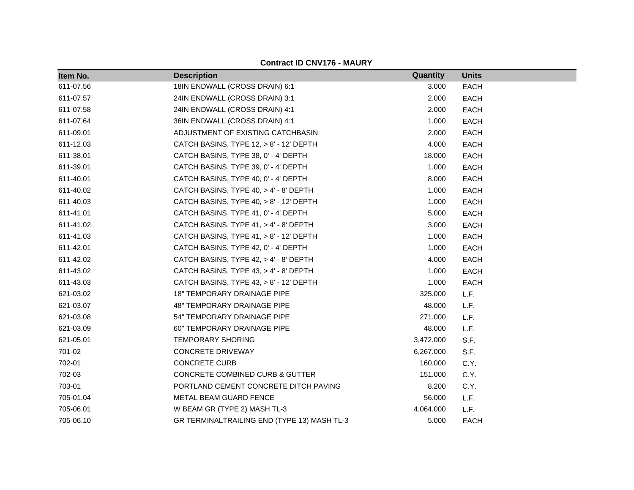| Item No.  | <b>Description</b>                          | Quantity  | <b>Units</b> |
|-----------|---------------------------------------------|-----------|--------------|
| 611-07.56 | 18IN ENDWALL (CROSS DRAIN) 6:1              | 3.000     | <b>EACH</b>  |
| 611-07.57 | 24IN ENDWALL (CROSS DRAIN) 3:1              | 2.000     | <b>EACH</b>  |
| 611-07.58 | 24IN ENDWALL (CROSS DRAIN) 4:1              | 2.000     | <b>EACH</b>  |
| 611-07.64 | 36IN ENDWALL (CROSS DRAIN) 4:1              | 1.000     | <b>EACH</b>  |
| 611-09.01 | ADJUSTMENT OF EXISTING CATCHBASIN           | 2.000     | <b>EACH</b>  |
| 611-12.03 | CATCH BASINS, TYPE 12, > 8' - 12' DEPTH     | 4.000     | <b>EACH</b>  |
| 611-38.01 | CATCH BASINS, TYPE 38, 0' - 4' DEPTH        | 18.000    | <b>EACH</b>  |
| 611-39.01 | CATCH BASINS, TYPE 39, 0' - 4' DEPTH        | 1.000     | <b>EACH</b>  |
| 611-40.01 | CATCH BASINS, TYPE 40, 0' - 4' DEPTH        | 8.000     | <b>EACH</b>  |
| 611-40.02 | CATCH BASINS, TYPE 40, > 4' - 8' DEPTH      | 1.000     | <b>EACH</b>  |
| 611-40.03 | CATCH BASINS, TYPE 40, > 8' - 12' DEPTH     | 1.000     | <b>EACH</b>  |
| 611-41.01 | CATCH BASINS, TYPE 41, 0' - 4' DEPTH        | 5.000     | <b>EACH</b>  |
| 611-41.02 | CATCH BASINS, TYPE 41, > 4' - 8' DEPTH      | 3.000     | <b>EACH</b>  |
| 611-41.03 | CATCH BASINS, TYPE 41, > 8' - 12' DEPTH     | 1.000     | <b>EACH</b>  |
| 611-42.01 | CATCH BASINS, TYPE 42, 0' - 4' DEPTH        | 1.000     | <b>EACH</b>  |
| 611-42.02 | CATCH BASINS, TYPE 42, > 4' - 8' DEPTH      | 4.000     | <b>EACH</b>  |
| 611-43.02 | CATCH BASINS, TYPE 43, > 4' - 8' DEPTH      | 1.000     | <b>EACH</b>  |
| 611-43.03 | CATCH BASINS, TYPE 43, > 8' - 12' DEPTH     | 1.000     | EACH         |
| 621-03.02 | <b>18" TEMPORARY DRAINAGE PIPE</b>          | 325.000   | L.F.         |
| 621-03.07 | 48" TEMPORARY DRAINAGE PIPE                 | 48.000    | L.F.         |
| 621-03.08 | 54" TEMPORARY DRAINAGE PIPE                 | 271.000   | L.F.         |
| 621-03.09 | 60" TEMPORARY DRAINAGE PIPE                 | 48.000    | L.F.         |
| 621-05.01 | <b>TEMPORARY SHORING</b>                    | 3,472.000 | S.F.         |
| 701-02    | <b>CONCRETE DRIVEWAY</b>                    | 6,267.000 | S.F.         |
| 702-01    | <b>CONCRETE CURB</b>                        | 160,000   | C.Y.         |
| 702-03    | <b>CONCRETE COMBINED CURB &amp; GUTTER</b>  | 151.000   | C.Y.         |
| 703-01    | PORTLAND CEMENT CONCRETE DITCH PAVING       | 8.200     | C.Y.         |
| 705-01.04 | METAL BEAM GUARD FENCE                      | 56.000    | L.F.         |
| 705-06.01 | W BEAM GR (TYPE 2) MASH TL-3                | 4,064.000 | L.F.         |
| 705-06.10 | GR TERMINALTRAILING END (TYPE 13) MASH TL-3 | 5.000     | <b>EACH</b>  |

**Contract ID CNV176 - MAURY**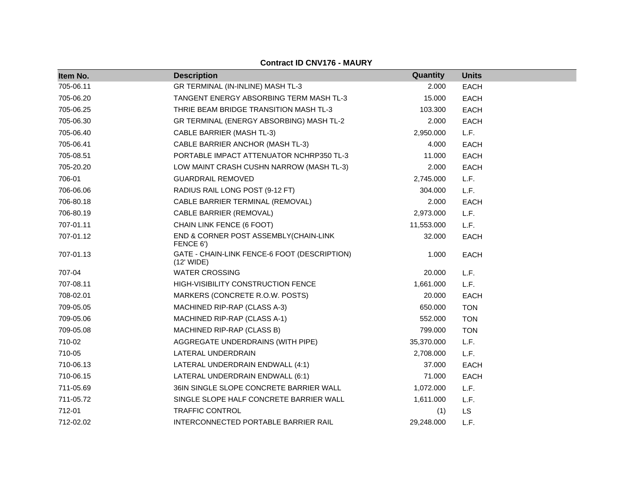| Item No.  | <b>Description</b>                                         | <b>Quantity</b> | <b>Units</b> |
|-----------|------------------------------------------------------------|-----------------|--------------|
| 705-06.11 | GR TERMINAL (IN-INLINE) MASH TL-3                          | 2.000           | <b>EACH</b>  |
| 705-06.20 | TANGENT ENERGY ABSORBING TERM MASH TL-3                    | 15.000          | <b>EACH</b>  |
| 705-06.25 | THRIE BEAM BRIDGE TRANSITION MASH TL-3                     | 103.300         | <b>EACH</b>  |
| 705-06.30 | GR TERMINAL (ENERGY ABSORBING) MASH TL-2                   | 2.000           | <b>EACH</b>  |
| 705-06.40 | CABLE BARRIER (MASH TL-3)                                  | 2,950.000       | L.F.         |
| 705-06.41 | CABLE BARRIER ANCHOR (MASH TL-3)                           | 4.000           | <b>EACH</b>  |
| 705-08.51 | PORTABLE IMPACT ATTENUATOR NCHRP350 TL-3                   | 11.000          | <b>EACH</b>  |
| 705-20.20 | LOW MAINT CRASH CUSHN NARROW (MASH TL-3)                   | 2.000           | <b>EACH</b>  |
| 706-01    | <b>GUARDRAIL REMOVED</b>                                   | 2,745.000       | L.F.         |
| 706-06.06 | RADIUS RAIL LONG POST (9-12 FT)                            | 304.000         | L.F.         |
| 706-80.18 | CABLE BARRIER TERMINAL (REMOVAL)                           | 2.000           | <b>EACH</b>  |
| 706-80.19 | CABLE BARRIER (REMOVAL)                                    | 2,973.000       | L.F.         |
| 707-01.11 | CHAIN LINK FENCE (6 FOOT)                                  | 11,553.000      | L.F.         |
| 707-01.12 | END & CORNER POST ASSEMBLY(CHAIN-LINK<br>FENCE 6')         | 32.000          | <b>EACH</b>  |
| 707-01.13 | GATE - CHAIN-LINK FENCE-6 FOOT (DESCRIPTION)<br>(12' WIDE) | 1.000           | <b>EACH</b>  |
| 707-04    | <b>WATER CROSSING</b>                                      | 20.000          | L.F.         |
| 707-08.11 | HIGH-VISIBILITY CONSTRUCTION FENCE                         | 1,661.000       | L.F.         |
| 708-02.01 | MARKERS (CONCRETE R.O.W. POSTS)                            | 20.000          | <b>EACH</b>  |
| 709-05.05 | MACHINED RIP-RAP (CLASS A-3)                               | 650.000         | <b>TON</b>   |
| 709-05.06 | MACHINED RIP-RAP (CLASS A-1)                               | 552.000         | <b>TON</b>   |
| 709-05.08 | MACHINED RIP-RAP (CLASS B)                                 | 799.000         | <b>TON</b>   |
| 710-02    | AGGREGATE UNDERDRAINS (WITH PIPE)                          | 35,370.000      | L.F.         |
| 710-05    | LATERAL UNDERDRAIN                                         | 2,708.000       | L.F.         |
| 710-06.13 | LATERAL UNDERDRAIN ENDWALL (4:1)                           | 37.000          | <b>EACH</b>  |
| 710-06.15 | LATERAL UNDERDRAIN ENDWALL (6:1)                           | 71.000          | <b>EACH</b>  |
| 711-05.69 | 36IN SINGLE SLOPE CONCRETE BARRIER WALL                    | 1,072.000       | L.F.         |
| 711-05.72 | SINGLE SLOPE HALF CONCRETE BARRIER WALL                    | 1,611.000       | L.F.         |
| 712-01    | <b>TRAFFIC CONTROL</b>                                     | (1)             | <b>LS</b>    |
| 712-02.02 | INTERCONNECTED PORTABLE BARRIER RAIL                       | 29,248.000      | L.F.         |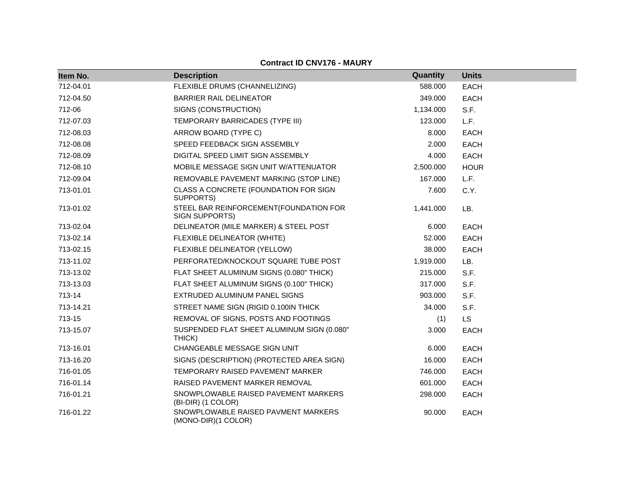| Item No.  | <b>Description</b>                                         | Quantity  | <b>Units</b> |
|-----------|------------------------------------------------------------|-----------|--------------|
| 712-04.01 | FLEXIBLE DRUMS (CHANNELIZING)                              | 588.000   | <b>EACH</b>  |
| 712-04.50 | <b>BARRIER RAIL DELINEATOR</b>                             | 349.000   | <b>EACH</b>  |
| 712-06    | SIGNS (CONSTRUCTION)                                       | 1,134.000 | S.F.         |
| 712-07.03 | TEMPORARY BARRICADES (TYPE III)                            | 123.000   | L.F.         |
| 712-08.03 | ARROW BOARD (TYPE C)                                       | 8.000     | EACH         |
| 712-08.08 | SPEED FEEDBACK SIGN ASSEMBLY                               | 2.000     | <b>EACH</b>  |
| 712-08.09 | DIGITAL SPEED LIMIT SIGN ASSEMBLY                          | 4.000     | <b>EACH</b>  |
| 712-08.10 | MOBILE MESSAGE SIGN UNIT W/ATTENUATOR                      | 2,500.000 | <b>HOUR</b>  |
| 712-09.04 | REMOVABLE PAVEMENT MARKING (STOP LINE)                     | 167.000   | L.F.         |
| 713-01.01 | CLASS A CONCRETE (FOUNDATION FOR SIGN<br>SUPPORTS)         | 7.600     | C.Y.         |
| 713-01.02 | STEEL BAR REINFORCEMENT(FOUNDATION FOR<br>SIGN SUPPORTS)   | 1,441.000 | LB.          |
| 713-02.04 | DELINEATOR (MILE MARKER) & STEEL POST                      | 6.000     | <b>EACH</b>  |
| 713-02.14 | FLEXIBLE DELINEATOR (WHITE)                                | 52.000    | <b>EACH</b>  |
| 713-02.15 | FLEXIBLE DELINEATOR (YELLOW)                               | 38.000    | <b>EACH</b>  |
| 713-11.02 | PERFORATED/KNOCKOUT SQUARE TUBE POST                       | 1,919.000 | LB.          |
| 713-13.02 | FLAT SHEET ALUMINUM SIGNS (0.080" THICK)                   | 215.000   | S.F.         |
| 713-13.03 | FLAT SHEET ALUMINUM SIGNS (0.100" THICK)                   | 317.000   | S.F.         |
| 713-14    | EXTRUDED ALUMINUM PANEL SIGNS                              | 903.000   | S.F.         |
| 713-14.21 | STREET NAME SIGN (RIGID 0.100IN THICK                      | 34.000    | S.F.         |
| 713-15    | REMOVAL OF SIGNS, POSTS AND FOOTINGS                       | (1)       | <b>LS</b>    |
| 713-15.07 | SUSPENDED FLAT SHEET ALUMINUM SIGN (0.080"<br>THICK)       | 3.000     | <b>EACH</b>  |
| 713-16.01 | CHANGEABLE MESSAGE SIGN UNIT                               | 6.000     | <b>EACH</b>  |
| 713-16.20 | SIGNS (DESCRIPTION) (PROTECTED AREA SIGN)                  | 16.000    | <b>EACH</b>  |
| 716-01.05 | TEMPORARY RAISED PAVEMENT MARKER                           | 746.000   | <b>EACH</b>  |
| 716-01.14 | RAISED PAVEMENT MARKER REMOVAL                             | 601.000   | <b>EACH</b>  |
| 716-01.21 | SNOWPLOWABLE RAISED PAVEMENT MARKERS<br>(BI-DIR) (1 COLOR) | 298.000   | EACH         |
| 716-01.22 | SNOWPLOWABLE RAISED PAVMENT MARKERS<br>(MONO-DIR)(1 COLOR) | 90.000    | <b>EACH</b>  |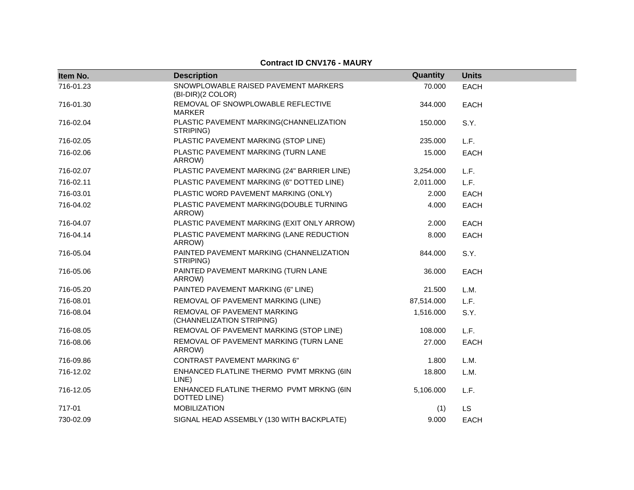| Item No.  | <b>Description</b>                                        | Quantity   | <b>Units</b> |
|-----------|-----------------------------------------------------------|------------|--------------|
| 716-01.23 | SNOWPLOWABLE RAISED PAVEMENT MARKERS<br>(BI-DIR)(2 COLOR) | 70.000     | <b>EACH</b>  |
| 716-01.30 | REMOVAL OF SNOWPLOWABLE REFLECTIVE<br><b>MARKER</b>       | 344.000    | <b>EACH</b>  |
| 716-02.04 | PLASTIC PAVEMENT MARKING(CHANNELIZATION<br>STRIPING)      | 150.000    | S.Y.         |
| 716-02.05 | PLASTIC PAVEMENT MARKING (STOP LINE)                      | 235.000    | L.F.         |
| 716-02.06 | PLASTIC PAVEMENT MARKING (TURN LANE<br>ARROW)             | 15.000     | <b>EACH</b>  |
| 716-02.07 | PLASTIC PAVEMENT MARKING (24" BARRIER LINE)               | 3,254.000  | L.F.         |
| 716-02.11 | PLASTIC PAVEMENT MARKING (6" DOTTED LINE)                 | 2,011.000  | L.F.         |
| 716-03.01 | PLASTIC WORD PAVEMENT MARKING (ONLY)                      | 2.000      | <b>EACH</b>  |
| 716-04.02 | PLASTIC PAVEMENT MARKING(DOUBLE TURNING<br>ARROW)         | 4.000      | <b>EACH</b>  |
| 716-04.07 | PLASTIC PAVEMENT MARKING (EXIT ONLY ARROW)                | 2.000      | <b>EACH</b>  |
| 716-04.14 | PLASTIC PAVEMENT MARKING (LANE REDUCTION<br>ARROW)        | 8.000      | <b>EACH</b>  |
| 716-05.04 | PAINTED PAVEMENT MARKING (CHANNELIZATION<br>STRIPING)     | 844.000    | S.Y.         |
| 716-05.06 | PAINTED PAVEMENT MARKING (TURN LANE<br>ARROW)             | 36.000     | <b>EACH</b>  |
| 716-05.20 | PAINTED PAVEMENT MARKING (6" LINE)                        | 21.500     | L.M.         |
| 716-08.01 | REMOVAL OF PAVEMENT MARKING (LINE)                        | 87,514.000 | L.F.         |
| 716-08.04 | REMOVAL OF PAVEMENT MARKING<br>(CHANNELIZATION STRIPING)  | 1,516.000  | S.Y.         |
| 716-08.05 | REMOVAL OF PAVEMENT MARKING (STOP LINE)                   | 108.000    | L.F.         |
| 716-08.06 | REMOVAL OF PAVEMENT MARKING (TURN LANE<br>ARROW)          | 27.000     | <b>EACH</b>  |
| 716-09.86 | <b>CONTRAST PAVEMENT MARKING 6"</b>                       | 1.800      | L.M.         |
| 716-12.02 | ENHANCED FLATLINE THERMO PVMT MRKNG (6IN<br>LINE)         | 18.800     | L.M.         |
| 716-12.05 | ENHANCED FLATLINE THERMO PVMT MRKNG (6IN<br>DOTTED LINE)  | 5,106.000  | L.F.         |
| 717-01    | <b>MOBILIZATION</b>                                       | (1)        | LS           |
| 730-02.09 | SIGNAL HEAD ASSEMBLY (130 WITH BACKPLATE)                 | 9.000      | <b>EACH</b>  |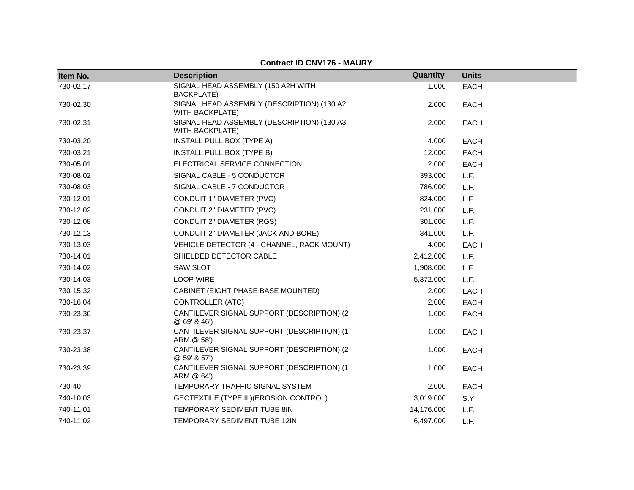| Item No.  | <b>Description</b>                                                   | Quantity   | <b>Units</b> |
|-----------|----------------------------------------------------------------------|------------|--------------|
| 730-02.17 | SIGNAL HEAD ASSEMBLY (150 A2H WITH<br><b>BACKPLATE)</b>              | 1.000      | <b>EACH</b>  |
| 730-02.30 | SIGNAL HEAD ASSEMBLY (DESCRIPTION) (130 A2<br><b>WITH BACKPLATE)</b> | 2.000      | <b>EACH</b>  |
| 730-02.31 | SIGNAL HEAD ASSEMBLY (DESCRIPTION) (130 A3<br><b>WITH BACKPLATE)</b> | 2.000      | <b>EACH</b>  |
| 730-03.20 | INSTALL PULL BOX (TYPE A)                                            | 4.000      | <b>EACH</b>  |
| 730-03.21 | INSTALL PULL BOX (TYPE B)                                            | 12.000     | EACH         |
| 730-05.01 | ELECTRICAL SERVICE CONNECTION                                        | 2.000      | EACH         |
| 730-08.02 | SIGNAL CABLE - 5 CONDUCTOR                                           | 393.000    | L.F.         |
| 730-08.03 | SIGNAL CABLE - 7 CONDUCTOR                                           | 786.000    | L.F.         |
| 730-12.01 | CONDUIT 1" DIAMETER (PVC)                                            | 824.000    | L.F.         |
| 730-12.02 | CONDUIT 2" DIAMETER (PVC)                                            | 231.000    | L.F.         |
| 730-12.08 | <b>CONDUIT 2" DIAMETER (RGS)</b>                                     | 301.000    | L.F.         |
| 730-12.13 | CONDUIT 2" DIAMETER (JACK AND BORE)                                  | 341.000    | L.F.         |
| 730-13.03 | VEHICLE DETECTOR (4 - CHANNEL, RACK MOUNT)                           | 4.000      | <b>EACH</b>  |
| 730-14.01 | SHIELDED DETECTOR CABLE                                              | 2,412.000  | L.F.         |
| 730-14.02 | <b>SAW SLOT</b>                                                      | 1,908.000  | L.F.         |
| 730-14.03 | <b>LOOP WIRE</b>                                                     | 5,372.000  | L.F.         |
| 730-15.32 | CABINET (EIGHT PHASE BASE MOUNTED)                                   | 2.000      | <b>EACH</b>  |
| 730-16.04 | <b>CONTROLLER (ATC)</b>                                              | 2.000      | <b>EACH</b>  |
| 730-23.36 | CANTILEVER SIGNAL SUPPORT (DESCRIPTION) (2<br>@69'846'               | 1.000      | <b>EACH</b>  |
| 730-23.37 | CANTILEVER SIGNAL SUPPORT (DESCRIPTION) (1<br>ARM @ 58')             | 1.000      | <b>EACH</b>  |
| 730-23.38 | CANTILEVER SIGNAL SUPPORT (DESCRIPTION) (2<br>@59'857'               | 1.000      | <b>EACH</b>  |
| 730-23.39 | CANTILEVER SIGNAL SUPPORT (DESCRIPTION) (1<br>ARM @ 64')             | 1.000      | <b>EACH</b>  |
| 730-40    | TEMPORARY TRAFFIC SIGNAL SYSTEM                                      | 2.000      | <b>EACH</b>  |
| 740-10.03 | GEOTEXTILE (TYPE III) (EROSION CONTROL)                              | 3,019.000  | S.Y.         |
| 740-11.01 | TEMPORARY SEDIMENT TUBE 8IN                                          | 14,176.000 | L.F.         |
| 740-11.02 | TEMPORARY SEDIMENT TUBE 12IN                                         | 6,497.000  | L.F.         |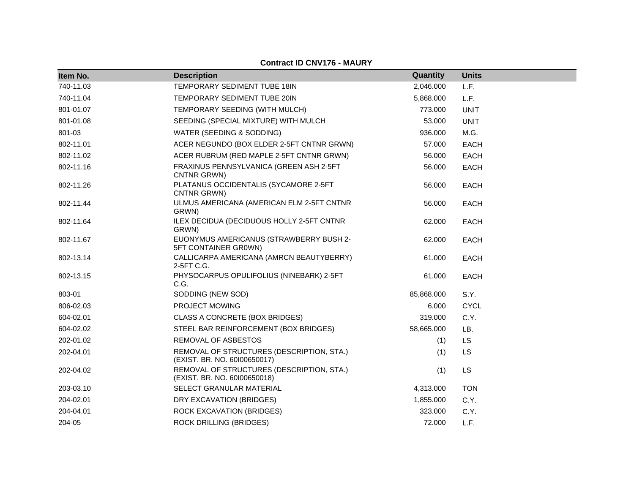| Item No.  | <b>Description</b>                                                        | Quantity   | <b>Units</b> |
|-----------|---------------------------------------------------------------------------|------------|--------------|
| 740-11.03 | TEMPORARY SEDIMENT TUBE 18IN                                              | 2,046.000  | L.F.         |
| 740-11.04 | TEMPORARY SEDIMENT TUBE 20IN                                              | 5,868.000  | L.F.         |
| 801-01.07 | TEMPORARY SEEDING (WITH MULCH)                                            | 773.000    | <b>UNIT</b>  |
| 801-01.08 | SEEDING (SPECIAL MIXTURE) WITH MULCH                                      | 53.000     | <b>UNIT</b>  |
| 801-03    | WATER (SEEDING & SODDING)                                                 | 936.000    | M.G.         |
| 802-11.01 | ACER NEGUNDO (BOX ELDER 2-5FT CNTNR GRWN)                                 | 57.000     | <b>EACH</b>  |
| 802-11.02 | ACER RUBRUM (RED MAPLE 2-5FT CNTNR GRWN)                                  | 56.000     | <b>EACH</b>  |
| 802-11.16 | FRAXINUS PENNSYLVANICA (GREEN ASH 2-5FT<br>CNTNR GRWN)                    | 56.000     | <b>EACH</b>  |
| 802-11.26 | PLATANUS OCCIDENTALIS (SYCAMORE 2-5FT<br>CNTNR GRWN)                      | 56.000     | <b>EACH</b>  |
| 802-11.44 | ULMUS AMERICANA (AMERICAN ELM 2-5FT CNTNR<br>GRWN)                        | 56.000     | <b>EACH</b>  |
| 802-11.64 | ILEX DECIDUA (DECIDUOUS HOLLY 2-5FT CNTNR<br>GRWN)                        | 62.000     | <b>EACH</b>  |
| 802-11.67 | EUONYMUS AMERICANUS (STRAWBERRY BUSH 2-<br>5FT CONTAINER GROWN)           | 62.000     | <b>EACH</b>  |
| 802-13.14 | CALLICARPA AMERICANA (AMRCN BEAUTYBERRY)<br>2-5FT C.G.                    | 61.000     | <b>EACH</b>  |
| 802-13.15 | PHYSOCARPUS OPULIFOLIUS (NINEBARK) 2-5FT<br>C.G.                          | 61.000     | <b>EACH</b>  |
| 803-01    | SODDING (NEW SOD)                                                         | 85,868.000 | S.Y.         |
| 806-02.03 | PROJECT MOWING                                                            | 6.000      | <b>CYCL</b>  |
| 604-02.01 | CLASS A CONCRETE (BOX BRIDGES)                                            | 319.000    | C.Y.         |
| 604-02.02 | STEEL BAR REINFORCEMENT (BOX BRIDGES)                                     | 58,665.000 | LB.          |
| 202-01.02 | REMOVAL OF ASBESTOS                                                       | (1)        | <b>LS</b>    |
| 202-04.01 | REMOVAL OF STRUCTURES (DESCRIPTION, STA.)<br>(EXIST. BR. NO. 60100650017) | (1)        | LS           |
| 202-04.02 | REMOVAL OF STRUCTURES (DESCRIPTION, STA.)<br>(EXIST. BR. NO. 60100650018) | (1)        | LS           |
| 203-03.10 | SELECT GRANULAR MATERIAL                                                  | 4,313.000  | <b>TON</b>   |
| 204-02.01 | DRY EXCAVATION (BRIDGES)                                                  | 1,855.000  | C.Y.         |
| 204-04.01 | ROCK EXCAVATION (BRIDGES)                                                 | 323.000    | C.Y.         |
| 204-05    | <b>ROCK DRILLING (BRIDGES)</b>                                            | 72.000     | L.F.         |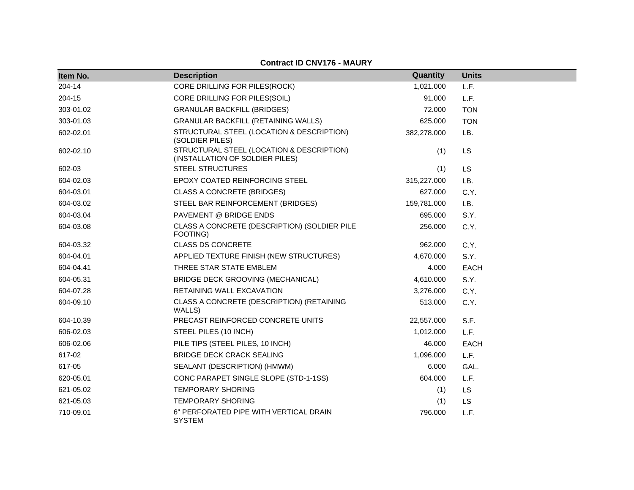| Item No.  | <b>Description</b>                                                           | <b>Quantity</b> | <b>Units</b> |
|-----------|------------------------------------------------------------------------------|-----------------|--------------|
| 204-14    | CORE DRILLING FOR PILES(ROCK)                                                | 1,021.000       | L.F.         |
| 204-15    | CORE DRILLING FOR PILES(SOIL)                                                | 91.000          | L.F.         |
| 303-01.02 | <b>GRANULAR BACKFILL (BRIDGES)</b>                                           | 72.000          | <b>TON</b>   |
| 303-01.03 | <b>GRANULAR BACKFILL (RETAINING WALLS)</b>                                   | 625.000         | <b>TON</b>   |
| 602-02.01 | STRUCTURAL STEEL (LOCATION & DESCRIPTION)<br>(SOLDIER PILES)                 | 382,278.000     | LB.          |
| 602-02.10 | STRUCTURAL STEEL (LOCATION & DESCRIPTION)<br>(INSTALLATION OF SOLDIER PILES) | (1)             | <b>LS</b>    |
| 602-03    | <b>STEEL STRUCTURES</b>                                                      | (1)             | <b>LS</b>    |
| 604-02.03 | EPOXY COATED REINFORCING STEEL                                               | 315,227.000     | LB.          |
| 604-03.01 | <b>CLASS A CONCRETE (BRIDGES)</b>                                            | 627.000         | C.Y.         |
| 604-03.02 | STEEL BAR REINFORCEMENT (BRIDGES)                                            | 159,781.000     | LB.          |
| 604-03.04 | PAVEMENT @ BRIDGE ENDS                                                       | 695.000         | S.Y.         |
| 604-03.08 | CLASS A CONCRETE (DESCRIPTION) (SOLDIER PILE<br>FOOTING)                     | 256.000         | C.Y.         |
| 604-03.32 | <b>CLASS DS CONCRETE</b>                                                     | 962.000         | C.Y.         |
| 604-04.01 | APPLIED TEXTURE FINISH (NEW STRUCTURES)                                      | 4,670.000       | S.Y.         |
| 604-04.41 | THREE STAR STATE EMBLEM                                                      | 4.000           | <b>EACH</b>  |
| 604-05.31 | BRIDGE DECK GROOVING (MECHANICAL)                                            | 4,610.000       | S.Y.         |
| 604-07.28 | RETAINING WALL EXCAVATION                                                    | 3,276.000       | C.Y.         |
| 604-09.10 | CLASS A CONCRETE (DESCRIPTION) (RETAINING<br>WALLS)                          | 513.000         | C.Y.         |
| 604-10.39 | PRECAST REINFORCED CONCRETE UNITS                                            | 22,557.000      | S.F.         |
| 606-02.03 | STEEL PILES (10 INCH)                                                        | 1,012.000       | L.F.         |
| 606-02.06 | PILE TIPS (STEEL PILES, 10 INCH)                                             | 46.000          | <b>EACH</b>  |
| 617-02    | <b>BRIDGE DECK CRACK SEALING</b>                                             | 1,096.000       | L.F.         |
| 617-05    | SEALANT (DESCRIPTION) (HMWM)                                                 | 6.000           | GAL.         |
| 620-05.01 | CONC PARAPET SINGLE SLOPE (STD-1-1SS)                                        | 604.000         | L.F.         |
| 621-05.02 | <b>TEMPORARY SHORING</b>                                                     | (1)             | LS           |
| 621-05.03 | <b>TEMPORARY SHORING</b>                                                     | (1)             | <b>LS</b>    |
| 710-09.01 | 6" PERFORATED PIPE WITH VERTICAL DRAIN<br><b>SYSTEM</b>                      | 796.000         | L.F.         |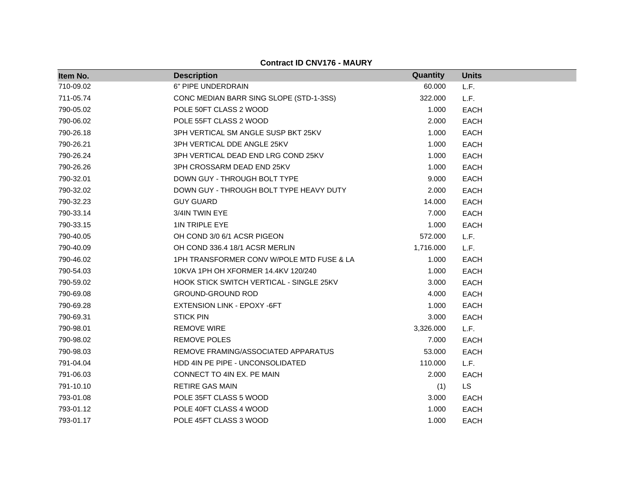| Item No.  | <b>Description</b>                              | Quantity  | <b>Units</b> |
|-----------|-------------------------------------------------|-----------|--------------|
| 710-09.02 | 6" PIPE UNDERDRAIN                              | 60.000    | L.F.         |
| 711-05.74 | CONC MEDIAN BARR SING SLOPE (STD-1-3SS)         | 322.000   | L.F.         |
| 790-05.02 | POLE 50FT CLASS 2 WOOD                          | 1.000     | <b>EACH</b>  |
| 790-06.02 | POLE 55FT CLASS 2 WOOD                          | 2.000     | <b>EACH</b>  |
| 790-26.18 | 3PH VERTICAL SM ANGLE SUSP BKT 25KV             | 1.000     | <b>EACH</b>  |
| 790-26.21 | 3PH VERTICAL DDE ANGLE 25KV                     | 1.000     | <b>EACH</b>  |
| 790-26.24 | 3PH VERTICAL DEAD END LRG COND 25KV             | 1.000     | <b>EACH</b>  |
| 790-26.26 | 3PH CROSSARM DEAD END 25KV                      | 1.000     | <b>EACH</b>  |
| 790-32.01 | DOWN GUY - THROUGH BOLT TYPE                    | 9.000     | <b>EACH</b>  |
| 790-32.02 | DOWN GUY - THROUGH BOLT TYPE HEAVY DUTY         | 2.000     | <b>EACH</b>  |
| 790-32.23 | <b>GUY GUARD</b>                                | 14.000    | <b>EACH</b>  |
| 790-33.14 | 3/4IN TWIN EYE                                  | 7.000     | <b>EACH</b>  |
| 790-33.15 | 1IN TRIPLE EYE                                  | 1.000     | <b>EACH</b>  |
| 790-40.05 | OH COND 3/0 6/1 ACSR PIGEON                     | 572.000   | L.F.         |
| 790-40.09 | OH COND 336.4 18/1 ACSR MERLIN                  | 1,716.000 | L.F.         |
| 790-46.02 | 1PH TRANSFORMER CONV W/POLE MTD FUSE & LA       | 1.000     | <b>EACH</b>  |
| 790-54.03 | 10KVA 1PH OH XFORMER 14.4KV 120/240             | 1.000     | <b>EACH</b>  |
| 790-59.02 | <b>HOOK STICK SWITCH VERTICAL - SINGLE 25KV</b> | 3.000     | <b>EACH</b>  |
| 790-69.08 | <b>GROUND-GROUND ROD</b>                        | 4.000     | <b>EACH</b>  |
| 790-69.28 | <b>EXTENSION LINK - EPOXY -6FT</b>              | 1.000     | <b>EACH</b>  |
| 790-69.31 | <b>STICK PIN</b>                                | 3.000     | <b>EACH</b>  |
| 790-98.01 | <b>REMOVE WIRE</b>                              | 3,326.000 | L.F.         |
| 790-98.02 | <b>REMOVE POLES</b>                             | 7.000     | <b>EACH</b>  |
| 790-98.03 | REMOVE FRAMING/ASSOCIATED APPARATUS             | 53.000    | <b>EACH</b>  |
| 791-04.04 | HDD 4IN PE PIPE - UNCONSOLIDATED                | 110.000   | L.F.         |
| 791-06.03 | CONNECT TO 4IN EX. PE MAIN                      | 2.000     | <b>EACH</b>  |
| 791-10.10 | <b>RETIRE GAS MAIN</b>                          | (1)       | LS           |
| 793-01.08 | POLE 35FT CLASS 5 WOOD                          | 3.000     | <b>EACH</b>  |
| 793-01.12 | POLE 40FT CLASS 4 WOOD                          | 1.000     | <b>EACH</b>  |
| 793-01.17 | POLE 45FT CLASS 3 WOOD                          | 1.000     | <b>EACH</b>  |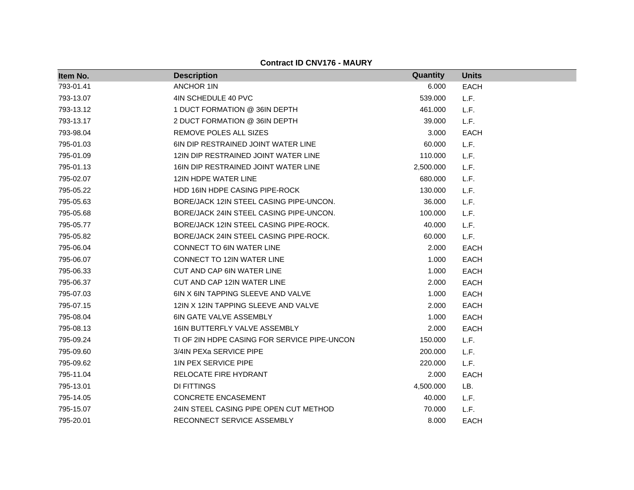| Item No.  | <b>Description</b>                           | Quantity  | <b>Units</b> |
|-----------|----------------------------------------------|-----------|--------------|
| 793-01.41 | <b>ANCHOR 1IN</b>                            | 6.000     | <b>EACH</b>  |
| 793-13.07 | 4IN SCHEDULE 40 PVC                          | 539.000   | L.F.         |
| 793-13.12 | 1 DUCT FORMATION @ 36IN DEPTH                | 461.000   | L.F.         |
| 793-13.17 | 2 DUCT FORMATION @ 36IN DEPTH                | 39.000    | L.F.         |
| 793-98.04 | REMOVE POLES ALL SIZES                       | 3.000     | <b>EACH</b>  |
| 795-01.03 | 6IN DIP RESTRAINED JOINT WATER LINE          | 60.000    | L.F.         |
| 795-01.09 | 12IN DIP RESTRAINED JOINT WATER LINE         | 110.000   | L.F.         |
| 795-01.13 | 16IN DIP RESTRAINED JOINT WATER LINE         | 2,500.000 | L.F.         |
| 795-02.07 | 12IN HDPE WATER LINE                         | 680.000   | L.F.         |
| 795-05.22 | <b>HDD 16IN HDPE CASING PIPE-ROCK</b>        | 130.000   | L.F.         |
| 795-05.63 | BORE/JACK 12IN STEEL CASING PIPE-UNCON.      | 36.000    | L.F.         |
| 795-05.68 | BORE/JACK 24IN STEEL CASING PIPE-UNCON.      | 100.000   | L.F.         |
| 795-05.77 | BORE/JACK 12IN STEEL CASING PIPE-ROCK.       | 40.000    | L.F.         |
| 795-05.82 | BORE/JACK 24IN STEEL CASING PIPE-ROCK.       | 60.000    | L.F.         |
| 795-06.04 | <b>CONNECT TO 6IN WATER LINE</b>             | 2.000     | <b>EACH</b>  |
| 795-06.07 | <b>CONNECT TO 12IN WATER LINE</b>            | 1.000     | <b>EACH</b>  |
| 795-06.33 | CUT AND CAP 6IN WATER LINE                   | 1.000     | <b>EACH</b>  |
| 795-06.37 | CUT AND CAP 12IN WATER LINE                  | 2.000     | <b>EACH</b>  |
| 795-07.03 | 6IN X 6IN TAPPING SLEEVE AND VALVE           | 1.000     | <b>EACH</b>  |
| 795-07.15 | 12IN X 12IN TAPPING SLEEVE AND VALVE         | 2.000     | <b>EACH</b>  |
| 795-08.04 | 6IN GATE VALVE ASSEMBLY                      | 1.000     | <b>EACH</b>  |
| 795-08.13 | 16IN BUTTERFLY VALVE ASSEMBLY                | 2.000     | <b>EACH</b>  |
| 795-09.24 | TI OF 2IN HDPE CASING FOR SERVICE PIPE-UNCON | 150.000   | L.F.         |
| 795-09.60 | 3/4IN PEXa SERVICE PIPE                      | 200.000   | L.F.         |
| 795-09.62 | <b>1IN PEX SERVICE PIPE</b>                  | 220.000   | L.F.         |
| 795-11.04 | RELOCATE FIRE HYDRANT                        | 2.000     | <b>EACH</b>  |
| 795-13.01 | DI FITTINGS                                  | 4,500.000 | LB.          |
| 795-14.05 | <b>CONCRETE ENCASEMENT</b>                   | 40.000    | L.F.         |
| 795-15.07 | 24IN STEEL CASING PIPE OPEN CUT METHOD       | 70.000    | L.F.         |
| 795-20.01 | RECONNECT SERVICE ASSEMBLY                   | 8.000     | <b>EACH</b>  |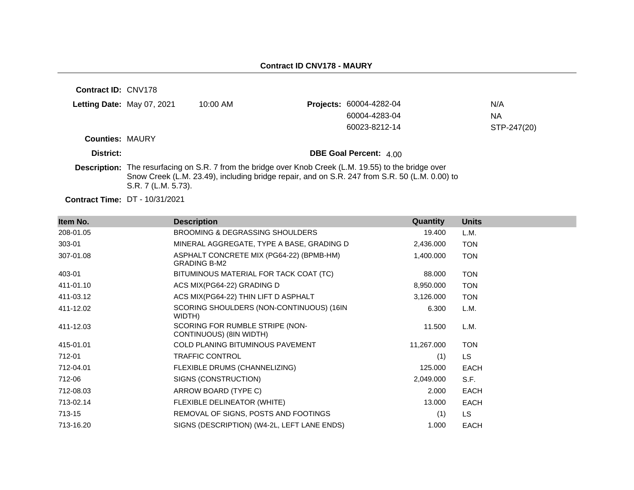| Contract ID: CNV178    |                                       |            |                                                                                                                                                                                                                |             |
|------------------------|---------------------------------------|------------|----------------------------------------------------------------------------------------------------------------------------------------------------------------------------------------------------------------|-------------|
|                        | Letting Date: May 07, 2021            | $10:00$ AM | Projects: 60004-4282-04                                                                                                                                                                                        | N/A         |
|                        |                                       |            | 60004-4283-04                                                                                                                                                                                                  | NА          |
|                        |                                       |            | 60023-8212-14                                                                                                                                                                                                  | STP-247(20) |
| <b>Counties: MAURY</b> |                                       |            |                                                                                                                                                                                                                |             |
| District:              |                                       |            | <b>DBE Goal Percent: 400</b>                                                                                                                                                                                   |             |
|                        | S.R. 7 (L.M. 5.73).                   |            | <b>Description:</b> The resurfacing on S.R. 7 from the bridge over Knob Creek (L.M. 19.55) to the bridge over<br>Snow Creek (L.M. 23.49), including bridge repair, and on S.R. 247 from S.R. 50 (L.M. 0.00) to |             |
|                        | <b>Contract Time: DT - 10/31/2021</b> |            |                                                                                                                                                                                                                |             |

| Item No.  | <b>Description</b>                                              | <b>Quantity</b> | <b>Units</b> |
|-----------|-----------------------------------------------------------------|-----------------|--------------|
| 208-01.05 | BROOMING & DEGRASSING SHOULDERS                                 | 19.400          | L.M.         |
| 303-01    | MINERAL AGGREGATE, TYPE A BASE, GRADING D                       | 2,436.000       | <b>TON</b>   |
| 307-01.08 | ASPHALT CONCRETE MIX (PG64-22) (BPMB-HM)<br><b>GRADING B-M2</b> | 1,400.000       | <b>TON</b>   |
| 403-01    | BITUMINOUS MATERIAL FOR TACK COAT (TC)                          | 88.000          | <b>TON</b>   |
| 411-01.10 | ACS MIX(PG64-22) GRADING D                                      | 8,950.000       | <b>TON</b>   |
| 411-03.12 | ACS MIX(PG64-22) THIN LIFT D ASPHALT                            | 3,126.000       | <b>TON</b>   |
| 411-12.02 | SCORING SHOULDERS (NON-CONTINUOUS) (16IN<br>WIDTH)              | 6.300           | L.M.         |
| 411-12.03 | SCORING FOR RUMBLE STRIPE (NON-<br>CONTINUOUS) (8IN WIDTH)      | 11.500          | L.M.         |
| 415-01.01 | <b>COLD PLANING BITUMINOUS PAVEMENT</b>                         | 11,267.000      | <b>TON</b>   |
| 712-01    | <b>TRAFFIC CONTROL</b>                                          | (1)             | LS.          |
| 712-04.01 | FLEXIBLE DRUMS (CHANNELIZING)                                   | 125.000         | <b>EACH</b>  |
| 712-06    | SIGNS (CONSTRUCTION)                                            | 2,049.000       | S.F.         |
| 712-08.03 | ARROW BOARD (TYPE C)                                            | 2.000           | <b>EACH</b>  |
| 713-02.14 | FLEXIBLE DELINEATOR (WHITE)                                     | 13.000          | <b>EACH</b>  |
| 713-15    | REMOVAL OF SIGNS, POSTS AND FOOTINGS                            | (1)             | LS.          |
| 713-16.20 | SIGNS (DESCRIPTION) (W4-2L, LEFT LANE ENDS)                     | 1.000           | <b>EACH</b>  |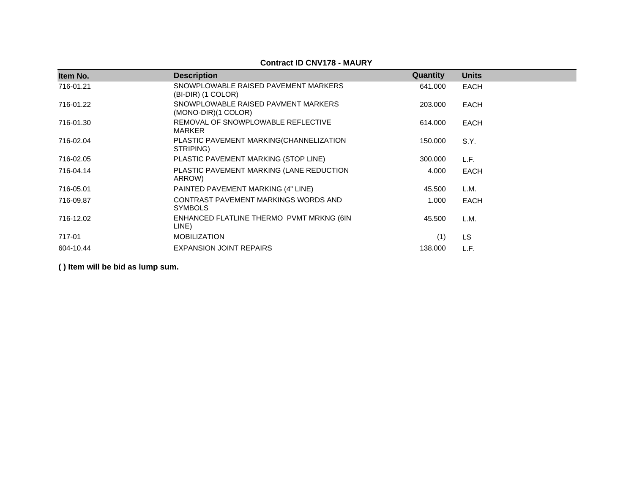### **Contract ID CNV178 - MAURY**

| Item No.  | <b>Description</b>                                           | Quantity | <b>Units</b> |
|-----------|--------------------------------------------------------------|----------|--------------|
| 716-01.21 | SNOWPLOWABLE RAISED PAVEMENT MARKERS<br>(BI-DIR) (1 COLOR)   | 641.000  | <b>EACH</b>  |
| 716-01.22 | SNOWPLOWABLE RAISED PAVMENT MARKERS<br>$(MONO-DIR)(1 COLOR)$ | 203.000  | <b>EACH</b>  |
| 716-01.30 | REMOVAL OF SNOWPLOWABLE REFLECTIVE<br><b>MARKER</b>          | 614.000  | <b>EACH</b>  |
| 716-02.04 | PLASTIC PAVEMENT MARKING(CHANNELIZATION<br>STRIPING)         | 150.000  | S.Y.         |
| 716-02.05 | PLASTIC PAVEMENT MARKING (STOP LINE)                         | 300.000  | L.F.         |
| 716-04.14 | PLASTIC PAVEMENT MARKING (LANE REDUCTION<br>ARROW)           | 4.000    | <b>EACH</b>  |
| 716-05.01 | PAINTED PAVEMENT MARKING (4" LINE)                           | 45.500   | L.M.         |
| 716-09.87 | CONTRAST PAVEMENT MARKINGS WORDS AND<br><b>SYMBOLS</b>       | 1.000    | <b>EACH</b>  |
| 716-12.02 | ENHANCED FLATLINE THERMO PVMT MRKNG (6IN<br>LINE)            | 45.500   | L.M.         |
| 717-01    | <b>MOBILIZATION</b>                                          | (1)      | <b>LS</b>    |
| 604-10.44 | <b>EXPANSION JOINT REPAIRS</b>                               | 138,000  | L.F.         |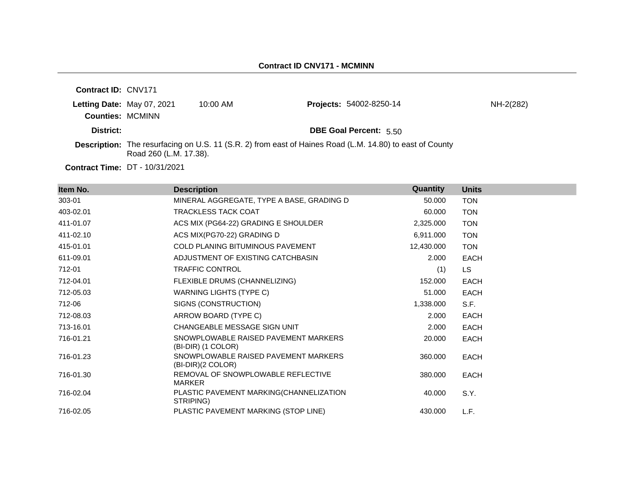| <b>Contract ID: CNV171</b>                            |                        |            |                                                                                                                 |           |
|-------------------------------------------------------|------------------------|------------|-----------------------------------------------------------------------------------------------------------------|-----------|
| Letting Date: May 07, 2021<br><b>Counties: MCMINN</b> |                        | $10:00$ AM | <b>Projects: 54002-8250-14</b>                                                                                  | NH-2(282) |
| District:                                             |                        |            | <b>DBE Goal Percent: 5.50</b>                                                                                   |           |
|                                                       | Road 260 (L.M. 17.38). |            | <b>Description:</b> The resurfacing on U.S. 11 (S.R. 2) from east of Haines Road (L.M. 14.80) to east of County |           |
|                                                       | $\sqrt{2}$             |            |                                                                                                                 |           |

**Contract Time:** DT - 10/31/2021

| Item No.  | <b>Description</b>                                         | Quantity   | <b>Units</b> |
|-----------|------------------------------------------------------------|------------|--------------|
| 303-01    | MINERAL AGGREGATE, TYPE A BASE, GRADING D                  | 50.000     | <b>TON</b>   |
| 403-02.01 | <b>TRACKLESS TACK COAT</b>                                 | 60.000     | <b>TON</b>   |
| 411-01.07 | ACS MIX (PG64-22) GRADING E SHOULDER                       | 2,325.000  | <b>TON</b>   |
| 411-02.10 | ACS MIX(PG70-22) GRADING D                                 | 6,911.000  | <b>TON</b>   |
| 415-01.01 | <b>COLD PLANING BITUMINOUS PAVEMENT</b>                    | 12,430.000 | <b>TON</b>   |
| 611-09.01 | ADJUSTMENT OF EXISTING CATCHBASIN                          | 2.000      | <b>EACH</b>  |
| 712-01    | <b>TRAFFIC CONTROL</b>                                     | (1)        | LS.          |
| 712-04.01 | FLEXIBLE DRUMS (CHANNELIZING)                              | 152,000    | <b>EACH</b>  |
| 712-05.03 | WARNING LIGHTS (TYPE C)                                    | 51.000     | <b>EACH</b>  |
| 712-06    | SIGNS (CONSTRUCTION)                                       | 1,338.000  | S.F.         |
| 712-08.03 | ARROW BOARD (TYPE C)                                       | 2.000      | <b>EACH</b>  |
| 713-16.01 | CHANGEABLE MESSAGE SIGN UNIT                               | 2.000      | <b>EACH</b>  |
| 716-01.21 | SNOWPLOWABLE RAISED PAVEMENT MARKERS<br>(BI-DIR) (1 COLOR) | 20,000     | <b>EACH</b>  |
| 716-01.23 | SNOWPLOWABLE RAISED PAVEMENT MARKERS<br>(BI-DIR)(2 COLOR)  | 360.000    | <b>EACH</b>  |
| 716-01.30 | REMOVAL OF SNOWPLOWABLE REFLECTIVE<br><b>MARKER</b>        | 380,000    | <b>EACH</b>  |
| 716-02.04 | PLASTIC PAVEMENT MARKING(CHANNELIZATION<br>STRIPING)       | 40.000     | S.Y.         |
| 716-02.05 | PLASTIC PAVEMENT MARKING (STOP LINE)                       | 430.000    | L.F.         |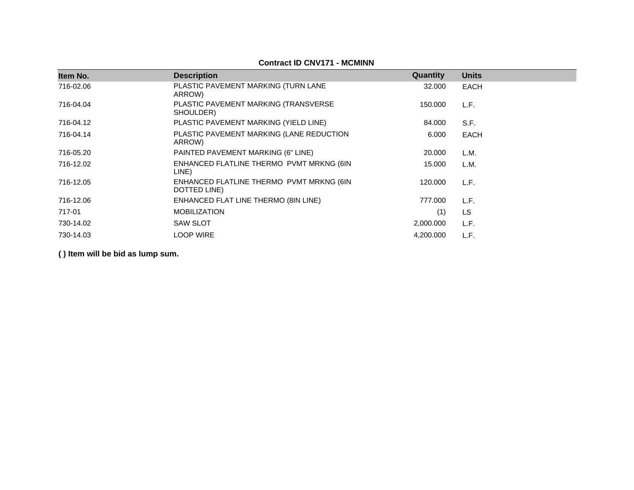| Item No.  | <b>Description</b>                                       | Quantity  | <b>Units</b> |
|-----------|----------------------------------------------------------|-----------|--------------|
| 716-02.06 | PLASTIC PAVEMENT MARKING (TURN LANE<br>ARROW)            | 32.000    | EACH         |
| 716-04.04 | PLASTIC PAVEMENT MARKING (TRANSVERSE<br>SHOULDER)        | 150.000   | L.F.         |
| 716-04.12 | PLASTIC PAVEMENT MARKING (YIELD LINE)                    | 84.000    | S.F.         |
| 716-04.14 | PLASTIC PAVEMENT MARKING (LANE REDUCTION<br>ARROW)       | 6.000     | EACH         |
| 716-05.20 | PAINTED PAVEMENT MARKING (6" LINE)                       | 20.000    | L.M.         |
| 716-12.02 | ENHANCED FLATLINE THERMO PVMT MRKNG (6IN<br>LINE)        | 15.000    | L.M.         |
| 716-12.05 | ENHANCED FLATLINE THERMO PVMT MRKNG (6IN<br>DOTTED LINE) | 120.000   | L.F.         |
| 716-12.06 | ENHANCED FLAT LINE THERMO (8IN LINE)                     | 777.000   | L.F.         |
| 717-01    | <b>MOBILIZATION</b>                                      | (1)       | LS           |
| 730-14.02 | <b>SAW SLOT</b>                                          | 2,000.000 | L.F.         |
| 730-14.03 | <b>LOOP WIRE</b>                                         | 4,200.000 | L.F.         |

#### **Contract ID CNV171 - MCMINN**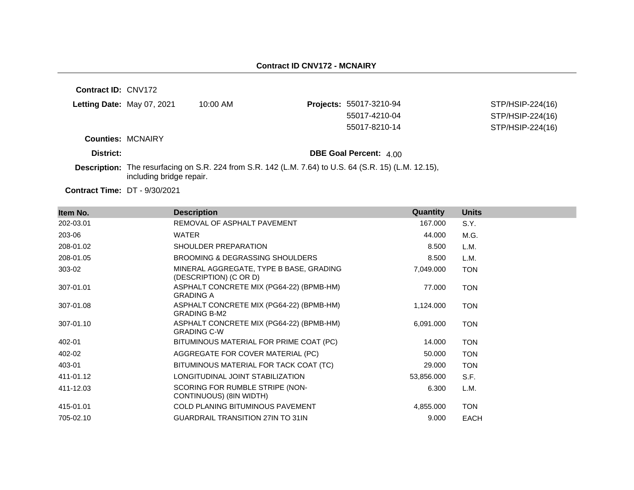**Contract ID:** CNV172

|  | <b>Letting Date: May 07, 2021</b> | 10:00 AM |  |
|--|-----------------------------------|----------|--|
|--|-----------------------------------|----------|--|

**Projects: 55017-3210-94** 55017-8210-14 STP/HSIP-224(16)

STP/HSIP-224(16) 55017-4210-04 STP/HSIP-224(16)

**Counties:** MCNAIRY

**District: District: DBE Goal Percent:**  $4.00$ 

**Description:** The resurfacing on S.R. 224 from S.R. 142 (L.M. 7.64) to U.S. 64 (S.R. 15) (L.M. 12.15), including bridge repair.

| Item No.  | <b>Description</b>                                                | Quantity   | <b>Units</b> |
|-----------|-------------------------------------------------------------------|------------|--------------|
| 202-03.01 | REMOVAL OF ASPHALT PAVEMENT                                       | 167.000    | S.Y.         |
| 203-06    | <b>WATER</b>                                                      | 44.000     | M.G.         |
| 208-01.02 | SHOULDER PREPARATION                                              | 8.500      | L.M.         |
| 208-01.05 | BROOMING & DEGRASSING SHOULDERS                                   | 8.500      | L.M.         |
| 303-02    | MINERAL AGGREGATE, TYPE B BASE, GRADING<br>(DESCRIPTION) (C OR D) | 7,049.000  | <b>TON</b>   |
| 307-01.01 | ASPHALT CONCRETE MIX (PG64-22) (BPMB-HM)<br><b>GRADING A</b>      | 77.000     | <b>TON</b>   |
| 307-01.08 | ASPHALT CONCRETE MIX (PG64-22) (BPMB-HM)<br><b>GRADING B-M2</b>   | 1,124.000  | <b>TON</b>   |
| 307-01.10 | ASPHALT CONCRETE MIX (PG64-22) (BPMB-HM)<br><b>GRADING C-W</b>    | 6,091.000  | <b>TON</b>   |
| 402-01    | BITUMINOUS MATERIAL FOR PRIME COAT (PC)                           | 14.000     | <b>TON</b>   |
| 402-02    | AGGREGATE FOR COVER MATERIAL (PC)                                 | 50.000     | <b>TON</b>   |
| 403-01    | BITUMINOUS MATERIAL FOR TACK COAT (TC)                            | 29.000     | <b>TON</b>   |
| 411-01.12 | LONGITUDINAL JOINT STABILIZATION                                  | 53,856.000 | S.F.         |
| 411-12.03 | SCORING FOR RUMBLE STRIPE (NON-<br>CONTINUOUS) (8IN WIDTH)        | 6.300      | L.M.         |
| 415-01.01 | <b>COLD PLANING BITUMINOUS PAVEMENT</b>                           | 4,855.000  | <b>TON</b>   |
| 705-02.10 | <b>GUARDRAIL TRANSITION 27IN TO 31IN</b>                          | 9.000      | <b>EACH</b>  |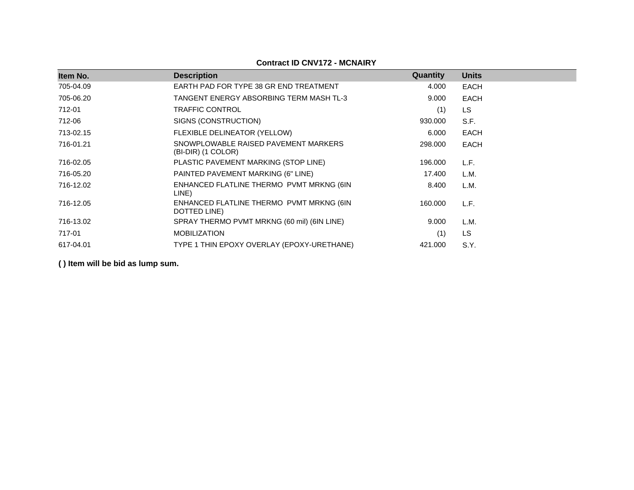| Item No.  | <b>Description</b>                                         | Quantity | <b>Units</b> |
|-----------|------------------------------------------------------------|----------|--------------|
| 705-04.09 | EARTH PAD FOR TYPE 38 GR END TREATMENT                     | 4.000    | <b>EACH</b>  |
| 705-06.20 | TANGENT ENERGY ABSORBING TERM MASH TL-3                    | 9.000    | <b>EACH</b>  |
| 712-01    | TRAFFIC CONTROL                                            | (1)      | <b>LS</b>    |
| 712-06    | SIGNS (CONSTRUCTION)                                       | 930.000  | S.F.         |
| 713-02.15 | FLEXIBLE DELINEATOR (YELLOW)                               | 6.000    | <b>EACH</b>  |
| 716-01.21 | SNOWPLOWABLE RAISED PAVEMENT MARKERS<br>(BI-DIR) (1 COLOR) | 298,000  | <b>EACH</b>  |
| 716-02.05 | PLASTIC PAVEMENT MARKING (STOP LINE)                       | 196.000  | L.F.         |
| 716-05.20 | PAINTED PAVEMENT MARKING (6" LINE)                         | 17.400   | L.M.         |
| 716-12.02 | ENHANCED FLATLINE THERMO PVMT MRKNG (6IN<br>LINE)          | 8.400    | L.M.         |
| 716-12.05 | ENHANCED FLATLINE THERMO PVMT MRKNG (6IN<br>DOTTED LINE)   | 160.000  | L.F.         |
| 716-13.02 | SPRAY THERMO PVMT MRKNG (60 mil) (6IN LINE)                | 9.000    | L.M.         |
| 717-01    | <b>MOBILIZATION</b>                                        | (1)      | LS           |
| 617-04.01 | TYPE 1 THIN EPOXY OVERLAY (EPOXY-URETHANE)                 | 421.000  | S.Y.         |

#### **Contract ID CNV172 - MCNAIRY**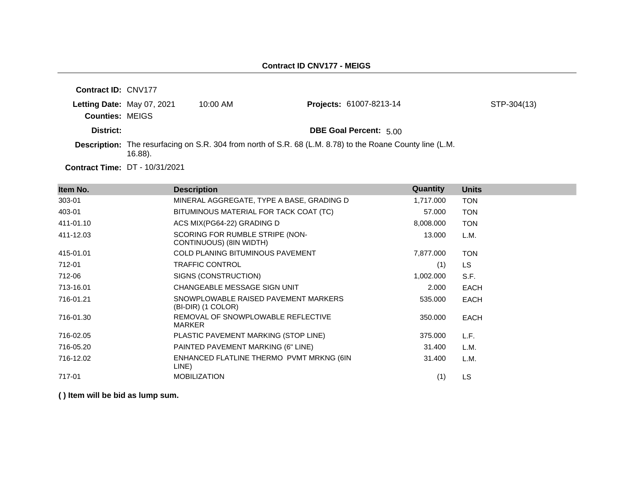| <b>Contract ID: CNV177</b> |                            |            |                                                                                                           |             |
|----------------------------|----------------------------|------------|-----------------------------------------------------------------------------------------------------------|-------------|
| <b>Counties: MEIGS</b>     | Letting Date: May 07, 2021 | $10:00$ AM | Projects: 61007-8213-14                                                                                   | STP-304(13) |
| District:                  |                            |            | <b>DBE Goal Percent: 5.00</b>                                                                             |             |
|                            | $16.88$ ).                 |            | Description: The resurfacing on S.R. 304 from north of S.R. 68 (L.M. 8.78) to the Roane County line (L.M. |             |
|                            |                            |            |                                                                                                           |             |

**Contract Time:** DT - 10/31/2021

| Item No.  | <b>Description</b>                                         | Quantity  | <b>Units</b> |
|-----------|------------------------------------------------------------|-----------|--------------|
| 303-01    | MINERAL AGGREGATE, TYPE A BASE, GRADING D                  | 1,717.000 | <b>TON</b>   |
| 403-01    | BITUMINOUS MATERIAL FOR TACK COAT (TC)                     | 57.000    | <b>TON</b>   |
| 411-01.10 | ACS MIX(PG64-22) GRADING D                                 | 8,008.000 | <b>TON</b>   |
| 411-12.03 | SCORING FOR RUMBLE STRIPE (NON-<br>CONTINUOUS) (8IN WIDTH) | 13.000    | L.M.         |
| 415-01.01 | <b>COLD PLANING BITUMINOUS PAVEMENT</b>                    | 7,877.000 | <b>TON</b>   |
| 712-01    | <b>TRAFFIC CONTROL</b>                                     | (1)       | LS.          |
| 712-06    | SIGNS (CONSTRUCTION)                                       | 1,002.000 | S.F.         |
| 713-16.01 | CHANGEABLE MESSAGE SIGN UNIT                               | 2.000     | <b>EACH</b>  |
| 716-01.21 | SNOWPLOWABLE RAISED PAVEMENT MARKERS<br>(BI-DIR) (1 COLOR) | 535.000   | EACH         |
| 716-01.30 | REMOVAL OF SNOWPLOWABLE REFLECTIVE<br><b>MARKER</b>        | 350.000   | <b>EACH</b>  |
| 716-02.05 | PLASTIC PAVEMENT MARKING (STOP LINE)                       | 375.000   | L.F.         |
| 716-05.20 | PAINTED PAVEMENT MARKING (6" LINE)                         | 31.400    | L.M.         |
| 716-12.02 | ENHANCED FLATLINE THERMO PVMT MRKNG (6IN<br>LINE)          | 31.400    | L.M.         |
| 717-01    | <b>MOBILIZATION</b>                                        | (1)       | <b>LS</b>    |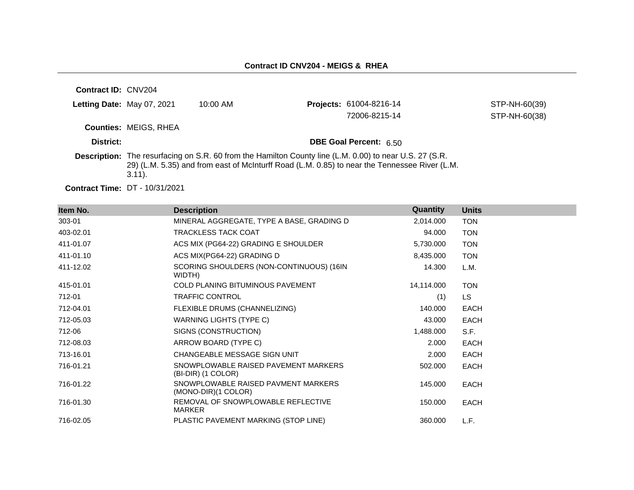| <b>Contract ID: CNV204</b> |                              |                                                                                                                |                                                                                               |               |
|----------------------------|------------------------------|----------------------------------------------------------------------------------------------------------------|-----------------------------------------------------------------------------------------------|---------------|
| Letting Date: May 07, 2021 |                              | $10:00$ AM                                                                                                     | <b>Projects: 61004-8216-14</b>                                                                | STP-NH-60(39) |
|                            |                              |                                                                                                                | 72006-8215-14                                                                                 | STP-NH-60(38) |
|                            | <b>Counties: MEIGS, RHEA</b> |                                                                                                                |                                                                                               |               |
| District:                  |                              |                                                                                                                | <b>DBE Goal Percent: 6.50</b>                                                                 |               |
|                            | $3.11$ ).                    | <b>Description:</b> The resurfacing on S.R. 60 from the Hamilton County line (L.M. 0.00) to near U.S. 27 (S.R. | 29) (L.M. 5.35) and from east of McInturff Road (L.M. 0.85) to near the Tennessee River (L.M. |               |

**Contract Time:** DT - 10/31/2021

| Item No.  | <b>Description</b>                                           | Quantity   | <b>Units</b> |  |
|-----------|--------------------------------------------------------------|------------|--------------|--|
| 303-01    | MINERAL AGGREGATE, TYPE A BASE, GRADING D                    | 2,014.000  | <b>TON</b>   |  |
| 403-02.01 | <b>TRACKLESS TACK COAT</b>                                   | 94.000     | <b>TON</b>   |  |
| 411-01.07 | ACS MIX (PG64-22) GRADING E SHOULDER                         | 5,730.000  | <b>TON</b>   |  |
| 411-01.10 | ACS MIX(PG64-22) GRADING D                                   | 8,435.000  | <b>TON</b>   |  |
| 411-12.02 | SCORING SHOULDERS (NON-CONTINUOUS) (16IN<br>WIDTH)           | 14.300     | L.M.         |  |
| 415-01.01 | COLD PLANING BITUMINOUS PAVEMENT                             | 14,114.000 | <b>TON</b>   |  |
| 712-01    | <b>TRAFFIC CONTROL</b>                                       | (1)        | LS.          |  |
| 712-04.01 | FLEXIBLE DRUMS (CHANNELIZING)                                | 140.000    | <b>EACH</b>  |  |
| 712-05.03 | WARNING LIGHTS (TYPE C)                                      | 43.000     | <b>EACH</b>  |  |
| 712-06    | SIGNS (CONSTRUCTION)                                         | 1,488.000  | S.F.         |  |
| 712-08.03 | ARROW BOARD (TYPE C)                                         | 2.000      | <b>EACH</b>  |  |
| 713-16.01 | CHANGEABLE MESSAGE SIGN UNIT                                 | 2.000      | <b>EACH</b>  |  |
| 716-01.21 | SNOWPLOWABLE RAISED PAVEMENT MARKERS<br>(BI-DIR) (1 COLOR)   | 502.000    | <b>EACH</b>  |  |
| 716-01.22 | SNOWPLOWABLE RAISED PAVMENT MARKERS<br>$(MONO-DIR)(1 COLOR)$ | 145.000    | <b>EACH</b>  |  |
| 716-01.30 | REMOVAL OF SNOWPLOWABLE REFLECTIVE<br><b>MARKER</b>          | 150.000    | <b>EACH</b>  |  |
| 716-02.05 | PLASTIC PAVEMENT MARKING (STOP LINE)                         | 360.000    | L.F.         |  |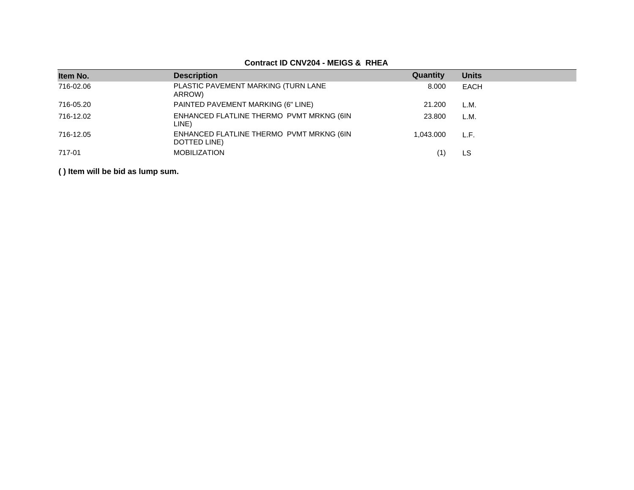| Item No.  | <b>Description</b>                                       | Quantity  | <b>Units</b> |
|-----------|----------------------------------------------------------|-----------|--------------|
| 716-02.06 | PLASTIC PAVEMENT MARKING (TURN LANE<br>ARROW)            | 8.000     | <b>EACH</b>  |
| 716-05.20 | PAINTED PAVEMENT MARKING (6" LINE)                       | 21.200    | L.M.         |
| 716-12.02 | ENHANCED FLATLINE THERMO PVMT MRKNG (6IN<br>LINE)        | 23,800    | L.M.         |
| 716-12.05 | ENHANCED FLATLINE THERMO PVMT MRKNG (6IN<br>DOTTED LINE) | 1.043.000 | L.F.         |
| 717-01    | <b>MOBILIZATION</b>                                      |           | LS           |

### **Contract ID CNV204 - MEIGS & RHEA**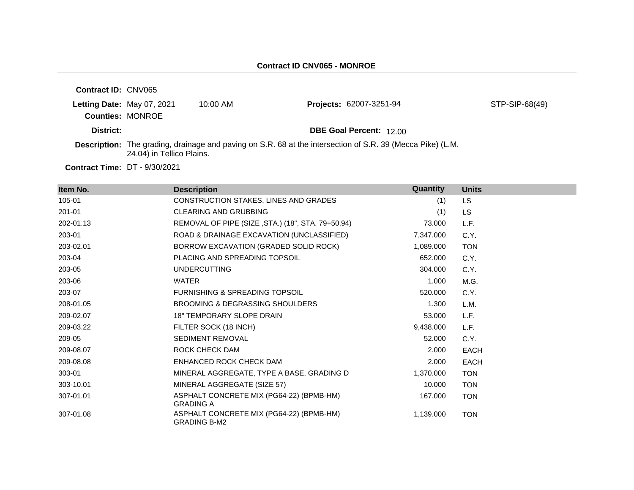| <b>Contract ID: CNV065</b>                            |                           |            |                                                                                                                   |                |
|-------------------------------------------------------|---------------------------|------------|-------------------------------------------------------------------------------------------------------------------|----------------|
| Letting Date: May 07, 2021<br><b>Counties: MONROE</b> |                           | $10:00$ AM | Projects: 62007-3251-94                                                                                           | STP-SIP-68(49) |
| District:                                             |                           |            | <b>DBE Goal Percent: 12.00</b>                                                                                    |                |
|                                                       | 24.04) in Tellico Plains. |            | <b>Description:</b> The grading, drainage and paving on S.R. 68 at the intersection of S.R. 39 (Mecca Pike) (L.M. |                |
|                                                       |                           |            |                                                                                                                   |                |

| Item No.  | <b>Description</b>                                              | Quantity  | <b>Units</b> |
|-----------|-----------------------------------------------------------------|-----------|--------------|
| 105-01    | CONSTRUCTION STAKES, LINES AND GRADES                           | (1)       | <b>LS</b>    |
| 201-01    | <b>CLEARING AND GRUBBING</b>                                    | (1)       | LS.          |
| 202-01.13 | REMOVAL OF PIPE (SIZE, STA.) (18", STA. 79+50.94)               | 73,000    | L.F.         |
| 203-01    | ROAD & DRAINAGE EXCAVATION (UNCLASSIFIED)                       | 7,347.000 | C.Y.         |
| 203-02.01 | BORROW EXCAVATION (GRADED SOLID ROCK)                           | 1,089.000 | <b>TON</b>   |
| 203-04    | PLACING AND SPREADING TOPSOIL                                   | 652.000   | C.Y.         |
| 203-05    | <b>UNDERCUTTING</b>                                             | 304.000   | C.Y.         |
| 203-06    | <b>WATER</b>                                                    | 1.000     | M.G.         |
| 203-07    | <b>FURNISHING &amp; SPREADING TOPSOIL</b>                       | 520,000   | C.Y.         |
| 208-01.05 | BROOMING & DEGRASSING SHOULDERS                                 | 1.300     | L.M.         |
| 209-02.07 | <b>18" TEMPORARY SLOPE DRAIN</b>                                | 53.000    | L.F.         |
| 209-03.22 | FILTER SOCK (18 INCH)                                           | 9,438.000 | L.F.         |
| 209-05    | SEDIMENT REMOVAL                                                | 52,000    | C.Y.         |
| 209-08.07 | ROCK CHECK DAM                                                  | 2.000     | <b>EACH</b>  |
| 209-08.08 | ENHANCED ROCK CHECK DAM                                         | 2.000     | <b>EACH</b>  |
| 303-01    | MINERAL AGGREGATE, TYPE A BASE, GRADING D                       | 1,370.000 | <b>TON</b>   |
| 303-10.01 | MINERAL AGGREGATE (SIZE 57)                                     | 10.000    | <b>TON</b>   |
| 307-01.01 | ASPHALT CONCRETE MIX (PG64-22) (BPMB-HM)<br><b>GRADING A</b>    | 167.000   | <b>TON</b>   |
| 307-01.08 | ASPHALT CONCRETE MIX (PG64-22) (BPMB-HM)<br><b>GRADING B-M2</b> | 1,139.000 | <b>TON</b>   |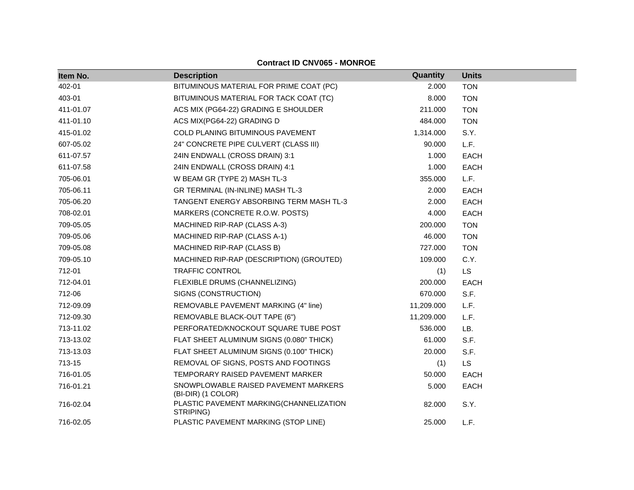| Item No.  | <b>Description</b>                                         | Quantity   | <b>Units</b> |
|-----------|------------------------------------------------------------|------------|--------------|
| 402-01    | BITUMINOUS MATERIAL FOR PRIME COAT (PC)                    | 2.000      | <b>TON</b>   |
| 403-01    | BITUMINOUS MATERIAL FOR TACK COAT (TC)                     | 8.000      | <b>TON</b>   |
| 411-01.07 | ACS MIX (PG64-22) GRADING E SHOULDER                       | 211.000    | <b>TON</b>   |
| 411-01.10 | ACS MIX(PG64-22) GRADING D                                 | 484.000    | <b>TON</b>   |
| 415-01.02 | COLD PLANING BITUMINOUS PAVEMENT                           | 1,314.000  | S.Y.         |
| 607-05.02 | 24" CONCRETE PIPE CULVERT (CLASS III)                      | 90.000     | L.F.         |
| 611-07.57 | 24IN ENDWALL (CROSS DRAIN) 3:1                             | 1.000      | <b>EACH</b>  |
| 611-07.58 | 24IN ENDWALL (CROSS DRAIN) 4:1                             | 1.000      | <b>EACH</b>  |
| 705-06.01 | W BEAM GR (TYPE 2) MASH TL-3                               | 355.000    | L.F.         |
| 705-06.11 | GR TERMINAL (IN-INLINE) MASH TL-3                          | 2.000      | <b>EACH</b>  |
| 705-06.20 | TANGENT ENERGY ABSORBING TERM MASH TL-3                    | 2.000      | <b>EACH</b>  |
| 708-02.01 | MARKERS (CONCRETE R.O.W. POSTS)                            | 4.000      | <b>EACH</b>  |
| 709-05.05 | MACHINED RIP-RAP (CLASS A-3)                               | 200.000    | <b>TON</b>   |
| 709-05.06 | MACHINED RIP-RAP (CLASS A-1)                               | 46.000     | <b>TON</b>   |
| 709-05.08 | MACHINED RIP-RAP (CLASS B)                                 | 727.000    | <b>TON</b>   |
| 709-05.10 | MACHINED RIP-RAP (DESCRIPTION) (GROUTED)                   | 109.000    | C.Y.         |
| 712-01    | <b>TRAFFIC CONTROL</b>                                     | (1)        | <b>LS</b>    |
| 712-04.01 | FLEXIBLE DRUMS (CHANNELIZING)                              | 200.000    | <b>EACH</b>  |
| 712-06    | SIGNS (CONSTRUCTION)                                       | 670.000    | S.F.         |
| 712-09.09 | REMOVABLE PAVEMENT MARKING (4" line)                       | 11,209.000 | L.F.         |
| 712-09.30 | REMOVABLE BLACK-OUT TAPE (6")                              | 11,209.000 | L.F.         |
| 713-11.02 | PERFORATED/KNOCKOUT SQUARE TUBE POST                       | 536.000    | LB.          |
| 713-13.02 | FLAT SHEET ALUMINUM SIGNS (0.080" THICK)                   | 61.000     | S.F.         |
| 713-13.03 | FLAT SHEET ALUMINUM SIGNS (0.100" THICK)                   | 20.000     | S.F.         |
| 713-15    | REMOVAL OF SIGNS, POSTS AND FOOTINGS                       | (1)        | <b>LS</b>    |
| 716-01.05 | TEMPORARY RAISED PAVEMENT MARKER                           | 50.000     | <b>EACH</b>  |
| 716-01.21 | SNOWPLOWABLE RAISED PAVEMENT MARKERS<br>(BI-DIR) (1 COLOR) | 5.000      | <b>EACH</b>  |
| 716-02.04 | PLASTIC PAVEMENT MARKING(CHANNELIZATION<br>STRIPING)       | 82.000     | S.Y.         |
| 716-02.05 | PLASTIC PAVEMENT MARKING (STOP LINE)                       | 25.000     | L.F.         |

# **Contract ID CNV065 - MONROE**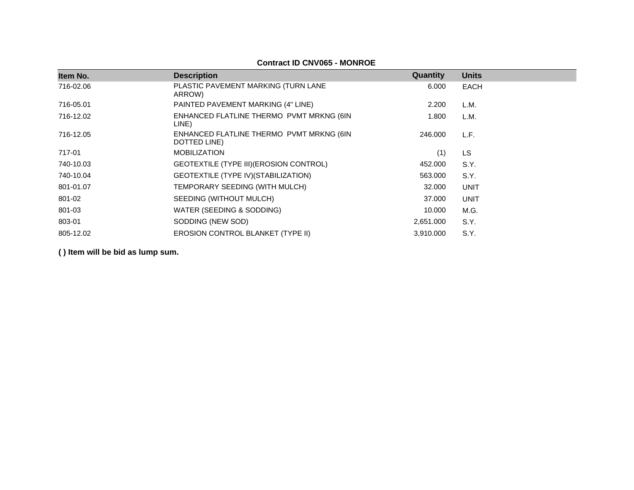| Item No.  | <b>Description</b>                                       | Quantity  | <b>Units</b> |
|-----------|----------------------------------------------------------|-----------|--------------|
| 716-02.06 | PLASTIC PAVEMENT MARKING (TURN LANE<br>ARROW)            | 6.000     | <b>EACH</b>  |
| 716-05.01 | PAINTED PAVEMENT MARKING (4" LINE)                       | 2.200     | L.M.         |
| 716-12.02 | ENHANCED FLATLINE THERMO PVMT MRKNG (6IN<br>LINE)        | 1.800     | L.M.         |
| 716-12.05 | ENHANCED FLATLINE THERMO PVMT MRKNG (6IN<br>DOTTED LINE) | 246,000   | L.F.         |
| 717-01    | <b>MOBILIZATION</b>                                      | (1)       | <b>LS</b>    |
| 740-10.03 | GEOTEXTILE (TYPE III) (EROSION CONTROL)                  | 452.000   | S.Y.         |
| 740-10.04 | GEOTEXTILE (TYPE IV) (STABILIZATION)                     | 563.000   | S.Y.         |
| 801-01.07 | TEMPORARY SEEDING (WITH MULCH)                           | 32.000    | <b>UNIT</b>  |
| 801-02    | SEEDING (WITHOUT MULCH)                                  | 37,000    | <b>UNIT</b>  |
| 801-03    | WATER (SEEDING & SODDING)                                | 10.000    | M.G.         |
| 803-01    | SODDING (NEW SOD)                                        | 2,651.000 | S.Y.         |
| 805-12.02 | <b>EROSION CONTROL BLANKET (TYPE II)</b>                 | 3.910.000 | S.Y.         |

### **Contract ID CNV065 - MONROE**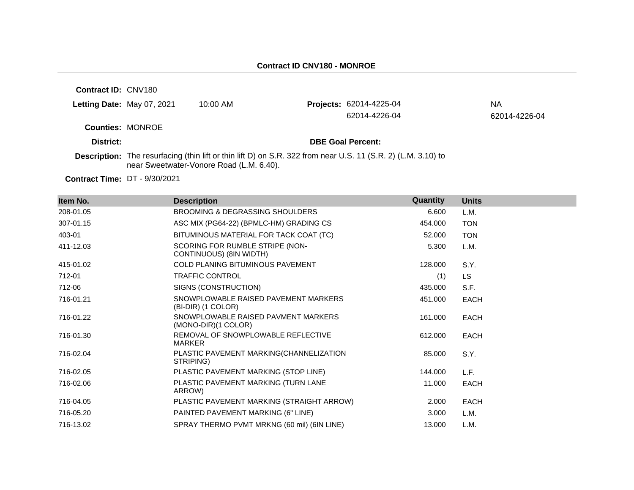**Contract ID:** CNV180

| Letting Date: May 07, 2021 | 10:00 AM | <b>Projects: 62014-4225-04</b> | NА            |
|----------------------------|----------|--------------------------------|---------------|
|                            |          | 62014-4226-04                  | 62014-4226-04 |
| <b>Counties: MONROE</b>    |          |                                |               |
| District:                  |          | <b>DBE Goal Percent:</b>       |               |

**Description:** The resurfacing (thin lift or thin lift D) on S.R. 322 from near U.S. 11 (S.R. 2) (L.M. 3.10) to near Sweetwater-Vonore Road (L.M. 6.40).

| Item No.  | <b>Description</b>                                         | Quantity | <b>Units</b> |
|-----------|------------------------------------------------------------|----------|--------------|
| 208-01.05 | <b>BROOMING &amp; DEGRASSING SHOULDERS</b>                 | 6.600    | L.M.         |
| 307-01.15 | ASC MIX (PG64-22) (BPMLC-HM) GRADING CS                    | 454.000  | <b>TON</b>   |
| 403-01    | BITUMINOUS MATERIAL FOR TACK COAT (TC)                     | 52.000   | <b>TON</b>   |
| 411-12.03 | SCORING FOR RUMBLE STRIPE (NON-<br>CONTINUOUS) (8IN WIDTH) | 5.300    | L.M.         |
| 415-01.02 | <b>COLD PLANING BITUMINOUS PAVEMENT</b>                    | 128.000  | S.Y.         |
| 712-01    | <b>TRAFFIC CONTROL</b>                                     | (1)      | <b>LS</b>    |
| 712-06    | SIGNS (CONSTRUCTION)                                       | 435.000  | S.F.         |
| 716-01.21 | SNOWPLOWABLE RAISED PAVEMENT MARKERS<br>(BI-DIR) (1 COLOR) | 451.000  | <b>EACH</b>  |
| 716-01.22 | SNOWPLOWABLE RAISED PAVMENT MARKERS<br>(MONO-DIR)(1 COLOR) | 161.000  | <b>EACH</b>  |
| 716-01.30 | REMOVAL OF SNOWPLOWABLE REFLECTIVE<br>MARKER               | 612,000  | <b>EACH</b>  |
| 716-02.04 | PLASTIC PAVEMENT MARKING(CHANNELIZATION<br>STRIPING)       | 85.000   | S.Y.         |
| 716-02.05 | PLASTIC PAVEMENT MARKING (STOP LINE)                       | 144.000  | L.F.         |
| 716-02.06 | PLASTIC PAVEMENT MARKING (TURN LANE<br>ARROW)              | 11.000   | EACH         |
| 716-04.05 | PLASTIC PAVEMENT MARKING (STRAIGHT ARROW)                  | 2.000    | <b>EACH</b>  |
| 716-05.20 | PAINTED PAVEMENT MARKING (6" LINE)                         | 3.000    | L.M.         |
| 716-13.02 | SPRAY THERMO PVMT MRKNG (60 mil) (6IN LINE)                | 13.000   | L.M.         |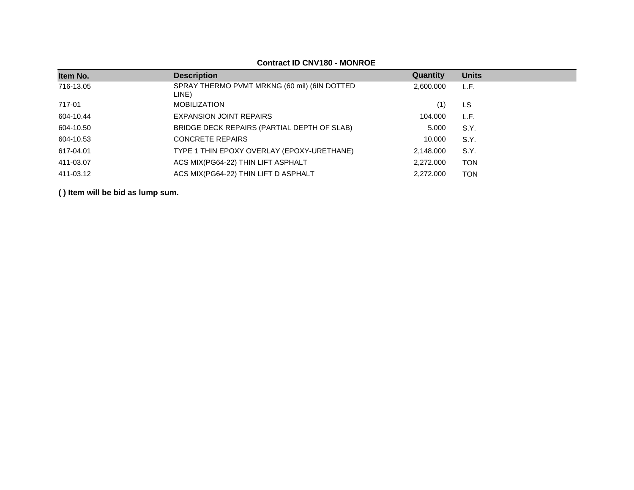# **Contract ID CNV180 - MONROE**

| Item No.  | <b>Description</b>                                    | Quantity  | <b>Units</b> |
|-----------|-------------------------------------------------------|-----------|--------------|
| 716-13.05 | SPRAY THERMO PVMT MRKNG (60 mil) (6IN DOTTED<br>LINE) | 2,600.000 | L.F.         |
| 717-01    | <b>MOBILIZATION</b>                                   | (1)       | LS           |
| 604-10.44 | <b>EXPANSION JOINT REPAIRS</b>                        | 104.000   | L.F.         |
| 604-10.50 | BRIDGE DECK REPAIRS (PARTIAL DEPTH OF SLAB)           | 5.000     | S.Y.         |
| 604-10.53 | <b>CONCRETE REPAIRS</b>                               | 10.000    | S.Y.         |
| 617-04.01 | TYPE 1 THIN EPOXY OVERLAY (EPOXY-URETHANE)            | 2,148.000 | S.Y.         |
| 411-03.07 | ACS MIX(PG64-22) THIN LIFT ASPHALT                    | 2,272.000 | <b>TON</b>   |
| 411-03.12 | ACS MIX(PG64-22) THIN LIFT D ASPHALT                  | 2.272.000 | <b>TON</b>   |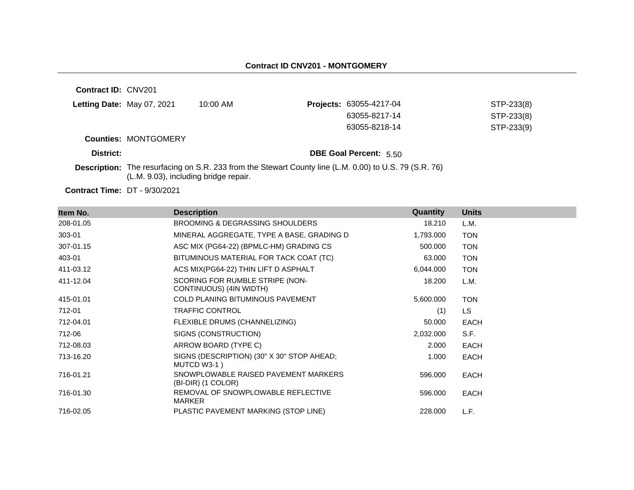**Contract ID:** CNV201 **Letting Date: May 07, 2021 10:00 AM Counties:** MONTGOMERY **District: District: DBE Goal Percent:** 5.50 **Description:** The resurfacing on S.R. 233 from the Stewart County line (L.M. 0.00) to U.S. 79 (S.R. 76) (L.M. 9.03), including bridge repair. Projects: 63055-4217-04 STP-233(8) 63055-8217-14 STP-233(8) 63055-8218-14 STP-233(9)

| Item No.  | <b>Description</b>                                         | Quantity  | <b>Units</b> |
|-----------|------------------------------------------------------------|-----------|--------------|
| 208-01.05 | <b>BROOMING &amp; DEGRASSING SHOULDERS</b>                 | 18.210    | L.M.         |
| 303-01    | MINERAL AGGREGATE, TYPE A BASE, GRADING D                  | 1,793.000 | <b>TON</b>   |
| 307-01.15 | ASC MIX (PG64-22) (BPMLC-HM) GRADING CS                    | 500.000   | <b>TON</b>   |
| 403-01    | BITUMINOUS MATERIAL FOR TACK COAT (TC)                     | 63.000    | <b>TON</b>   |
| 411-03.12 | ACS MIX(PG64-22) THIN LIFT D ASPHALT                       | 6,044.000 | <b>TON</b>   |
| 411-12.04 | SCORING FOR RUMBLE STRIPE (NON-<br>CONTINUOUS) (4IN WIDTH) | 18.200    | L.M.         |
| 415-01.01 | <b>COLD PLANING BITUMINOUS PAVEMENT</b>                    | 5,600.000 | <b>TON</b>   |
| 712-01    | <b>TRAFFIC CONTROL</b>                                     | (1)       | LS.          |
| 712-04.01 | FLEXIBLE DRUMS (CHANNELIZING)                              | 50.000    | <b>EACH</b>  |
| 712-06    | SIGNS (CONSTRUCTION)                                       | 2,032.000 | S.F.         |
| 712-08.03 | ARROW BOARD (TYPE C)                                       | 2.000     | <b>EACH</b>  |
| 713-16.20 | SIGNS (DESCRIPTION) (30" X 30" STOP AHEAD;<br>MUTCD W3-1)  | 1.000     | <b>EACH</b>  |
| 716-01.21 | SNOWPLOWABLE RAISED PAVEMENT MARKERS<br>(BI-DIR) (1 COLOR) | 596.000   | EACH         |
| 716-01.30 | REMOVAL OF SNOWPLOWABLE REFLECTIVE<br><b>MARKER</b>        | 596.000   | EACH         |
| 716-02.05 | PLASTIC PAVEMENT MARKING (STOP LINE)                       | 228.000   | L.F.         |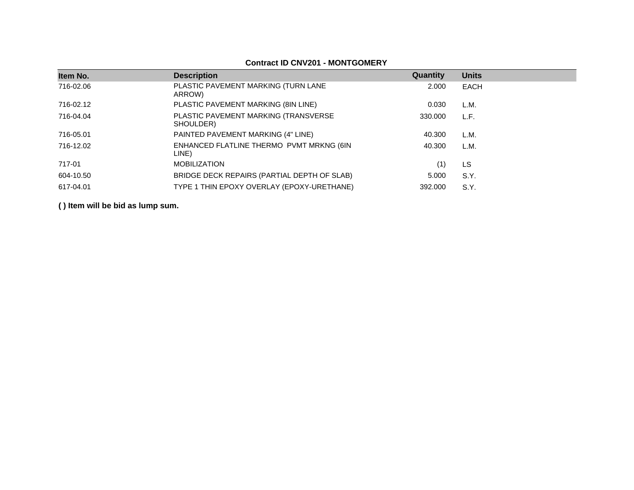| Item No.  | <b>Description</b>                                | Quantity | <b>Units</b> |
|-----------|---------------------------------------------------|----------|--------------|
| 716-02.06 | PLASTIC PAVEMENT MARKING (TURN LANE<br>ARROW)     | 2.000    | EACH         |
| 716-02.12 | PLASTIC PAVEMENT MARKING (8IN LINE)               | 0.030    | L.M.         |
| 716-04.04 | PLASTIC PAVEMENT MARKING (TRANSVERSE<br>SHOULDER) | 330,000  | L.F.         |
| 716-05.01 | PAINTED PAVEMENT MARKING (4" LINE)                | 40.300   | L.M.         |
| 716-12.02 | ENHANCED FLATLINE THERMO PVMT MRKNG (6IN<br>LINE) | 40.300   | L.M.         |
| 717-01    | <b>MOBILIZATION</b>                               | (1)      | LS           |
| 604-10.50 | BRIDGE DECK REPAIRS (PARTIAL DEPTH OF SLAB)       | 5.000    | S.Y.         |
| 617-04.01 | TYPE 1 THIN EPOXY OVERLAY (EPOXY-URETHANE)        | 392,000  | S.Y.         |

# **Contract ID CNV201 - MONTGOMERY**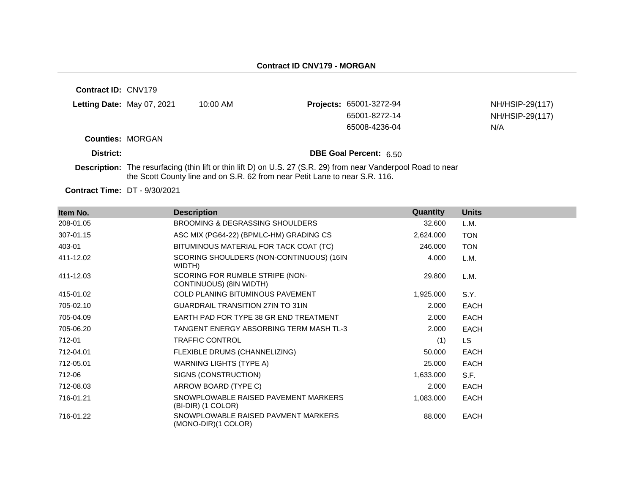**Contract ID:** CNV179 **Letting Date:** May 07, 2021 10:00 AM **Projects:** 65001-3272-94 **Counties:** MORGAN **District: District: DBE Goal Percent:** 6.50 NH/HSIP-29(117) 65001-8272-14 NH/HSIP-29(117) 65008-4236-04 N/A

**Description:** The resurfacing (thin lift or thin lift D) on U.S. 27 (S.R. 29) from near Vanderpool Road to near the Scott County line and on S.R. 62 from near Petit Lane to near S.R. 116.

| Item No.  | <b>Description</b>                                         | Quantity  | <b>Units</b> |
|-----------|------------------------------------------------------------|-----------|--------------|
| 208-01.05 | BROOMING & DEGRASSING SHOULDERS                            | 32.600    | L.M.         |
| 307-01.15 | ASC MIX (PG64-22) (BPMLC-HM) GRADING CS                    | 2,624.000 | <b>TON</b>   |
| 403-01    | BITUMINOUS MATERIAL FOR TACK COAT (TC)                     | 246.000   | <b>TON</b>   |
| 411-12.02 | SCORING SHOULDERS (NON-CONTINUOUS) (16IN<br>WIDTH)         | 4.000     | L.M.         |
| 411-12.03 | SCORING FOR RUMBLE STRIPE (NON-<br>CONTINUOUS) (8IN WIDTH) | 29.800    | L.M.         |
| 415-01.02 | <b>COLD PLANING BITUMINOUS PAVEMENT</b>                    | 1,925.000 | S.Y.         |
| 705-02.10 | <b>GUARDRAIL TRANSITION 27IN TO 31IN</b>                   | 2.000     | <b>EACH</b>  |
| 705-04.09 | EARTH PAD FOR TYPE 38 GR END TREATMENT                     | 2.000     | <b>EACH</b>  |
| 705-06.20 | TANGENT ENERGY ABSORBING TERM MASH TL-3                    | 2.000     | <b>EACH</b>  |
| 712-01    | <b>TRAFFIC CONTROL</b>                                     | (1)       | LS.          |
| 712-04.01 | FLEXIBLE DRUMS (CHANNELIZING)                              | 50.000    | <b>EACH</b>  |
| 712-05.01 | <b>WARNING LIGHTS (TYPE A)</b>                             | 25.000    | <b>EACH</b>  |
| 712-06    | SIGNS (CONSTRUCTION)                                       | 1,633.000 | S.F.         |
| 712-08.03 | ARROW BOARD (TYPE C)                                       | 2.000     | <b>EACH</b>  |
| 716-01.21 | SNOWPLOWABLE RAISED PAVEMENT MARKERS<br>(BI-DIR) (1 COLOR) | 1,083.000 | <b>EACH</b>  |
| 716-01.22 | SNOWPLOWABLE RAISED PAVMENT MARKERS<br>(MONO-DIR)(1 COLOR) | 88.000    | <b>EACH</b>  |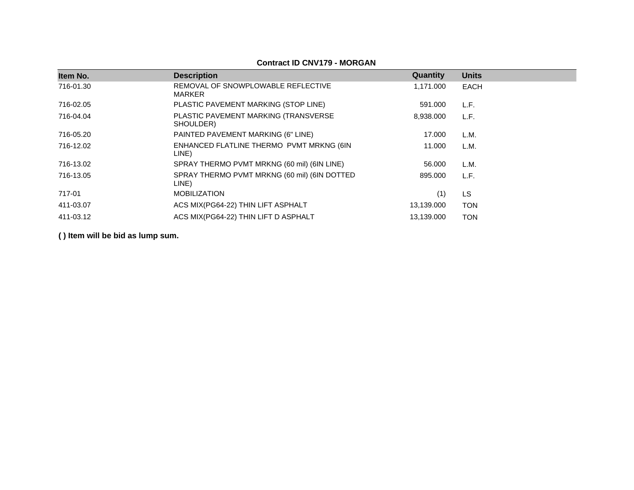# **Contract ID CNV179 - MORGAN**

| Item No.  | <b>Description</b>                                    | Quantity   | <b>Units</b> |
|-----------|-------------------------------------------------------|------------|--------------|
| 716-01.30 | REMOVAL OF SNOWPLOWABLE REFLECTIVE<br><b>MARKER</b>   | 1,171.000  | EACH         |
| 716-02.05 | PLASTIC PAVEMENT MARKING (STOP LINE)                  | 591.000    | L.F.         |
| 716-04.04 | PLASTIC PAVEMENT MARKING (TRANSVERSE<br>SHOULDER)     | 8,938.000  | L.F.         |
| 716-05.20 | PAINTED PAVEMENT MARKING (6" LINE)                    | 17.000     | L.M.         |
| 716-12.02 | ENHANCED FLATLINE THERMO PVMT MRKNG (6IN<br>LINE)     | 11.000     | L.M.         |
| 716-13.02 | SPRAY THERMO PVMT MRKNG (60 mil) (6IN LINE)           | 56,000     | L.M.         |
| 716-13.05 | SPRAY THERMO PVMT MRKNG (60 mil) (6IN DOTTED<br>LINE) | 895.000    | L.F.         |
| 717-01    | <b>MOBILIZATION</b>                                   | (1)        | <b>LS</b>    |
| 411-03.07 | ACS MIX(PG64-22) THIN LIFT ASPHALT                    | 13,139.000 | <b>TON</b>   |
| 411-03.12 | ACS MIX(PG64-22) THIN LIFT D ASPHALT                  | 13,139.000 | <b>TON</b>   |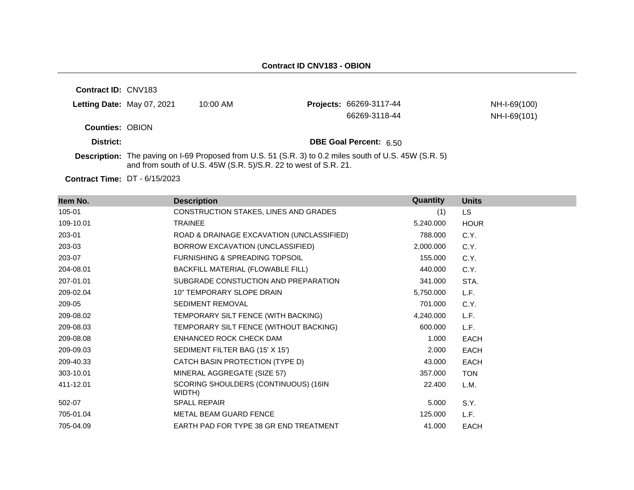**Contract ID:** CNV183

| Letting Date: May 07, 2021 | 10:00 AM                                                                                                | <b>Projects: 66269-3117-44</b> | NH-I-69(100) |
|----------------------------|---------------------------------------------------------------------------------------------------------|--------------------------------|--------------|
|                            |                                                                                                         | 66269-3118-44                  | NH-I-69(101) |
| <b>Counties: OBION</b>     |                                                                                                         |                                |              |
| District:                  |                                                                                                         | <b>DBE Goal Percent: 6.50</b>  |              |
|                            | <b>Department The point on LCO Dreposed from LLC</b> $E_1$ (CD 2) to 0.2 miles equito of LLC 4EM (CD 5) |                                |              |

**Description:** The paving on I-69 Proposed from U.S. 51 (S.R. 3) to 0.2 miles south of U.S. 45W (S.R. 5) and from south of U.S. 45W (S.R. 5)/S.R. 22 to west of S.R. 21.

**Contract Time:** DT - 6/15/2023

| Item No.  | <b>Description</b>                             | <b>Quantity</b> | <b>Units</b> |
|-----------|------------------------------------------------|-----------------|--------------|
| 105-01    | CONSTRUCTION STAKES, LINES AND GRADES          | (1)             | LS.          |
| 109-10.01 | <b>TRAINEE</b>                                 | 5,240.000       | <b>HOUR</b>  |
| 203-01    | ROAD & DRAINAGE EXCAVATION (UNCLASSIFIED)      | 788.000         | C.Y.         |
| 203-03    | BORROW EXCAVATION (UNCLASSIFIED)               | 2,000.000       | C.Y.         |
| 203-07    | <b>FURNISHING &amp; SPREADING TOPSOIL</b>      | 155.000         | C.Y.         |
| 204-08.01 | BACKFILL MATERIAL (FLOWABLE FILL)              | 440.000         | C.Y.         |
| 207-01.01 | SUBGRADE CONSTUCTION AND PREPARATION           | 341.000         | STA.         |
| 209-02.04 | 10" TEMPORARY SLOPE DRAIN                      | 5,750.000       | L.F.         |
| 209-05    | SEDIMENT REMOVAL                               | 701.000         | C.Y.         |
| 209-08.02 | TEMPORARY SILT FENCE (WITH BACKING)            | 4,240.000       | L.F.         |
| 209-08.03 | TEMPORARY SILT FENCE (WITHOUT BACKING)         | 600.000         | L.F.         |
| 209-08.08 | ENHANCED ROCK CHECK DAM                        | 1.000           | <b>EACH</b>  |
| 209-09.03 | SEDIMENT FILTER BAG (15' X 15')                | 2.000           | <b>EACH</b>  |
| 209-40.33 | CATCH BASIN PROTECTION (TYPE D)                | 43.000          | <b>EACH</b>  |
| 303-10.01 | MINERAL AGGREGATE (SIZE 57)                    | 357.000         | <b>TON</b>   |
| 411-12.01 | SCORING SHOULDERS (CONTINUOUS) (16IN<br>WIDTH) | 22,400          | L.M.         |
| 502-07    | <b>SPALL REPAIR</b>                            | 5.000           | S.Y.         |
| 705-01.04 | METAL BEAM GUARD FENCE                         | 125.000         | L.F.         |
| 705-04.09 | EARTH PAD FOR TYPE 38 GR END TREATMENT         | 41.000          | <b>EACH</b>  |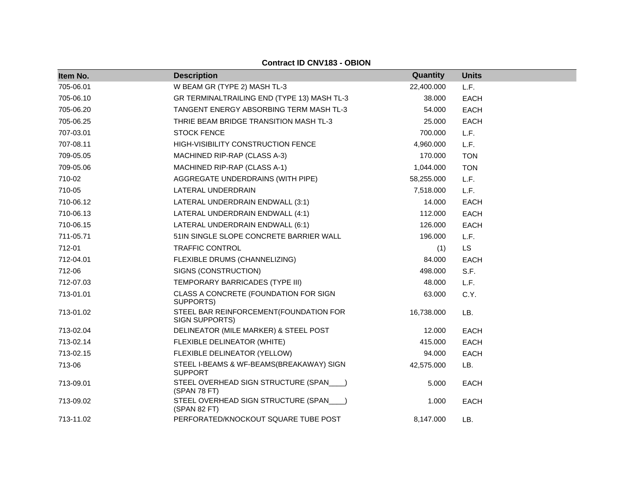| Item No.  | <b>Description</b>                                         | Quantity   | <b>Units</b> |
|-----------|------------------------------------------------------------|------------|--------------|
| 705-06.01 | W BEAM GR (TYPE 2) MASH TL-3                               | 22,400.000 | L.F.         |
| 705-06.10 | GR TERMINALTRAILING END (TYPE 13) MASH TL-3                | 38.000     | <b>EACH</b>  |
| 705-06.20 | TANGENT ENERGY ABSORBING TERM MASH TL-3                    | 54.000     | <b>EACH</b>  |
| 705-06.25 | THRIE BEAM BRIDGE TRANSITION MASH TL-3                     | 25.000     | <b>EACH</b>  |
| 707-03.01 | <b>STOCK FENCE</b>                                         | 700.000    | L.F.         |
| 707-08.11 | HIGH-VISIBILITY CONSTRUCTION FENCE                         | 4,960.000  | L.F.         |
| 709-05.05 | MACHINED RIP-RAP (CLASS A-3)                               | 170.000    | <b>TON</b>   |
| 709-05.06 | MACHINED RIP-RAP (CLASS A-1)                               | 1,044.000  | <b>TON</b>   |
| 710-02    | AGGREGATE UNDERDRAINS (WITH PIPE)                          | 58,255.000 | L.F.         |
| 710-05    | LATERAL UNDERDRAIN                                         | 7,518.000  | L.F.         |
| 710-06.12 | LATERAL UNDERDRAIN ENDWALL (3:1)                           | 14.000     | <b>EACH</b>  |
| 710-06.13 | LATERAL UNDERDRAIN ENDWALL (4:1)                           | 112.000    | <b>EACH</b>  |
| 710-06.15 | LATERAL UNDERDRAIN ENDWALL (6:1)                           | 126.000    | <b>EACH</b>  |
| 711-05.71 | 51IN SINGLE SLOPE CONCRETE BARRIER WALL                    | 196.000    | L.F.         |
| 712-01    | TRAFFIC CONTROL                                            | (1)        | <b>LS</b>    |
| 712-04.01 | FLEXIBLE DRUMS (CHANNELIZING)                              | 84.000     | <b>EACH</b>  |
| 712-06    | SIGNS (CONSTRUCTION)                                       | 498.000    | S.F.         |
| 712-07.03 | TEMPORARY BARRICADES (TYPE III)                            | 48.000     | L.F.         |
| 713-01.01 | CLASS A CONCRETE (FOUNDATION FOR SIGN<br>SUPPORTS)         | 63.000     | C.Y.         |
| 713-01.02 | STEEL BAR REINFORCEMENT (FOUNDATION FOR<br>SIGN SUPPORTS)  | 16,738.000 | LB.          |
| 713-02.04 | DELINEATOR (MILE MARKER) & STEEL POST                      | 12.000     | <b>EACH</b>  |
| 713-02.14 | FLEXIBLE DELINEATOR (WHITE)                                | 415.000    | EACH         |
| 713-02.15 | FLEXIBLE DELINEATOR (YELLOW)                               | 94.000     | <b>EACH</b>  |
| 713-06    | STEEL I-BEAMS & WF-BEAMS(BREAKAWAY) SIGN<br><b>SUPPORT</b> | 42,575.000 | LB.          |
| 713-09.01 | STEEL OVERHEAD SIGN STRUCTURE (SPAN___)<br>(SPAN 78 FT)    | 5.000      | <b>EACH</b>  |
| 713-09.02 | STEEL OVERHEAD SIGN STRUCTURE (SPAN___)<br>(SPAN 82 FT)    | 1.000      | <b>EACH</b>  |
| 713-11.02 | PERFORATED/KNOCKOUT SQUARE TUBE POST                       | 8,147.000  | LB.          |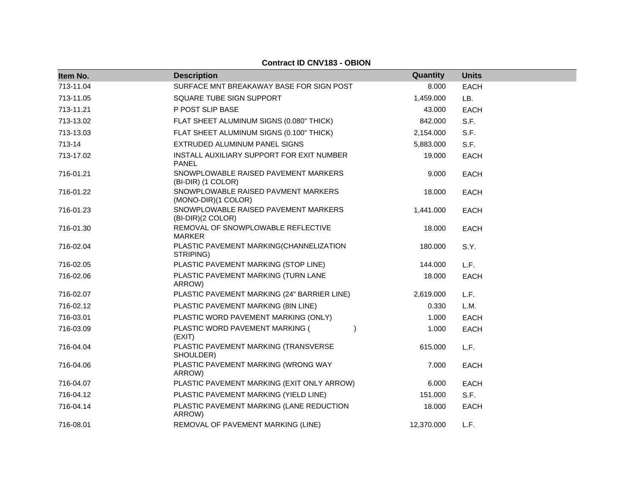| Item No.  | <b>Description</b>                                         | Quantity   | <b>Units</b> |
|-----------|------------------------------------------------------------|------------|--------------|
| 713-11.04 | SURFACE MNT BREAKAWAY BASE FOR SIGN POST                   | 8.000      | <b>EACH</b>  |
| 713-11.05 | SQUARE TUBE SIGN SUPPORT                                   | 1,459.000  | LB.          |
| 713-11.21 | P POST SLIP BASE                                           | 43.000     | <b>EACH</b>  |
| 713-13.02 | FLAT SHEET ALUMINUM SIGNS (0.080" THICK)                   | 842.000    | S.F.         |
| 713-13.03 | FLAT SHEET ALUMINUM SIGNS (0.100" THICK)                   | 2,154.000  | S.F.         |
| 713-14    | EXTRUDED ALUMINUM PANEL SIGNS                              | 5,883.000  | S.F.         |
| 713-17.02 | INSTALL AUXILIARY SUPPORT FOR EXIT NUMBER<br>PANEL         | 19.000     | <b>EACH</b>  |
| 716-01.21 | SNOWPLOWABLE RAISED PAVEMENT MARKERS<br>(BI-DIR) (1 COLOR) | 9.000      | <b>EACH</b>  |
| 716-01.22 | SNOWPLOWABLE RAISED PAVMENT MARKERS<br>(MONO-DIR)(1 COLOR) | 18.000     | <b>EACH</b>  |
| 716-01.23 | SNOWPLOWABLE RAISED PAVEMENT MARKERS<br>(BI-DIR)(2 COLOR)  | 1,441.000  | <b>EACH</b>  |
| 716-01.30 | REMOVAL OF SNOWPLOWABLE REFLECTIVE<br><b>MARKER</b>        | 18.000     | <b>EACH</b>  |
| 716-02.04 | PLASTIC PAVEMENT MARKING(CHANNELIZATION<br>STRIPING)       | 180.000    | S.Y.         |
| 716-02.05 | PLASTIC PAVEMENT MARKING (STOP LINE)                       | 144.000    | L.F.         |
| 716-02.06 | PLASTIC PAVEMENT MARKING (TURN LANE<br>ARROW)              | 18.000     | <b>EACH</b>  |
| 716-02.07 | PLASTIC PAVEMENT MARKING (24" BARRIER LINE)                | 2,619.000  | L.F.         |
| 716-02.12 | PLASTIC PAVEMENT MARKING (8IN LINE)                        | 0.330      | L.M.         |
| 716-03.01 | PLASTIC WORD PAVEMENT MARKING (ONLY)                       | 1.000      | <b>EACH</b>  |
| 716-03.09 | PLASTIC WORD PAVEMENT MARKING (<br>(EXIT)                  | 1.000      | <b>EACH</b>  |
| 716-04.04 | PLASTIC PAVEMENT MARKING (TRANSVERSE<br>SHOULDER)          | 615.000    | L.F.         |
| 716-04.06 | PLASTIC PAVEMENT MARKING (WRONG WAY<br>ARROW)              | 7.000      | <b>EACH</b>  |
| 716-04.07 | PLASTIC PAVEMENT MARKING (EXIT ONLY ARROW)                 | 6.000      | <b>EACH</b>  |
| 716-04.12 | PLASTIC PAVEMENT MARKING (YIELD LINE)                      | 151.000    | S.F.         |
| 716-04.14 | PLASTIC PAVEMENT MARKING (LANE REDUCTION<br>ARROW)         | 18.000     | <b>EACH</b>  |
| 716-08.01 | REMOVAL OF PAVEMENT MARKING (LINE)                         | 12,370.000 | L.F.         |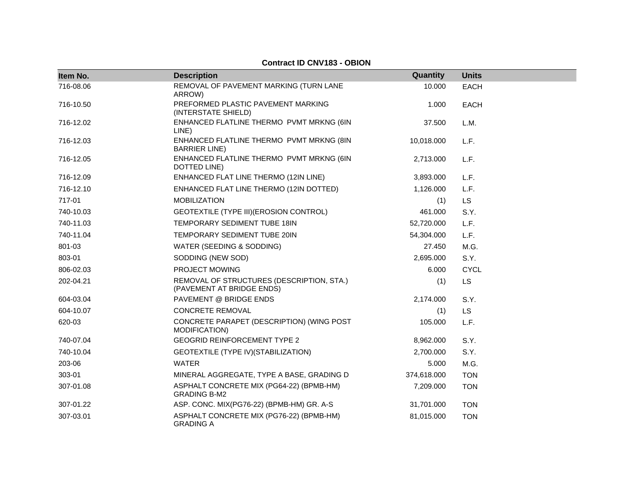| Item No.  | <b>Description</b>                                                     | Quantity    | <b>Units</b> |
|-----------|------------------------------------------------------------------------|-------------|--------------|
| 716-08.06 | REMOVAL OF PAVEMENT MARKING (TURN LANE<br>ARROW)                       | 10.000      | <b>EACH</b>  |
| 716-10.50 | PREFORMED PLASTIC PAVEMENT MARKING<br>(INTERSTATE SHIELD)              | 1.000       | <b>EACH</b>  |
| 716-12.02 | ENHANCED FLATLINE THERMO PVMT MRKNG (6IN<br>LINE)                      | 37.500      | L.M.         |
| 716-12.03 | ENHANCED FLATLINE THERMO PVMT MRKNG (8IN<br><b>BARRIER LINE)</b>       | 10,018.000  | L.F.         |
| 716-12.05 | ENHANCED FLATLINE THERMO PVMT MRKNG (6IN<br>DOTTED LINE)               | 2,713.000   | L.F.         |
| 716-12.09 | ENHANCED FLAT LINE THERMO (12IN LINE)                                  | 3,893.000   | L.F.         |
| 716-12.10 | ENHANCED FLAT LINE THERMO (12IN DOTTED)                                | 1,126.000   | L.F.         |
| 717-01    | <b>MOBILIZATION</b>                                                    | (1)         | LS           |
| 740-10.03 | GEOTEXTILE (TYPE III) (EROSION CONTROL)                                | 461.000     | S.Y.         |
| 740-11.03 | TEMPORARY SEDIMENT TUBE 18IN                                           | 52,720.000  | L.F.         |
| 740-11.04 | TEMPORARY SEDIMENT TUBE 20IN                                           | 54,304.000  | L.F.         |
| 801-03    | WATER (SEEDING & SODDING)                                              | 27.450      | M.G.         |
| 803-01    | SODDING (NEW SOD)                                                      | 2,695.000   | S.Y.         |
| 806-02.03 | PROJECT MOWING                                                         | 6.000       | <b>CYCL</b>  |
| 202-04.21 | REMOVAL OF STRUCTURES (DESCRIPTION, STA.)<br>(PAVEMENT AT BRIDGE ENDS) | (1)         | LS           |
| 604-03.04 | PAVEMENT @ BRIDGE ENDS                                                 | 2,174.000   | S.Y.         |
| 604-10.07 | CONCRETE REMOVAL                                                       | (1)         | LS           |
| 620-03    | CONCRETE PARAPET (DESCRIPTION) (WING POST<br>MODIFICATION)             | 105.000     | L.F.         |
| 740-07.04 | <b>GEOGRID REINFORCEMENT TYPE 2</b>                                    | 8,962.000   | S.Y.         |
| 740-10.04 | GEOTEXTILE (TYPE IV) (STABILIZATION)                                   | 2,700.000   | S.Y.         |
| 203-06    | <b>WATER</b>                                                           | 5.000       | M.G.         |
| 303-01    | MINERAL AGGREGATE, TYPE A BASE, GRADING D                              | 374,618.000 | <b>TON</b>   |
| 307-01.08 | ASPHALT CONCRETE MIX (PG64-22) (BPMB-HM)<br><b>GRADING B-M2</b>        | 7,209.000   | <b>TON</b>   |
| 307-01.22 | ASP. CONC. MIX(PG76-22) (BPMB-HM) GR. A-S                              | 31,701.000  | <b>TON</b>   |
| 307-03.01 | ASPHALT CONCRETE MIX (PG76-22) (BPMB-HM)<br><b>GRADING A</b>           | 81,015.000  | <b>TON</b>   |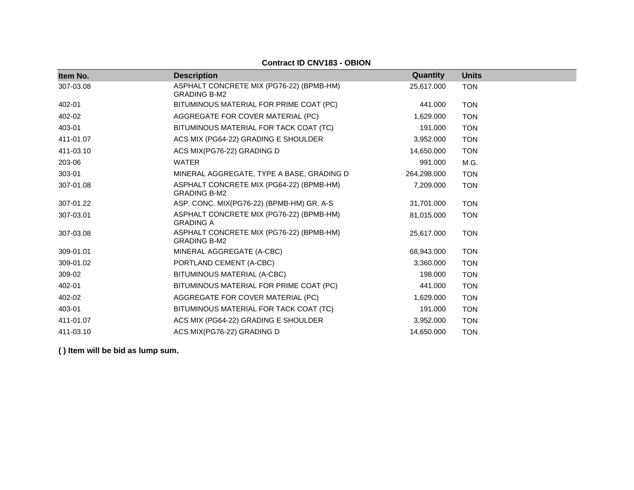| Item No.  | <b>Description</b>                                              | <b>Quantity</b> | <b>Units</b> |
|-----------|-----------------------------------------------------------------|-----------------|--------------|
| 307-03.08 | ASPHALT CONCRETE MIX (PG76-22) (BPMB-HM)<br><b>GRADING B-M2</b> | 25,617.000      | <b>TON</b>   |
| 402-01    | BITUMINOUS MATERIAL FOR PRIME COAT (PC)                         | 441.000         | <b>TON</b>   |
| 402-02    | AGGREGATE FOR COVER MATERIAL (PC)                               | 1,629.000       | <b>TON</b>   |
| 403-01    | BITUMINOUS MATERIAL FOR TACK COAT (TC)                          | 191.000         | <b>TON</b>   |
| 411-01.07 | ACS MIX (PG64-22) GRADING E SHOULDER                            | 3,952.000       | <b>TON</b>   |
| 411-03.10 | ACS MIX(PG76-22) GRADING D                                      | 14,650.000      | <b>TON</b>   |
| 203-06    | <b>WATER</b>                                                    | 991.000         | M.G.         |
| 303-01    | MINERAL AGGREGATE, TYPE A BASE, GRADING D                       | 264,298.000     | <b>TON</b>   |
| 307-01.08 | ASPHALT CONCRETE MIX (PG64-22) (BPMB-HM)<br><b>GRADING B-M2</b> | 7,209.000       | <b>TON</b>   |
| 307-01.22 | ASP. CONC. MIX(PG76-22) (BPMB-HM) GR. A-S                       | 31,701.000      | <b>TON</b>   |
| 307-03.01 | ASPHALT CONCRETE MIX (PG76-22) (BPMB-HM)<br><b>GRADING A</b>    | 81,015.000      | <b>TON</b>   |
| 307-03.08 | ASPHALT CONCRETE MIX (PG76-22) (BPMB-HM)<br><b>GRADING B-M2</b> | 25,617.000      | <b>TON</b>   |
| 309-01.01 | MINERAL AGGREGATE (A-CBC)                                       | 68,943.000      | <b>TON</b>   |
| 309-01.02 | PORTLAND CEMENT (A-CBC)                                         | 3,360.000       | <b>TON</b>   |
| 309-02    | BITUMINOUS MATERIAL (A-CBC)                                     | 198.000         | <b>TON</b>   |
| 402-01    | BITUMINOUS MATERIAL FOR PRIME COAT (PC)                         | 441.000         | <b>TON</b>   |
| 402-02    | AGGREGATE FOR COVER MATERIAL (PC)                               | 1,629.000       | <b>TON</b>   |
| 403-01    | BITUMINOUS MATERIAL FOR TACK COAT (TC)                          | 191.000         | <b>TON</b>   |
| 411-01.07 | ACS MIX (PG64-22) GRADING E SHOULDER                            | 3,952.000       | <b>TON</b>   |
| 411-03.10 | ACS MIX(PG76-22) GRADING D                                      | 14,650.000      | <b>TON</b>   |
|           |                                                                 |                 |              |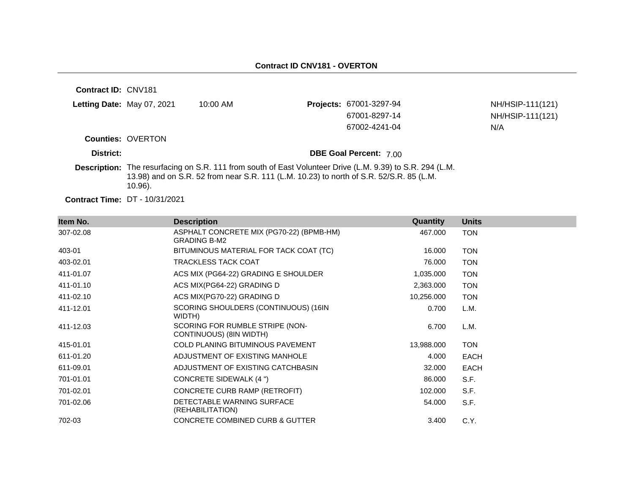| <b>Contract ID: CNV181</b> |                                   |                                                                                         |                                                                                                           |                  |
|----------------------------|-----------------------------------|-----------------------------------------------------------------------------------------|-----------------------------------------------------------------------------------------------------------|------------------|
|                            | <b>Letting Date:</b> May 07, 2021 | $10:00$ AM                                                                              | Projects: 67001-3297-94                                                                                   | NH/HSIP-111(121) |
|                            |                                   |                                                                                         | 67001-8297-14                                                                                             | NH/HSIP-111(121) |
|                            |                                   |                                                                                         | 67002-4241-04                                                                                             | N/A              |
|                            | <b>Counties: OVERTON</b>          |                                                                                         |                                                                                                           |                  |
| District:                  |                                   |                                                                                         | <b>DBE Goal Percent: 7.00</b>                                                                             |                  |
|                            | $10.96$ ).                        | 13.98) and on S.R. 52 from near S.R. 111 (L.M. 10.23) to north of S.R. 52/S.R. 85 (L.M. | Description: The resurfacing on S.R. 111 from south of East Volunteer Drive (L.M. 9.39) to S.R. 294 (L.M. |                  |

**Contract Time:** DT - 10/31/2021

| Item No.  | <b>Description</b>                                              | <b>Quantity</b> | <b>Units</b> |
|-----------|-----------------------------------------------------------------|-----------------|--------------|
| 307-02.08 | ASPHALT CONCRETE MIX (PG70-22) (BPMB-HM)<br><b>GRADING B-M2</b> | 467.000         | <b>TON</b>   |
| 403-01    | BITUMINOUS MATERIAL FOR TACK COAT (TC)                          | 16.000          | <b>TON</b>   |
| 403-02.01 | <b>TRACKLESS TACK COAT</b>                                      | 76.000          | <b>TON</b>   |
| 411-01.07 | ACS MIX (PG64-22) GRADING E SHOULDER                            | 1,035.000       | <b>TON</b>   |
| 411-01.10 | ACS MIX(PG64-22) GRADING D                                      | 2,363.000       | <b>TON</b>   |
| 411-02.10 | ACS MIX(PG70-22) GRADING D                                      | 10,256.000      | <b>TON</b>   |
| 411-12.01 | SCORING SHOULDERS (CONTINUOUS) (16IN<br>WIDTH)                  | 0.700           | L.M.         |
| 411-12.03 | SCORING FOR RUMBLE STRIPE (NON-<br>CONTINUOUS) (8IN WIDTH)      | 6.700           | L.M.         |
| 415-01.01 | <b>COLD PLANING BITUMINOUS PAVEMENT</b>                         | 13,988.000      | <b>TON</b>   |
| 611-01.20 | ADJUSTMENT OF EXISTING MANHOLE                                  | 4.000           | <b>EACH</b>  |
| 611-09.01 | ADJUSTMENT OF EXISTING CATCHBASIN                               | 32.000          | <b>EACH</b>  |
| 701-01.01 | CONCRETE SIDEWALK (4 ")                                         | 86.000          | S.F.         |
| 701-02.01 | CONCRETE CURB RAMP (RETROFIT)                                   | 102.000         | S.F.         |
| 701-02.06 | DETECTABLE WARNING SURFACE<br>(REHABILITATION)                  | 54.000          | S.F.         |
| 702-03    | <b>CONCRETE COMBINED CURB &amp; GUTTER</b>                      | 3.400           | C.Y.         |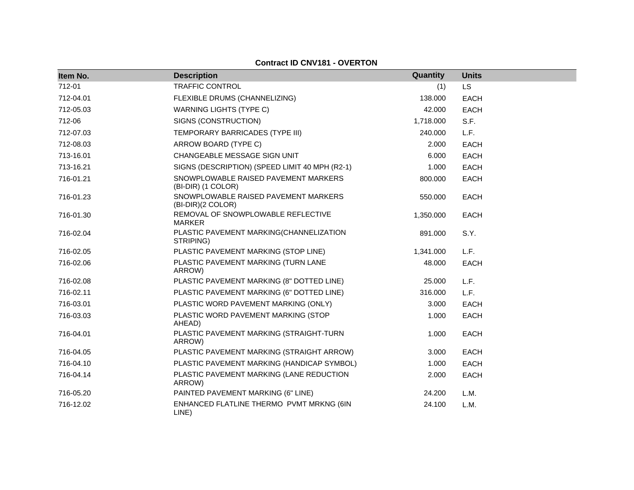**Contract ID CNV181 - OVERTON**

| Item No.  | <b>Description</b>                                         | Quantity  | <b>Units</b> |
|-----------|------------------------------------------------------------|-----------|--------------|
| 712-01    | <b>TRAFFIC CONTROL</b>                                     | (1)       | LS           |
| 712-04.01 | FLEXIBLE DRUMS (CHANNELIZING)                              | 138,000   | <b>EACH</b>  |
| 712-05.03 | <b>WARNING LIGHTS (TYPE C)</b>                             | 42.000    | <b>EACH</b>  |
| 712-06    | SIGNS (CONSTRUCTION)                                       | 1,718.000 | S.F.         |
| 712-07.03 | TEMPORARY BARRICADES (TYPE III)                            | 240.000   | L.F.         |
| 712-08.03 | ARROW BOARD (TYPE C)                                       | 2.000     | <b>EACH</b>  |
| 713-16.01 | CHANGEABLE MESSAGE SIGN UNIT                               | 6.000     | <b>EACH</b>  |
| 713-16.21 | SIGNS (DESCRIPTION) (SPEED LIMIT 40 MPH (R2-1)             | 1.000     | <b>EACH</b>  |
| 716-01.21 | SNOWPLOWABLE RAISED PAVEMENT MARKERS<br>(BI-DIR) (1 COLOR) | 800.000   | <b>EACH</b>  |
| 716-01.23 | SNOWPLOWABLE RAISED PAVEMENT MARKERS<br>(BI-DIR)(2 COLOR)  | 550.000   | <b>EACH</b>  |
| 716-01.30 | REMOVAL OF SNOWPLOWABLE REFLECTIVE<br>MARKER               | 1,350.000 | <b>EACH</b>  |
| 716-02.04 | PLASTIC PAVEMENT MARKING(CHANNELIZATION<br>STRIPING)       | 891.000   | S.Y.         |
| 716-02.05 | PLASTIC PAVEMENT MARKING (STOP LINE)                       | 1,341.000 | L.F.         |
| 716-02.06 | PLASTIC PAVEMENT MARKING (TURN LANE<br>ARROW)              | 48.000    | <b>EACH</b>  |
| 716-02.08 | PLASTIC PAVEMENT MARKING (8" DOTTED LINE)                  | 25.000    | L.F.         |
| 716-02.11 | PLASTIC PAVEMENT MARKING (6" DOTTED LINE)                  | 316.000   | L.F.         |
| 716-03.01 | PLASTIC WORD PAVEMENT MARKING (ONLY)                       | 3.000     | <b>EACH</b>  |
| 716-03.03 | PLASTIC WORD PAVEMENT MARKING (STOP<br>AHEAD)              | 1.000     | <b>EACH</b>  |
| 716-04.01 | PLASTIC PAVEMENT MARKING (STRAIGHT-TURN<br>ARROW)          | 1.000     | <b>EACH</b>  |
| 716-04.05 | PLASTIC PAVEMENT MARKING (STRAIGHT ARROW)                  | 3.000     | <b>EACH</b>  |
| 716-04.10 | PLASTIC PAVEMENT MARKING (HANDICAP SYMBOL)                 | 1.000     | <b>EACH</b>  |
| 716-04.14 | PLASTIC PAVEMENT MARKING (LANE REDUCTION<br>ARROW)         | 2.000     | <b>EACH</b>  |
| 716-05.20 | PAINTED PAVEMENT MARKING (6" LINE)                         | 24.200    | L.M.         |
| 716-12.02 | ENHANCED FLATLINE THERMO PVMT MRKNG (6IN<br>LINE)          | 24.100    | L.M.         |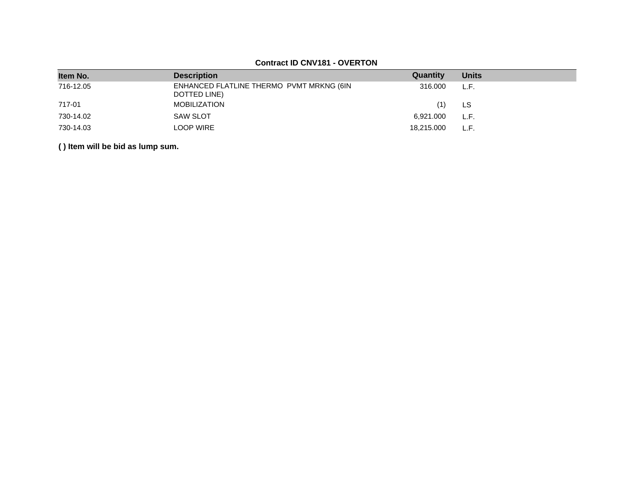# **Contract ID CNV181 - OVERTON**

| Item No.  | <b>Description</b>                                       | Quantity   | <b>Units</b> |
|-----------|----------------------------------------------------------|------------|--------------|
| 716-12.05 | ENHANCED FLATLINE THERMO PVMT MRKNG (6IN<br>DOTTED LINE) | 316,000    | L.F.         |
| 717-01    | <b>MOBILIZATION</b>                                      | (1)        | LS           |
| 730-14.02 | <b>SAW SLOT</b>                                          | 6,921.000  | L.F.         |
| 730-14.03 | <b>LOOP WIRE</b>                                         | 18.215.000 | L.F          |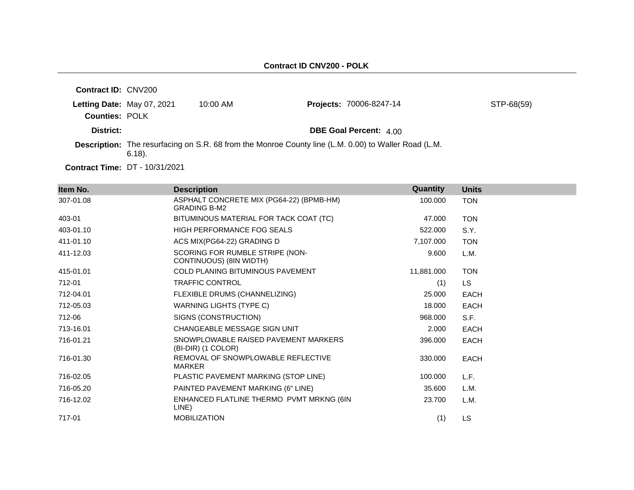| <b>Contract ID: CNV200</b> |                            |            |                                                                                                             |            |
|----------------------------|----------------------------|------------|-------------------------------------------------------------------------------------------------------------|------------|
|                            | Letting Date: May 07, 2021 | $10:00$ AM | <b>Projects: 70006-8247-14</b>                                                                              | STP-68(59) |
| <b>Counties: POLK</b>      |                            |            |                                                                                                             |            |
| District:                  |                            |            | <b>DBE Goal Percent: 4.00</b>                                                                               |            |
|                            | $6.18$ ).                  |            | <b>Description:</b> The resurfacing on S.R. 68 from the Monroe County line (L.M. 0.00) to Waller Road (L.M. |            |

**Contract Time:** DT - 10/31/2021

| Item No.  | <b>Description</b>                                              | Quantity   | <b>Units</b> |
|-----------|-----------------------------------------------------------------|------------|--------------|
| 307-01.08 | ASPHALT CONCRETE MIX (PG64-22) (BPMB-HM)<br><b>GRADING B-M2</b> | 100.000    | <b>TON</b>   |
| 403-01    | BITUMINOUS MATERIAL FOR TACK COAT (TC)                          | 47.000     | <b>TON</b>   |
| 403-01.10 | HIGH PERFORMANCE FOG SEALS                                      | 522.000    | S.Y.         |
| 411-01.10 | ACS MIX(PG64-22) GRADING D                                      | 7,107.000  | <b>TON</b>   |
| 411-12.03 | SCORING FOR RUMBLE STRIPE (NON-<br>CONTINUOUS) (8IN WIDTH)      | 9.600      | L.M.         |
| 415-01.01 | COLD PLANING BITUMINOUS PAVEMENT                                | 11,881.000 | <b>TON</b>   |
| 712-01    | <b>TRAFFIC CONTROL</b>                                          | (1)        | LS.          |
| 712-04.01 | FLEXIBLE DRUMS (CHANNELIZING)                                   | 25.000     | <b>EACH</b>  |
| 712-05.03 | WARNING LIGHTS (TYPE C)                                         | 18.000     | <b>EACH</b>  |
| 712-06    | SIGNS (CONSTRUCTION)                                            | 968,000    | S.F.         |
| 713-16.01 | CHANGEABLE MESSAGE SIGN UNIT                                    | 2.000      | <b>EACH</b>  |
| 716-01.21 | SNOWPLOWABLE RAISED PAVEMENT MARKERS<br>(BI-DIR) (1 COLOR)      | 396.000    | <b>EACH</b>  |
| 716-01.30 | REMOVAL OF SNOWPLOWABLE REFLECTIVE<br><b>MARKER</b>             | 330.000    | EACH         |
| 716-02.05 | PLASTIC PAVEMENT MARKING (STOP LINE)                            | 100.000    | L.F.         |
| 716-05.20 | PAINTED PAVEMENT MARKING (6" LINE)                              | 35.600     | L.M.         |
| 716-12.02 | ENHANCED FLATLINE THERMO PVMT MRKNG (6IN<br>LINE)               | 23.700     | L.M.         |
| 717-01    | <b>MOBILIZATION</b>                                             | (1)        | LS           |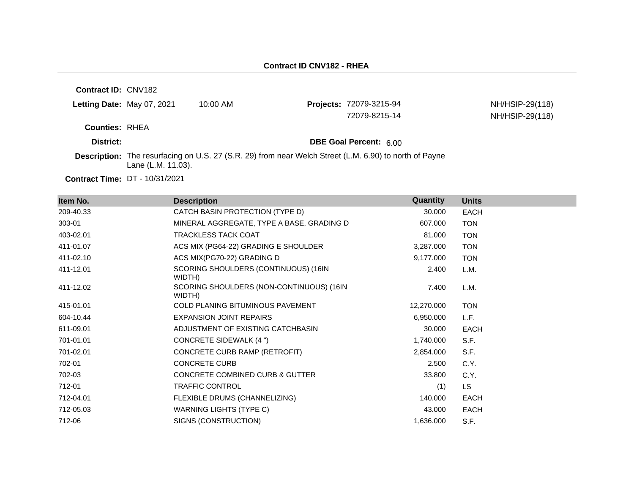**Contract ID:** CNV182 **Letting Date:** May 07, 2021 10:00 AM **Projects:** 72079-3215-94 **Counties:** RHEA **District: District: DBE Goal Percent:** 6.00 **Contract Time:** DT - 10/31/2021 **Description:** The resurfacing on U.S. 27 (S.R. 29) from near Welch Street (L.M. 6.90) to north of Payne Lane (L.M. 11.03). NH/HSIP-29(118) 72079-8215-14 NH/HSIP-29(118)

| Item No.  | <b>Description</b>                                 | <b>Quantity</b> | <b>Units</b> |
|-----------|----------------------------------------------------|-----------------|--------------|
| 209-40.33 | CATCH BASIN PROTECTION (TYPE D)                    | 30.000          | <b>EACH</b>  |
| 303-01    | MINERAL AGGREGATE, TYPE A BASE, GRADING D          | 607.000         | <b>TON</b>   |
| 403-02.01 | <b>TRACKLESS TACK COAT</b>                         | 81.000          | <b>TON</b>   |
| 411-01.07 | ACS MIX (PG64-22) GRADING E SHOULDER               | 3,287.000       | <b>TON</b>   |
| 411-02.10 | ACS MIX(PG70-22) GRADING D                         | 9,177.000       | <b>TON</b>   |
| 411-12.01 | SCORING SHOULDERS (CONTINUOUS) (16IN<br>WIDTH)     | 2.400           | L.M.         |
| 411-12.02 | SCORING SHOULDERS (NON-CONTINUOUS) (16IN<br>WIDTH) | 7.400           | L.M.         |
| 415-01.01 | <b>COLD PLANING BITUMINOUS PAVEMENT</b>            | 12,270.000      | <b>TON</b>   |
| 604-10.44 | <b>EXPANSION JOINT REPAIRS</b>                     | 6,950.000       | L.F.         |
| 611-09.01 | ADJUSTMENT OF EXISTING CATCHBASIN                  | 30.000          | <b>EACH</b>  |
| 701-01.01 | <b>CONCRETE SIDEWALK (4 ")</b>                     | 1,740.000       | S.F.         |
| 701-02.01 | CONCRETE CURB RAMP (RETROFIT)                      | 2,854.000       | S.F.         |
| 702-01    | <b>CONCRETE CURB</b>                               | 2.500           | C.Y.         |
| 702-03    | <b>CONCRETE COMBINED CURB &amp; GUTTER</b>         | 33.800          | C.Y.         |
| 712-01    | <b>TRAFFIC CONTROL</b>                             | (1)             | LS.          |
| 712-04.01 | FLEXIBLE DRUMS (CHANNELIZING)                      | 140.000         | <b>EACH</b>  |
| 712-05.03 | WARNING LIGHTS (TYPE C)                            | 43.000          | <b>EACH</b>  |
| 712-06    | SIGNS (CONSTRUCTION)                               | 1,636.000       | S.F.         |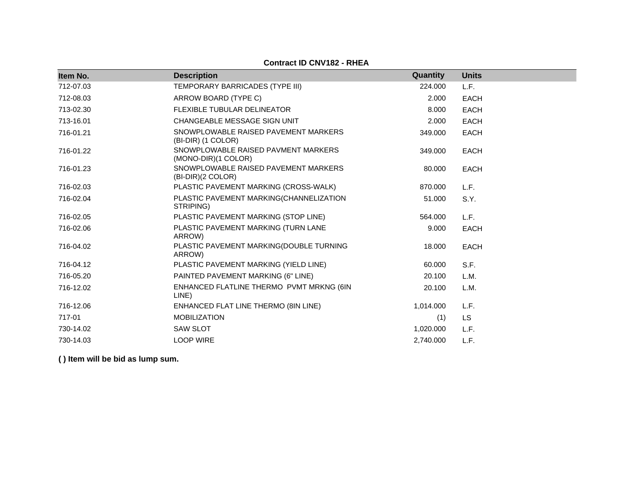| Item No.  | <b>Description</b>                                         | Quantity  | <b>Units</b> |
|-----------|------------------------------------------------------------|-----------|--------------|
| 712-07.03 | TEMPORARY BARRICADES (TYPE III)                            | 224.000   | L.F.         |
| 712-08.03 | ARROW BOARD (TYPE C)                                       | 2.000     | <b>EACH</b>  |
| 713-02.30 | <b>FLEXIBLE TUBULAR DELINEATOR</b>                         | 8.000     | <b>EACH</b>  |
|           | CHANGEABLE MESSAGE SIGN UNIT                               | 2.000     |              |
| 713-16.01 |                                                            |           | <b>EACH</b>  |
| 716-01.21 | SNOWPLOWABLE RAISED PAVEMENT MARKERS<br>(BI-DIR) (1 COLOR) | 349.000   | <b>EACH</b>  |
| 716-01.22 | SNOWPLOWABLE RAISED PAVMENT MARKERS<br>(MONO-DIR)(1 COLOR) | 349.000   | <b>EACH</b>  |
| 716-01.23 | SNOWPLOWABLE RAISED PAVEMENT MARKERS<br>(BI-DIR)(2 COLOR)  | 80.000    | <b>EACH</b>  |
| 716-02.03 | PLASTIC PAVEMENT MARKING (CROSS-WALK)                      | 870.000   | L.F.         |
| 716-02.04 | PLASTIC PAVEMENT MARKING(CHANNELIZATION<br>STRIPING)       | 51.000    | S.Y.         |
| 716-02.05 | PLASTIC PAVEMENT MARKING (STOP LINE)                       | 564.000   | L.F.         |
| 716-02.06 | PLASTIC PAVEMENT MARKING (TURN LANE<br>ARROW)              | 9.000     | <b>EACH</b>  |
| 716-04.02 | PLASTIC PAVEMENT MARKING(DOUBLE TURNING<br>ARROW)          | 18.000    | <b>EACH</b>  |
| 716-04.12 | PLASTIC PAVEMENT MARKING (YIELD LINE)                      | 60.000    | S.F.         |
| 716-05.20 | PAINTED PAVEMENT MARKING (6" LINE)                         | 20.100    | L.M.         |
| 716-12.02 | ENHANCED FLATLINE THERMO PVMT MRKNG (6IN<br>LINE)          | 20.100    | L.M.         |
| 716-12.06 | ENHANCED FLAT LINE THERMO (8IN LINE)                       | 1,014.000 | L.F.         |
| 717-01    | <b>MOBILIZATION</b>                                        | (1)       | LS.          |
| 730-14.02 | <b>SAW SLOT</b>                                            | 1,020.000 | L.F.         |
| 730-14.03 | <b>LOOP WIRE</b>                                           | 2,740.000 | L.F.         |

**Contract ID CNV182 - RHEA**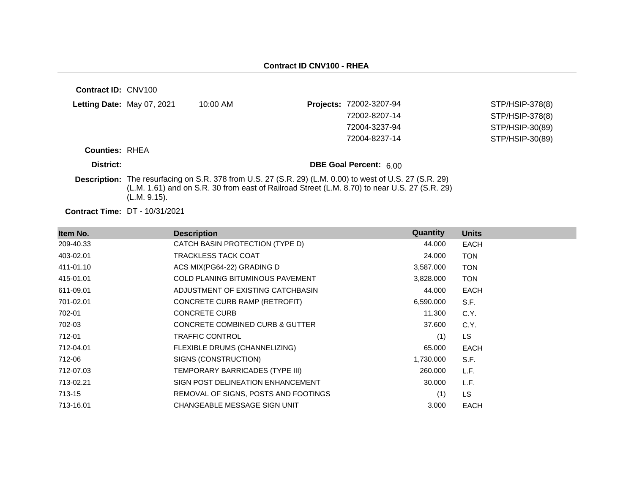| <b>Contract ID: CNV100</b>            |              |                                                                                                                                                                                                                  |                               |                 |
|---------------------------------------|--------------|------------------------------------------------------------------------------------------------------------------------------------------------------------------------------------------------------------------|-------------------------------|-----------------|
| Letting Date: May 07, 2021            |              | $10:00$ AM                                                                                                                                                                                                       | Projects: 72002-3207-94       | STP/HSIP-378(8) |
|                                       |              |                                                                                                                                                                                                                  | 72002-8207-14                 | STP/HSIP-378(8) |
|                                       |              |                                                                                                                                                                                                                  | 72004-3237-94                 | STP/HSIP-30(89) |
|                                       |              |                                                                                                                                                                                                                  | 72004-8237-14                 | STP/HSIP-30(89) |
| <b>Counties: RHEA</b>                 |              |                                                                                                                                                                                                                  |                               |                 |
| District:                             |              |                                                                                                                                                                                                                  | <b>DBE Goal Percent: 6.00</b> |                 |
|                                       | (L.M. 9.15). | <b>Description:</b> The resurfacing on S.R. 378 from U.S. 27 (S.R. 29) (L.M. 0.00) to west of U.S. 27 (S.R. 29)<br>(L.M. 1.61) and on S.R. 30 from east of Railroad Street (L.M. 8.70) to near U.S. 27 (S.R. 29) |                               |                 |
| <b>Contract Time: DT - 10/31/2021</b> |              |                                                                                                                                                                                                                  |                               |                 |

| Item No.  | <b>Description</b>                         | Quantity  | <b>Units</b> |
|-----------|--------------------------------------------|-----------|--------------|
| 209-40.33 | CATCH BASIN PROTECTION (TYPE D)            | 44.000    | <b>EACH</b>  |
| 403-02.01 | TRACKLESS TACK COAT                        | 24.000    | <b>TON</b>   |
| 411-01.10 | ACS MIX(PG64-22) GRADING D                 | 3,587.000 | <b>TON</b>   |
| 415-01.01 | <b>COLD PLANING BITUMINOUS PAVEMENT</b>    | 3,828.000 | <b>TON</b>   |
| 611-09.01 | ADJUSTMENT OF EXISTING CATCHBASIN          | 44.000    | <b>EACH</b>  |
| 701-02.01 | CONCRETE CURB RAMP (RETROFIT)              | 6,590.000 | S.F.         |
| 702-01    | <b>CONCRETE CURB</b>                       | 11.300    | C.Y.         |
| 702-03    | <b>CONCRETE COMBINED CURB &amp; GUTTER</b> | 37.600    | C.Y.         |
| 712-01    | TRAFFIC CONTROL                            | (1)       | LS.          |
| 712-04.01 | FLEXIBLE DRUMS (CHANNELIZING)              | 65.000    | <b>EACH</b>  |
| 712-06    | SIGNS (CONSTRUCTION)                       | 1,730.000 | S.F.         |
| 712-07.03 | TEMPORARY BARRICADES (TYPE III)            | 260.000   | L.F.         |
| 713-02.21 | SIGN POST DELINEATION ENHANCEMENT          | 30.000    | L.F.         |
| 713-15    | REMOVAL OF SIGNS, POSTS AND FOOTINGS       | (1)       | LS.          |
| 713-16.01 | CHANGEABLE MESSAGE SIGN UNIT               | 3.000     | <b>EACH</b>  |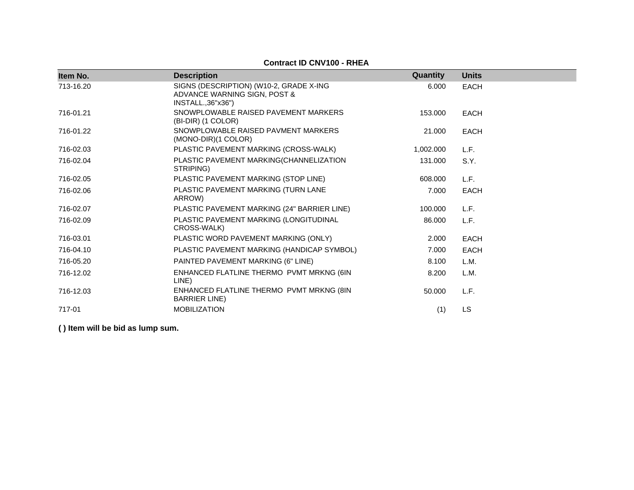|           | <b>Contract ID CNV100 - RHEA</b>                                                                |           |              |
|-----------|-------------------------------------------------------------------------------------------------|-----------|--------------|
| Item No.  | <b>Description</b>                                                                              | Quantity  | <b>Units</b> |
| 713-16.20 | SIGNS (DESCRIPTION) (W10-2, GRADE X-ING<br>ADVANCE WARNING SIGN, POST &<br>INSTALL., 36" x 36") | 6.000     | <b>EACH</b>  |
| 716-01.21 | SNOWPLOWABLE RAISED PAVEMENT MARKERS<br>(BI-DIR) (1 COLOR)                                      | 153.000   | <b>EACH</b>  |
| 716-01.22 | SNOWPLOWABLE RAISED PAVMENT MARKERS<br>(MONO-DIR)(1 COLOR)                                      | 21.000    | <b>EACH</b>  |
| 716-02.03 | PLASTIC PAVEMENT MARKING (CROSS-WALK)                                                           | 1,002.000 | L.F.         |
| 716-02.04 | PLASTIC PAVEMENT MARKING(CHANNELIZATION<br>STRIPING)                                            | 131.000   | S.Y.         |
| 716-02.05 | PLASTIC PAVEMENT MARKING (STOP LINE)                                                            | 608.000   | L.F.         |
| 716-02.06 | PLASTIC PAVEMENT MARKING (TURN LANE<br>ARROW)                                                   | 7.000     | <b>EACH</b>  |
| 716-02.07 | PLASTIC PAVEMENT MARKING (24" BARRIER LINE)                                                     | 100.000   | L.F.         |
| 716-02.09 | PLASTIC PAVEMENT MARKING (LONGITUDINAL<br>CROSS-WALK)                                           | 86.000    | L.F.         |
| 716-03.01 | PLASTIC WORD PAVEMENT MARKING (ONLY)                                                            | 2.000     | <b>EACH</b>  |
| 716-04.10 | PLASTIC PAVEMENT MARKING (HANDICAP SYMBOL)                                                      | 7.000     | <b>EACH</b>  |
| 716-05.20 | PAINTED PAVEMENT MARKING (6" LINE)                                                              | 8.100     | L.M.         |
| 716-12.02 | ENHANCED FLATLINE THERMO PVMT MRKNG (6IN<br>LINE)                                               | 8.200     | L.M.         |
| 716-12.03 | ENHANCED FLATLINE THERMO PVMT MRKNG (8IN<br><b>BARRIER LINE</b> )                               | 50.000    | L.F.         |
| 717-01    | <b>MOBILIZATION</b>                                                                             | (1)       | <b>LS</b>    |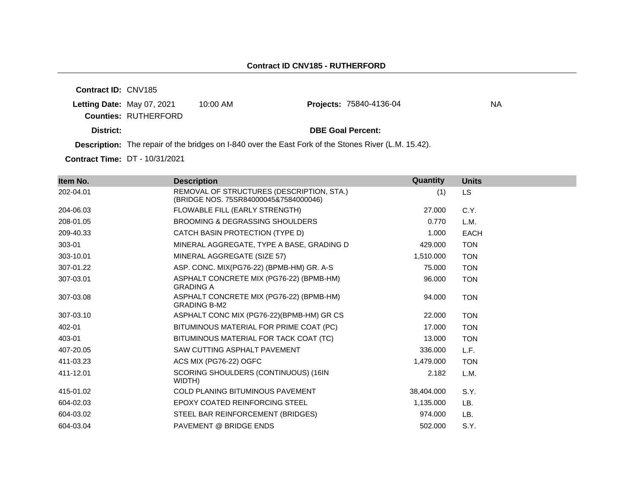**Contract ID:** CNV185 **Letting Date:** May 07, 2021 10:00 AM **Counties:** RUTHERFORD **District: District: DBE Goal Percent: Description:** The repair of the bridges on I-840 over the East Fork of the Stones River (L.M. 15.42). **Projects: 75840-4136-04** NA

**Contract Time:** DT - 10/31/2021

| Item No.  | <b>Description</b>                                                                 | Quantity   | <b>Units</b> |
|-----------|------------------------------------------------------------------------------------|------------|--------------|
| 202-04.01 | REMOVAL OF STRUCTURES (DESCRIPTION, STA.)<br>(BRIDGE NOS. 75SR84000045&7584000046) | (1)        | <b>LS</b>    |
| 204-06.03 | FLOWABLE FILL (EARLY STRENGTH)                                                     | 27,000     | C.Y.         |
| 208-01.05 | <b>BROOMING &amp; DEGRASSING SHOULDERS</b>                                         | 0.770      | L.M.         |
| 209-40.33 | CATCH BASIN PROTECTION (TYPE D)                                                    | 1.000      | <b>EACH</b>  |
| 303-01    | MINERAL AGGREGATE, TYPE A BASE, GRADING D                                          | 429.000    | <b>TON</b>   |
| 303-10.01 | MINERAL AGGREGATE (SIZE 57)                                                        | 1,510.000  | <b>TON</b>   |
| 307-01.22 | ASP. CONC. MIX(PG76-22) (BPMB-HM) GR. A-S                                          | 75.000     | <b>TON</b>   |
| 307-03.01 | ASPHALT CONCRETE MIX (PG76-22) (BPMB-HM)<br><b>GRADING A</b>                       | 96.000     | <b>TON</b>   |
| 307-03.08 | ASPHALT CONCRETE MIX (PG76-22) (BPMB-HM)<br><b>GRADING B-M2</b>                    | 94.000     | <b>TON</b>   |
| 307-03.10 | ASPHALT CONC MIX (PG76-22)(BPMB-HM) GR CS                                          | 22,000     | <b>TON</b>   |
| 402-01    | BITUMINOUS MATERIAL FOR PRIME COAT (PC)                                            | 17.000     | <b>TON</b>   |
| 403-01    | BITUMINOUS MATERIAL FOR TACK COAT (TC)                                             | 13.000     | <b>TON</b>   |
| 407-20.05 | SAW CUTTING ASPHALT PAVEMENT                                                       | 336.000    | L.F.         |
| 411-03.23 | ACS MIX (PG76-22) OGFC                                                             | 1,479.000  | <b>TON</b>   |
| 411-12.01 | SCORING SHOULDERS (CONTINUOUS) (16IN<br>WIDTH)                                     | 2.182      | L.M.         |
| 415-01.02 | <b>COLD PLANING BITUMINOUS PAVEMENT</b>                                            | 38,404.000 | S.Y.         |
| 604-02.03 | <b>EPOXY COATED REINFORCING STEEL</b>                                              | 1,135.000  | LB.          |
| 604-03.02 | STEEL BAR REINFORCEMENT (BRIDGES)                                                  | 974.000    | LB.          |
| 604-03.04 | <b>PAVEMENT @ BRIDGE ENDS</b>                                                      | 502.000    | S.Y.         |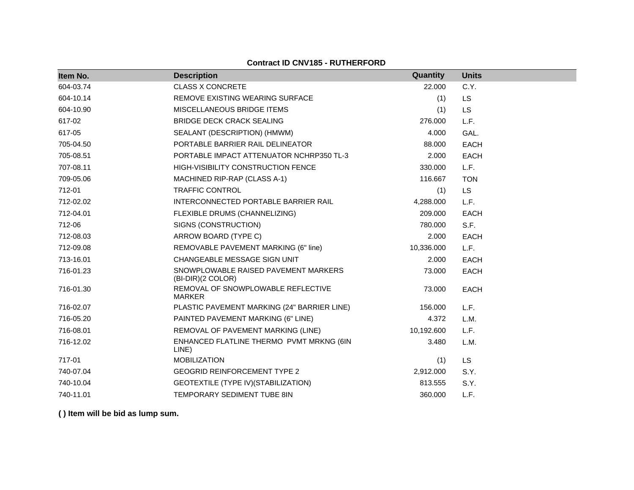### **Contract ID CNV185 - RUTHERFORD**

| Item No.  | <b>Description</b>                                        | Quantity   | <b>Units</b> |
|-----------|-----------------------------------------------------------|------------|--------------|
| 604-03.74 | <b>CLASS X CONCRETE</b>                                   | 22.000     | C.Y.         |
| 604-10.14 | REMOVE EXISTING WEARING SURFACE                           | (1)        | <b>LS</b>    |
| 604-10.90 | MISCELLANEOUS BRIDGE ITEMS                                | (1)        | LS           |
| 617-02    | <b>BRIDGE DECK CRACK SEALING</b>                          | 276.000    | L.F.         |
| 617-05    | SEALANT (DESCRIPTION) (HMWM)                              | 4.000      | GAL.         |
| 705-04.50 | PORTABLE BARRIER RAIL DELINEATOR                          | 88.000     | <b>EACH</b>  |
| 705-08.51 | PORTABLE IMPACT ATTENUATOR NCHRP350 TL-3                  | 2.000      | <b>EACH</b>  |
| 707-08.11 | <b>HIGH-VISIBILITY CONSTRUCTION FENCE</b>                 | 330,000    | L.F.         |
| 709-05.06 | MACHINED RIP-RAP (CLASS A-1)                              | 116.667    | <b>TON</b>   |
| 712-01    | <b>TRAFFIC CONTROL</b>                                    | (1)        | <b>LS</b>    |
| 712-02.02 | INTERCONNECTED PORTABLE BARRIER RAIL                      | 4,288.000  | L.F.         |
| 712-04.01 | FLEXIBLE DRUMS (CHANNELIZING)                             | 209.000    | <b>EACH</b>  |
| 712-06    | SIGNS (CONSTRUCTION)                                      | 780.000    | S.F.         |
| 712-08.03 | ARROW BOARD (TYPE C)                                      | 2.000      | <b>EACH</b>  |
| 712-09.08 | REMOVABLE PAVEMENT MARKING (6" line)                      | 10,336.000 | L.F.         |
| 713-16.01 | CHANGEABLE MESSAGE SIGN UNIT                              | 2.000      | <b>EACH</b>  |
| 716-01.23 | SNOWPLOWABLE RAISED PAVEMENT MARKERS<br>(BI-DIR)(2 COLOR) | 73.000     | <b>EACH</b>  |
| 716-01.30 | REMOVAL OF SNOWPLOWABLE REFLECTIVE<br><b>MARKER</b>       | 73.000     | <b>EACH</b>  |
| 716-02.07 | PLASTIC PAVEMENT MARKING (24" BARRIER LINE)               | 156.000    | L.F.         |
| 716-05.20 | PAINTED PAVEMENT MARKING (6" LINE)                        | 4.372      | L.M.         |
| 716-08.01 | REMOVAL OF PAVEMENT MARKING (LINE)                        | 10,192.600 | L.F.         |
| 716-12.02 | ENHANCED FLATLINE THERMO PVMT MRKNG (6IN<br>LINE)         | 3.480      | L.M.         |
| 717-01    | <b>MOBILIZATION</b>                                       | (1)        | <b>LS</b>    |
| 740-07.04 | <b>GEOGRID REINFORCEMENT TYPE 2</b>                       | 2,912.000  | S.Y.         |
| 740-10.04 | GEOTEXTILE (TYPE IV) (STABILIZATION)                      | 813.555    | S.Y.         |
| 740-11.01 | TEMPORARY SEDIMENT TUBE 8IN                               | 360,000    | L.F.         |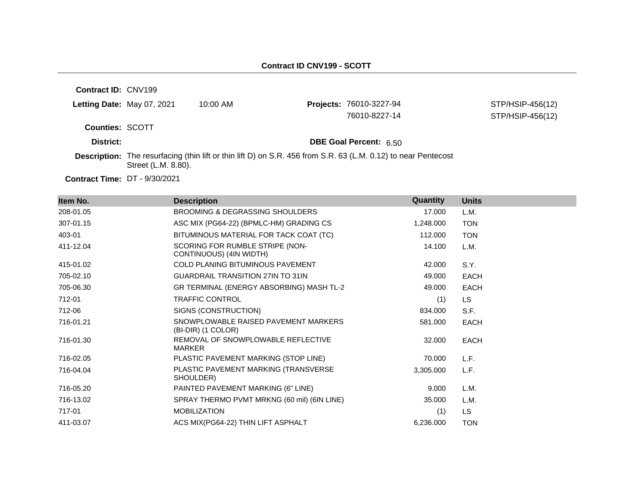**Contract ID:** CNV199 **Letting Date:** May 07, 2021 10:00 AM **Projects:** 76010-3227-94 **Counties:** SCOTT **District: District: DBE Goal Percent:** 6.50 **Description:** The resurfacing (thin lift or thin lift D) on S.R. 456 from S.R. 63 (L.M. 0.12) to near Pentecost Street (L.M. 8.80). STP/HSIP-456(12) 76010-8227-14 STP/HSIP-456(12)

| Item No.  | <b>Description</b>                                         | Quantity  | <b>Units</b> |
|-----------|------------------------------------------------------------|-----------|--------------|
| 208-01.05 | <b>BROOMING &amp; DEGRASSING SHOULDERS</b>                 | 17.000    | L.M.         |
| 307-01.15 | ASC MIX (PG64-22) (BPMLC-HM) GRADING CS                    | 1,248.000 | <b>TON</b>   |
| 403-01    | BITUMINOUS MATERIAL FOR TACK COAT (TC)                     | 112.000   | <b>TON</b>   |
| 411-12.04 | SCORING FOR RUMBLE STRIPE (NON-<br>CONTINUOUS) (4IN WIDTH) | 14.100    | L.M.         |
| 415-01.02 | <b>COLD PLANING BITUMINOUS PAVEMENT</b>                    | 42.000    | S.Y.         |
| 705-02.10 | <b>GUARDRAIL TRANSITION 27IN TO 31IN</b>                   | 49.000    | EACH         |
| 705-06.30 | GR TERMINAL (ENERGY ABSORBING) MASH TL-2                   | 49.000    | EACH         |
| 712-01    | <b>TRAFFIC CONTROL</b>                                     | (1)       | LS           |
| 712-06    | SIGNS (CONSTRUCTION)                                       | 834.000   | S.F.         |
| 716-01.21 | SNOWPLOWABLE RAISED PAVEMENT MARKERS<br>(BI-DIR) (1 COLOR) | 581.000   | <b>EACH</b>  |
| 716-01.30 | REMOVAL OF SNOWPLOWABLE REFLECTIVE<br>MARKER               | 32.000    | <b>EACH</b>  |
| 716-02.05 | PLASTIC PAVEMENT MARKING (STOP LINE)                       | 70.000    | L.F.         |
| 716-04.04 | PLASTIC PAVEMENT MARKING (TRANSVERSE<br>SHOULDER)          | 3,305.000 | L.F.         |
| 716-05.20 | PAINTED PAVEMENT MARKING (6" LINE)                         | 9.000     | L.M.         |
| 716-13.02 | SPRAY THERMO PVMT MRKNG (60 mil) (6IN LINE)                | 35,000    | L.M.         |
| 717-01    | <b>MOBILIZATION</b>                                        | (1)       | <b>LS</b>    |
| 411-03.07 | ACS MIX(PG64-22) THIN LIFT ASPHALT                         | 6,236.000 | <b>TON</b>   |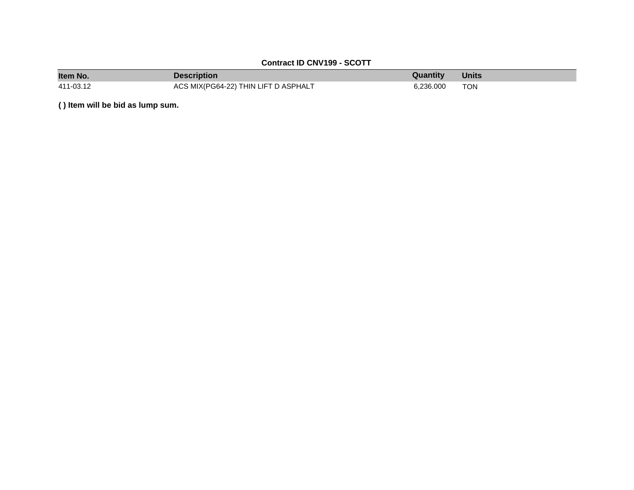| <b>Contract ID CNV199 - SCOTT</b> |                                      |           |              |  |
|-----------------------------------|--------------------------------------|-----------|--------------|--|
| Item No.                          | <b>Description</b>                   | Quantity  | <b>Units</b> |  |
| 411-03.12                         | ACS MIX(PG64-22) THIN LIFT D ASPHALT | 6.236.000 | <b>TON</b>   |  |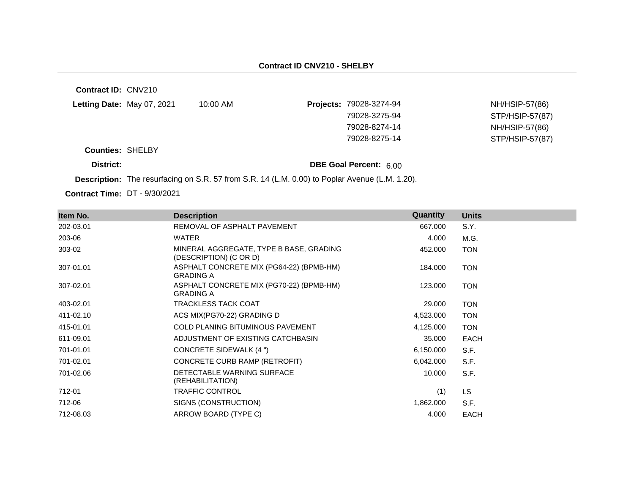| <b>Contract ID: CNV210</b> |                                                                                                       |                               |                 |
|----------------------------|-------------------------------------------------------------------------------------------------------|-------------------------------|-----------------|
| Letting Date: May 07, 2021 | 10:00 AM                                                                                              | Projects: 79028-3274-94       | NH/HSIP-57(86)  |
|                            |                                                                                                       | 79028-3275-94                 | STP/HSIP-57(87) |
|                            |                                                                                                       | 79028-8274-14                 | NH/HSIP-57(86)  |
|                            |                                                                                                       | 79028-8275-14                 | STP/HSIP-57(87) |
| <b>Counties: SHELBY</b>    |                                                                                                       |                               |                 |
| District:                  |                                                                                                       | <b>DBE Goal Percent: 6.00</b> |                 |
|                            | <b>Description:</b> The resurfacing on S.R. 57 from S.R. 14 (L.M. 0.00) to Poplar Avenue (L.M. 1.20). |                               |                 |

| Item No.  | <b>Description</b>                                                | Quantity  | <b>Units</b> |
|-----------|-------------------------------------------------------------------|-----------|--------------|
| 202-03.01 | REMOVAL OF ASPHALT PAVEMENT                                       | 667.000   | S.Y.         |
| 203-06    | WATER                                                             | 4.000     | M.G.         |
| 303-02    | MINERAL AGGREGATE, TYPE B BASE, GRADING<br>(DESCRIPTION) (C OR D) | 452.000   | <b>TON</b>   |
| 307-01.01 | ASPHALT CONCRETE MIX (PG64-22) (BPMB-HM)<br><b>GRADING A</b>      | 184.000   | <b>TON</b>   |
| 307-02.01 | ASPHALT CONCRETE MIX (PG70-22) (BPMB-HM)<br><b>GRADING A</b>      | 123.000   | <b>TON</b>   |
| 403-02.01 | <b>TRACKLESS TACK COAT</b>                                        | 29.000    | <b>TON</b>   |
| 411-02.10 | ACS MIX(PG70-22) GRADING D                                        | 4,523.000 | <b>TON</b>   |
| 415-01.01 | <b>COLD PLANING BITUMINOUS PAVEMENT</b>                           | 4,125.000 | <b>TON</b>   |
| 611-09.01 | ADJUSTMENT OF EXISTING CATCHBASIN                                 | 35,000    | <b>EACH</b>  |
| 701-01.01 | <b>CONCRETE SIDEWALK (4 ")</b>                                    | 6,150.000 | S.F.         |
| 701-02.01 | CONCRETE CURB RAMP (RETROFIT)                                     | 6,042.000 | S.F.         |
| 701-02.06 | DETECTABLE WARNING SURFACE<br>(REHABILITATION)                    | 10.000    | S.F.         |
| 712-01    | <b>TRAFFIC CONTROL</b>                                            | (1)       | LS.          |
| 712-06    | SIGNS (CONSTRUCTION)                                              | 1,862.000 | S.F.         |
| 712-08.03 | ARROW BOARD (TYPE C)                                              | 4.000     | <b>EACH</b>  |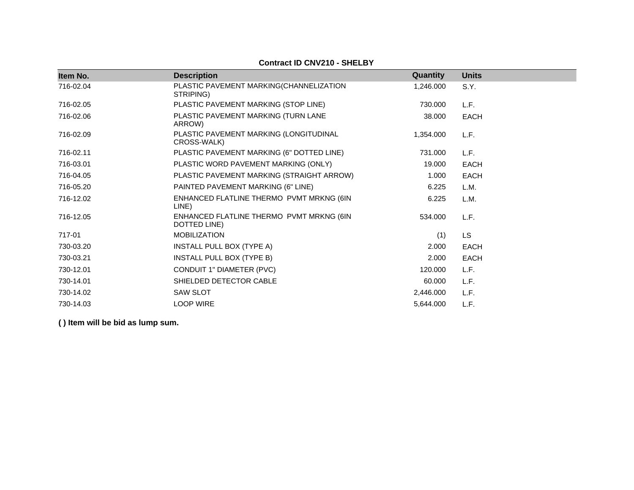| Item No.  | <b>Description</b>                                       | Quantity  | <b>Units</b> |
|-----------|----------------------------------------------------------|-----------|--------------|
| 716-02.04 | PLASTIC PAVEMENT MARKING(CHANNELIZATION<br>STRIPING)     | 1,246.000 | S.Y.         |
| 716-02.05 | PLASTIC PAVEMENT MARKING (STOP LINE)                     | 730,000   | L.F.         |
| 716-02.06 | PLASTIC PAVEMENT MARKING (TURN LANE<br>ARROW)            | 38,000    | <b>EACH</b>  |
| 716-02.09 | PLASTIC PAVEMENT MARKING (LONGITUDINAL<br>CROSS-WALK)    | 1,354.000 | L.F.         |
| 716-02.11 | PLASTIC PAVEMENT MARKING (6" DOTTED LINE)                | 731.000   | L.F.         |
| 716-03.01 | PLASTIC WORD PAVEMENT MARKING (ONLY)                     | 19.000    | <b>EACH</b>  |
| 716-04.05 | PLASTIC PAVEMENT MARKING (STRAIGHT ARROW)                | 1.000     | <b>EACH</b>  |
| 716-05.20 | PAINTED PAVEMENT MARKING (6" LINE)                       | 6.225     | L.M.         |
| 716-12.02 | ENHANCED FLATLINE THERMO PVMT MRKNG (6IN<br>LINE)        | 6.225     | L.M.         |
| 716-12.05 | ENHANCED FLATLINE THERMO PVMT MRKNG (6IN<br>DOTTED LINE) | 534.000   | L.F.         |
| 717-01    | <b>MOBILIZATION</b>                                      | (1)       | LS           |
| 730-03.20 | INSTALL PULL BOX (TYPE A)                                | 2.000     | <b>EACH</b>  |
| 730-03.21 | INSTALL PULL BOX (TYPE B)                                | 2.000     | <b>EACH</b>  |
| 730-12.01 | CONDUIT 1" DIAMETER (PVC)                                | 120.000   | L.F.         |
| 730-14.01 | SHIELDED DETECTOR CABLE                                  | 60.000    | L.F.         |
| 730-14.02 | <b>SAW SLOT</b>                                          | 2,446.000 | L.F.         |
| 730-14.03 | <b>LOOP WIRE</b>                                         | 5,644.000 | L.F.         |

# **Contract ID CNV210 - SHELBY**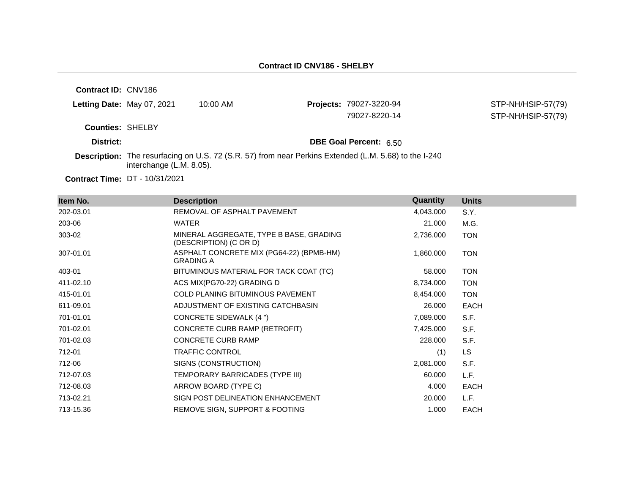**Contract ID:** CNV186

|  | Letting Date: May 07, 2021 | 10:00 AM |
|--|----------------------------|----------|
|--|----------------------------|----------|

**Projects: 79027-3220-94** 

STP-NH/HSIP-57(79) 79027-8220-14 STP-NH/HSIP-57(79)

**Counties:** SHELBY

**District: District: DBE Goal Percent:** 6.50

**Description:** The resurfacing on U.S. 72 (S.R. 57) from near Perkins Extended (L.M. 5.68) to the I-240 interchange (L.M. 8.05).

**Contract Time:** DT - 10/31/2021

| Item No.  | <b>Description</b>                                                | Quantity  | <b>Units</b> |
|-----------|-------------------------------------------------------------------|-----------|--------------|
| 202-03.01 | REMOVAL OF ASPHALT PAVEMENT                                       | 4,043.000 | S.Y.         |
| 203-06    | WATER                                                             | 21.000    | M.G.         |
| 303-02    | MINERAL AGGREGATE, TYPE B BASE, GRADING<br>(DESCRIPTION) (C OR D) | 2,736.000 | <b>TON</b>   |
| 307-01.01 | ASPHALT CONCRETE MIX (PG64-22) (BPMB-HM)<br><b>GRADING A</b>      | 1,860.000 | <b>TON</b>   |
| 403-01    | BITUMINOUS MATERIAL FOR TACK COAT (TC)                            | 58.000    | <b>TON</b>   |
| 411-02.10 | ACS MIX(PG70-22) GRADING D                                        | 8,734.000 | <b>TON</b>   |
| 415-01.01 | <b>COLD PLANING BITUMINOUS PAVEMENT</b>                           | 8,454.000 | <b>TON</b>   |
| 611-09.01 | ADJUSTMENT OF EXISTING CATCHBASIN                                 | 26.000    | EACH         |
| 701-01.01 | CONCRETE SIDEWALK (4 ")                                           | 7,089.000 | S.F.         |
| 701-02.01 | CONCRETE CURB RAMP (RETROFIT)                                     | 7,425.000 | S.F.         |
| 701-02.03 | <b>CONCRETE CURB RAMP</b>                                         | 228.000   | S.F.         |
| 712-01    | <b>TRAFFIC CONTROL</b>                                            | (1)       | <b>LS</b>    |
| 712-06    | SIGNS (CONSTRUCTION)                                              | 2,081.000 | S.F.         |
| 712-07.03 | TEMPORARY BARRICADES (TYPE III)                                   | 60.000    | L.F.         |
| 712-08.03 | ARROW BOARD (TYPE C)                                              | 4.000     | <b>EACH</b>  |
| 713-02.21 | SIGN POST DELINEATION ENHANCEMENT                                 | 20.000    | L.F.         |
| 713-15.36 | REMOVE SIGN, SUPPORT & FOOTING                                    | 1.000     | <b>EACH</b>  |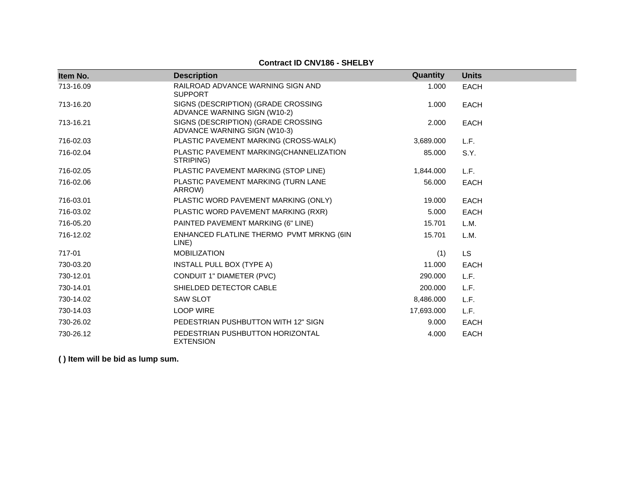#### **Contract ID CNV186 - SHELBY**

| Item No.  | <b>Description</b>                                                  | Quantity   | <b>Units</b> |
|-----------|---------------------------------------------------------------------|------------|--------------|
| 713-16.09 | RAILROAD ADVANCE WARNING SIGN AND<br><b>SUPPORT</b>                 | 1.000      | <b>EACH</b>  |
| 713-16.20 | SIGNS (DESCRIPTION) (GRADE CROSSING<br>ADVANCE WARNING SIGN (W10-2) | 1.000      | <b>EACH</b>  |
| 713-16.21 | SIGNS (DESCRIPTION) (GRADE CROSSING<br>ADVANCE WARNING SIGN (W10-3) | 2.000      | <b>EACH</b>  |
| 716-02.03 | PLASTIC PAVEMENT MARKING (CROSS-WALK)                               | 3,689.000  | L.F.         |
| 716-02.04 | PLASTIC PAVEMENT MARKING(CHANNELIZATION<br>STRIPING)                | 85.000     | S.Y.         |
| 716-02.05 | PLASTIC PAVEMENT MARKING (STOP LINE)                                | 1,844.000  | L.F.         |
| 716-02.06 | PLASTIC PAVEMENT MARKING (TURN LANE<br>ARROW)                       | 56.000     | <b>EACH</b>  |
| 716-03.01 | PLASTIC WORD PAVEMENT MARKING (ONLY)                                | 19.000     | <b>EACH</b>  |
| 716-03.02 | PLASTIC WORD PAVEMENT MARKING (RXR)                                 | 5.000      | <b>EACH</b>  |
| 716-05.20 | PAINTED PAVEMENT MARKING (6" LINE)                                  | 15.701     | L.M.         |
| 716-12.02 | ENHANCED FLATLINE THERMO PVMT MRKNG (6IN<br>LINE)                   | 15.701     | L.M.         |
| 717-01    | <b>MOBILIZATION</b>                                                 | (1)        | <b>LS</b>    |
| 730-03.20 | INSTALL PULL BOX (TYPE A)                                           | 11.000     | <b>EACH</b>  |
| 730-12.01 | CONDUIT 1" DIAMETER (PVC)                                           | 290,000    | L.F.         |
| 730-14.01 | SHIELDED DETECTOR CABLE                                             | 200,000    | L.F.         |
| 730-14.02 | <b>SAW SLOT</b>                                                     | 8,486.000  | L.F.         |
| 730-14.03 | <b>LOOP WIRE</b>                                                    | 17,693.000 | L.F.         |
| 730-26.02 | PEDESTRIAN PUSHBUTTON WITH 12" SIGN                                 | 9.000      | <b>EACH</b>  |
| 730-26.12 | PEDESTRIAN PUSHBUTTON HORIZONTAL<br><b>EXTENSION</b>                | 4.000      | <b>EACH</b>  |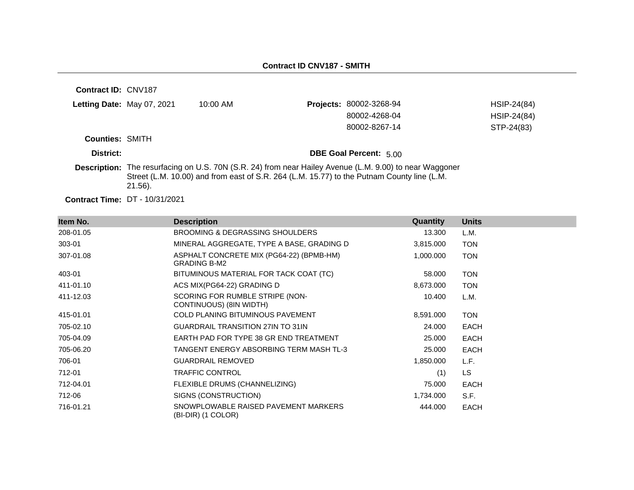| Contract ID: CNV187    |                                       |                                                                                            |                                                                                                                |             |
|------------------------|---------------------------------------|--------------------------------------------------------------------------------------------|----------------------------------------------------------------------------------------------------------------|-------------|
|                        | Letting Date: May 07, 2021            | $10:00$ AM                                                                                 | <b>Projects: 80002-3268-94</b>                                                                                 | HSIP-24(84) |
|                        |                                       |                                                                                            | 80002-4268-04                                                                                                  | HSIP-24(84) |
|                        |                                       |                                                                                            | 80002-8267-14                                                                                                  | STP-24(83)  |
| <b>Counties: SMITH</b> |                                       |                                                                                            |                                                                                                                |             |
| District:              |                                       |                                                                                            | <b>DBE Goal Percent: 5.00</b>                                                                                  |             |
|                        | $21.56$ ).                            | Street (L.M. 10.00) and from east of S.R. 264 (L.M. 15.77) to the Putnam County line (L.M. | <b>Description:</b> The resurfacing on U.S. 70N (S.R. 24) from near Hailey Avenue (L.M. 9.00) to near Waggoner |             |
|                        | <b>Contract Time: DT - 10/31/2021</b> |                                                                                            |                                                                                                                |             |

| Item No.  | <b>Description</b>                                              | <b>Quantity</b> | <b>Units</b> |
|-----------|-----------------------------------------------------------------|-----------------|--------------|
| 208-01.05 | BROOMING & DEGRASSING SHOULDERS                                 | 13.300          | L.M.         |
| 303-01    | MINERAL AGGREGATE, TYPE A BASE, GRADING D                       | 3,815.000       | <b>TON</b>   |
| 307-01.08 | ASPHALT CONCRETE MIX (PG64-22) (BPMB-HM)<br><b>GRADING B-M2</b> | 1,000.000       | <b>TON</b>   |
| 403-01    | BITUMINOUS MATERIAL FOR TACK COAT (TC)                          | 58.000          | <b>TON</b>   |
| 411-01.10 | ACS MIX(PG64-22) GRADING D                                      | 8,673.000       | <b>TON</b>   |
| 411-12.03 | SCORING FOR RUMBLE STRIPE (NON-<br>CONTINUOUS) (8IN WIDTH)      | 10.400          | L.M.         |
| 415-01.01 | <b>COLD PLANING BITUMINOUS PAVEMENT</b>                         | 8,591.000       | <b>TON</b>   |
| 705-02.10 | <b>GUARDRAIL TRANSITION 27IN TO 31IN</b>                        | 24.000          | <b>EACH</b>  |
| 705-04.09 | EARTH PAD FOR TYPE 38 GR END TREATMENT                          | 25.000          | <b>EACH</b>  |
| 705-06.20 | TANGENT ENERGY ABSORBING TERM MASH TL-3                         | 25,000          | <b>EACH</b>  |
| 706-01    | <b>GUARDRAIL REMOVED</b>                                        | 1,850.000       | L.F.         |
| 712-01    | <b>TRAFFIC CONTROL</b>                                          | (1)             | <b>LS</b>    |
| 712-04.01 | FLEXIBLE DRUMS (CHANNELIZING)                                   | 75.000          | <b>EACH</b>  |
| 712-06    | SIGNS (CONSTRUCTION)                                            | 1,734.000       | S.F.         |
| 716-01.21 | SNOWPLOWABLE RAISED PAVEMENT MARKERS<br>(BI-DIR) (1 COLOR)      | 444.000         | <b>EACH</b>  |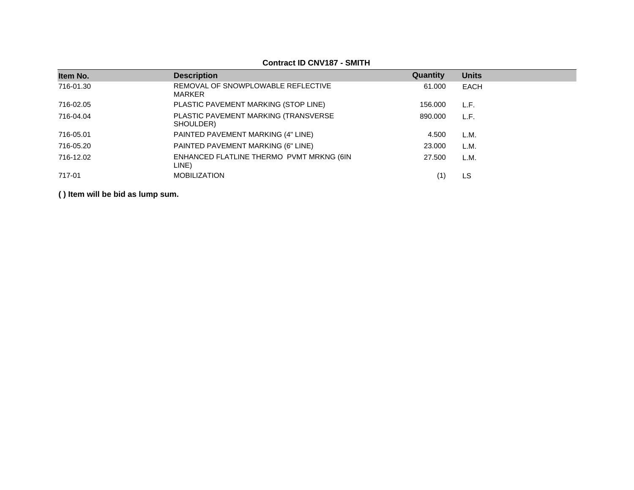| Item No.  | <b>Description</b>                                | Quantity | <b>Units</b> |
|-----------|---------------------------------------------------|----------|--------------|
| 716-01.30 | REMOVAL OF SNOWPLOWABLE REFLECTIVE<br>MARKER      | 61.000   | <b>EACH</b>  |
| 716-02.05 | PLASTIC PAVEMENT MARKING (STOP LINE)              | 156.000  | L.F.         |
| 716-04.04 | PLASTIC PAVEMENT MARKING (TRANSVERSE<br>SHOULDER) | 890,000  | L.F.         |
| 716-05.01 | PAINTED PAVEMENT MARKING (4" LINE)                | 4.500    | L.M.         |
| 716-05.20 | PAINTED PAVEMENT MARKING (6" LINE)                | 23,000   | L.M.         |
| 716-12.02 | ENHANCED FLATLINE THERMO PVMT MRKNG (6IN<br>LINE) | 27.500   | L.M.         |
| 717-01    | <b>MOBILIZATION</b>                               |          | LS           |
|           |                                                   |          |              |

**Contract ID CNV187 - SMITH**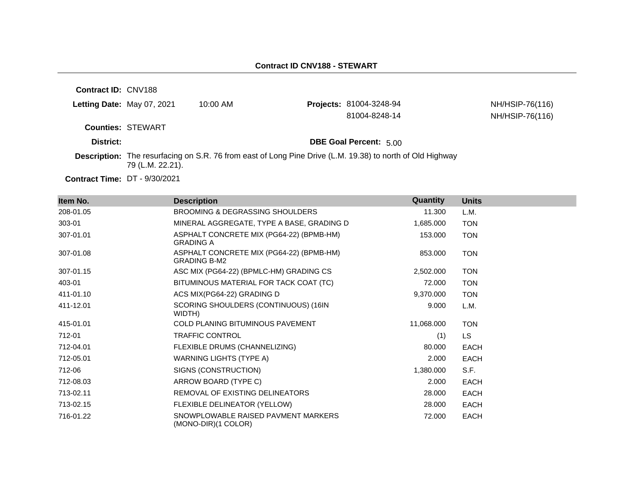| <b>Contract ID: CNV188</b> |                          |            |                                                                                                           |                                    |
|----------------------------|--------------------------|------------|-----------------------------------------------------------------------------------------------------------|------------------------------------|
| Letting Date: May 07, 2021 |                          | $10:00$ AM | <b>Projects: 81004-3248-94</b><br>81004-8248-14                                                           | NH/HSIP-76(116)<br>NH/HSIP-76(116) |
|                            | <b>Counties: STEWART</b> |            |                                                                                                           |                                    |
| District:                  |                          |            | <b>DBE Goal Percent: 5.00</b>                                                                             |                                    |
|                            | 79 (L.M. 22.21).         |            | Description: The resurfacing on S.R. 76 from east of Long Pine Drive (L.M. 19.38) to north of Old Highway |                                    |

**Contract Time:** DT - 9/30/2021

| Item No.  | <b>Description</b>                                              | Quantity   | <b>Units</b> |
|-----------|-----------------------------------------------------------------|------------|--------------|
| 208-01.05 | <b>BROOMING &amp; DEGRASSING SHOULDERS</b>                      | 11.300     | L.M.         |
| 303-01    | MINERAL AGGREGATE, TYPE A BASE, GRADING D                       | 1,685.000  | <b>TON</b>   |
| 307-01.01 | ASPHALT CONCRETE MIX (PG64-22) (BPMB-HM)<br><b>GRADING A</b>    | 153.000    | <b>TON</b>   |
| 307-01.08 | ASPHALT CONCRETE MIX (PG64-22) (BPMB-HM)<br><b>GRADING B-M2</b> | 853.000    | <b>TON</b>   |
| 307-01.15 | ASC MIX (PG64-22) (BPMLC-HM) GRADING CS                         | 2,502.000  | <b>TON</b>   |
| 403-01    | BITUMINOUS MATERIAL FOR TACK COAT (TC)                          | 72.000     | <b>TON</b>   |
| 411-01.10 | ACS MIX(PG64-22) GRADING D                                      | 9,370.000  | <b>TON</b>   |
| 411-12.01 | SCORING SHOULDERS (CONTINUOUS) (16IN<br>WIDTH)                  | 9.000      | L.M.         |
| 415-01.01 | <b>COLD PLANING BITUMINOUS PAVEMENT</b>                         | 11,068.000 | <b>TON</b>   |
| 712-01    | <b>TRAFFIC CONTROL</b>                                          | (1)        | LS.          |
| 712-04.01 | FLEXIBLE DRUMS (CHANNELIZING)                                   | 80.000     | <b>EACH</b>  |
| 712-05.01 | <b>WARNING LIGHTS (TYPE A)</b>                                  | 2.000      | <b>EACH</b>  |
| 712-06    | SIGNS (CONSTRUCTION)                                            | 1,380.000  | S.F.         |
| 712-08.03 | ARROW BOARD (TYPE C)                                            | 2.000      | <b>EACH</b>  |
| 713-02.11 | REMOVAL OF EXISTING DELINEATORS                                 | 28,000     | <b>EACH</b>  |
| 713-02.15 | FLEXIBLE DELINEATOR (YELLOW)                                    | 28.000     | <b>EACH</b>  |
| 716-01.22 | SNOWPLOWABLE RAISED PAVMENT MARKERS<br>(MONO-DIR)(1 COLOR)      | 72,000     | <b>EACH</b>  |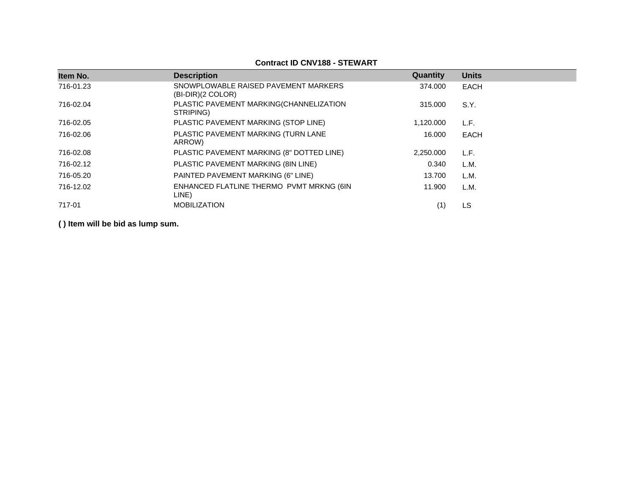## **Contract ID CNV188 - STEWART**

| Item No.  | <b>Description</b>                                          | Quantity  | <b>Units</b> |
|-----------|-------------------------------------------------------------|-----------|--------------|
| 716-01.23 | SNOWPLOWABLE RAISED PAVEMENT MARKERS<br>$(BI-DIR)(2 COLOR)$ | 374.000   | <b>EACH</b>  |
| 716-02.04 | PLASTIC PAVEMENT MARKING(CHANNELIZATION<br>STRIPING)        | 315,000   | S.Y.         |
| 716-02.05 | PLASTIC PAVEMENT MARKING (STOP LINE)                        | 1,120.000 | L.F.         |
| 716-02.06 | PLASTIC PAVEMENT MARKING (TURN LANE<br>ARROW)               | 16.000    | <b>EACH</b>  |
| 716-02.08 | PLASTIC PAVEMENT MARKING (8" DOTTED LINE)                   | 2,250.000 | L.F.         |
| 716-02.12 | PLASTIC PAVEMENT MARKING (8IN LINE)                         | 0.340     | L.M.         |
| 716-05.20 | PAINTED PAVEMENT MARKING (6" LINE)                          | 13.700    | L.M.         |
| 716-12.02 | ENHANCED FLATLINE THERMO PVMT MRKNG (6IN<br>LINE)           | 11.900    | L.M.         |
| 717-01    | <b>MOBILIZATION</b>                                         | (1)       | LS           |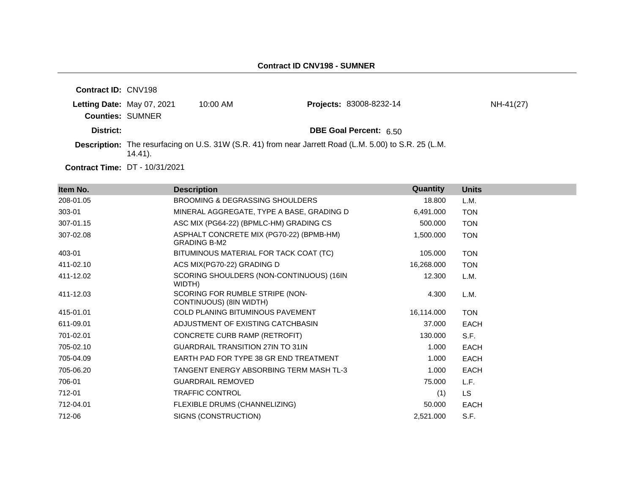| <b>Contract ID: CNV198</b> |           |            |                                                                                                        |           |
|----------------------------|-----------|------------|--------------------------------------------------------------------------------------------------------|-----------|
| Letting Date: May 07, 2021 |           | $10:00$ AM | <b>Projects: 83008-8232-14</b>                                                                         | NH-41(27) |
| <b>Counties: SUMNER</b>    |           |            |                                                                                                        |           |
| District:                  |           |            | <b>DBE Goal Percent: 6.50</b>                                                                          |           |
|                            | $14.41$ . |            | Description: The resurfacing on U.S. 31W (S.R. 41) from near Jarrett Road (L.M. 5.00) to S.R. 25 (L.M. |           |

**Contract Time:** DT - 10/31/2021

| Item No.  | <b>Description</b>                                              | Quantity   | <b>Units</b> |
|-----------|-----------------------------------------------------------------|------------|--------------|
| 208-01.05 | <b>BROOMING &amp; DEGRASSING SHOULDERS</b>                      | 18,800     | L.M.         |
| 303-01    | MINERAL AGGREGATE, TYPE A BASE, GRADING D                       | 6,491.000  | <b>TON</b>   |
| 307-01.15 | ASC MIX (PG64-22) (BPMLC-HM) GRADING CS                         | 500.000    | <b>TON</b>   |
| 307-02.08 | ASPHALT CONCRETE MIX (PG70-22) (BPMB-HM)<br><b>GRADING B-M2</b> | 1,500.000  | <b>TON</b>   |
| 403-01    | BITUMINOUS MATERIAL FOR TACK COAT (TC)                          | 105.000    | <b>TON</b>   |
| 411-02.10 | ACS MIX(PG70-22) GRADING D                                      | 16,268.000 | <b>TON</b>   |
| 411-12.02 | SCORING SHOULDERS (NON-CONTINUOUS) (16IN<br>WIDTH)              | 12.300     | L.M.         |
| 411-12.03 | SCORING FOR RUMBLE STRIPE (NON-<br>CONTINUOUS) (8IN WIDTH)      | 4.300      | L.M.         |
| 415-01.01 | COLD PLANING BITUMINOUS PAVEMENT                                | 16,114.000 | <b>TON</b>   |
| 611-09.01 | ADJUSTMENT OF EXISTING CATCHBASIN                               | 37,000     | <b>EACH</b>  |
| 701-02.01 | CONCRETE CURB RAMP (RETROFIT)                                   | 130.000    | S.F.         |
| 705-02.10 | <b>GUARDRAIL TRANSITION 27IN TO 31IN</b>                        | 1.000      | <b>EACH</b>  |
| 705-04.09 | EARTH PAD FOR TYPE 38 GR END TREATMENT                          | 1.000      | <b>EACH</b>  |
| 705-06.20 | TANGENT ENERGY ABSORBING TERM MASH TL-3                         | 1.000      | <b>EACH</b>  |
| 706-01    | <b>GUARDRAIL REMOVED</b>                                        | 75,000     | L.F.         |
| 712-01    | <b>TRAFFIC CONTROL</b>                                          | (1)        | <b>LS</b>    |
| 712-04.01 | FLEXIBLE DRUMS (CHANNELIZING)                                   | 50,000     | <b>EACH</b>  |
| 712-06    | SIGNS (CONSTRUCTION)                                            | 2,521.000  | S.F.         |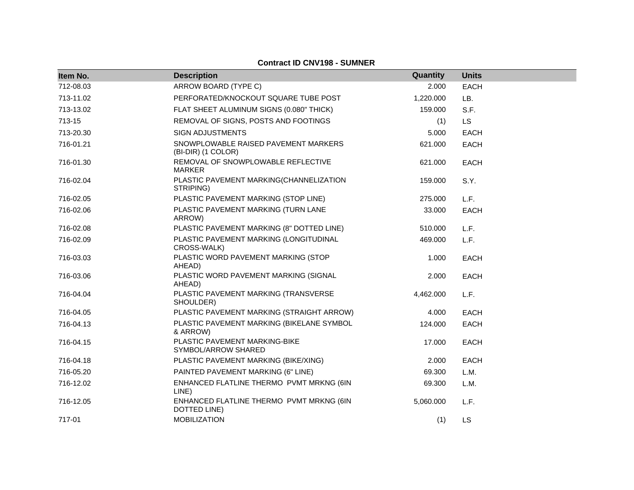| Item No.  | <b>Description</b>                                         | Quantity  | <b>Units</b> |
|-----------|------------------------------------------------------------|-----------|--------------|
| 712-08.03 | ARROW BOARD (TYPE C)                                       | 2.000     | <b>EACH</b>  |
| 713-11.02 | PERFORATED/KNOCKOUT SQUARE TUBE POST                       | 1,220.000 | LB.          |
| 713-13.02 | FLAT SHEET ALUMINUM SIGNS (0.080" THICK)                   | 159.000   | S.F.         |
| 713-15    | REMOVAL OF SIGNS, POSTS AND FOOTINGS                       | (1)       | <b>LS</b>    |
| 713-20.30 | <b>SIGN ADJUSTMENTS</b>                                    | 5.000     | <b>EACH</b>  |
| 716-01.21 | SNOWPLOWABLE RAISED PAVEMENT MARKERS<br>(BI-DIR) (1 COLOR) | 621.000   | <b>EACH</b>  |
| 716-01.30 | REMOVAL OF SNOWPLOWABLE REFLECTIVE<br><b>MARKER</b>        | 621.000   | <b>EACH</b>  |
| 716-02.04 | PLASTIC PAVEMENT MARKING(CHANNELIZATION<br>STRIPING)       | 159.000   | S.Y.         |
| 716-02.05 | PLASTIC PAVEMENT MARKING (STOP LINE)                       | 275.000   | L.F.         |
| 716-02.06 | PLASTIC PAVEMENT MARKING (TURN LANE<br>ARROW)              | 33.000    | <b>EACH</b>  |
| 716-02.08 | PLASTIC PAVEMENT MARKING (8" DOTTED LINE)                  | 510.000   | L.F.         |
| 716-02.09 | PLASTIC PAVEMENT MARKING (LONGITUDINAL<br>CROSS-WALK)      | 469.000   | L.F.         |
| 716-03.03 | PLASTIC WORD PAVEMENT MARKING (STOP<br>AHEAD)              | 1.000     | <b>EACH</b>  |
| 716-03.06 | PLASTIC WORD PAVEMENT MARKING (SIGNAL<br>AHEAD)            | 2.000     | <b>EACH</b>  |
| 716-04.04 | PLASTIC PAVEMENT MARKING (TRANSVERSE<br>SHOULDER)          | 4,462.000 | L.F.         |
| 716-04.05 | PLASTIC PAVEMENT MARKING (STRAIGHT ARROW)                  | 4.000     | <b>EACH</b>  |
| 716-04.13 | PLASTIC PAVEMENT MARKING (BIKELANE SYMBOL<br>& ARROW)      | 124.000   | <b>EACH</b>  |
| 716-04.15 | PLASTIC PAVEMENT MARKING-BIKE<br>SYMBOL/ARROW SHARED       | 17.000    | <b>EACH</b>  |
| 716-04.18 | PLASTIC PAVEMENT MARKING (BIKE/XING)                       | 2.000     | <b>EACH</b>  |
| 716-05.20 | PAINTED PAVEMENT MARKING (6" LINE)                         | 69.300    | L.M.         |
| 716-12.02 | ENHANCED FLATLINE THERMO PVMT MRKNG (6IN<br>LINE)          | 69.300    | L.M.         |
| 716-12.05 | ENHANCED FLATLINE THERMO PVMT MRKNG (6IN<br>DOTTED LINE)   | 5,060.000 | L.F.         |
| 717-01    | <b>MOBILIZATION</b>                                        | (1)       | <b>LS</b>    |

# **Contract ID CNV198 - SUMNER**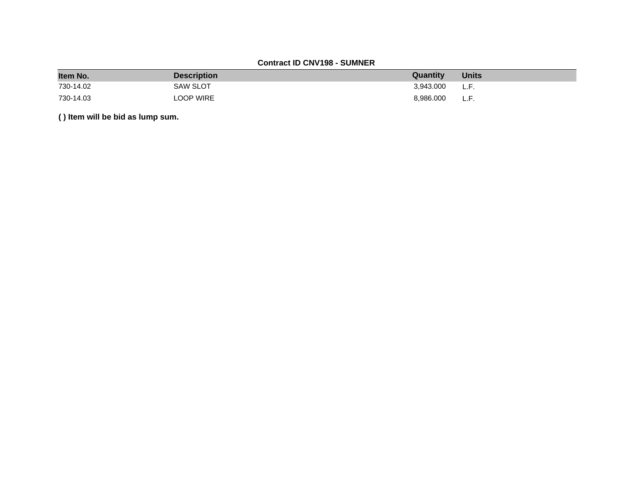# **Contract ID CNV198 - SUMNER**

| Item No.  | <b>Description</b> | Quantity  | <b>Units</b> |
|-----------|--------------------|-----------|--------------|
| 730-14.02 | SAW SLOT           | 3.943.000 | L.F.         |
| 730-14.03 | LOOP WIRE          | 8.986.000 | L.F.         |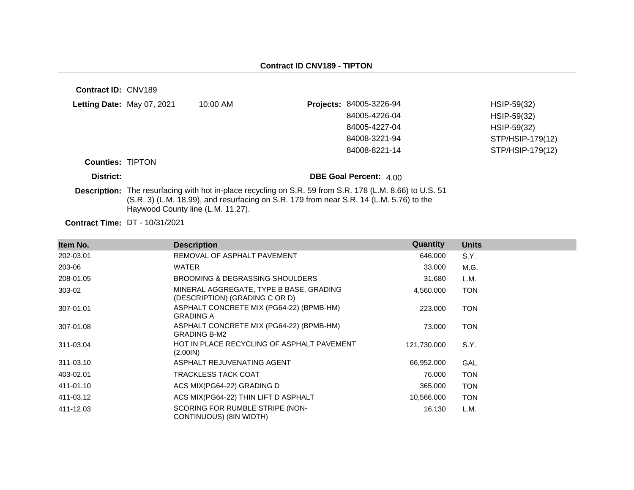| Contract ID: CNV189        |                                   |                                                                                                                                                                                                            |                                |                  |
|----------------------------|-----------------------------------|------------------------------------------------------------------------------------------------------------------------------------------------------------------------------------------------------------|--------------------------------|------------------|
| Letting Date: May 07, 2021 |                                   | 10:00 AM                                                                                                                                                                                                   | <b>Projects: 84005-3226-94</b> | HSIP-59(32)      |
|                            |                                   |                                                                                                                                                                                                            | 84005-4226-04                  | HSIP-59(32)      |
|                            |                                   |                                                                                                                                                                                                            | 84005-4227-04                  | HSIP-59(32)      |
|                            |                                   |                                                                                                                                                                                                            | 84008-3221-94                  | STP/HSIP-179(12) |
|                            |                                   |                                                                                                                                                                                                            | 84008-8221-14                  | STP/HSIP-179(12) |
| <b>Counties: TIPTON</b>    |                                   |                                                                                                                                                                                                            |                                |                  |
| District:                  |                                   |                                                                                                                                                                                                            | <b>DBE Goal Percent: 4.00</b>  |                  |
|                            | Haywood County line (L.M. 11.27). | <b>Description:</b> The resurfacing with hot in-place recycling on S.R. 59 from S.R. 178 (L.M. 8.66) to U.S. 51<br>(S.R. 3) (L.M. 18.99), and resurfacing on S.R. 179 from near S.R. 14 (L.M. 5.76) to the |                                |                  |
|                            | <b>BT 18616881</b>                |                                                                                                                                                                                                            |                                |                  |

**Contract Time:** DT - 10/31/2021

| Item No.  | <b>Description</b>                                                        | Quantity    | <b>Units</b> |
|-----------|---------------------------------------------------------------------------|-------------|--------------|
| 202-03.01 | REMOVAL OF ASPHALT PAVEMENT                                               | 646.000     | S.Y.         |
| 203-06    | <b>WATER</b>                                                              | 33,000      | M.G.         |
| 208-01.05 | <b>BROOMING &amp; DEGRASSING SHOULDERS</b>                                | 31.680      | L.M.         |
| 303-02    | MINERAL AGGREGATE, TYPE B BASE, GRADING<br>(DESCRIPTION) (GRADING C OR D) | 4,560.000   | <b>TON</b>   |
| 307-01.01 | ASPHALT CONCRETE MIX (PG64-22) (BPMB-HM)<br><b>GRADING A</b>              | 223,000     | <b>TON</b>   |
| 307-01.08 | ASPHALT CONCRETE MIX (PG64-22) (BPMB-HM)<br><b>GRADING B-M2</b>           | 73,000      | <b>TON</b>   |
| 311-03.04 | HOT IN PLACE RECYCLING OF ASPHALT PAVEMENT<br>(2.001N)                    | 121,730.000 | S.Y.         |
| 311-03.10 | ASPHALT REJUVENATING AGENT                                                | 66,952.000  | GAL.         |
| 403-02.01 | TRACKLESS TACK COAT                                                       | 76.000      | <b>TON</b>   |
| 411-01.10 | ACS MIX(PG64-22) GRADING D                                                | 365,000     | <b>TON</b>   |
| 411-03.12 | ACS MIX(PG64-22) THIN LIFT D ASPHALT                                      | 10,566.000  | <b>TON</b>   |
| 411-12.03 | SCORING FOR RUMBLE STRIPE (NON-<br>CONTINUOUS) (8IN WIDTH)                | 16.130      | L.M.         |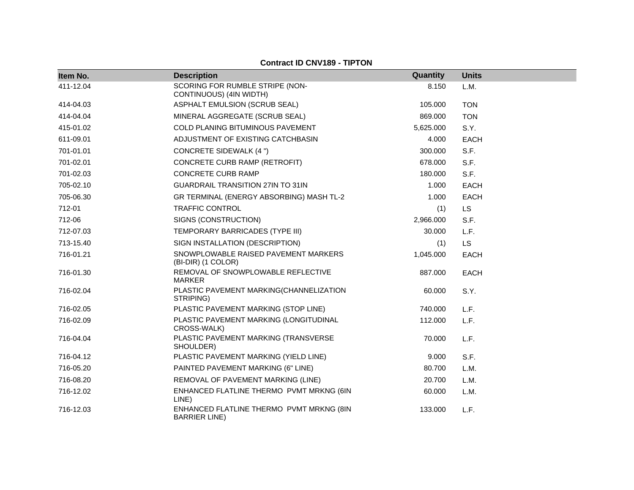#### **Contract ID CNV189 - TIPTON**

| Item No.  | <b>Description</b>                                               | Quantity  | <b>Units</b> |
|-----------|------------------------------------------------------------------|-----------|--------------|
| 411-12.04 | SCORING FOR RUMBLE STRIPE (NON-<br>CONTINUOUS) (4IN WIDTH)       | 8.150     | L.M.         |
| 414-04.03 | ASPHALT EMULSION (SCRUB SEAL)                                    | 105.000   | <b>TON</b>   |
| 414-04.04 | MINERAL AGGREGATE (SCRUB SEAL)                                   | 869.000   | <b>TON</b>   |
| 415-01.02 | COLD PLANING BITUMINOUS PAVEMENT                                 | 5,625.000 | S.Y.         |
| 611-09.01 | ADJUSTMENT OF EXISTING CATCHBASIN                                | 4.000     | <b>EACH</b>  |
| 701-01.01 | <b>CONCRETE SIDEWALK (4 ")</b>                                   | 300.000   | S.F.         |
| 701-02.01 | CONCRETE CURB RAMP (RETROFIT)                                    | 678.000   | S.F.         |
| 701-02.03 | <b>CONCRETE CURB RAMP</b>                                        | 180.000   | S.F.         |
| 705-02.10 | <b>GUARDRAIL TRANSITION 27IN TO 31IN</b>                         | 1.000     | <b>EACH</b>  |
| 705-06.30 | GR TERMINAL (ENERGY ABSORBING) MASH TL-2                         | 1.000     | <b>EACH</b>  |
| 712-01    | <b>TRAFFIC CONTROL</b>                                           | (1)       | <b>LS</b>    |
| 712-06    | SIGNS (CONSTRUCTION)                                             | 2,966.000 | S.F.         |
| 712-07.03 | TEMPORARY BARRICADES (TYPE III)                                  | 30.000    | L.F.         |
| 713-15.40 | SIGN INSTALLATION (DESCRIPTION)                                  | (1)       | <b>LS</b>    |
| 716-01.21 | SNOWPLOWABLE RAISED PAVEMENT MARKERS<br>(BI-DIR) (1 COLOR)       | 1,045.000 | <b>EACH</b>  |
| 716-01.30 | REMOVAL OF SNOWPLOWABLE REFLECTIVE<br><b>MARKER</b>              | 887.000   | <b>EACH</b>  |
| 716-02.04 | PLASTIC PAVEMENT MARKING(CHANNELIZATION<br>STRIPING)             | 60.000    | S.Y.         |
| 716-02.05 | PLASTIC PAVEMENT MARKING (STOP LINE)                             | 740.000   | L.F.         |
| 716-02.09 | PLASTIC PAVEMENT MARKING (LONGITUDINAL<br>CROSS-WALK)            | 112.000   | L.F.         |
| 716-04.04 | PLASTIC PAVEMENT MARKING (TRANSVERSE<br>SHOULDER)                | 70.000    | L.F.         |
| 716-04.12 | PLASTIC PAVEMENT MARKING (YIELD LINE)                            | 9.000     | S.F.         |
| 716-05.20 | PAINTED PAVEMENT MARKING (6" LINE)                               | 80.700    | L.M.         |
| 716-08.20 | REMOVAL OF PAVEMENT MARKING (LINE)                               | 20.700    | L.M.         |
| 716-12.02 | ENHANCED FLATLINE THERMO PVMT MRKNG (6IN<br>LINE)                | 60.000    | L.M.         |
| 716-12.03 | ENHANCED FLATLINE THERMO PVMT MRKNG (8IN<br><b>BARRIER LINE)</b> | 133.000   | L.F.         |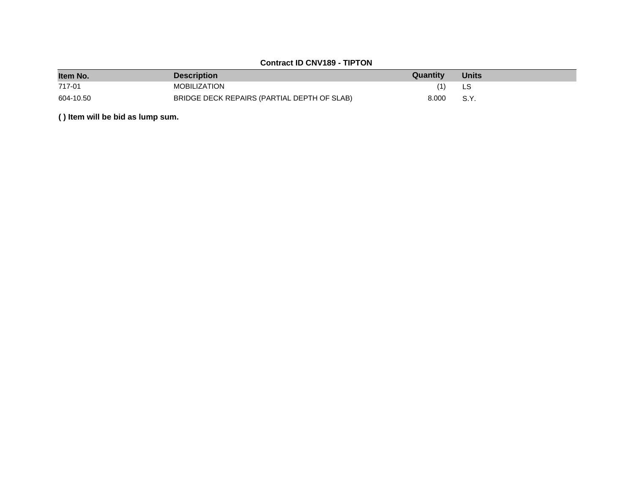# **Contract ID CNV189 - TIPTON**

| Item No.  | <b>Description</b>                          | Quantity | <b>Units</b> |
|-----------|---------------------------------------------|----------|--------------|
| 717-01    | <b>MOBILIZATION</b>                         |          |              |
| 604-10.50 | BRIDGE DECK REPAIRS (PARTIAL DEPTH OF SLAB) | 8.000    | S.Y.         |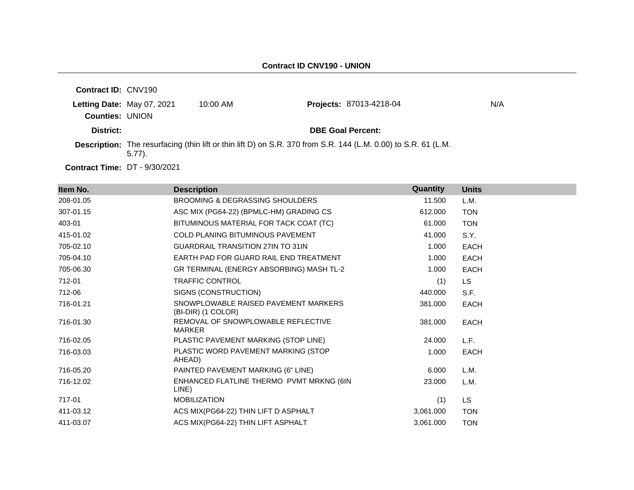| <b>Contract ID: CNV190</b>                           |            |                    |                                                                                                                |     |
|------------------------------------------------------|------------|--------------------|----------------------------------------------------------------------------------------------------------------|-----|
| Letting Date: May 07, 2021<br><b>Counties: UNION</b> |            | $10:00 \text{ AM}$ | <b>Projects: 87013-4218-04</b>                                                                                 | N/A |
| District:                                            |            |                    | <b>DBE Goal Percent:</b>                                                                                       |     |
|                                                      | $(5.77)$ . |                    | Description: The resurfacing (thin lift or thin lift D) on S.R. 370 from S.R. 144 (L.M. 0.00) to S.R. 61 (L.M. |     |

**Contract Time:** DT - 9/30/2021

| Item No.  | <b>Description</b>                                         | <b>Quantity</b> | <b>Units</b> |
|-----------|------------------------------------------------------------|-----------------|--------------|
| 208-01.05 | <b>BROOMING &amp; DEGRASSING SHOULDERS</b>                 | 11.500          | L.M.         |
| 307-01.15 | ASC MIX (PG64-22) (BPMLC-HM) GRADING CS                    | 612,000         | <b>TON</b>   |
| 403-01    | BITUMINOUS MATERIAL FOR TACK COAT (TC)                     | 61.000          | <b>TON</b>   |
| 415-01.02 | <b>COLD PLANING BITUMINOUS PAVEMENT</b>                    | 41.000          | S.Y.         |
| 705-02.10 | <b>GUARDRAIL TRANSITION 27IN TO 31IN</b>                   | 1.000           | <b>EACH</b>  |
| 705-04.10 | EARTH PAD FOR GUARD RAIL END TREATMENT                     | 1.000           | <b>EACH</b>  |
| 705-06.30 | GR TERMINAL (ENERGY ABSORBING) MASH TL-2                   | 1.000           | <b>EACH</b>  |
| 712-01    | <b>TRAFFIC CONTROL</b>                                     | (1)             | LS.          |
| 712-06    | SIGNS (CONSTRUCTION)                                       | 440.000         | S.F.         |
| 716-01.21 | SNOWPLOWABLE RAISED PAVEMENT MARKERS<br>(BI-DIR) (1 COLOR) | 381.000         | <b>EACH</b>  |
| 716-01.30 | REMOVAL OF SNOWPLOWABLE REFLECTIVE<br><b>MARKER</b>        | 381.000         | <b>EACH</b>  |
| 716-02.05 | PLASTIC PAVEMENT MARKING (STOP LINE)                       | 24.000          | L.F.         |
| 716-03.03 | PLASTIC WORD PAVEMENT MARKING (STOP<br>AHEAD)              | 1.000           | <b>EACH</b>  |
| 716-05.20 | PAINTED PAVEMENT MARKING (6" LINE)                         | 6.000           | L.M.         |
| 716-12.02 | ENHANCED FLATLINE THERMO PVMT MRKNG (6IN<br>LINE)          | 23.000          | L.M.         |
| 717-01    | <b>MOBILIZATION</b>                                        | (1)             | LS.          |
| 411-03.12 | ACS MIX(PG64-22) THIN LIFT D ASPHALT                       | 3,061.000       | <b>TON</b>   |
| 411-03.07 | ACS MIX(PG64-22) THIN LIFT ASPHALT                         | 3,061.000       | <b>TON</b>   |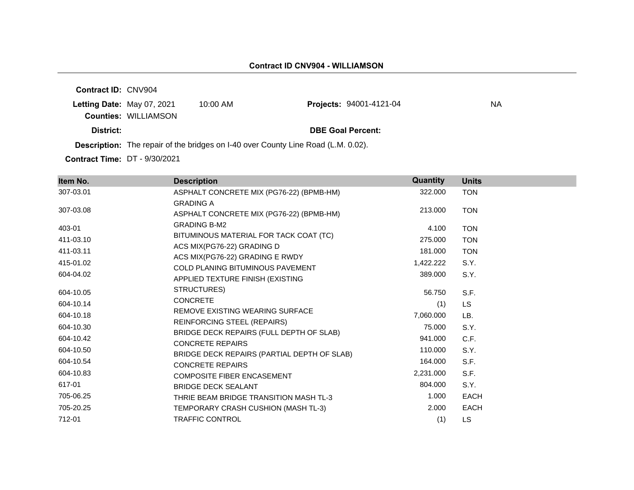**Contract ID:** CNV904 **Letting Date: May 07, 2021 10:00 AM Counties:** WILLIAMSON **District: District: DBE Goal Percent: Projects: 94001-4121-04 NA** 

**Description:** The repair of the bridges on I-40 over County Line Road (L.M. 0.02).

**Contract Time: DT - 9/30/2021** 

| Item No.  | <b>Description</b>                                                         | Quantity  | <b>Units</b> |
|-----------|----------------------------------------------------------------------------|-----------|--------------|
| 307-03.01 | ASPHALT CONCRETE MIX (PG76-22) (BPMB-HM)                                   | 322.000   | <b>TON</b>   |
| 307-03.08 | <b>GRADING A</b><br>ASPHALT CONCRETE MIX (PG76-22) (BPMB-HM)               | 213.000   | <b>TON</b>   |
| 403-01    | <b>GRADING B-M2</b>                                                        | 4.100     | <b>TON</b>   |
| 411-03.10 | BITUMINOUS MATERIAL FOR TACK COAT (TC)                                     | 275.000   | <b>TON</b>   |
| 411-03.11 | ACS MIX(PG76-22) GRADING D                                                 | 181.000   | <b>TON</b>   |
| 415-01.02 | ACS MIX(PG76-22) GRADING E RWDY<br><b>COLD PLANING BITUMINOUS PAVEMENT</b> | 1,422.222 | S.Y.         |
| 604-04.02 | APPLIED TEXTURE FINISH (EXISTING                                           | 389,000   | S.Y.         |
| 604-10.05 | STRUCTURES)                                                                | 56.750    | S.F.         |
| 604-10.14 | <b>CONCRETE</b>                                                            | (1)       | <b>LS</b>    |
| 604-10.18 | REMOVE EXISTING WEARING SURFACE                                            | 7,060.000 | LB.          |
| 604-10.30 | REINFORCING STEEL (REPAIRS)                                                | 75.000    | S.Y.         |
| 604-10.42 | BRIDGE DECK REPAIRS (FULL DEPTH OF SLAB)<br><b>CONCRETE REPAIRS</b>        | 941.000   | C.F.         |
| 604-10.50 | BRIDGE DECK REPAIRS (PARTIAL DEPTH OF SLAB)                                | 110.000   | S.Y.         |
| 604-10.54 | <b>CONCRETE REPAIRS</b>                                                    | 164.000   | S.F.         |
| 604-10.83 | <b>COMPOSITE FIBER ENCASEMENT</b>                                          | 2,231.000 | S.F.         |
| 617-01    | <b>BRIDGE DECK SEALANT</b>                                                 | 804.000   | S.Y.         |
| 705-06.25 | THRIE BEAM BRIDGE TRANSITION MASH TL-3                                     | 1.000     | <b>EACH</b>  |
| 705-20.25 | TEMPORARY CRASH CUSHION (MASH TL-3)                                        | 2.000     | <b>EACH</b>  |
| 712-01    | <b>TRAFFIC CONTROL</b>                                                     | (1)       | LS           |